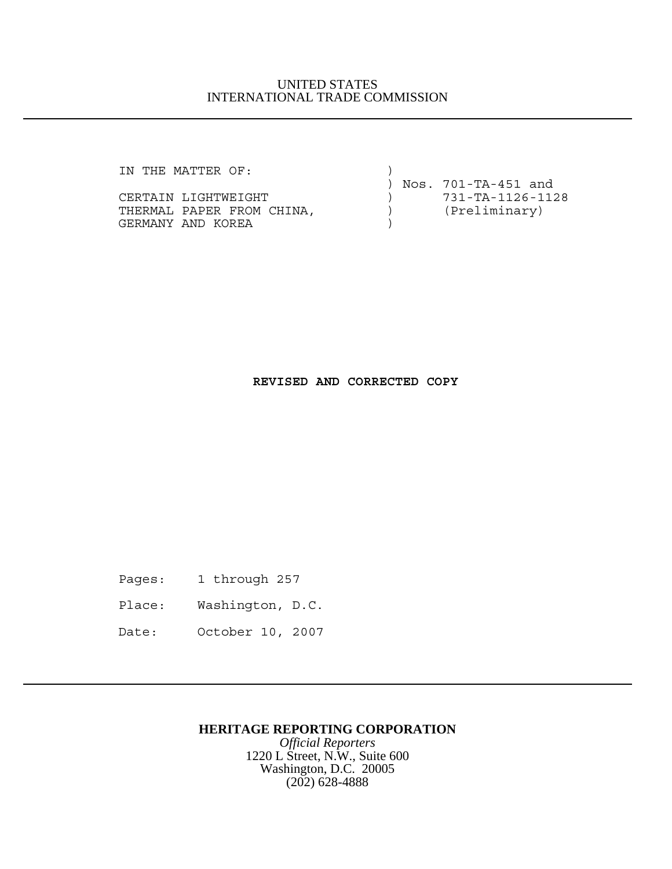### UNITED STATES INTERNATIONAL TRADE COMMISSION

IN THE MATTER OF:  $)$ 

| CERTAIN LIGHTWEIGHT       |  |  |  |
|---------------------------|--|--|--|
| THERMAL PAPER FROM CHINA, |  |  |  |
| GERMANY AND KOREA         |  |  |  |

 ) Nos. 701-TA-451 and ) 731-TA-1126-1128 ) (Preliminary)

## **REVISED AND CORRECTED COPY**

- Pages: 1 through 257
- Place: Washington, D.C.
- Date: October 10, 2007

## **HERITAGE REPORTING CORPORATION**

*Official Reporters* 1220 L Street, N.W., Suite 600 Washington, D.C. 20005 (202) 628-4888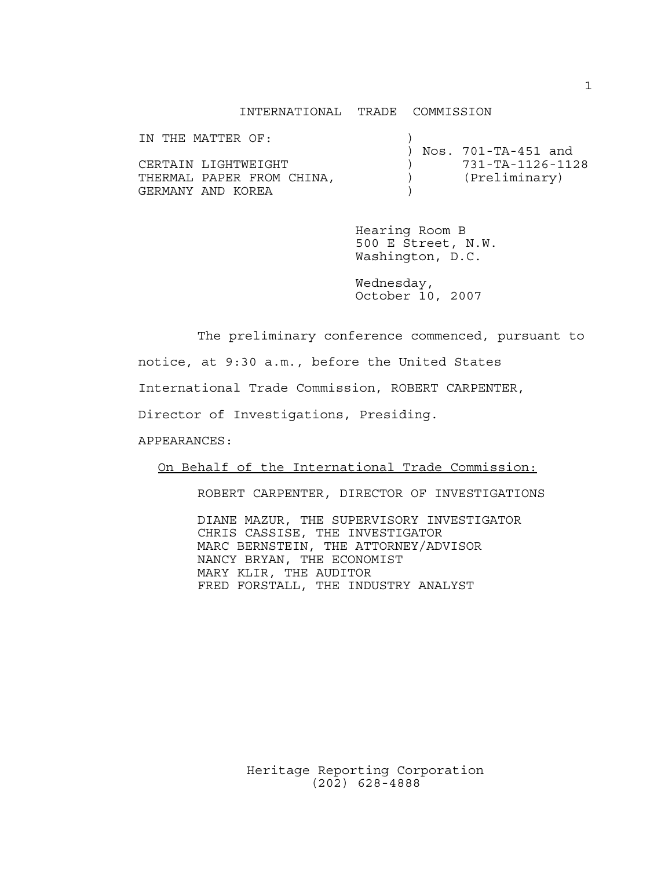#### INTERNATIONAL TRADE COMMISSION

| IN THE MATTER OF:         |  |                     |
|---------------------------|--|---------------------|
|                           |  | Nos. 701-TA-451 and |
| CERTAIN LIGHTWEIGHT       |  | 731-TA-1126-1128    |
| THERMAL PAPER FROM CHINA, |  | (Preliminary)       |
| GERMANY AND KOREA         |  |                     |

Hearing Room B 500 E Street, N.W. Washington, D.C.

Wednesday, October 10, 2007

The preliminary conference commenced, pursuant to

notice, at 9:30 a.m., before the United States

International Trade Commission, ROBERT CARPENTER,

Director of Investigations, Presiding.

APPEARANCES:

On Behalf of the International Trade Commission:

ROBERT CARPENTER, DIRECTOR OF INVESTIGATIONS

DIANE MAZUR, THE SUPERVISORY INVESTIGATOR CHRIS CASSISE, THE INVESTIGATOR MARC BERNSTEIN, THE ATTORNEY/ADVISOR NANCY BRYAN, THE ECONOMIST MARY KLIR, THE AUDITOR FRED FORSTALL, THE INDUSTRY ANALYST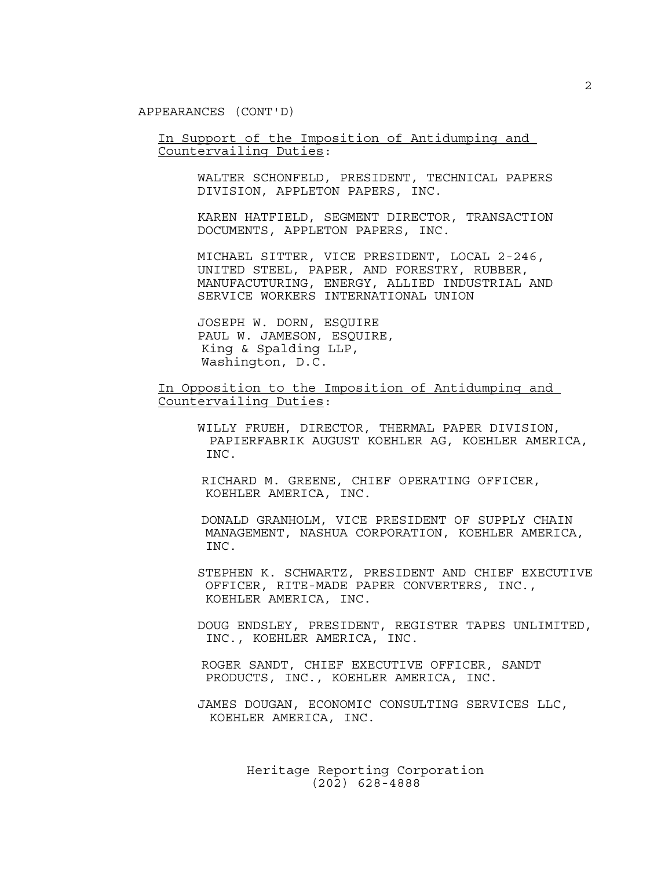APPEARANCES (CONT'D)

In Support of the Imposition of Antidumping and Countervailing Duties:

> WALTER SCHONFELD, PRESIDENT, TECHNICAL PAPERS DIVISION, APPLETON PAPERS, INC.

> KAREN HATFIELD, SEGMENT DIRECTOR, TRANSACTION DOCUMENTS, APPLETON PAPERS, INC.

> MICHAEL SITTER, VICE PRESIDENT, LOCAL 2-246, UNITED STEEL, PAPER, AND FORESTRY, RUBBER, MANUFACUTURING, ENERGY, ALLIED INDUSTRIAL AND SERVICE WORKERS INTERNATIONAL UNION

JOSEPH W. DORN, ESQUIRE PAUL W. JAMESON, ESQUIRE, King & Spalding LLP, Washington, D.C.

In Opposition to the Imposition of Antidumping and Countervailing Duties:

WILLY FRUEH, DIRECTOR, THERMAL PAPER DIVISION, PAPIERFABRIK AUGUST KOEHLER AG, KOEHLER AMERICA, INC.

 RICHARD M. GREENE, CHIEF OPERATING OFFICER, KOEHLER AMERICA, INC.

 DONALD GRANHOLM, VICE PRESIDENT OF SUPPLY CHAIN MANAGEMENT, NASHUA CORPORATION, KOEHLER AMERICA, INC.

STEPHEN K. SCHWARTZ, PRESIDENT AND CHIEF EXECUTIVE OFFICER, RITE-MADE PAPER CONVERTERS, INC., KOEHLER AMERICA, INC.

DOUG ENDSLEY, PRESIDENT, REGISTER TAPES UNLIMITED, INC., KOEHLER AMERICA, INC.

 ROGER SANDT, CHIEF EXECUTIVE OFFICER, SANDT PRODUCTS, INC., KOEHLER AMERICA, INC.

JAMES DOUGAN, ECONOMIC CONSULTING SERVICES LLC, KOEHLER AMERICA, INC.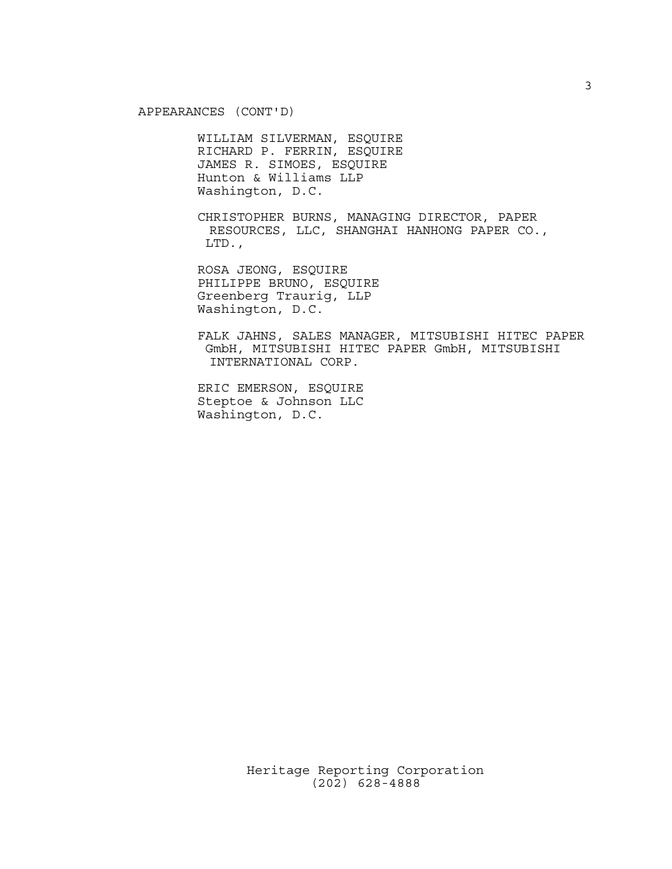APPEARANCES (CONT'D)

WILLIAM SILVERMAN, ESQUIRE RICHARD P. FERRIN, ESQUIRE JAMES R. SIMOES, ESQUIRE Hunton & Williams LLP Washington, D.C.

CHRISTOPHER BURNS, MANAGING DIRECTOR, PAPER RESOURCES, LLC, SHANGHAI HANHONG PAPER CO., LTD.,

ROSA JEONG, ESQUIRE PHILIPPE BRUNO, ESQUIRE Greenberg Traurig, LLP Washington, D.C.

FALK JAHNS, SALES MANAGER, MITSUBISHI HITEC PAPER GmbH, MITSUBISHI HITEC PAPER GmbH, MITSUBISHI INTERNATIONAL CORP.

ERIC EMERSON, ESQUIRE Steptoe & Johnson LLC Washington, D.C.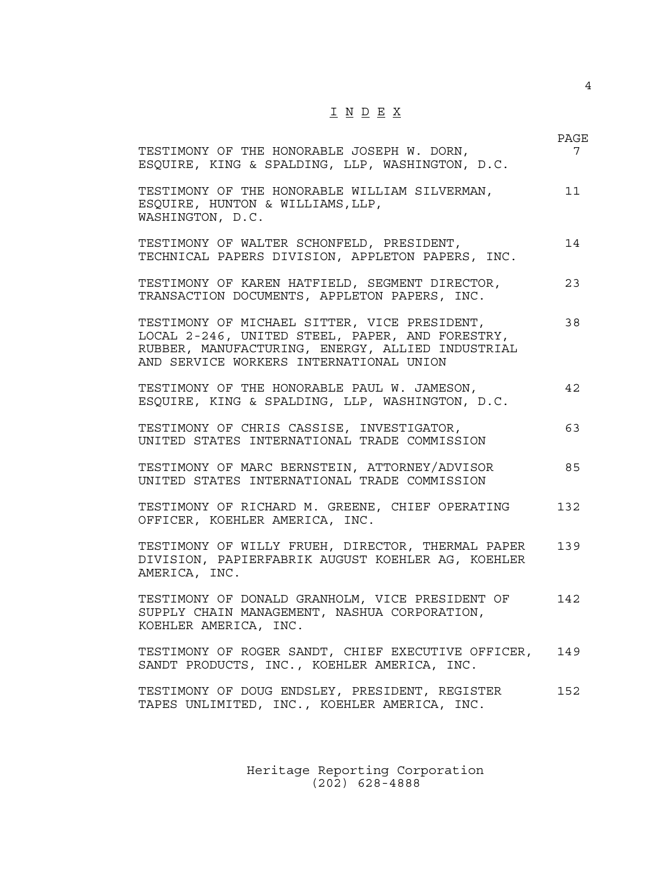# I N D E X

| TESTIMONY OF THE HONORABLE JOSEPH W. DORN,<br>ESQUIRE, KING & SPALDING, LLP, WASHINGTON, D.C.                                                                                                  | PAGE<br>7 |
|------------------------------------------------------------------------------------------------------------------------------------------------------------------------------------------------|-----------|
| TESTIMONY OF THE HONORABLE WILLIAM SILVERMAN,<br>ESQUIRE, HUNTON & WILLIAMS, LLP,<br>WASHINGTON, D.C.                                                                                          | 11        |
| TESTIMONY OF WALTER SCHONFELD, PRESIDENT,<br>TECHNICAL PAPERS DIVISION, APPLETON PAPERS, INC.                                                                                                  | 14        |
| TESTIMONY OF KAREN HATFIELD, SEGMENT DIRECTOR,<br>TRANSACTION DOCUMENTS, APPLETON PAPERS, INC.                                                                                                 | 23        |
| TESTIMONY OF MICHAEL SITTER, VICE PRESIDENT,<br>LOCAL 2-246, UNITED STEEL, PAPER, AND FORESTRY,<br>RUBBER, MANUFACTURING, ENERGY, ALLIED INDUSTRIAL<br>AND SERVICE WORKERS INTERNATIONAL UNION | 38        |
| TESTIMONY OF THE HONORABLE PAUL W. JAMESON,<br>ESQUIRE, KING & SPALDING, LLP, WASHINGTON, D.C.                                                                                                 | 42        |
| TESTIMONY OF CHRIS CASSISE, INVESTIGATOR,<br>UNITED STATES INTERNATIONAL TRADE COMMISSION                                                                                                      | 63        |
| TESTIMONY OF MARC BERNSTEIN, ATTORNEY/ADVISOR<br>UNITED STATES INTERNATIONAL TRADE COMMISSION                                                                                                  | 85        |
| TESTIMONY OF RICHARD M. GREENE, CHIEF OPERATING<br>OFFICER, KOEHLER AMERICA, INC.                                                                                                              | 132       |
| TESTIMONY OF WILLY FRUEH, DIRECTOR, THERMAL PAPER<br>DIVISION, PAPIERFABRIK AUGUST KOEHLER AG, KOEHLER<br>AMERICA, INC.                                                                        | 139       |
| TESTIMONY OF DONALD GRANHOLM, VICE PRESIDENT OF<br>SUPPLY CHAIN MANAGEMENT, NASHUA CORPORATION,<br>KOEHLER AMERICA, INC.                                                                       | 142.      |
| TESTIMONY OF ROGER SANDT, CHIEF EXECUTIVE OFFICER,<br>SANDT PRODUCTS, INC., KOEHLER AMERICA, INC.                                                                                              | 149       |
| TESTIMONY OF DOUG ENDSLEY, PRESIDENT, REGISTER<br>TAPES UNLIMITED, INC., KOEHLER AMERICA, INC.                                                                                                 | 152       |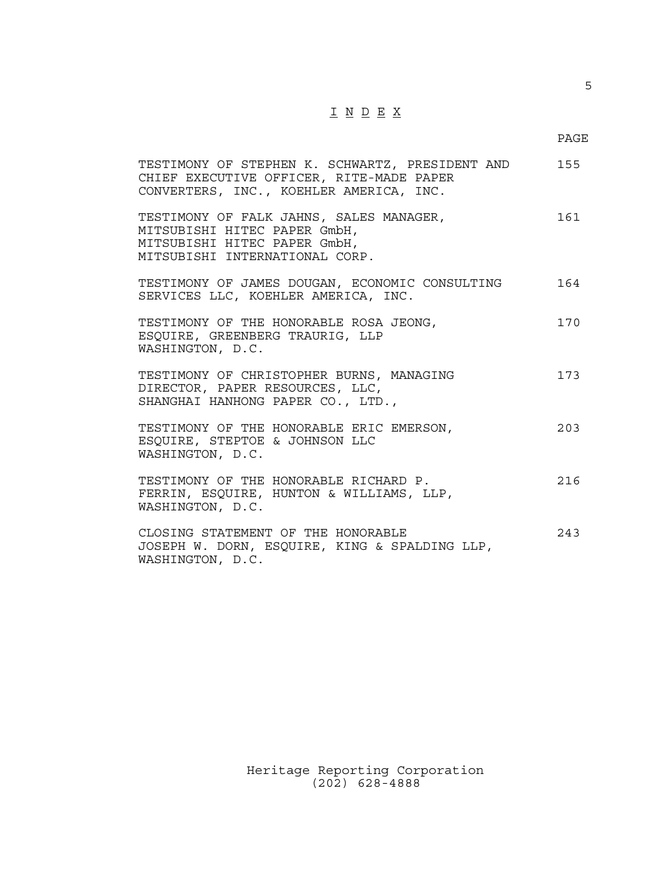## I N D E X

5

| TESTIMONY OF STEPHEN K. SCHWARTZ, PRESIDENT AND 155<br>CHIEF EXECUTIVE OFFICER, RITE-MADE PAPER<br>CONVERTERS, INC., KOEHLER AMERICA, INC. |     |
|--------------------------------------------------------------------------------------------------------------------------------------------|-----|
| TESTIMONY OF FALK JAHNS, SALES MANAGER,<br>MITSUBISHI HITEC PAPER GmbH,<br>MITSUBISHI HITEC PAPER GmbH,<br>MITSUBISHI INTERNATIONAL CORP.  | 161 |
| TESTIMONY OF JAMES DOUGAN, ECONOMIC CONSULTING<br>SERVICES LLC, KOEHLER AMERICA, INC.                                                      | 164 |
| TESTIMONY OF THE HONORABLE ROSA JEONG,<br>ESQUIRE, GREENBERG TRAURIG, LLP<br>WASHINGTON, D.C.                                              | 170 |
| TESTIMONY OF CHRISTOPHER BURNS, MANAGING<br>DIRECTOR, PAPER RESOURCES, LLC,<br>SHANGHAI HANHONG PAPER CO., LTD.,                           | 173 |
| TESTIMONY OF THE HONORABLE ERIC EMERSON,<br>ESQUIRE, STEPTOE & JOHNSON LLC<br>WASHINGTON, D.C.                                             | 203 |
| TESTIMONY OF THE HONORABLE RICHARD P.<br>FERRIN, ESQUIRE, HUNTON & WILLIAMS, LLP,<br>WASHINGTON, D.C.                                      | 216 |
| CLOSING STATEMENT OF THE HONORABLE<br>JOSEPH W. DORN, ESQUIRE, KING & SPALDING LLP,<br>WASHINGTON, D.C.                                    | 243 |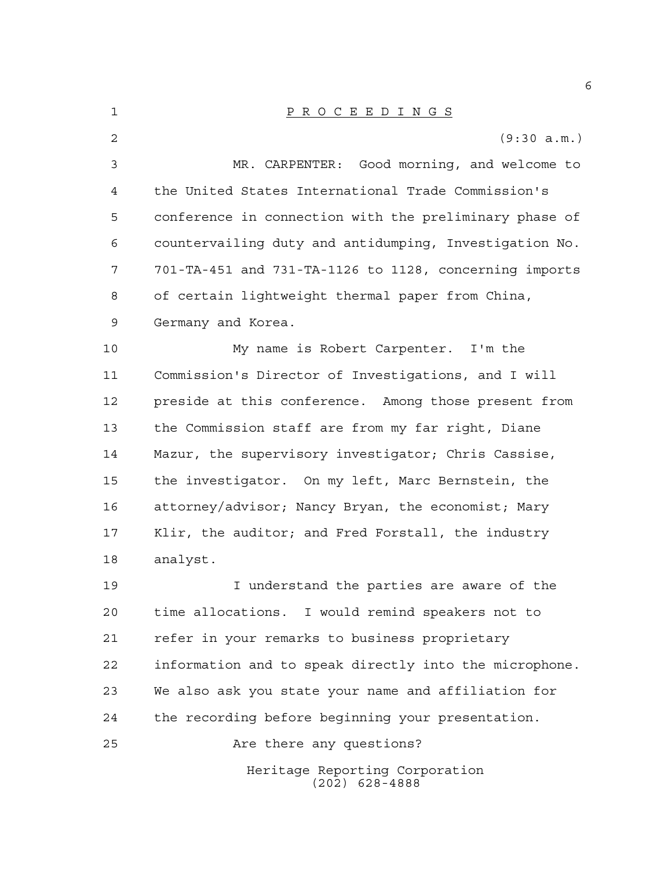| $\mathbf{1}$   | PROCEEDINGS                                            |
|----------------|--------------------------------------------------------|
| 2              | (9:30 a.m.)                                            |
| $\mathfrak{Z}$ | MR. CARPENTER: Good morning, and welcome to            |
| 4              | the United States International Trade Commission's     |
| 5              | conference in connection with the preliminary phase of |
| 6              | countervailing duty and antidumping, Investigation No. |
| 7              | 701-TA-451 and 731-TA-1126 to 1128, concerning imports |
| 8              | of certain lightweight thermal paper from China,       |
| 9              | Germany and Korea.                                     |
| 10             | My name is Robert Carpenter. I'm the                   |
| 11             | Commission's Director of Investigations, and I will    |
| 12             | preside at this conference. Among those present from   |
| 13             | the Commission staff are from my far right, Diane      |
| 14             | Mazur, the supervisory investigator; Chris Cassise,    |
| 15             | the investigator. On my left, Marc Bernstein, the      |

 attorney/advisor; Nancy Bryan, the economist; Mary Klir, the auditor; and Fred Forstall, the industry analyst.

19 19 I understand the parties are aware of the time allocations. I would remind speakers not to refer in your remarks to business proprietary information and to speak directly into the microphone. We also ask you state your name and affiliation for the recording before beginning your presentation.

Heritage Reporting Corporation (202) 628-4888 Are there any questions?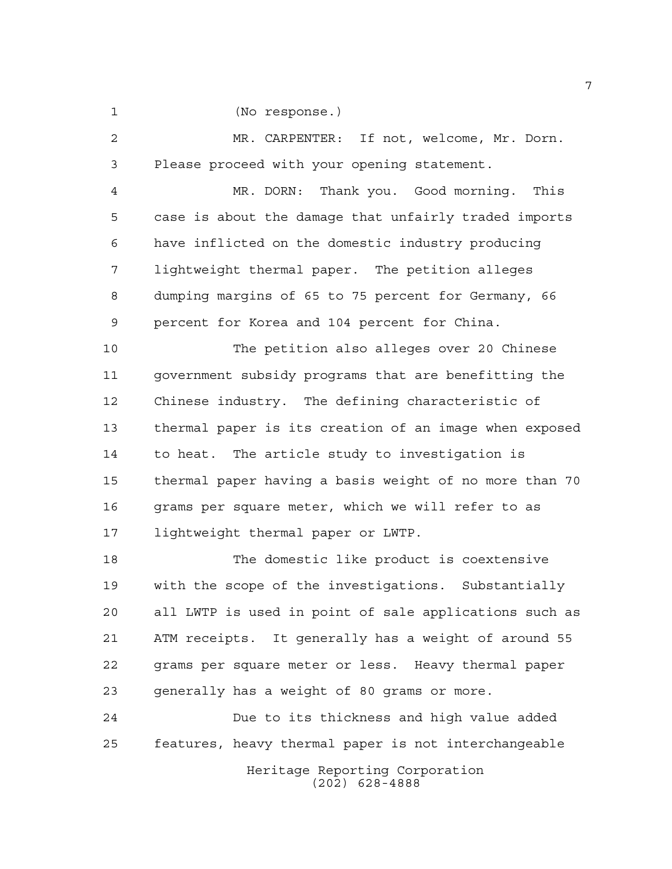(No response.)

 MR. CARPENTER: If not, welcome, Mr. Dorn. Please proceed with your opening statement.

 MR. DORN: Thank you. Good morning. This case is about the damage that unfairly traded imports have inflicted on the domestic industry producing lightweight thermal paper. The petition alleges dumping margins of 65 to 75 percent for Germany, 66 percent for Korea and 104 percent for China.

 The petition also alleges over 20 Chinese government subsidy programs that are benefitting the Chinese industry. The defining characteristic of thermal paper is its creation of an image when exposed to heat. The article study to investigation is thermal paper having a basis weight of no more than 70 grams per square meter, which we will refer to as lightweight thermal paper or LWTP.

 The domestic like product is coextensive with the scope of the investigations. Substantially all LWTP is used in point of sale applications such as ATM receipts. It generally has a weight of around 55 grams per square meter or less. Heavy thermal paper generally has a weight of 80 grams or more.

 Due to its thickness and high value added features, heavy thermal paper is not interchangeable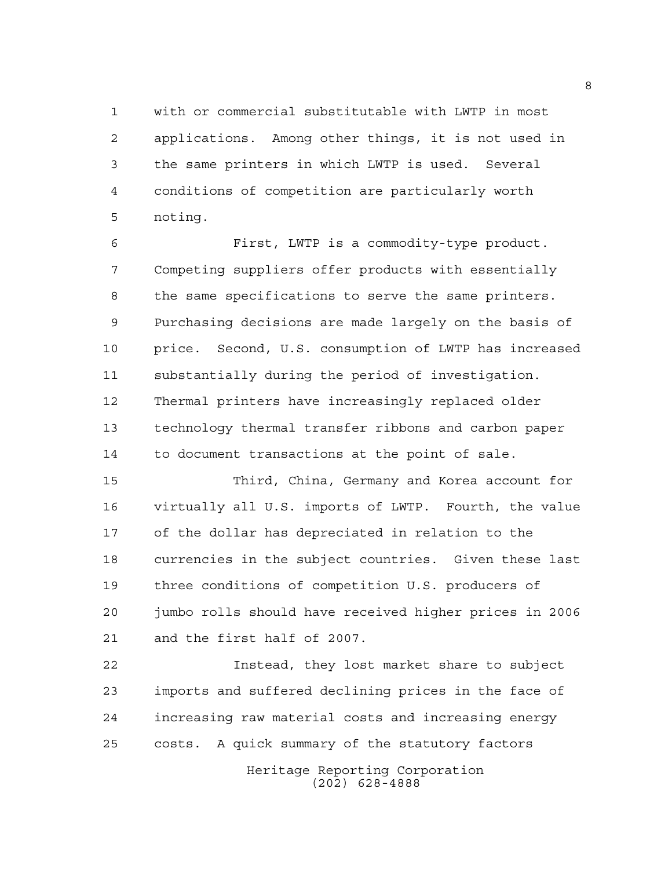with or commercial substitutable with LWTP in most applications. Among other things, it is not used in the same printers in which LWTP is used. Several conditions of competition are particularly worth noting.

 First, LWTP is a commodity-type product. Competing suppliers offer products with essentially the same specifications to serve the same printers. Purchasing decisions are made largely on the basis of price. Second, U.S. consumption of LWTP has increased substantially during the period of investigation. Thermal printers have increasingly replaced older technology thermal transfer ribbons and carbon paper to document transactions at the point of sale.

 Third, China, Germany and Korea account for virtually all U.S. imports of LWTP. Fourth, the value of the dollar has depreciated in relation to the currencies in the subject countries. Given these last three conditions of competition U.S. producers of jumbo rolls should have received higher prices in 2006 and the first half of 2007.

Heritage Reporting Corporation Instead, they lost market share to subject imports and suffered declining prices in the face of increasing raw material costs and increasing energy costs. A quick summary of the statutory factors

(202) 628-4888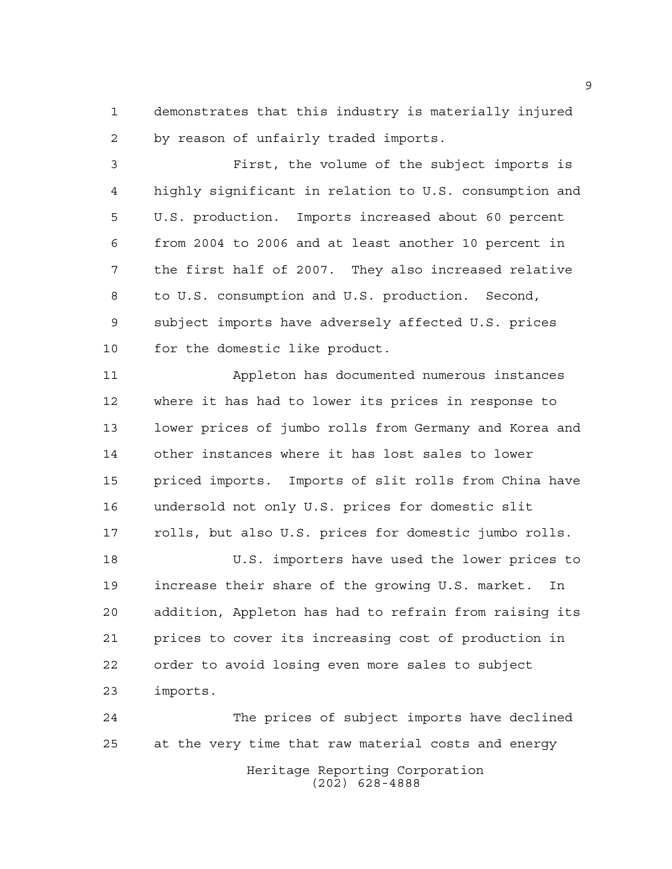demonstrates that this industry is materially injured by reason of unfairly traded imports.

 First, the volume of the subject imports is highly significant in relation to U.S. consumption and U.S. production. Imports increased about 60 percent from 2004 to 2006 and at least another 10 percent in the first half of 2007. They also increased relative to U.S. consumption and U.S. production. Second, subject imports have adversely affected U.S. prices for the domestic like product.

 Appleton has documented numerous instances where it has had to lower its prices in response to lower prices of jumbo rolls from Germany and Korea and other instances where it has lost sales to lower priced imports. Imports of slit rolls from China have undersold not only U.S. prices for domestic slit rolls, but also U.S. prices for domestic jumbo rolls.

 U.S. importers have used the lower prices to increase their share of the growing U.S. market. In addition, Appleton has had to refrain from raising its prices to cover its increasing cost of production in order to avoid losing even more sales to subject imports.

Heritage Reporting Corporation (202) 628-4888 The prices of subject imports have declined at the very time that raw material costs and energy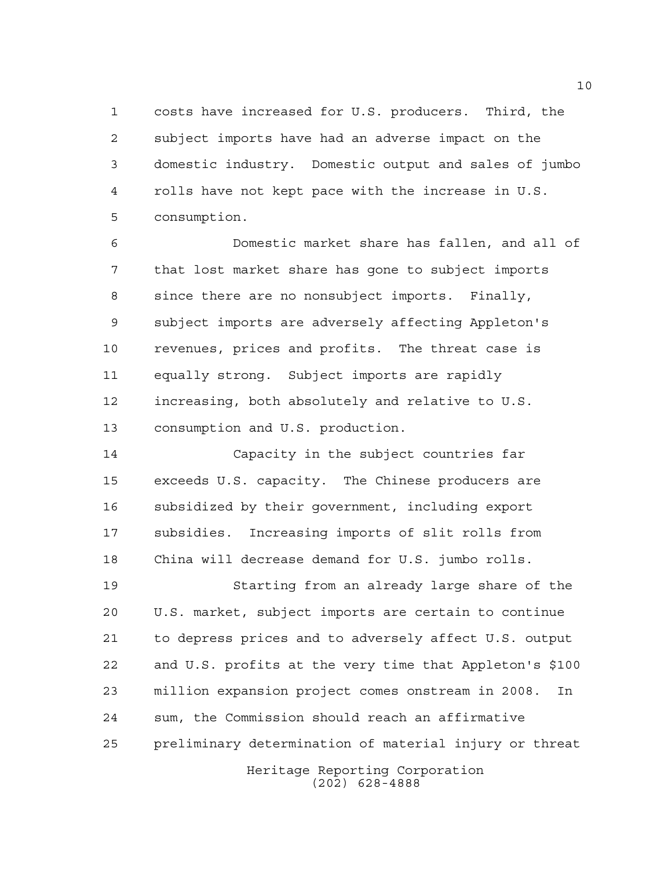costs have increased for U.S. producers. Third, the subject imports have had an adverse impact on the domestic industry. Domestic output and sales of jumbo rolls have not kept pace with the increase in U.S. consumption.

 Domestic market share has fallen, and all of that lost market share has gone to subject imports since there are no nonsubject imports. Finally, subject imports are adversely affecting Appleton's revenues, prices and profits. The threat case is equally strong. Subject imports are rapidly increasing, both absolutely and relative to U.S. consumption and U.S. production.

 Capacity in the subject countries far exceeds U.S. capacity. The Chinese producers are subsidized by their government, including export subsidies. Increasing imports of slit rolls from China will decrease demand for U.S. jumbo rolls.

 Starting from an already large share of the U.S. market, subject imports are certain to continue to depress prices and to adversely affect U.S. output and U.S. profits at the very time that Appleton's \$100 million expansion project comes onstream in 2008. In sum, the Commission should reach an affirmative preliminary determination of material injury or threat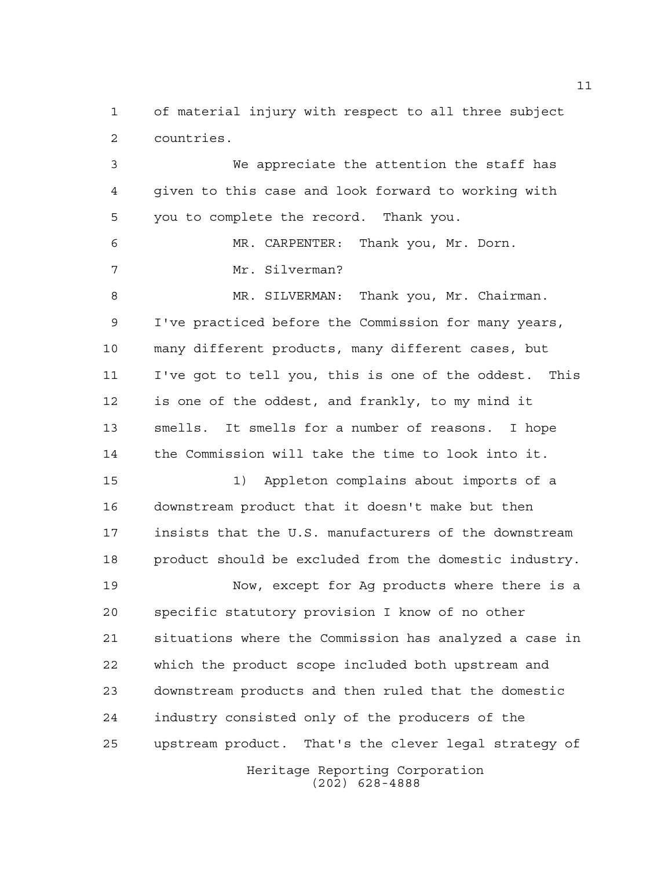of material injury with respect to all three subject countries.

 We appreciate the attention the staff has given to this case and look forward to working with you to complete the record. Thank you. MR. CARPENTER: Thank you, Mr. Dorn. Mr. Silverman? MR. SILVERMAN: Thank you, Mr. Chairman. I've practiced before the Commission for many years, many different products, many different cases, but I've got to tell you, this is one of the oddest. This is one of the oddest, and frankly, to my mind it smells. It smells for a number of reasons. I hope the Commission will take the time to look into it. 1) Appleton complains about imports of a

 downstream product that it doesn't make but then insists that the U.S. manufacturers of the downstream product should be excluded from the domestic industry.

Heritage Reporting Corporation Now, except for Ag products where there is a specific statutory provision I know of no other situations where the Commission has analyzed a case in which the product scope included both upstream and downstream products and then ruled that the domestic industry consisted only of the producers of the upstream product. That's the clever legal strategy of

(202) 628-4888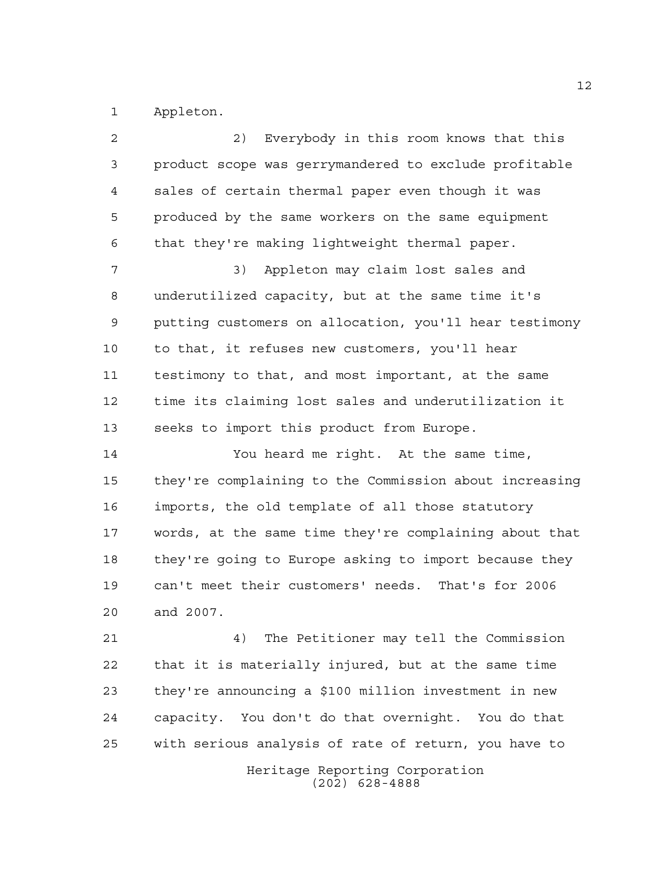Appleton.

Heritage Reporting Corporation (202) 628-4888 2) Everybody in this room knows that this product scope was gerrymandered to exclude profitable sales of certain thermal paper even though it was produced by the same workers on the same equipment that they're making lightweight thermal paper. 3) Appleton may claim lost sales and underutilized capacity, but at the same time it's putting customers on allocation, you'll hear testimony to that, it refuses new customers, you'll hear testimony to that, and most important, at the same time its claiming lost sales and underutilization it seeks to import this product from Europe. You heard me right. At the same time, they're complaining to the Commission about increasing imports, the old template of all those statutory words, at the same time they're complaining about that they're going to Europe asking to import because they can't meet their customers' needs. That's for 2006 and 2007. 4) The Petitioner may tell the Commission that it is materially injured, but at the same time they're announcing a \$100 million investment in new capacity. You don't do that overnight. You do that with serious analysis of rate of return, you have to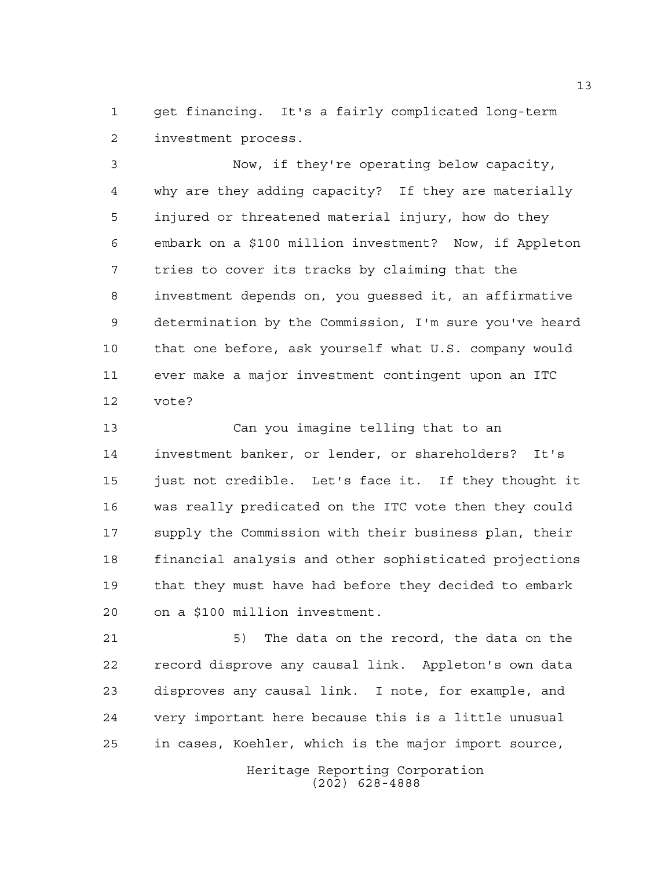get financing. It's a fairly complicated long-term investment process.

 Now, if they're operating below capacity, why are they adding capacity? If they are materially injured or threatened material injury, how do they embark on a \$100 million investment? Now, if Appleton tries to cover its tracks by claiming that the investment depends on, you guessed it, an affirmative determination by the Commission, I'm sure you've heard that one before, ask yourself what U.S. company would ever make a major investment contingent upon an ITC vote?

 Can you imagine telling that to an investment banker, or lender, or shareholders? It's just not credible. Let's face it. If they thought it was really predicated on the ITC vote then they could supply the Commission with their business plan, their financial analysis and other sophisticated projections that they must have had before they decided to embark on a \$100 million investment.

21 5) The data on the record, the data on the record disprove any causal link. Appleton's own data disproves any causal link. I note, for example, and very important here because this is a little unusual in cases, Koehler, which is the major import source,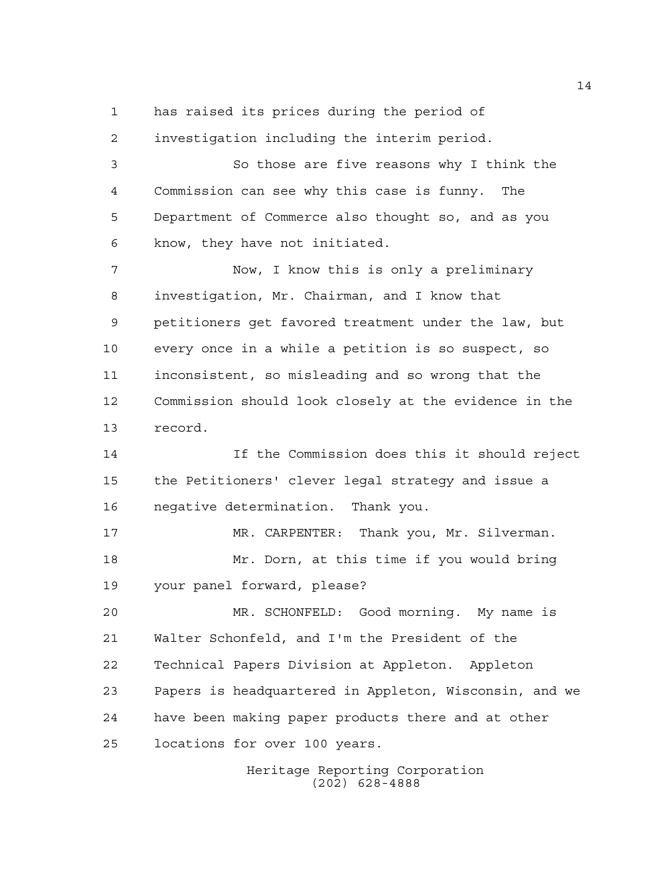has raised its prices during the period of

 investigation including the interim period. So those are five reasons why I think the Commission can see why this case is funny. The Department of Commerce also thought so, and as you know, they have not initiated. Now, I know this is only a preliminary investigation, Mr. Chairman, and I know that petitioners get favored treatment under the law, but every once in a while a petition is so suspect, so inconsistent, so misleading and so wrong that the Commission should look closely at the evidence in the record. If the Commission does this it should reject the Petitioners' clever legal strategy and issue a negative determination. Thank you. MR. CARPENTER: Thank you, Mr. Silverman. Mr. Dorn, at this time if you would bring your panel forward, please? MR. SCHONFELD: Good morning. My name is Walter Schonfeld, and I'm the President of the Technical Papers Division at Appleton. Appleton Papers is headquartered in Appleton, Wisconsin, and we have been making paper products there and at other locations for over 100 years.

> Heritage Reporting Corporation (202) 628-4888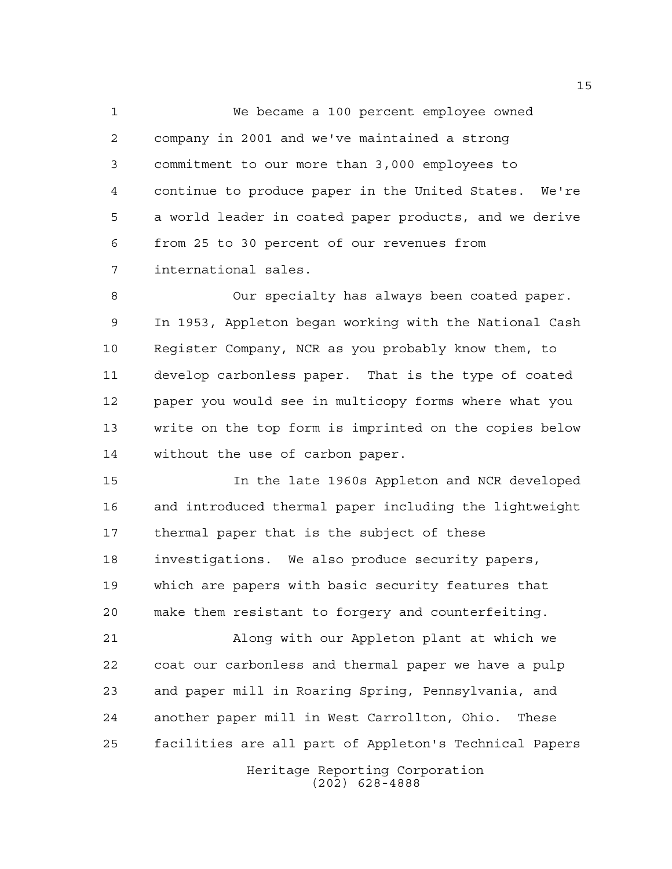We became a 100 percent employee owned company in 2001 and we've maintained a strong commitment to our more than 3,000 employees to continue to produce paper in the United States. We're a world leader in coated paper products, and we derive from 25 to 30 percent of our revenues from international sales.

 Our specialty has always been coated paper. In 1953, Appleton began working with the National Cash Register Company, NCR as you probably know them, to develop carbonless paper. That is the type of coated paper you would see in multicopy forms where what you write on the top form is imprinted on the copies below without the use of carbon paper.

 In the late 1960s Appleton and NCR developed and introduced thermal paper including the lightweight thermal paper that is the subject of these investigations. We also produce security papers, which are papers with basic security features that make them resistant to forgery and counterfeiting.

 Along with our Appleton plant at which we coat our carbonless and thermal paper we have a pulp and paper mill in Roaring Spring, Pennsylvania, and another paper mill in West Carrollton, Ohio. These facilities are all part of Appleton's Technical Papers

> Heritage Reporting Corporation (202) 628-4888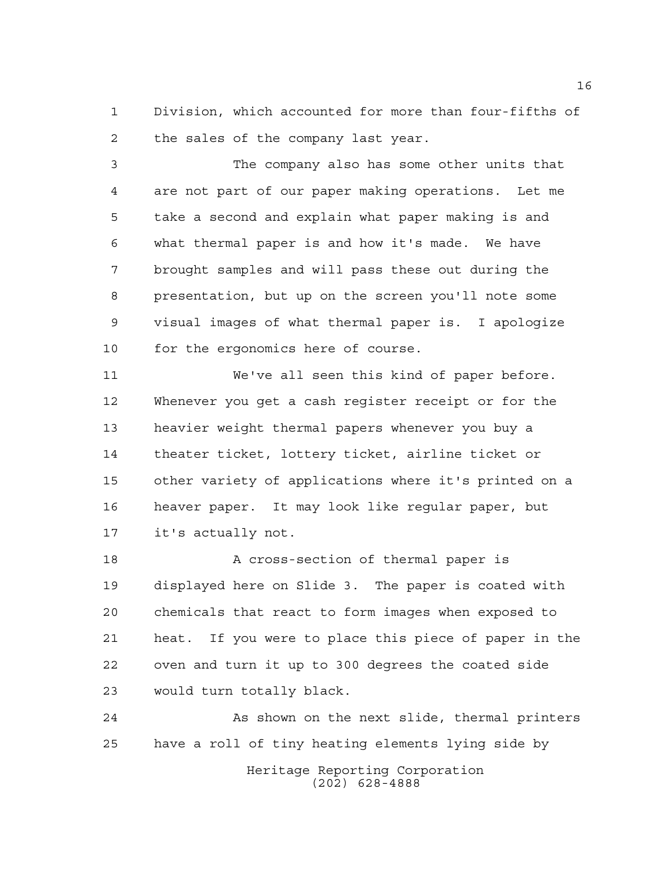Division, which accounted for more than four-fifths of the sales of the company last year.

 The company also has some other units that are not part of our paper making operations. Let me take a second and explain what paper making is and what thermal paper is and how it's made. We have brought samples and will pass these out during the presentation, but up on the screen you'll note some visual images of what thermal paper is. I apologize for the ergonomics here of course.

 We've all seen this kind of paper before. Whenever you get a cash register receipt or for the heavier weight thermal papers whenever you buy a theater ticket, lottery ticket, airline ticket or other variety of applications where it's printed on a heaver paper. It may look like regular paper, but it's actually not.

 A cross-section of thermal paper is displayed here on Slide 3. The paper is coated with chemicals that react to form images when exposed to heat. If you were to place this piece of paper in the oven and turn it up to 300 degrees the coated side would turn totally black.

Heritage Reporting Corporation (202) 628-4888 As shown on the next slide, thermal printers have a roll of tiny heating elements lying side by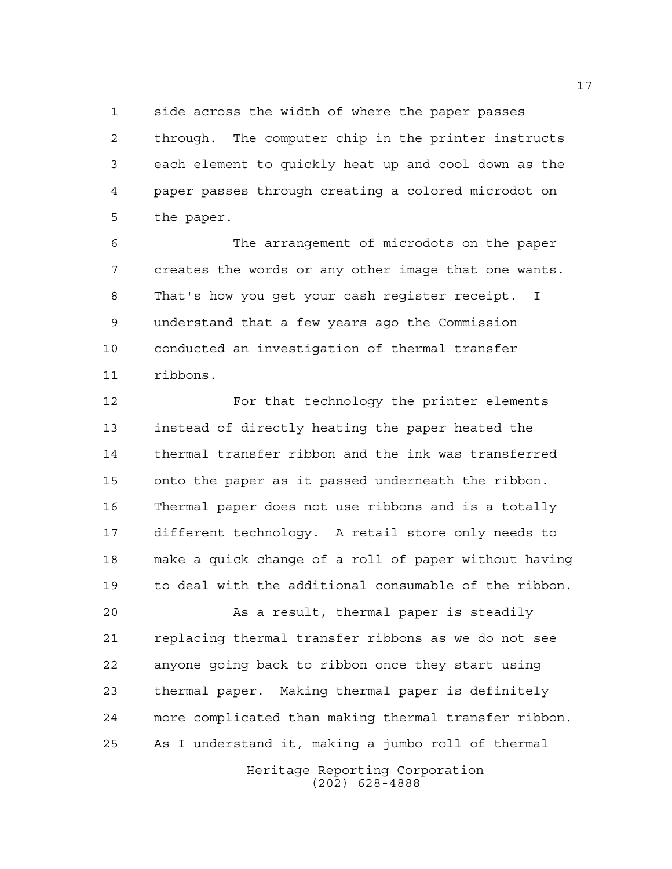side across the width of where the paper passes through. The computer chip in the printer instructs each element to quickly heat up and cool down as the paper passes through creating a colored microdot on the paper.

 The arrangement of microdots on the paper creates the words or any other image that one wants. That's how you get your cash register receipt. I understand that a few years ago the Commission conducted an investigation of thermal transfer ribbons.

 For that technology the printer elements instead of directly heating the paper heated the thermal transfer ribbon and the ink was transferred onto the paper as it passed underneath the ribbon. Thermal paper does not use ribbons and is a totally different technology. A retail store only needs to make a quick change of a roll of paper without having to deal with the additional consumable of the ribbon.

 As a result, thermal paper is steadily replacing thermal transfer ribbons as we do not see anyone going back to ribbon once they start using thermal paper. Making thermal paper is definitely more complicated than making thermal transfer ribbon. As I understand it, making a jumbo roll of thermal

> Heritage Reporting Corporation (202) 628-4888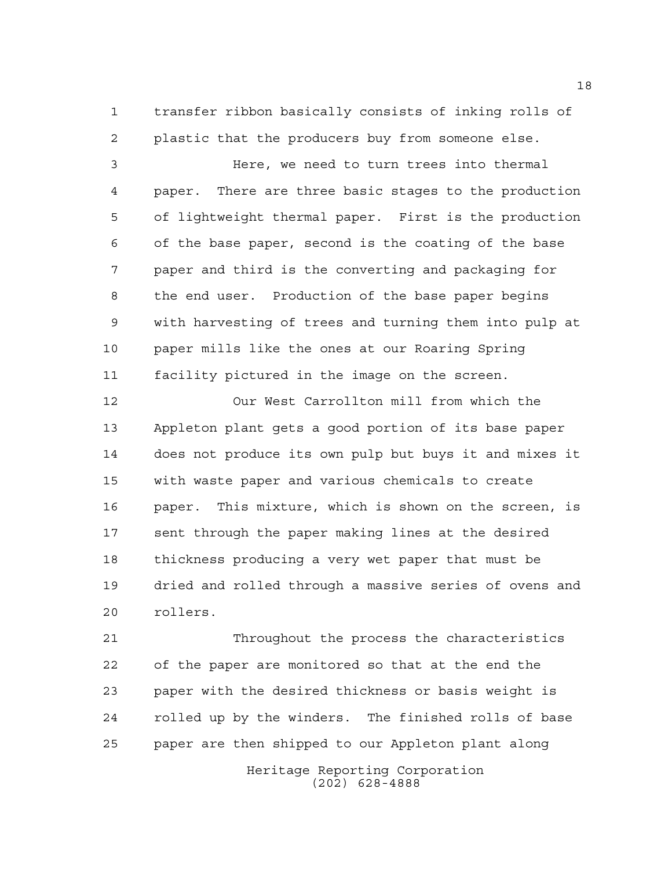transfer ribbon basically consists of inking rolls of plastic that the producers buy from someone else.

 Here, we need to turn trees into thermal paper. There are three basic stages to the production of lightweight thermal paper. First is the production of the base paper, second is the coating of the base paper and third is the converting and packaging for the end user. Production of the base paper begins with harvesting of trees and turning them into pulp at paper mills like the ones at our Roaring Spring facility pictured in the image on the screen.

 Our West Carrollton mill from which the Appleton plant gets a good portion of its base paper does not produce its own pulp but buys it and mixes it with waste paper and various chemicals to create paper. This mixture, which is shown on the screen, is sent through the paper making lines at the desired thickness producing a very wet paper that must be dried and rolled through a massive series of ovens and rollers.

 Throughout the process the characteristics of the paper are monitored so that at the end the paper with the desired thickness or basis weight is rolled up by the winders. The finished rolls of base paper are then shipped to our Appleton plant along

> Heritage Reporting Corporation (202) 628-4888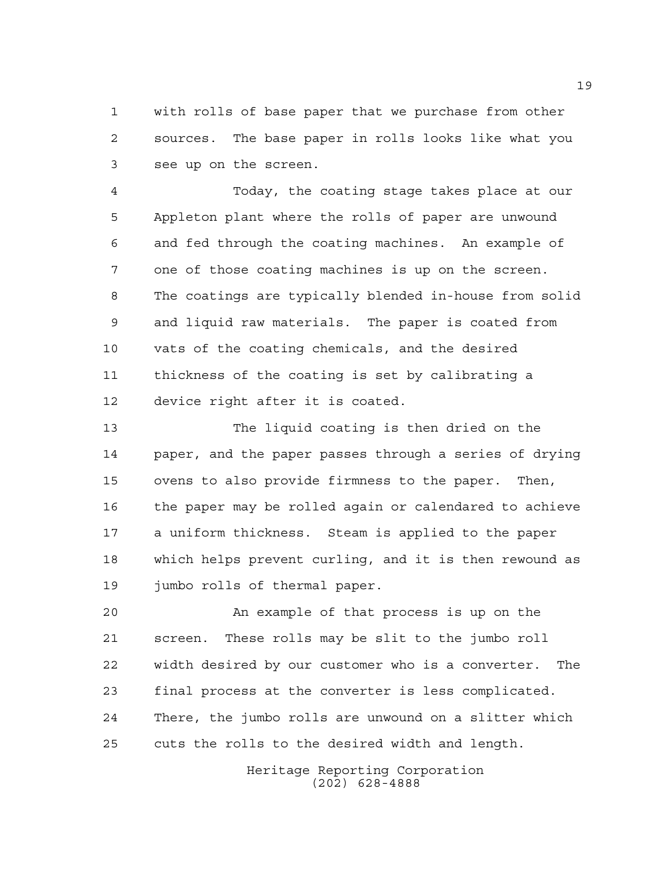with rolls of base paper that we purchase from other sources. The base paper in rolls looks like what you see up on the screen.

 Today, the coating stage takes place at our Appleton plant where the rolls of paper are unwound and fed through the coating machines. An example of one of those coating machines is up on the screen. The coatings are typically blended in-house from solid and liquid raw materials. The paper is coated from vats of the coating chemicals, and the desired thickness of the coating is set by calibrating a device right after it is coated.

 The liquid coating is then dried on the paper, and the paper passes through a series of drying ovens to also provide firmness to the paper. Then, the paper may be rolled again or calendared to achieve a uniform thickness. Steam is applied to the paper which helps prevent curling, and it is then rewound as jumbo rolls of thermal paper.

 An example of that process is up on the screen. These rolls may be slit to the jumbo roll width desired by our customer who is a converter. The final process at the converter is less complicated. There, the jumbo rolls are unwound on a slitter which cuts the rolls to the desired width and length.

> Heritage Reporting Corporation (202) 628-4888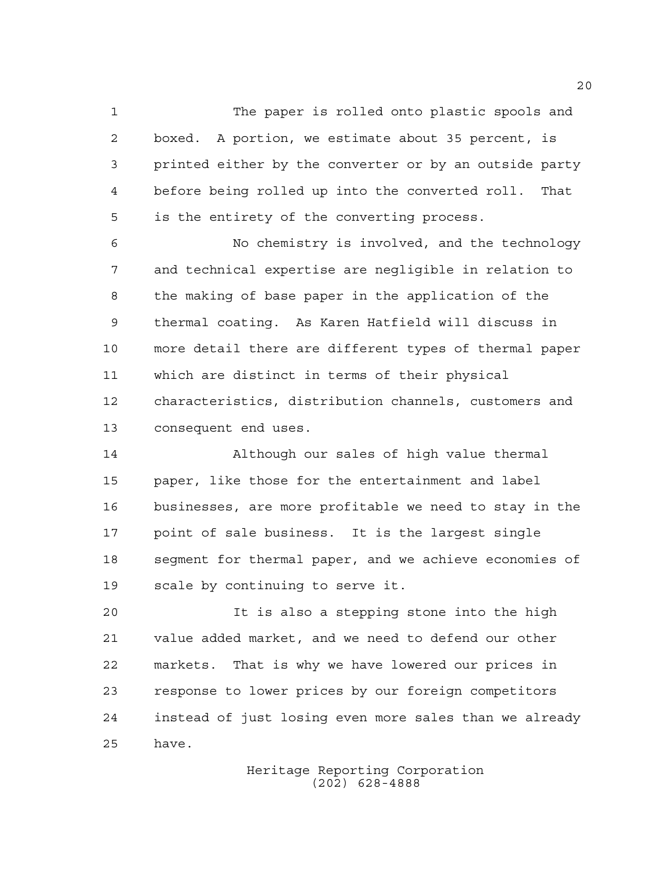The paper is rolled onto plastic spools and boxed. A portion, we estimate about 35 percent, is printed either by the converter or by an outside party before being rolled up into the converted roll. That is the entirety of the converting process.

 No chemistry is involved, and the technology and technical expertise are negligible in relation to the making of base paper in the application of the thermal coating. As Karen Hatfield will discuss in more detail there are different types of thermal paper which are distinct in terms of their physical characteristics, distribution channels, customers and consequent end uses.

 Although our sales of high value thermal paper, like those for the entertainment and label businesses, are more profitable we need to stay in the point of sale business. It is the largest single segment for thermal paper, and we achieve economies of scale by continuing to serve it.

 It is also a stepping stone into the high value added market, and we need to defend our other markets. That is why we have lowered our prices in response to lower prices by our foreign competitors instead of just losing even more sales than we already have.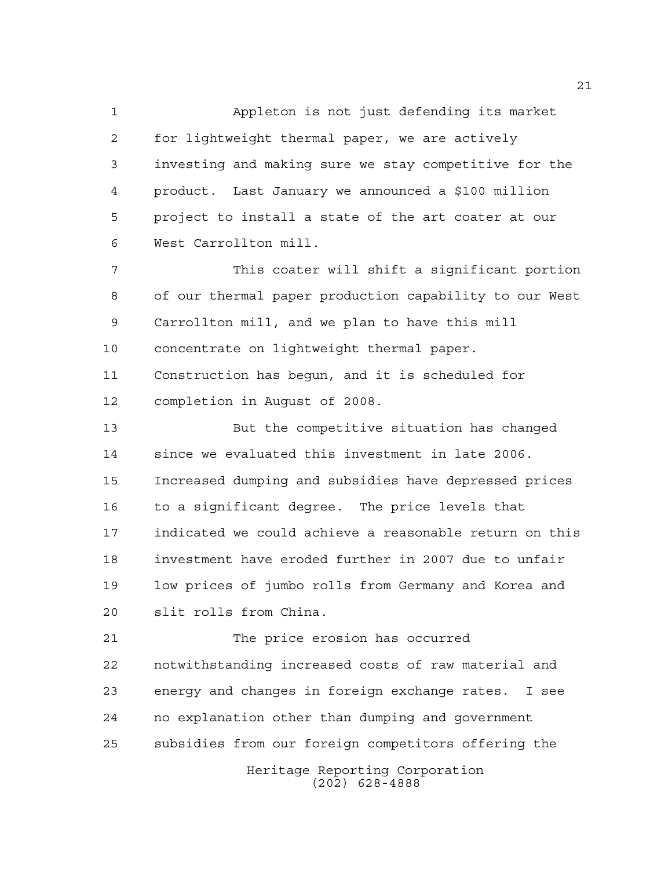Appleton is not just defending its market for lightweight thermal paper, we are actively investing and making sure we stay competitive for the product. Last January we announced a \$100 million project to install a state of the art coater at our West Carrollton mill.

 This coater will shift a significant portion of our thermal paper production capability to our West Carrollton mill, and we plan to have this mill concentrate on lightweight thermal paper. Construction has begun, and it is scheduled for completion in August of 2008.

 But the competitive situation has changed since we evaluated this investment in late 2006. Increased dumping and subsidies have depressed prices to a significant degree. The price levels that indicated we could achieve a reasonable return on this investment have eroded further in 2007 due to unfair low prices of jumbo rolls from Germany and Korea and slit rolls from China.

 The price erosion has occurred notwithstanding increased costs of raw material and energy and changes in foreign exchange rates. I see no explanation other than dumping and government subsidies from our foreign competitors offering the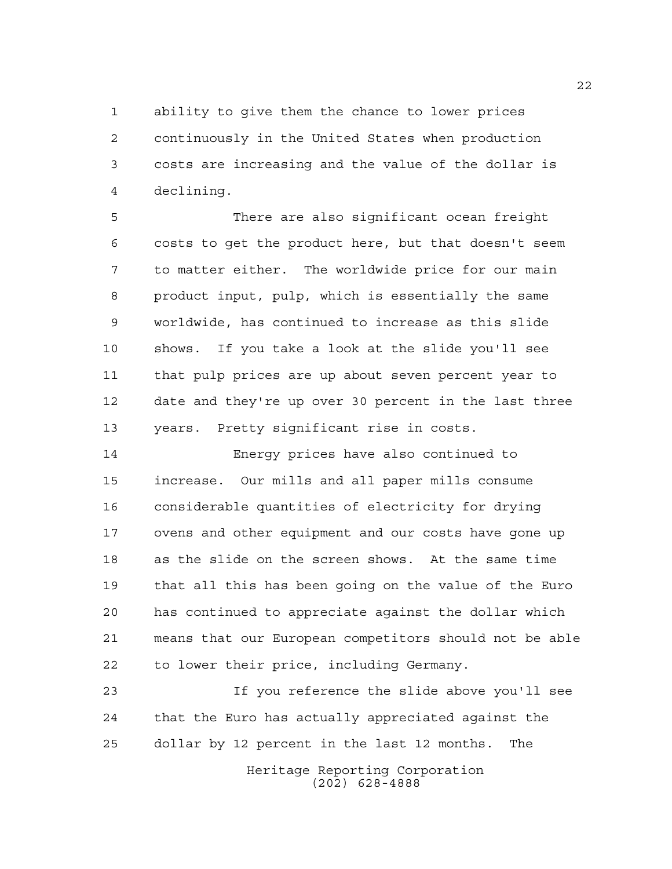ability to give them the chance to lower prices continuously in the United States when production costs are increasing and the value of the dollar is declining.

 There are also significant ocean freight costs to get the product here, but that doesn't seem to matter either. The worldwide price for our main product input, pulp, which is essentially the same worldwide, has continued to increase as this slide shows. If you take a look at the slide you'll see that pulp prices are up about seven percent year to date and they're up over 30 percent in the last three years. Pretty significant rise in costs.

 Energy prices have also continued to increase. Our mills and all paper mills consume considerable quantities of electricity for drying ovens and other equipment and our costs have gone up as the slide on the screen shows. At the same time that all this has been going on the value of the Euro has continued to appreciate against the dollar which means that our European competitors should not be able to lower their price, including Germany.

 If you reference the slide above you'll see that the Euro has actually appreciated against the dollar by 12 percent in the last 12 months. The

> Heritage Reporting Corporation (202) 628-4888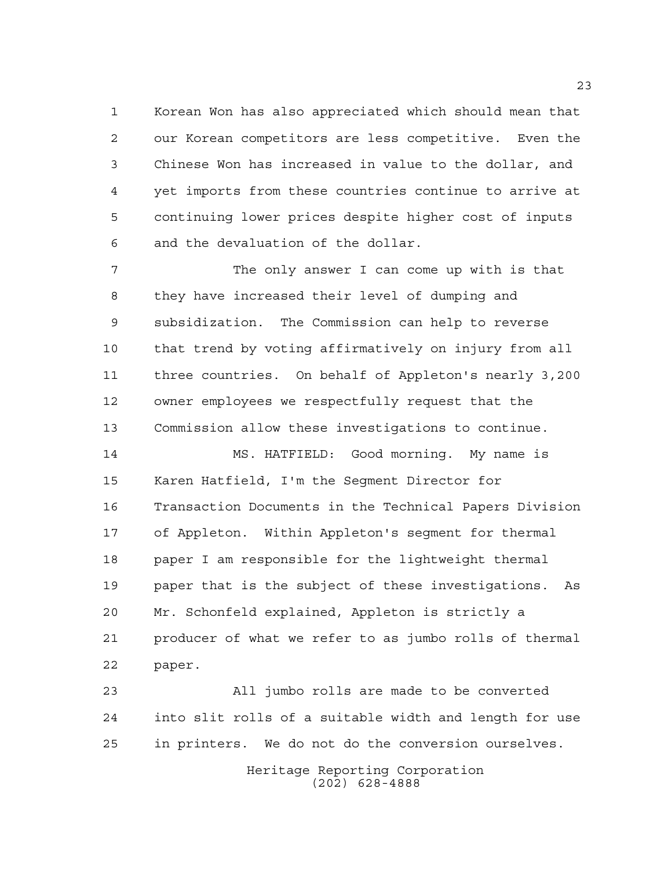Korean Won has also appreciated which should mean that our Korean competitors are less competitive. Even the Chinese Won has increased in value to the dollar, and yet imports from these countries continue to arrive at continuing lower prices despite higher cost of inputs and the devaluation of the dollar.

7 The only answer I can come up with is that they have increased their level of dumping and subsidization. The Commission can help to reverse that trend by voting affirmatively on injury from all three countries. On behalf of Appleton's nearly 3,200 owner employees we respectfully request that the Commission allow these investigations to continue.

 MS. HATFIELD: Good morning. My name is Karen Hatfield, I'm the Segment Director for Transaction Documents in the Technical Papers Division of Appleton. Within Appleton's segment for thermal paper I am responsible for the lightweight thermal paper that is the subject of these investigations. As Mr. Schonfeld explained, Appleton is strictly a producer of what we refer to as jumbo rolls of thermal paper.

 All jumbo rolls are made to be converted into slit rolls of a suitable width and length for use in printers. We do not do the conversion ourselves.

> Heritage Reporting Corporation (202) 628-4888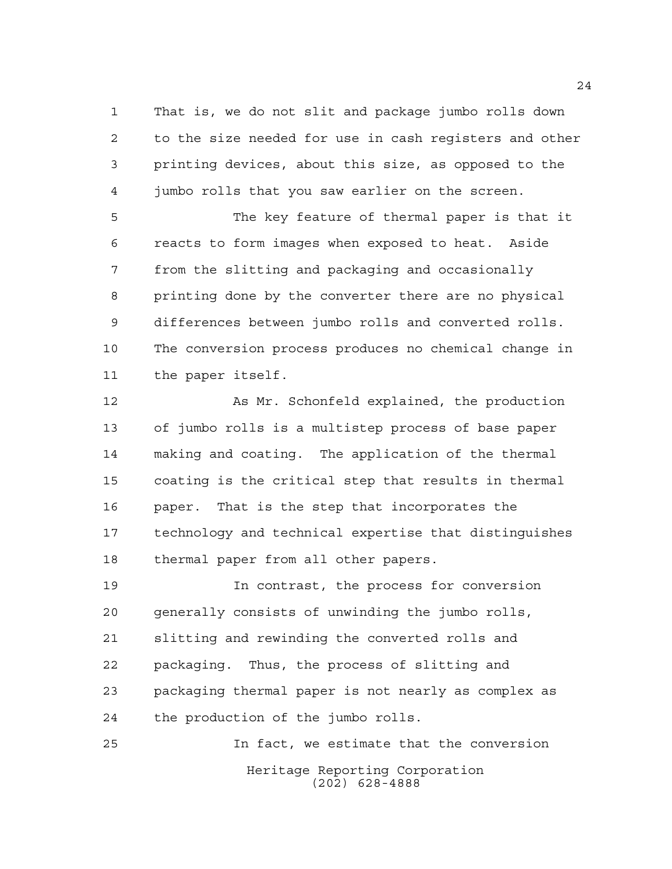That is, we do not slit and package jumbo rolls down to the size needed for use in cash registers and other printing devices, about this size, as opposed to the jumbo rolls that you saw earlier on the screen.

 The key feature of thermal paper is that it reacts to form images when exposed to heat. Aside from the slitting and packaging and occasionally printing done by the converter there are no physical differences between jumbo rolls and converted rolls. The conversion process produces no chemical change in the paper itself.

 As Mr. Schonfeld explained, the production of jumbo rolls is a multistep process of base paper making and coating. The application of the thermal coating is the critical step that results in thermal paper. That is the step that incorporates the technology and technical expertise that distinguishes thermal paper from all other papers.

 In contrast, the process for conversion generally consists of unwinding the jumbo rolls, slitting and rewinding the converted rolls and packaging. Thus, the process of slitting and packaging thermal paper is not nearly as complex as the production of the jumbo rolls.

Heritage Reporting Corporation (202) 628-4888 In fact, we estimate that the conversion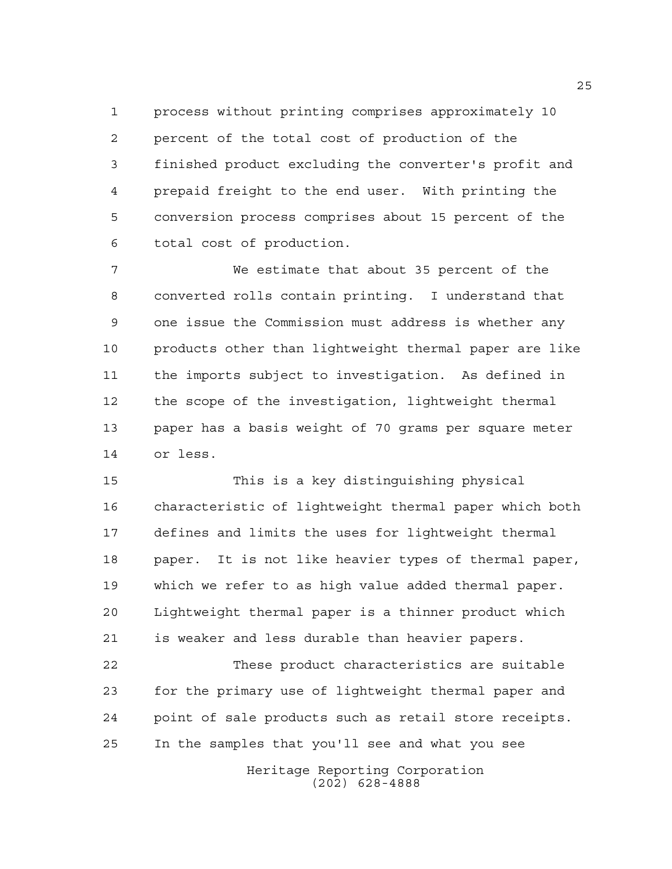process without printing comprises approximately 10 percent of the total cost of production of the finished product excluding the converter's profit and prepaid freight to the end user. With printing the conversion process comprises about 15 percent of the total cost of production.

 We estimate that about 35 percent of the converted rolls contain printing. I understand that one issue the Commission must address is whether any products other than lightweight thermal paper are like the imports subject to investigation. As defined in the scope of the investigation, lightweight thermal paper has a basis weight of 70 grams per square meter or less.

 This is a key distinguishing physical characteristic of lightweight thermal paper which both defines and limits the uses for lightweight thermal paper. It is not like heavier types of thermal paper, which we refer to as high value added thermal paper. Lightweight thermal paper is a thinner product which is weaker and less durable than heavier papers.

 These product characteristics are suitable for the primary use of lightweight thermal paper and point of sale products such as retail store receipts. In the samples that you'll see and what you see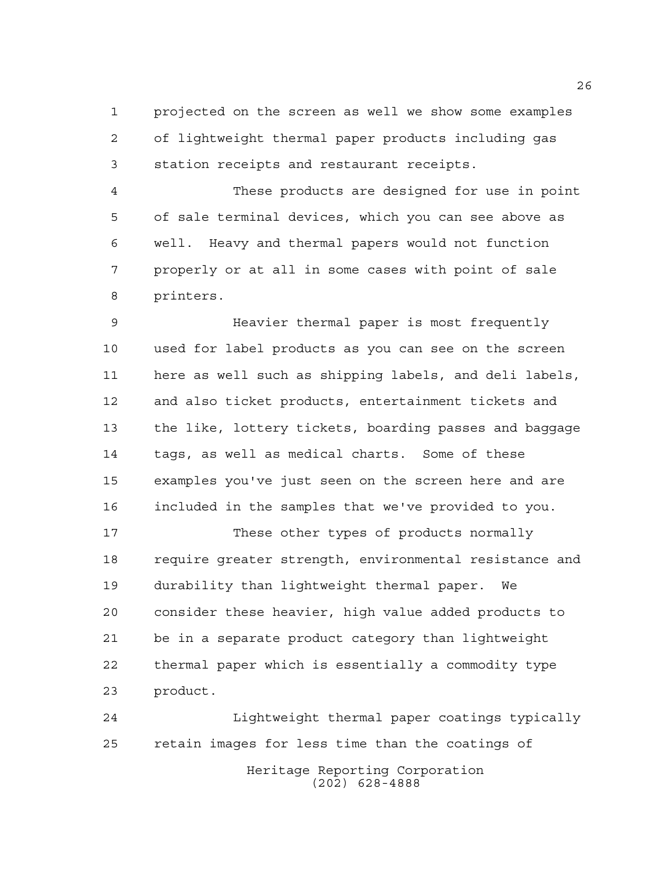projected on the screen as well we show some examples of lightweight thermal paper products including gas station receipts and restaurant receipts.

 These products are designed for use in point of sale terminal devices, which you can see above as well. Heavy and thermal papers would not function properly or at all in some cases with point of sale printers.

 Heavier thermal paper is most frequently used for label products as you can see on the screen here as well such as shipping labels, and deli labels, and also ticket products, entertainment tickets and the like, lottery tickets, boarding passes and baggage tags, as well as medical charts. Some of these examples you've just seen on the screen here and are included in the samples that we've provided to you.

 These other types of products normally require greater strength, environmental resistance and durability than lightweight thermal paper. We consider these heavier, high value added products to be in a separate product category than lightweight thermal paper which is essentially a commodity type product.

Heritage Reporting Corporation (202) 628-4888 Lightweight thermal paper coatings typically retain images for less time than the coatings of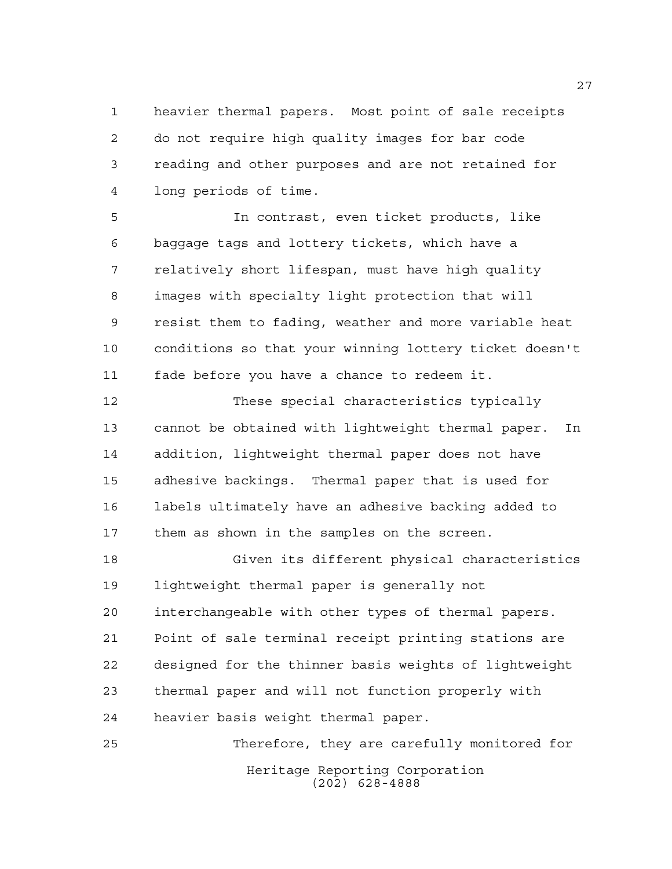heavier thermal papers. Most point of sale receipts do not require high quality images for bar code reading and other purposes and are not retained for long periods of time.

 In contrast, even ticket products, like baggage tags and lottery tickets, which have a relatively short lifespan, must have high quality images with specialty light protection that will resist them to fading, weather and more variable heat conditions so that your winning lottery ticket doesn't fade before you have a chance to redeem it.

 These special characteristics typically cannot be obtained with lightweight thermal paper. In addition, lightweight thermal paper does not have adhesive backings. Thermal paper that is used for labels ultimately have an adhesive backing added to them as shown in the samples on the screen.

 Given its different physical characteristics lightweight thermal paper is generally not interchangeable with other types of thermal papers. Point of sale terminal receipt printing stations are designed for the thinner basis weights of lightweight thermal paper and will not function properly with heavier basis weight thermal paper.

Heritage Reporting Corporation (202) 628-4888 Therefore, they are carefully monitored for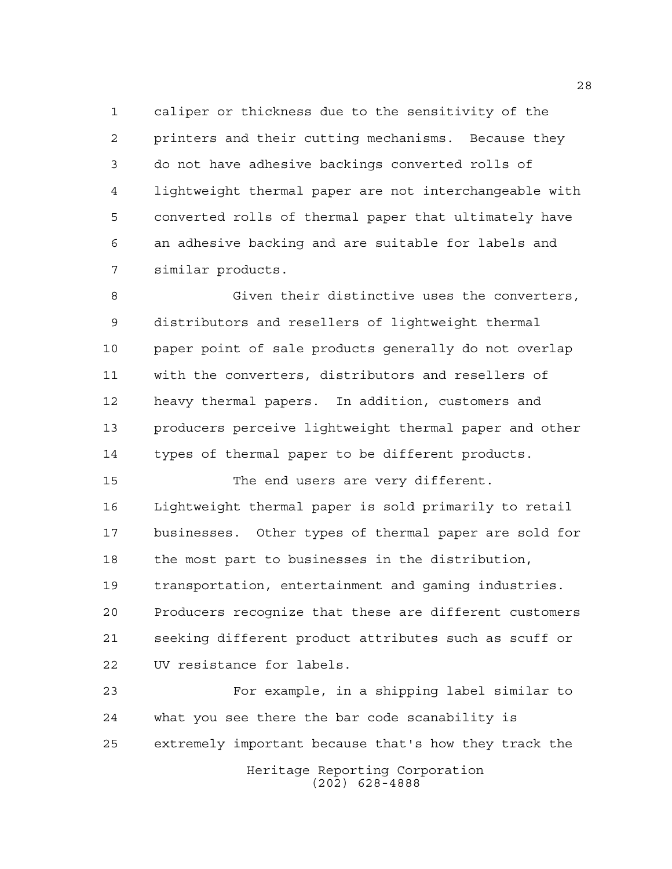caliper or thickness due to the sensitivity of the printers and their cutting mechanisms. Because they do not have adhesive backings converted rolls of lightweight thermal paper are not interchangeable with converted rolls of thermal paper that ultimately have an adhesive backing and are suitable for labels and similar products.

 Given their distinctive uses the converters, distributors and resellers of lightweight thermal paper point of sale products generally do not overlap with the converters, distributors and resellers of heavy thermal papers. In addition, customers and producers perceive lightweight thermal paper and other types of thermal paper to be different products.

 The end users are very different. Lightweight thermal paper is sold primarily to retail businesses. Other types of thermal paper are sold for the most part to businesses in the distribution, transportation, entertainment and gaming industries. Producers recognize that these are different customers seeking different product attributes such as scuff or UV resistance for labels.

Heritage Reporting Corporation (202) 628-4888 For example, in a shipping label similar to what you see there the bar code scanability is extremely important because that's how they track the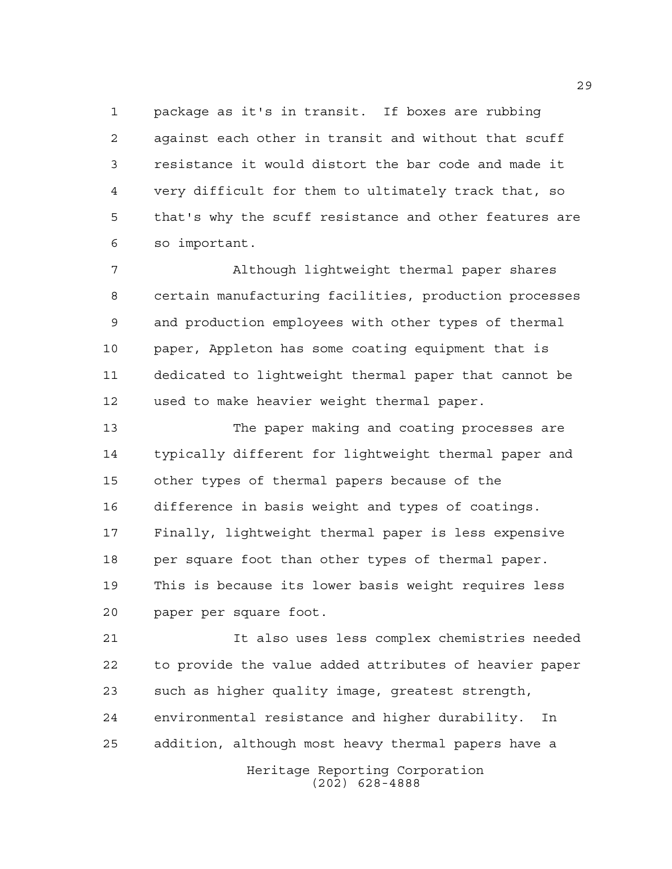package as it's in transit. If boxes are rubbing against each other in transit and without that scuff resistance it would distort the bar code and made it very difficult for them to ultimately track that, so that's why the scuff resistance and other features are so important.

 Although lightweight thermal paper shares certain manufacturing facilities, production processes and production employees with other types of thermal paper, Appleton has some coating equipment that is dedicated to lightweight thermal paper that cannot be used to make heavier weight thermal paper.

 The paper making and coating processes are typically different for lightweight thermal paper and other types of thermal papers because of the difference in basis weight and types of coatings. Finally, lightweight thermal paper is less expensive 18 per square foot than other types of thermal paper. This is because its lower basis weight requires less paper per square foot.

 It also uses less complex chemistries needed to provide the value added attributes of heavier paper such as higher quality image, greatest strength, environmental resistance and higher durability. In addition, although most heavy thermal papers have a

> Heritage Reporting Corporation (202) 628-4888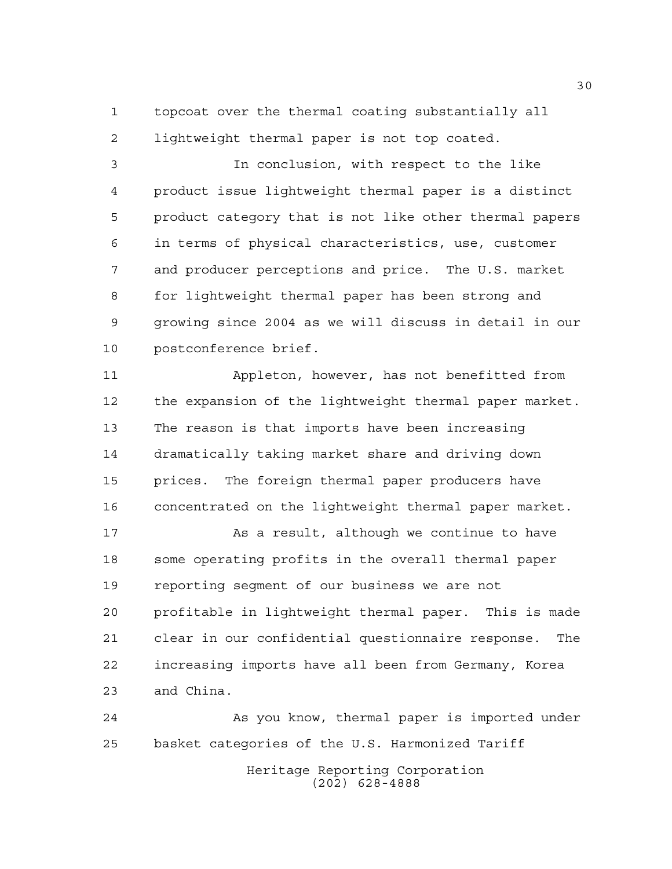topcoat over the thermal coating substantially all lightweight thermal paper is not top coated.

 In conclusion, with respect to the like product issue lightweight thermal paper is a distinct product category that is not like other thermal papers in terms of physical characteristics, use, customer and producer perceptions and price. The U.S. market for lightweight thermal paper has been strong and growing since 2004 as we will discuss in detail in our postconference brief.

 Appleton, however, has not benefitted from the expansion of the lightweight thermal paper market. The reason is that imports have been increasing dramatically taking market share and driving down prices. The foreign thermal paper producers have concentrated on the lightweight thermal paper market.

 As a result, although we continue to have some operating profits in the overall thermal paper reporting segment of our business we are not profitable in lightweight thermal paper. This is made clear in our confidential questionnaire response. The increasing imports have all been from Germany, Korea and China.

 As you know, thermal paper is imported under basket categories of the U.S. Harmonized Tariff

Heritage Reporting Corporation (202) 628-4888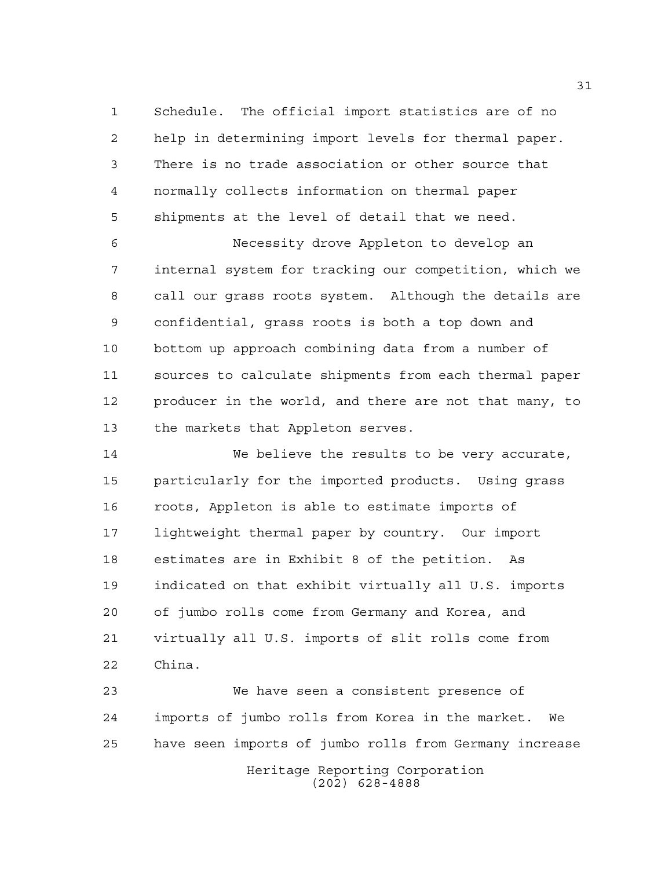Schedule. The official import statistics are of no help in determining import levels for thermal paper. There is no trade association or other source that normally collects information on thermal paper shipments at the level of detail that we need.

 Necessity drove Appleton to develop an internal system for tracking our competition, which we call our grass roots system. Although the details are confidential, grass roots is both a top down and bottom up approach combining data from a number of sources to calculate shipments from each thermal paper producer in the world, and there are not that many, to the markets that Appleton serves.

 We believe the results to be very accurate, particularly for the imported products. Using grass roots, Appleton is able to estimate imports of lightweight thermal paper by country. Our import estimates are in Exhibit 8 of the petition. As indicated on that exhibit virtually all U.S. imports of jumbo rolls come from Germany and Korea, and virtually all U.S. imports of slit rolls come from China.

Heritage Reporting Corporation (202) 628-4888 We have seen a consistent presence of imports of jumbo rolls from Korea in the market. We have seen imports of jumbo rolls from Germany increase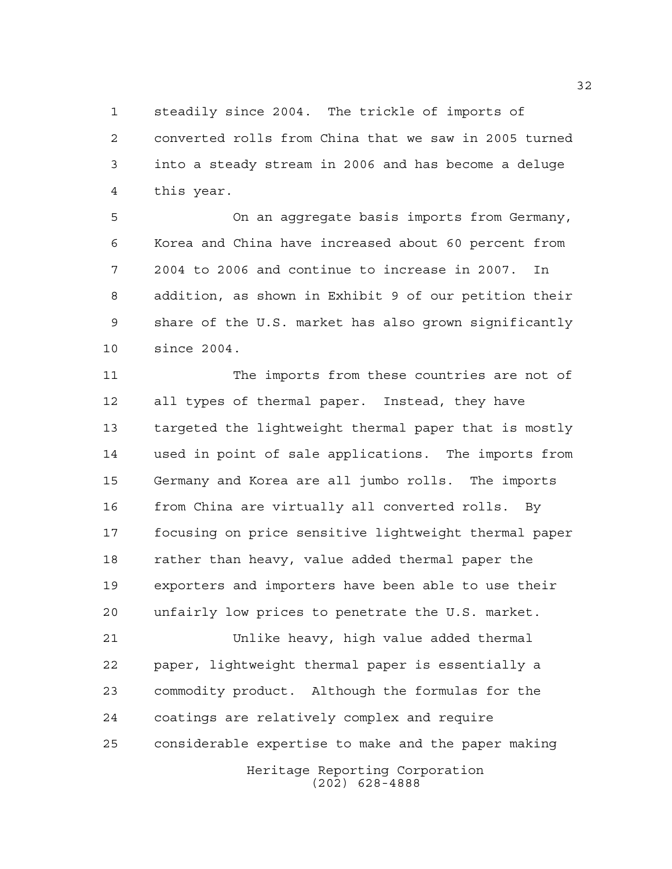steadily since 2004. The trickle of imports of converted rolls from China that we saw in 2005 turned into a steady stream in 2006 and has become a deluge this year.

 On an aggregate basis imports from Germany, Korea and China have increased about 60 percent from 2004 to 2006 and continue to increase in 2007. In addition, as shown in Exhibit 9 of our petition their share of the U.S. market has also grown significantly since 2004.

 The imports from these countries are not of all types of thermal paper. Instead, they have targeted the lightweight thermal paper that is mostly used in point of sale applications. The imports from Germany and Korea are all jumbo rolls. The imports from China are virtually all converted rolls. By focusing on price sensitive lightweight thermal paper rather than heavy, value added thermal paper the exporters and importers have been able to use their unfairly low prices to penetrate the U.S. market.

Heritage Reporting Corporation Unlike heavy, high value added thermal paper, lightweight thermal paper is essentially a commodity product. Although the formulas for the coatings are relatively complex and require considerable expertise to make and the paper making

(202) 628-4888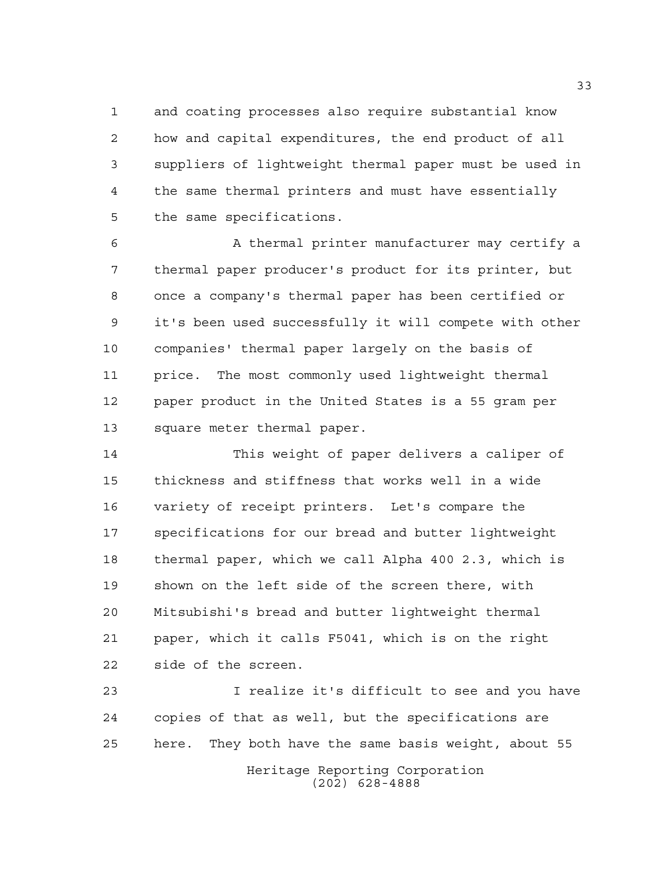and coating processes also require substantial know how and capital expenditures, the end product of all suppliers of lightweight thermal paper must be used in the same thermal printers and must have essentially the same specifications.

 A thermal printer manufacturer may certify a thermal paper producer's product for its printer, but once a company's thermal paper has been certified or it's been used successfully it will compete with other companies' thermal paper largely on the basis of price. The most commonly used lightweight thermal paper product in the United States is a 55 gram per square meter thermal paper.

 This weight of paper delivers a caliper of thickness and stiffness that works well in a wide variety of receipt printers. Let's compare the specifications for our bread and butter lightweight thermal paper, which we call Alpha 400 2.3, which is shown on the left side of the screen there, with Mitsubishi's bread and butter lightweight thermal paper, which it calls F5041, which is on the right side of the screen.

Heritage Reporting Corporation (202) 628-4888 I realize it's difficult to see and you have copies of that as well, but the specifications are here. They both have the same basis weight, about 55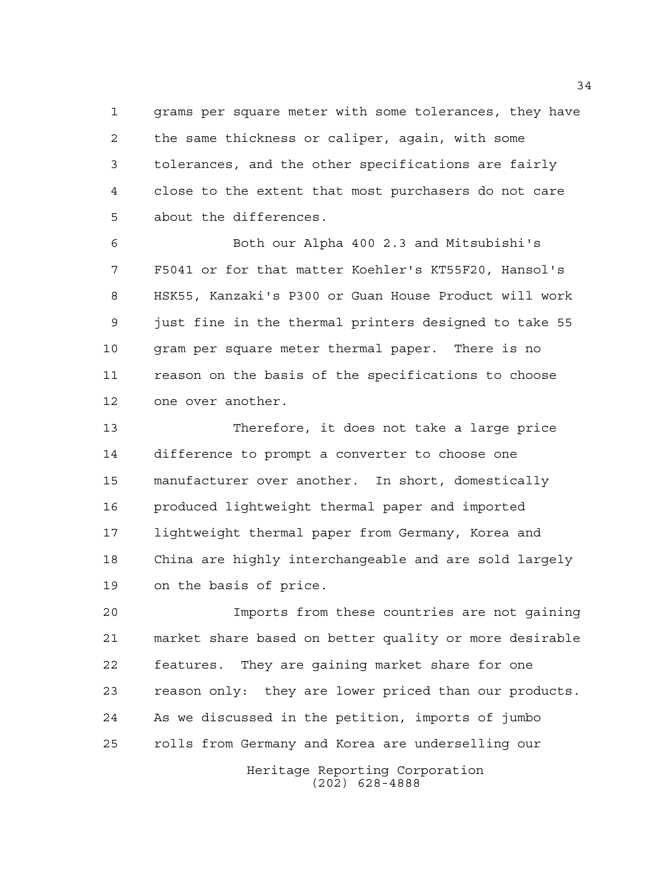grams per square meter with some tolerances, they have the same thickness or caliper, again, with some tolerances, and the other specifications are fairly close to the extent that most purchasers do not care about the differences.

 Both our Alpha 400 2.3 and Mitsubishi's F5041 or for that matter Koehler's KT55F20, Hansol's HSK55, Kanzaki's P300 or Guan House Product will work just fine in the thermal printers designed to take 55 gram per square meter thermal paper. There is no reason on the basis of the specifications to choose one over another.

 Therefore, it does not take a large price difference to prompt a converter to choose one manufacturer over another. In short, domestically produced lightweight thermal paper and imported lightweight thermal paper from Germany, Korea and China are highly interchangeable and are sold largely on the basis of price.

 Imports from these countries are not gaining market share based on better quality or more desirable features. They are gaining market share for one reason only: they are lower priced than our products. As we discussed in the petition, imports of jumbo rolls from Germany and Korea are underselling our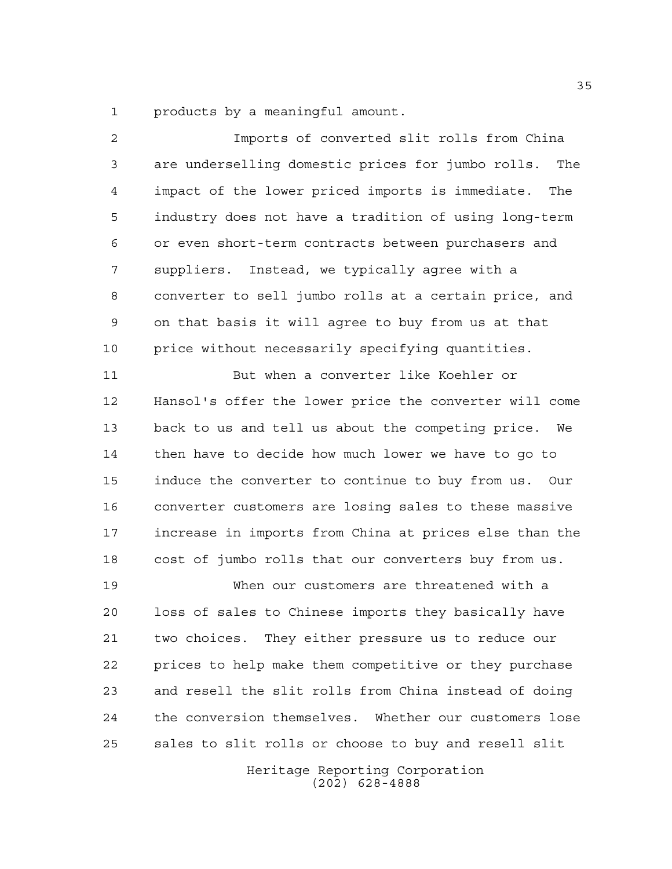products by a meaningful amount.

| $\overline{a}$ | Imports of converted slit rolls from China               |
|----------------|----------------------------------------------------------|
| 3              | are underselling domestic prices for jumbo rolls.<br>The |
| 4              | impact of the lower priced imports is immediate.<br>The  |
| 5              | industry does not have a tradition of using long-term    |
| 6              | or even short-term contracts between purchasers and      |
| 7              | suppliers. Instead, we typically agree with a            |
| 8              | converter to sell jumbo rolls at a certain price, and    |
| 9              | on that basis it will agree to buy from us at that       |
| 10             | price without necessarily specifying quantities.         |
| 11             | But when a converter like Koehler or                     |
| 12             | Hansol's offer the lower price the converter will come   |
| 13             | back to us and tell us about the competing price. We     |
| 14             | then have to decide how much lower we have to go to      |
| 15             | induce the converter to continue to buy from us. Our     |
| 16             | converter customers are losing sales to these massive    |
| 17             | increase in imports from China at prices else than the   |
| 18             | cost of jumbo rolls that our converters buy from us.     |
| 19             | When our customers are threatened with a                 |
| 20             | loss of sales to Chinese imports they basically have     |
| 21             | two choices. They either pressure us to reduce our       |
| 22             | prices to help make them competitive or they purchase    |
| 23             | and resell the slit rolls from China instead of doing    |
| 24             | the conversion themselves. Whether our customers lose    |
| 25             | sales to slit rolls or choose to buy and resell slit     |
|                | Heritage Reporting Corporation                           |

(202) 628-4888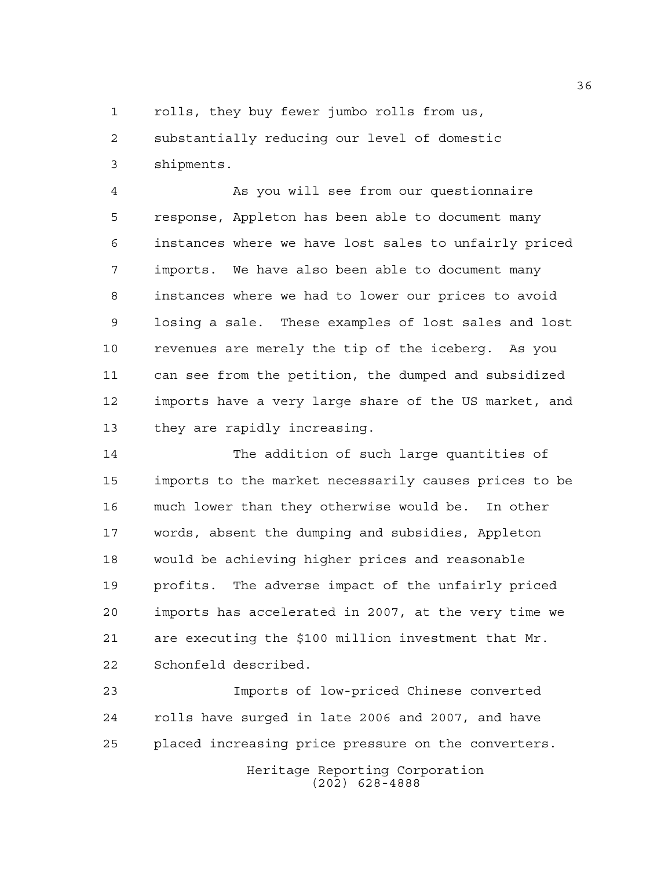1 rolls, they buy fewer jumbo rolls from us,

 substantially reducing our level of domestic shipments.

 As you will see from our questionnaire response, Appleton has been able to document many instances where we have lost sales to unfairly priced imports. We have also been able to document many instances where we had to lower our prices to avoid losing a sale. These examples of lost sales and lost revenues are merely the tip of the iceberg. As you can see from the petition, the dumped and subsidized imports have a very large share of the US market, and they are rapidly increasing.

 The addition of such large quantities of imports to the market necessarily causes prices to be much lower than they otherwise would be. In other words, absent the dumping and subsidies, Appleton would be achieving higher prices and reasonable profits. The adverse impact of the unfairly priced imports has accelerated in 2007, at the very time we are executing the \$100 million investment that Mr. Schonfeld described.

Heritage Reporting Corporation Imports of low-priced Chinese converted rolls have surged in late 2006 and 2007, and have placed increasing price pressure on the converters.

(202) 628-4888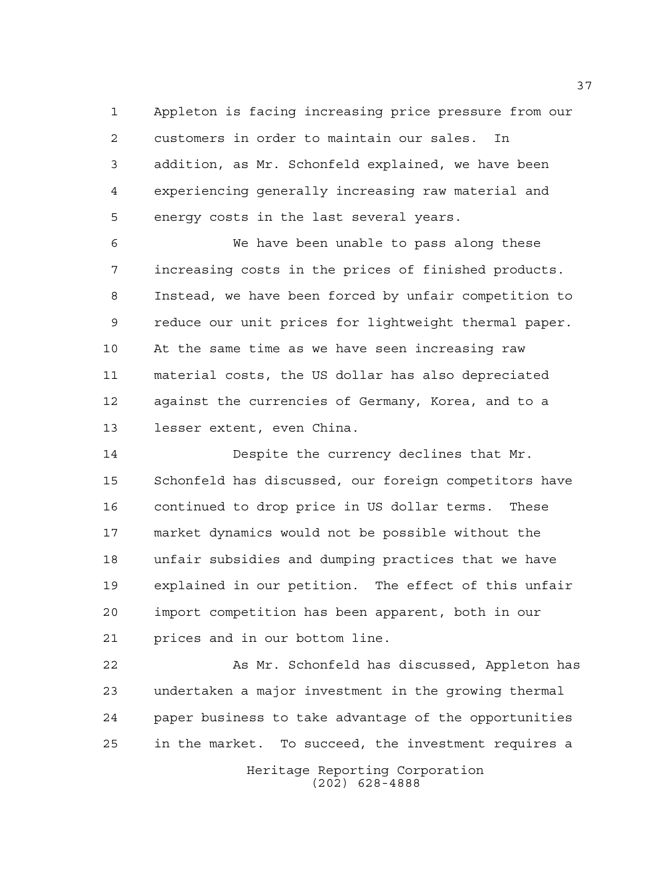Appleton is facing increasing price pressure from our customers in order to maintain our sales. In addition, as Mr. Schonfeld explained, we have been experiencing generally increasing raw material and energy costs in the last several years.

 We have been unable to pass along these increasing costs in the prices of finished products. Instead, we have been forced by unfair competition to reduce our unit prices for lightweight thermal paper. At the same time as we have seen increasing raw material costs, the US dollar has also depreciated against the currencies of Germany, Korea, and to a lesser extent, even China.

 Despite the currency declines that Mr. Schonfeld has discussed, our foreign competitors have continued to drop price in US dollar terms. These market dynamics would not be possible without the unfair subsidies and dumping practices that we have explained in our petition. The effect of this unfair import competition has been apparent, both in our prices and in our bottom line.

 As Mr. Schonfeld has discussed, Appleton has undertaken a major investment in the growing thermal paper business to take advantage of the opportunities in the market. To succeed, the investment requires a

> Heritage Reporting Corporation (202) 628-4888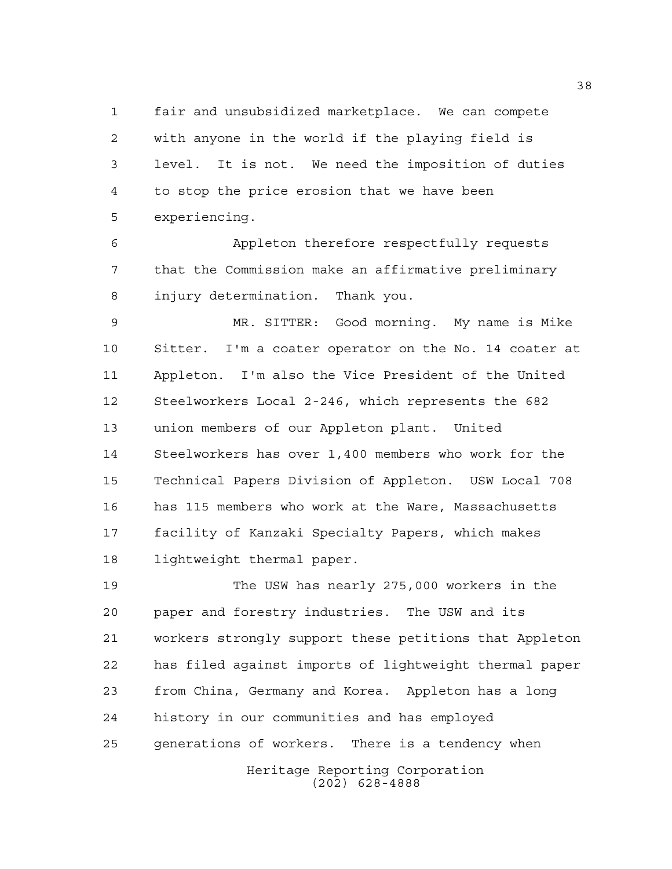fair and unsubsidized marketplace. We can compete with anyone in the world if the playing field is level. It is not. We need the imposition of duties to stop the price erosion that we have been experiencing.

 Appleton therefore respectfully requests that the Commission make an affirmative preliminary injury determination. Thank you.

 MR. SITTER: Good morning. My name is Mike Sitter. I'm a coater operator on the No. 14 coater at Appleton. I'm also the Vice President of the United Steelworkers Local 2-246, which represents the 682 union members of our Appleton plant. United Steelworkers has over 1,400 members who work for the Technical Papers Division of Appleton. USW Local 708 has 115 members who work at the Ware, Massachusetts facility of Kanzaki Specialty Papers, which makes lightweight thermal paper.

 The USW has nearly 275,000 workers in the paper and forestry industries. The USW and its workers strongly support these petitions that Appleton has filed against imports of lightweight thermal paper from China, Germany and Korea. Appleton has a long history in our communities and has employed generations of workers. There is a tendency when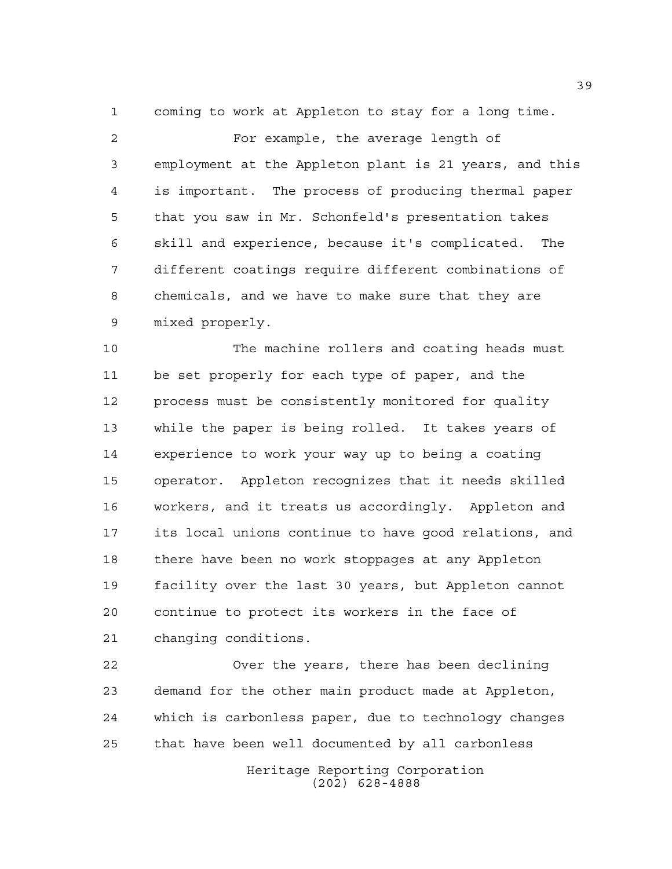coming to work at Appleton to stay for a long time.

 For example, the average length of employment at the Appleton plant is 21 years, and this is important. The process of producing thermal paper that you saw in Mr. Schonfeld's presentation takes skill and experience, because it's complicated. The different coatings require different combinations of chemicals, and we have to make sure that they are mixed properly.

 The machine rollers and coating heads must be set properly for each type of paper, and the process must be consistently monitored for quality while the paper is being rolled. It takes years of experience to work your way up to being a coating operator. Appleton recognizes that it needs skilled workers, and it treats us accordingly. Appleton and its local unions continue to have good relations, and there have been no work stoppages at any Appleton facility over the last 30 years, but Appleton cannot continue to protect its workers in the face of changing conditions.

 Over the years, there has been declining demand for the other main product made at Appleton, which is carbonless paper, due to technology changes that have been well documented by all carbonless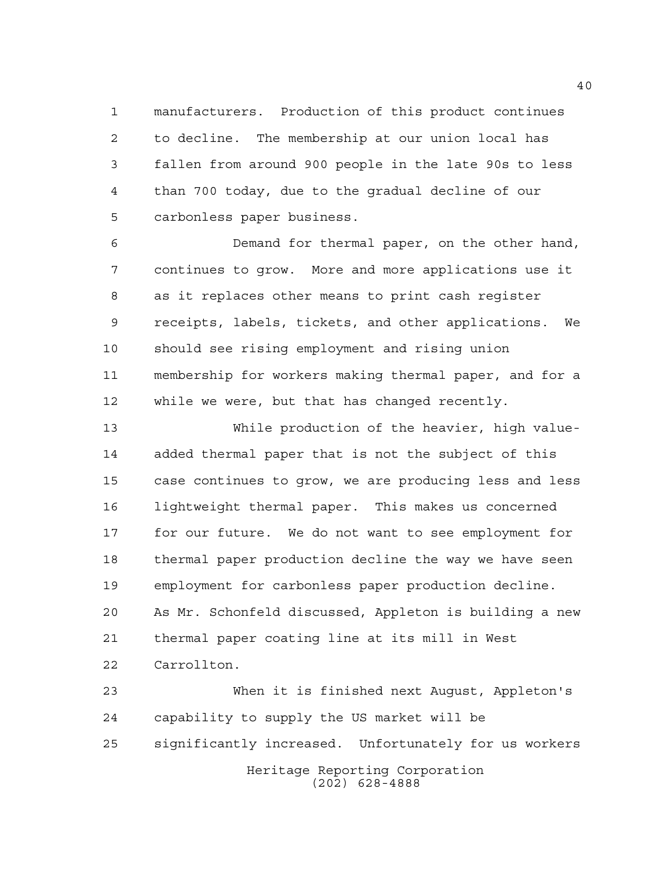manufacturers. Production of this product continues to decline. The membership at our union local has fallen from around 900 people in the late 90s to less than 700 today, due to the gradual decline of our carbonless paper business.

 Demand for thermal paper, on the other hand, continues to grow. More and more applications use it as it replaces other means to print cash register receipts, labels, tickets, and other applications. We should see rising employment and rising union membership for workers making thermal paper, and for a while we were, but that has changed recently.

 While production of the heavier, high value- added thermal paper that is not the subject of this case continues to grow, we are producing less and less lightweight thermal paper. This makes us concerned for our future. We do not want to see employment for thermal paper production decline the way we have seen employment for carbonless paper production decline. As Mr. Schonfeld discussed, Appleton is building a new thermal paper coating line at its mill in West Carrollton.

Heritage Reporting Corporation (202) 628-4888 When it is finished next August, Appleton's capability to supply the US market will be significantly increased. Unfortunately for us workers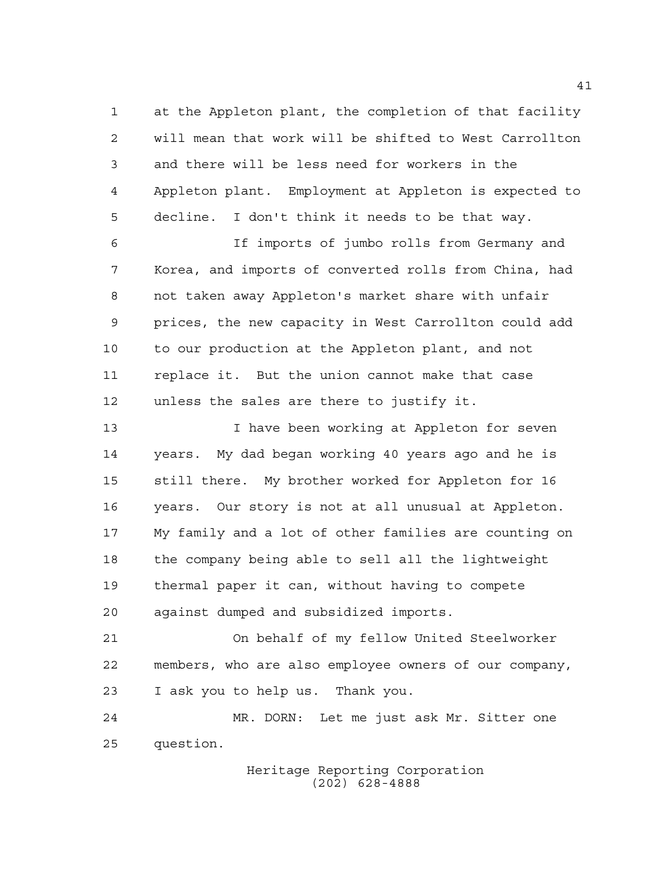at the Appleton plant, the completion of that facility will mean that work will be shifted to West Carrollton and there will be less need for workers in the Appleton plant. Employment at Appleton is expected to decline. I don't think it needs to be that way.

 If imports of jumbo rolls from Germany and Korea, and imports of converted rolls from China, had not taken away Appleton's market share with unfair prices, the new capacity in West Carrollton could add to our production at the Appleton plant, and not replace it. But the union cannot make that case unless the sales are there to justify it.

13 I have been working at Appleton for seven years. My dad began working 40 years ago and he is still there. My brother worked for Appleton for 16 years. Our story is not at all unusual at Appleton. My family and a lot of other families are counting on the company being able to sell all the lightweight thermal paper it can, without having to compete against dumped and subsidized imports.

 On behalf of my fellow United Steelworker members, who are also employee owners of our company, I ask you to help us. Thank you.

 MR. DORN: Let me just ask Mr. Sitter one question.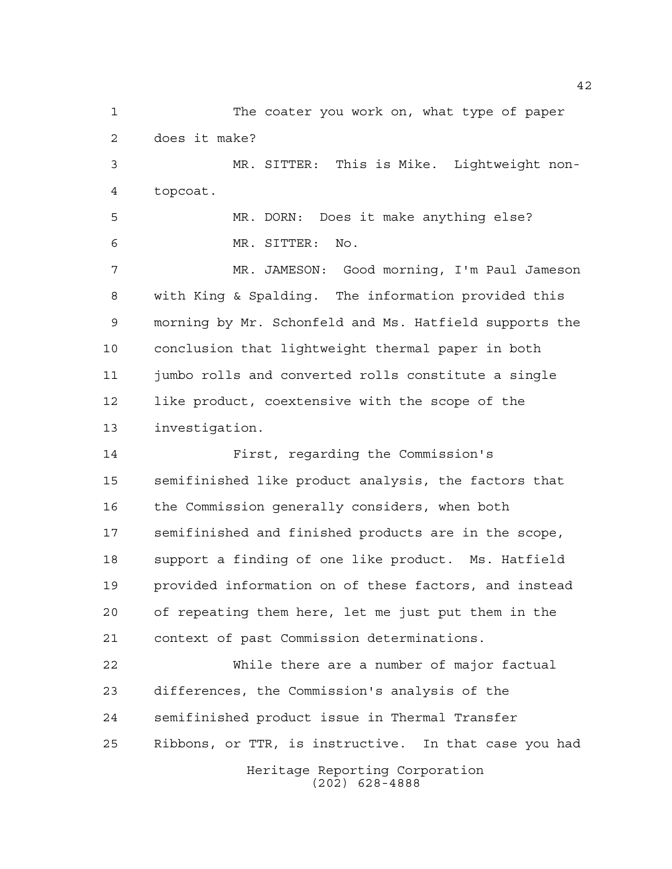Heritage Reporting Corporation (202) 628-4888 The coater you work on, what type of paper does it make? MR. SITTER: This is Mike. Lightweight non- topcoat. MR. DORN: Does it make anything else? MR. SITTER: No. MR. JAMESON: Good morning, I'm Paul Jameson with King & Spalding. The information provided this morning by Mr. Schonfeld and Ms. Hatfield supports the conclusion that lightweight thermal paper in both jumbo rolls and converted rolls constitute a single like product, coextensive with the scope of the investigation. First, regarding the Commission's semifinished like product analysis, the factors that the Commission generally considers, when both semifinished and finished products are in the scope, support a finding of one like product. Ms. Hatfield provided information on of these factors, and instead of repeating them here, let me just put them in the context of past Commission determinations. While there are a number of major factual differences, the Commission's analysis of the semifinished product issue in Thermal Transfer Ribbons, or TTR, is instructive. In that case you had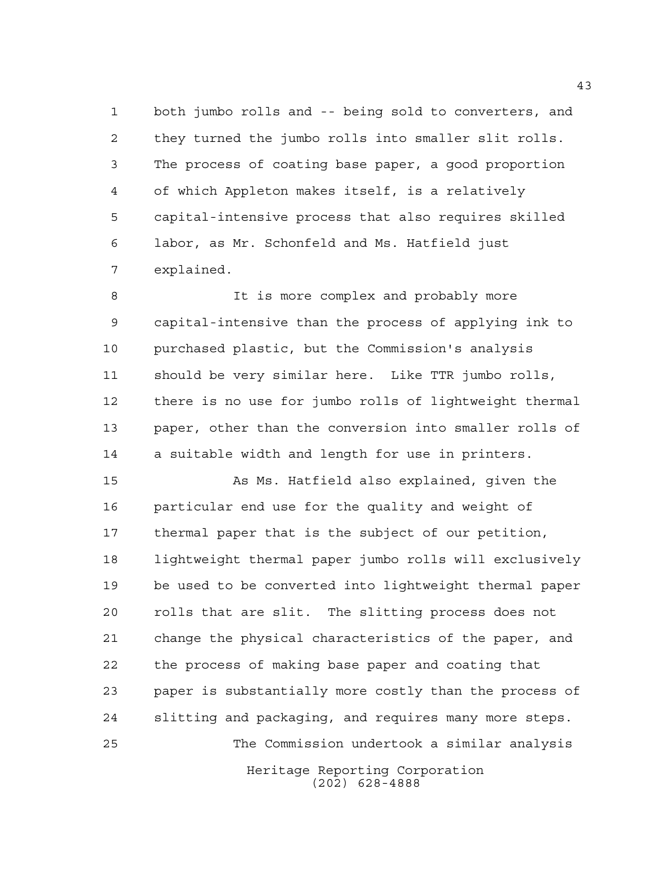both jumbo rolls and -- being sold to converters, and they turned the jumbo rolls into smaller slit rolls. The process of coating base paper, a good proportion of which Appleton makes itself, is a relatively capital-intensive process that also requires skilled labor, as Mr. Schonfeld and Ms. Hatfield just explained.

8 It is more complex and probably more capital-intensive than the process of applying ink to purchased plastic, but the Commission's analysis should be very similar here. Like TTR jumbo rolls, there is no use for jumbo rolls of lightweight thermal paper, other than the conversion into smaller rolls of a suitable width and length for use in printers.

Heritage Reporting Corporation As Ms. Hatfield also explained, given the particular end use for the quality and weight of thermal paper that is the subject of our petition, lightweight thermal paper jumbo rolls will exclusively be used to be converted into lightweight thermal paper rolls that are slit. The slitting process does not change the physical characteristics of the paper, and the process of making base paper and coating that paper is substantially more costly than the process of slitting and packaging, and requires many more steps. The Commission undertook a similar analysis

(202) 628-4888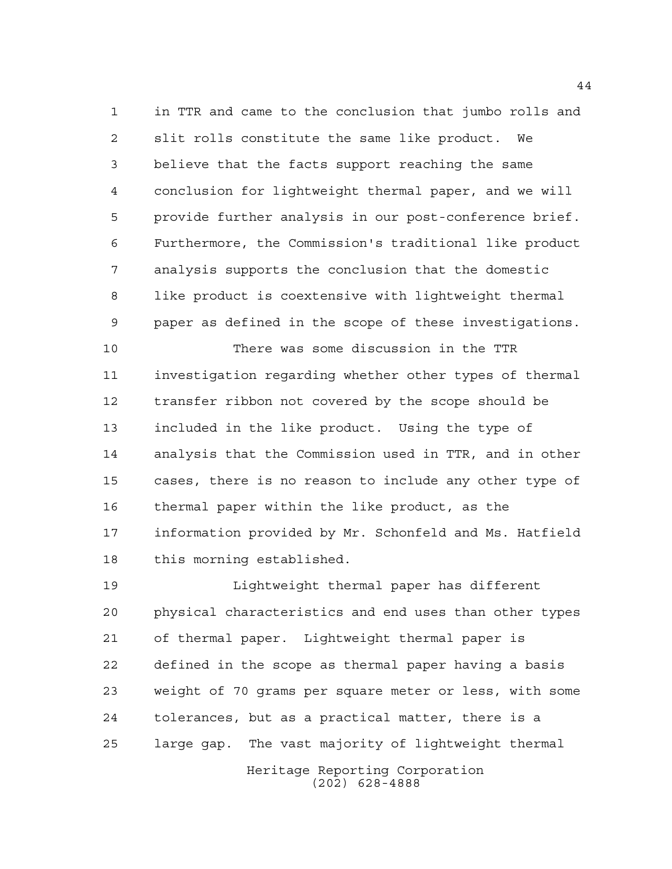in TTR and came to the conclusion that jumbo rolls and slit rolls constitute the same like product. We believe that the facts support reaching the same conclusion for lightweight thermal paper, and we will provide further analysis in our post-conference brief. Furthermore, the Commission's traditional like product analysis supports the conclusion that the domestic like product is coextensive with lightweight thermal paper as defined in the scope of these investigations.

 There was some discussion in the TTR investigation regarding whether other types of thermal transfer ribbon not covered by the scope should be included in the like product. Using the type of analysis that the Commission used in TTR, and in other cases, there is no reason to include any other type of thermal paper within the like product, as the information provided by Mr. Schonfeld and Ms. Hatfield this morning established.

 Lightweight thermal paper has different physical characteristics and end uses than other types of thermal paper. Lightweight thermal paper is defined in the scope as thermal paper having a basis weight of 70 grams per square meter or less, with some tolerances, but as a practical matter, there is a large gap. The vast majority of lightweight thermal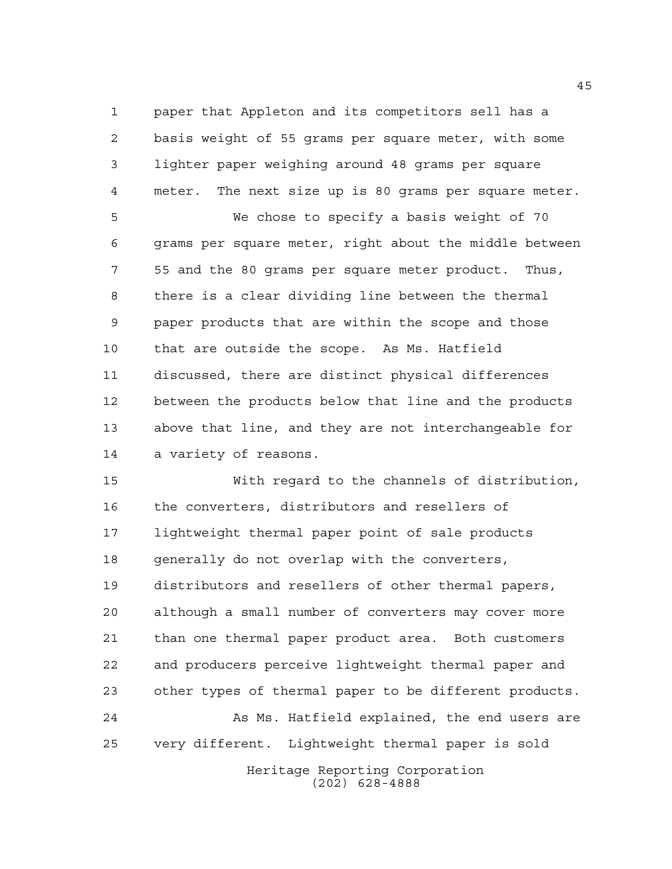paper that Appleton and its competitors sell has a basis weight of 55 grams per square meter, with some lighter paper weighing around 48 grams per square meter. The next size up is 80 grams per square meter.

 We chose to specify a basis weight of 70 grams per square meter, right about the middle between 55 and the 80 grams per square meter product. Thus, there is a clear dividing line between the thermal paper products that are within the scope and those that are outside the scope. As Ms. Hatfield discussed, there are distinct physical differences between the products below that line and the products above that line, and they are not interchangeable for a variety of reasons.

Heritage Reporting Corporation With regard to the channels of distribution, the converters, distributors and resellers of lightweight thermal paper point of sale products generally do not overlap with the converters, distributors and resellers of other thermal papers, although a small number of converters may cover more than one thermal paper product area. Both customers and producers perceive lightweight thermal paper and other types of thermal paper to be different products. As Ms. Hatfield explained, the end users are very different. Lightweight thermal paper is sold

(202) 628-4888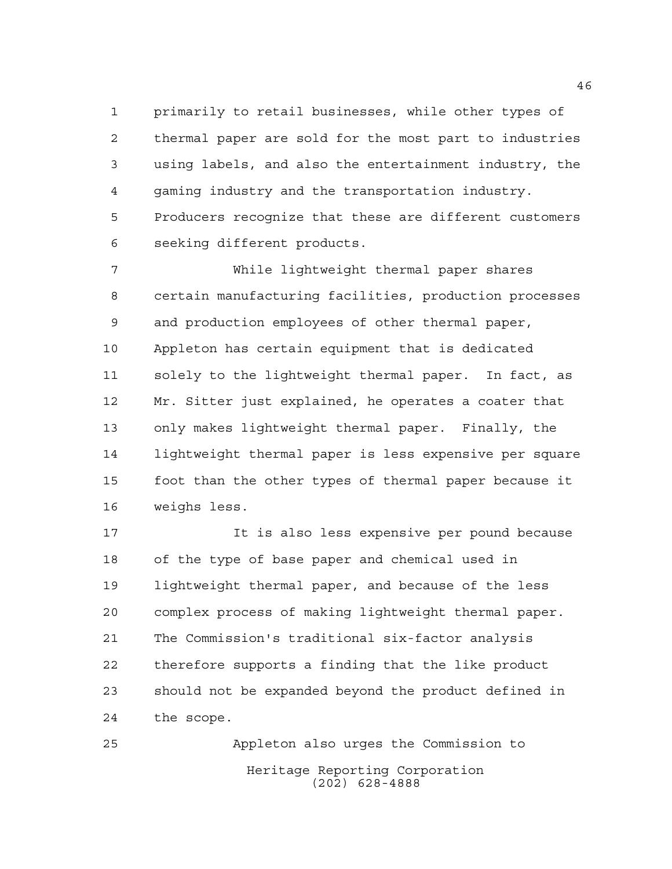primarily to retail businesses, while other types of thermal paper are sold for the most part to industries using labels, and also the entertainment industry, the gaming industry and the transportation industry. Producers recognize that these are different customers seeking different products.

 While lightweight thermal paper shares certain manufacturing facilities, production processes and production employees of other thermal paper, Appleton has certain equipment that is dedicated solely to the lightweight thermal paper. In fact, as Mr. Sitter just explained, he operates a coater that only makes lightweight thermal paper. Finally, the lightweight thermal paper is less expensive per square foot than the other types of thermal paper because it weighs less.

 It is also less expensive per pound because of the type of base paper and chemical used in lightweight thermal paper, and because of the less complex process of making lightweight thermal paper. The Commission's traditional six-factor analysis therefore supports a finding that the like product should not be expanded beyond the product defined in the scope.

Heritage Reporting Corporation (202) 628-4888 Appleton also urges the Commission to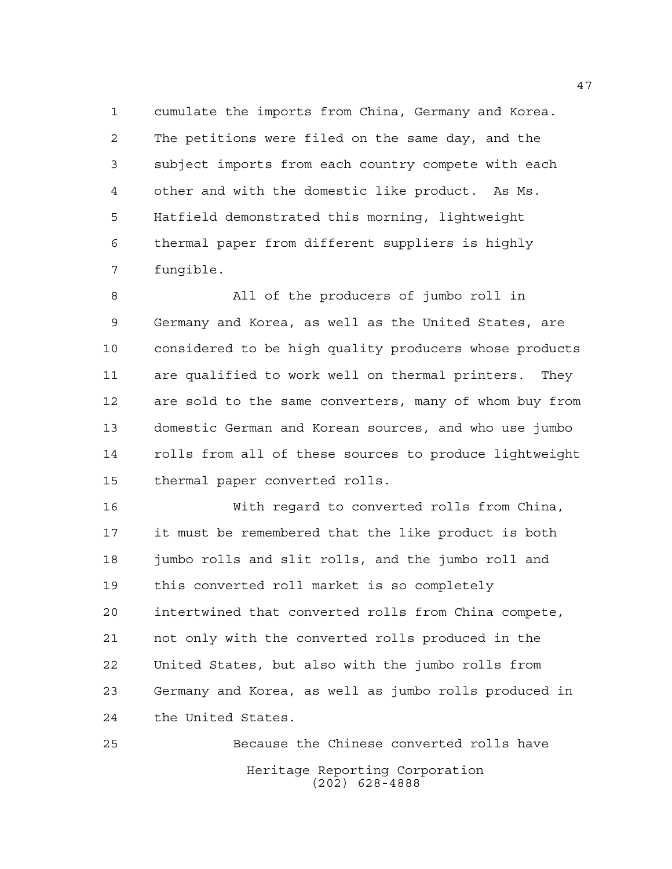cumulate the imports from China, Germany and Korea. The petitions were filed on the same day, and the subject imports from each country compete with each other and with the domestic like product. As Ms. Hatfield demonstrated this morning, lightweight thermal paper from different suppliers is highly fungible.

 All of the producers of jumbo roll in Germany and Korea, as well as the United States, are considered to be high quality producers whose products are qualified to work well on thermal printers. They are sold to the same converters, many of whom buy from domestic German and Korean sources, and who use jumbo rolls from all of these sources to produce lightweight thermal paper converted rolls.

 With regard to converted rolls from China, it must be remembered that the like product is both jumbo rolls and slit rolls, and the jumbo roll and this converted roll market is so completely intertwined that converted rolls from China compete, not only with the converted rolls produced in the United States, but also with the jumbo rolls from Germany and Korea, as well as jumbo rolls produced in the United States.

Heritage Reporting Corporation (202) 628-4888 Because the Chinese converted rolls have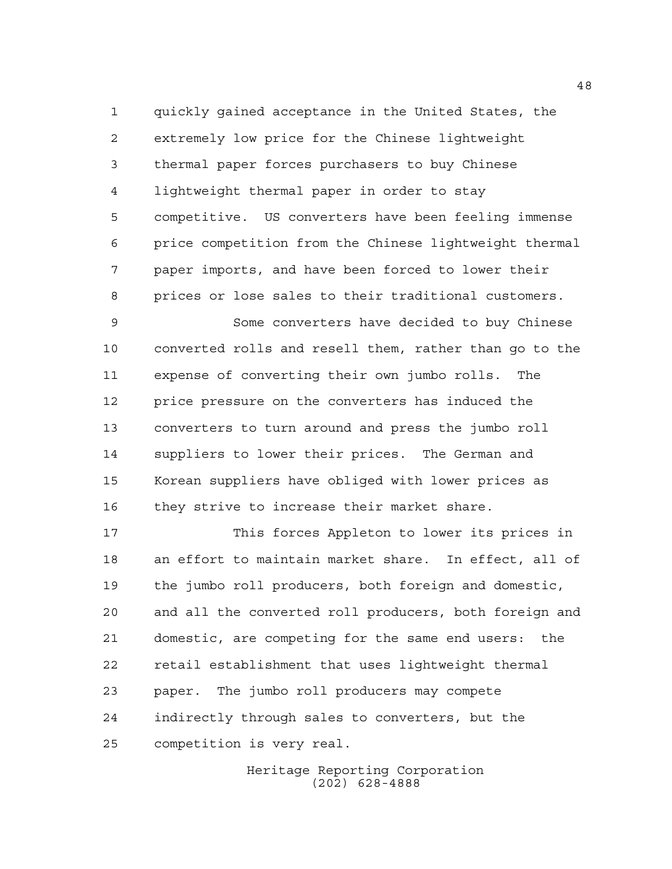quickly gained acceptance in the United States, the extremely low price for the Chinese lightweight thermal paper forces purchasers to buy Chinese lightweight thermal paper in order to stay competitive. US converters have been feeling immense price competition from the Chinese lightweight thermal paper imports, and have been forced to lower their prices or lose sales to their traditional customers.

 Some converters have decided to buy Chinese converted rolls and resell them, rather than go to the expense of converting their own jumbo rolls. The price pressure on the converters has induced the converters to turn around and press the jumbo roll suppliers to lower their prices. The German and Korean suppliers have obliged with lower prices as 16 they strive to increase their market share.

 This forces Appleton to lower its prices in an effort to maintain market share. In effect, all of the jumbo roll producers, both foreign and domestic, and all the converted roll producers, both foreign and domestic, are competing for the same end users: the retail establishment that uses lightweight thermal paper. The jumbo roll producers may compete indirectly through sales to converters, but the competition is very real.

> Heritage Reporting Corporation (202) 628-4888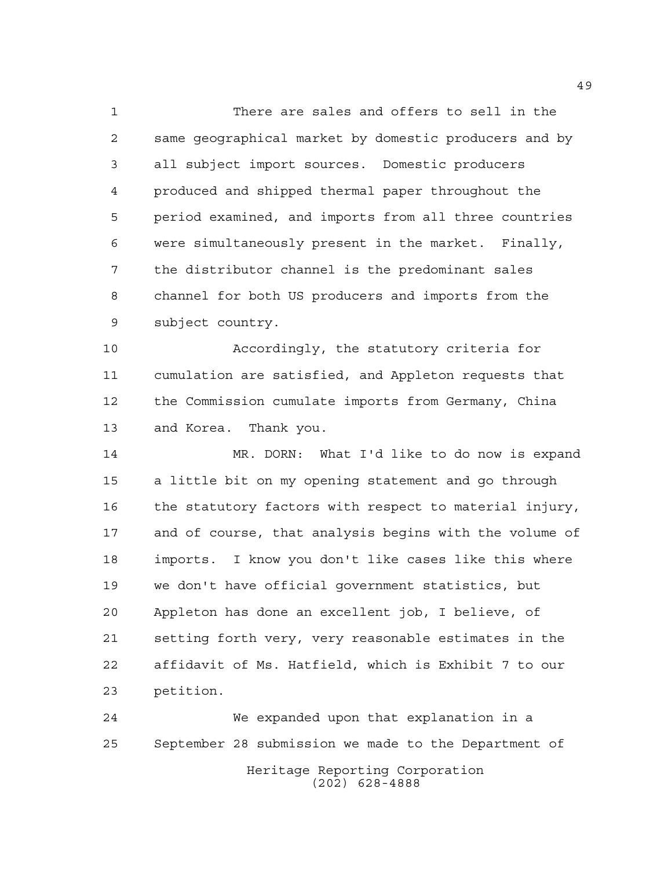There are sales and offers to sell in the same geographical market by domestic producers and by all subject import sources. Domestic producers produced and shipped thermal paper throughout the period examined, and imports from all three countries were simultaneously present in the market. Finally, the distributor channel is the predominant sales channel for both US producers and imports from the subject country.

 Accordingly, the statutory criteria for cumulation are satisfied, and Appleton requests that the Commission cumulate imports from Germany, China and Korea. Thank you.

 MR. DORN: What I'd like to do now is expand a little bit on my opening statement and go through the statutory factors with respect to material injury, and of course, that analysis begins with the volume of imports. I know you don't like cases like this where we don't have official government statistics, but Appleton has done an excellent job, I believe, of setting forth very, very reasonable estimates in the affidavit of Ms. Hatfield, which is Exhibit 7 to our petition.

Heritage Reporting Corporation (202) 628-4888 We expanded upon that explanation in a September 28 submission we made to the Department of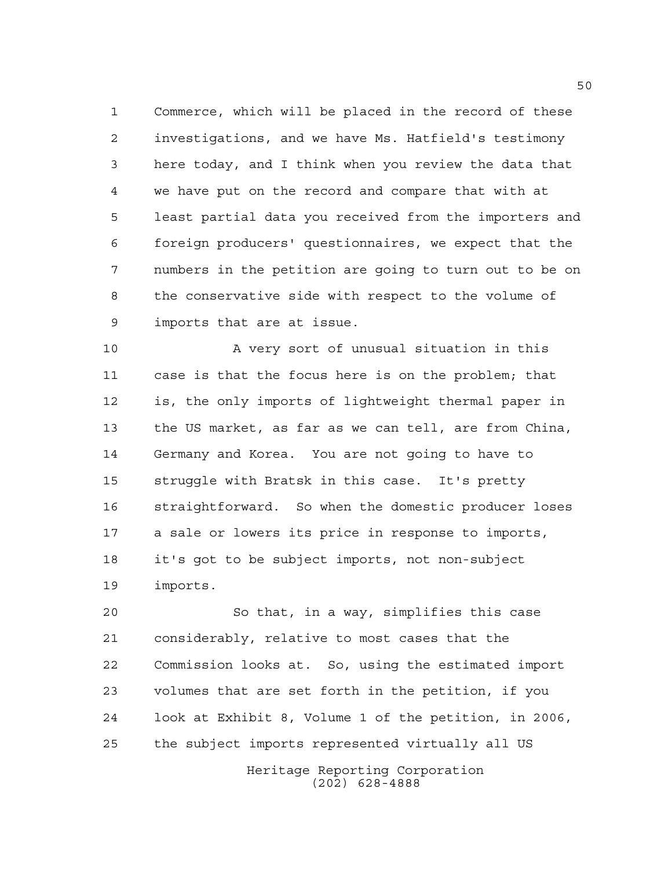Commerce, which will be placed in the record of these investigations, and we have Ms. Hatfield's testimony here today, and I think when you review the data that we have put on the record and compare that with at least partial data you received from the importers and foreign producers' questionnaires, we expect that the numbers in the petition are going to turn out to be on the conservative side with respect to the volume of imports that are at issue.

 A very sort of unusual situation in this case is that the focus here is on the problem; that is, the only imports of lightweight thermal paper in the US market, as far as we can tell, are from China, Germany and Korea. You are not going to have to struggle with Bratsk in this case. It's pretty straightforward. So when the domestic producer loses a sale or lowers its price in response to imports, it's got to be subject imports, not non-subject imports.

 So that, in a way, simplifies this case considerably, relative to most cases that the Commission looks at. So, using the estimated import volumes that are set forth in the petition, if you look at Exhibit 8, Volume 1 of the petition, in 2006, the subject imports represented virtually all US

> Heritage Reporting Corporation (202) 628-4888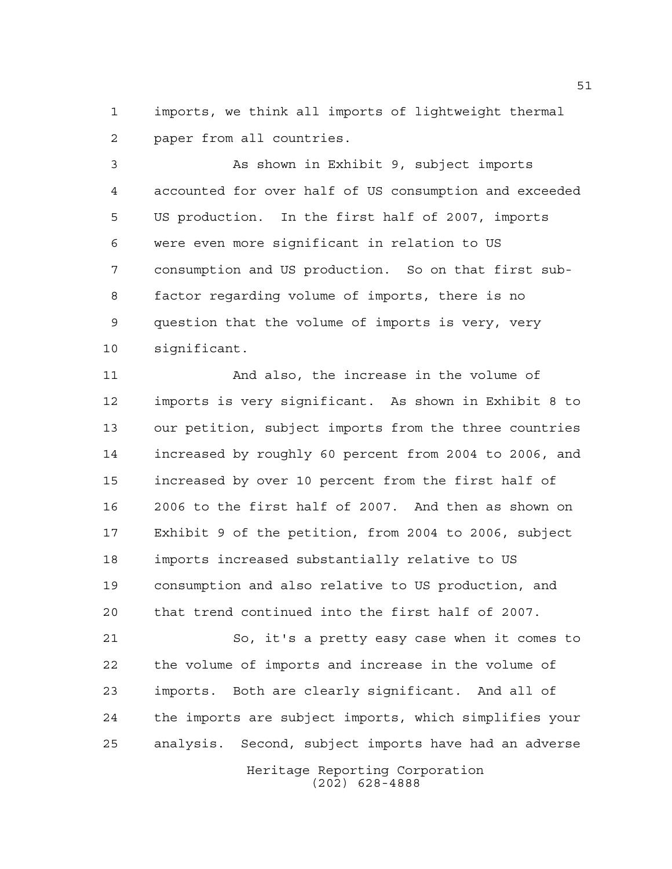imports, we think all imports of lightweight thermal paper from all countries.

 As shown in Exhibit 9, subject imports accounted for over half of US consumption and exceeded US production. In the first half of 2007, imports were even more significant in relation to US consumption and US production. So on that first sub- factor regarding volume of imports, there is no question that the volume of imports is very, very significant.

 And also, the increase in the volume of imports is very significant. As shown in Exhibit 8 to our petition, subject imports from the three countries increased by roughly 60 percent from 2004 to 2006, and increased by over 10 percent from the first half of 2006 to the first half of 2007. And then as shown on Exhibit 9 of the petition, from 2004 to 2006, subject imports increased substantially relative to US consumption and also relative to US production, and that trend continued into the first half of 2007.

 So, it's a pretty easy case when it comes to the volume of imports and increase in the volume of imports. Both are clearly significant. And all of the imports are subject imports, which simplifies your analysis. Second, subject imports have had an adverse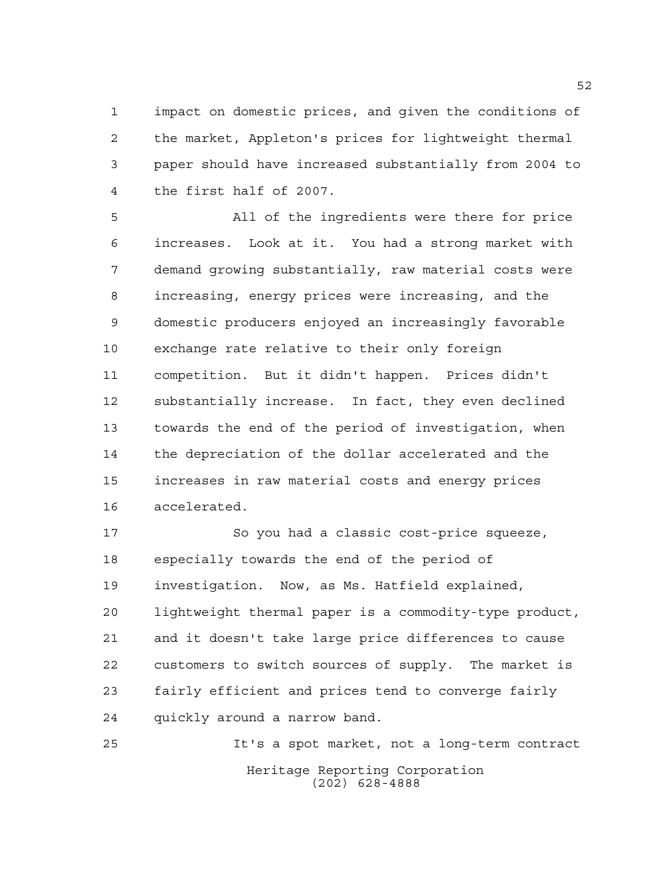impact on domestic prices, and given the conditions of the market, Appleton's prices for lightweight thermal paper should have increased substantially from 2004 to the first half of 2007.

 All of the ingredients were there for price increases. Look at it. You had a strong market with demand growing substantially, raw material costs were increasing, energy prices were increasing, and the domestic producers enjoyed an increasingly favorable exchange rate relative to their only foreign competition. But it didn't happen. Prices didn't substantially increase. In fact, they even declined towards the end of the period of investigation, when the depreciation of the dollar accelerated and the increases in raw material costs and energy prices accelerated.

 So you had a classic cost-price squeeze, especially towards the end of the period of investigation. Now, as Ms. Hatfield explained, lightweight thermal paper is a commodity-type product, and it doesn't take large price differences to cause customers to switch sources of supply. The market is fairly efficient and prices tend to converge fairly quickly around a narrow band.

Heritage Reporting Corporation (202) 628-4888 It's a spot market, not a long-term contract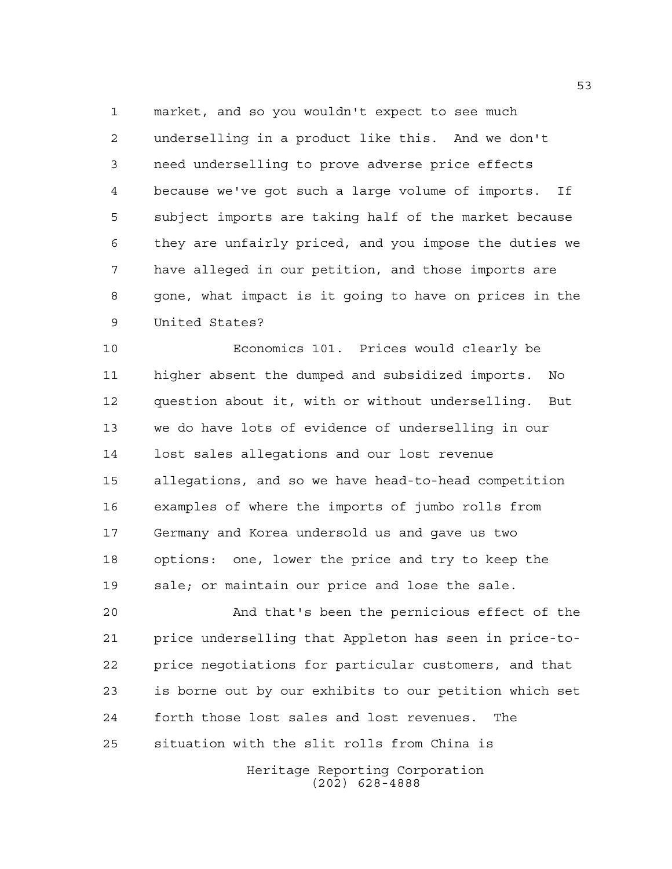market, and so you wouldn't expect to see much underselling in a product like this. And we don't need underselling to prove adverse price effects because we've got such a large volume of imports. If subject imports are taking half of the market because they are unfairly priced, and you impose the duties we have alleged in our petition, and those imports are gone, what impact is it going to have on prices in the United States?

 Economics 101. Prices would clearly be higher absent the dumped and subsidized imports. No question about it, with or without underselling. But we do have lots of evidence of underselling in our lost sales allegations and our lost revenue allegations, and so we have head-to-head competition examples of where the imports of jumbo rolls from Germany and Korea undersold us and gave us two options: one, lower the price and try to keep the sale; or maintain our price and lose the sale.

 And that's been the pernicious effect of the price underselling that Appleton has seen in price-to- price negotiations for particular customers, and that is borne out by our exhibits to our petition which set forth those lost sales and lost revenues. The situation with the slit rolls from China is

> Heritage Reporting Corporation (202) 628-4888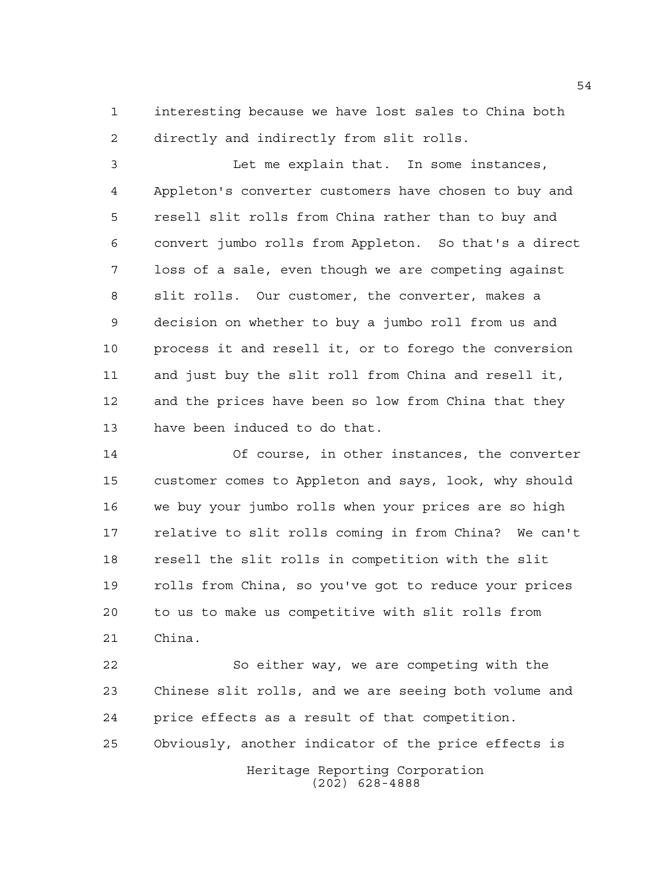interesting because we have lost sales to China both directly and indirectly from slit rolls.

 Let me explain that. In some instances, Appleton's converter customers have chosen to buy and resell slit rolls from China rather than to buy and convert jumbo rolls from Appleton. So that's a direct loss of a sale, even though we are competing against slit rolls. Our customer, the converter, makes a decision on whether to buy a jumbo roll from us and process it and resell it, or to forego the conversion and just buy the slit roll from China and resell it, and the prices have been so low from China that they have been induced to do that.

 Of course, in other instances, the converter customer comes to Appleton and says, look, why should we buy your jumbo rolls when your prices are so high relative to slit rolls coming in from China? We can't resell the slit rolls in competition with the slit rolls from China, so you've got to reduce your prices to us to make us competitive with slit rolls from China.

Heritage Reporting Corporation (202) 628-4888 So either way, we are competing with the Chinese slit rolls, and we are seeing both volume and price effects as a result of that competition. Obviously, another indicator of the price effects is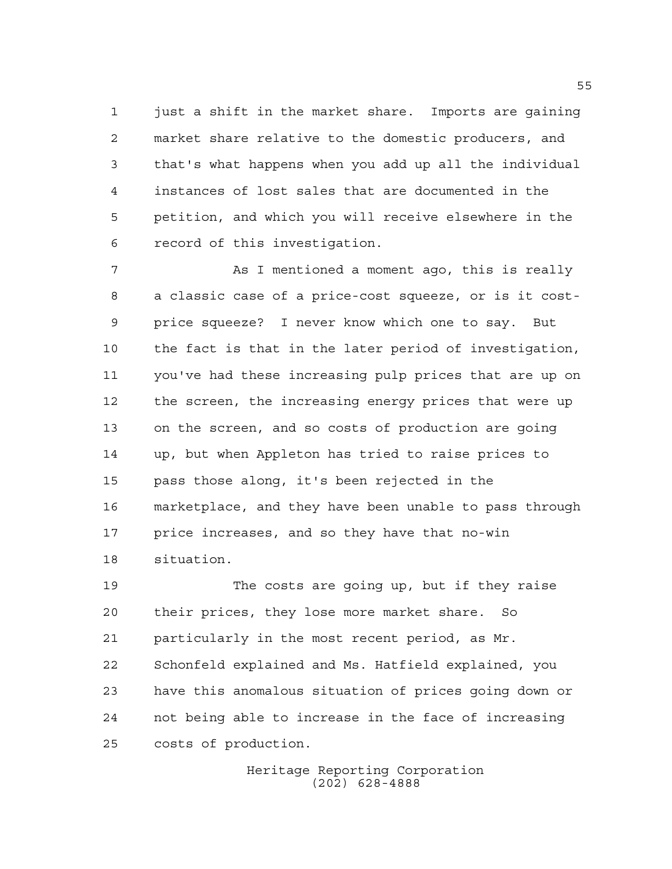1 just a shift in the market share. Imports are gaining market share relative to the domestic producers, and that's what happens when you add up all the individual instances of lost sales that are documented in the petition, and which you will receive elsewhere in the record of this investigation.

 As I mentioned a moment ago, this is really a classic case of a price-cost squeeze, or is it cost- price squeeze? I never know which one to say. But the fact is that in the later period of investigation, you've had these increasing pulp prices that are up on the screen, the increasing energy prices that were up on the screen, and so costs of production are going up, but when Appleton has tried to raise prices to pass those along, it's been rejected in the marketplace, and they have been unable to pass through price increases, and so they have that no-win situation.

 The costs are going up, but if they raise their prices, they lose more market share. So particularly in the most recent period, as Mr. Schonfeld explained and Ms. Hatfield explained, you have this anomalous situation of prices going down or not being able to increase in the face of increasing costs of production.

> Heritage Reporting Corporation (202) 628-4888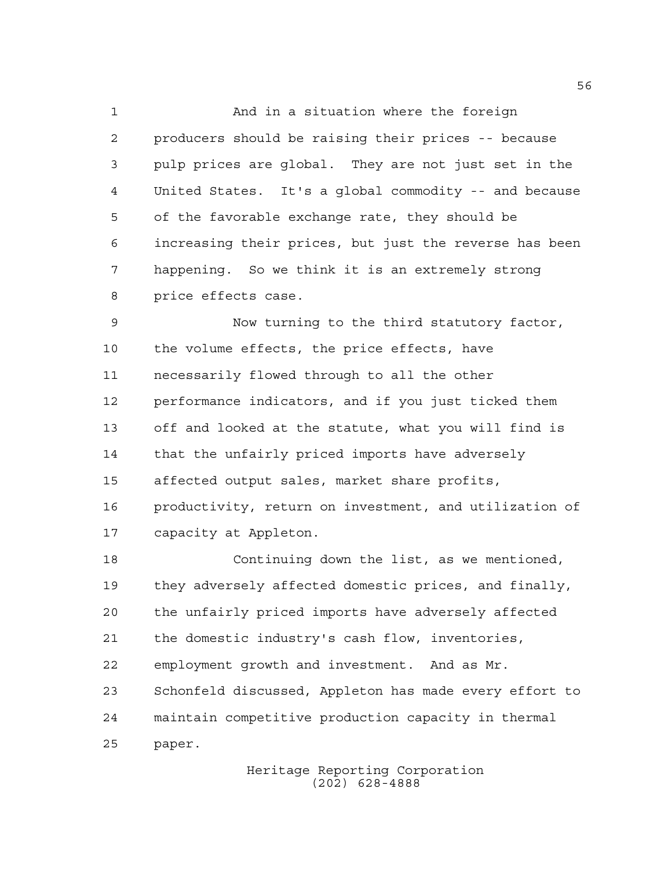And in a situation where the foreign producers should be raising their prices -- because pulp prices are global. They are not just set in the United States. It's a global commodity -- and because of the favorable exchange rate, they should be increasing their prices, but just the reverse has been happening. So we think it is an extremely strong price effects case.

 Now turning to the third statutory factor, the volume effects, the price effects, have necessarily flowed through to all the other performance indicators, and if you just ticked them off and looked at the statute, what you will find is that the unfairly priced imports have adversely affected output sales, market share profits, productivity, return on investment, and utilization of capacity at Appleton.

 Continuing down the list, as we mentioned, they adversely affected domestic prices, and finally, the unfairly priced imports have adversely affected the domestic industry's cash flow, inventories, employment growth and investment. And as Mr. Schonfeld discussed, Appleton has made every effort to maintain competitive production capacity in thermal paper.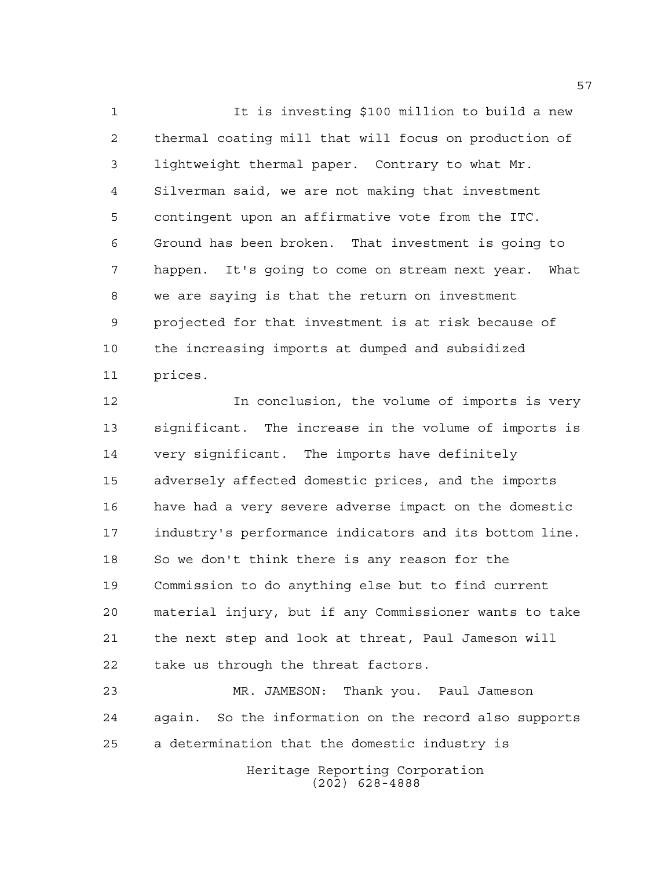It is investing \$100 million to build a new thermal coating mill that will focus on production of lightweight thermal paper. Contrary to what Mr. Silverman said, we are not making that investment contingent upon an affirmative vote from the ITC. Ground has been broken. That investment is going to happen. It's going to come on stream next year. What we are saying is that the return on investment projected for that investment is at risk because of the increasing imports at dumped and subsidized prices.

 In conclusion, the volume of imports is very significant. The increase in the volume of imports is very significant. The imports have definitely adversely affected domestic prices, and the imports have had a very severe adverse impact on the domestic industry's performance indicators and its bottom line. So we don't think there is any reason for the Commission to do anything else but to find current material injury, but if any Commissioner wants to take the next step and look at threat, Paul Jameson will take us through the threat factors.

 MR. JAMESON: Thank you. Paul Jameson again. So the information on the record also supports a determination that the domestic industry is

Heritage Reporting Corporation (202) 628-4888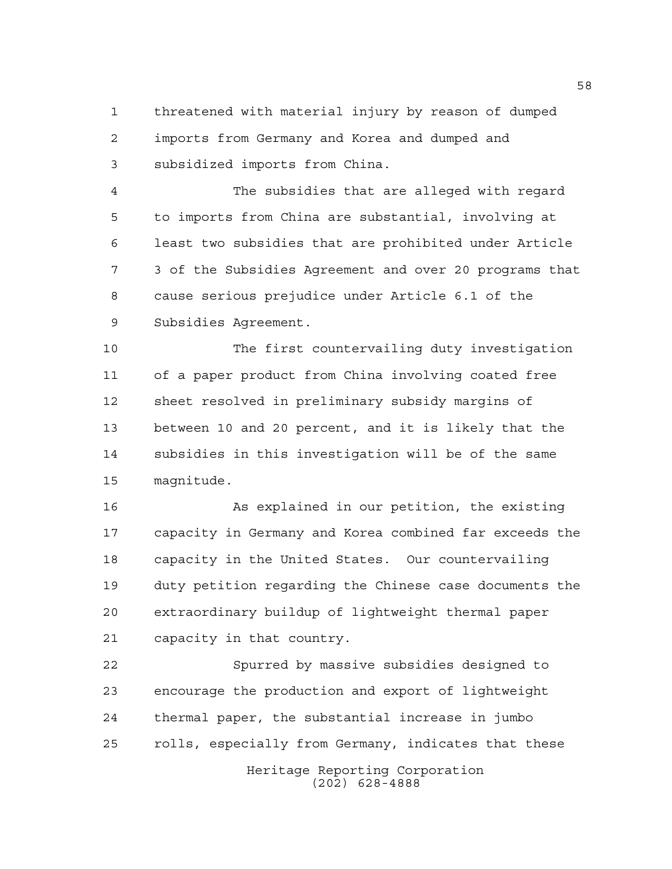threatened with material injury by reason of dumped imports from Germany and Korea and dumped and subsidized imports from China.

 The subsidies that are alleged with regard to imports from China are substantial, involving at least two subsidies that are prohibited under Article 3 of the Subsidies Agreement and over 20 programs that cause serious prejudice under Article 6.1 of the Subsidies Agreement.

 The first countervailing duty investigation of a paper product from China involving coated free sheet resolved in preliminary subsidy margins of between 10 and 20 percent, and it is likely that the subsidies in this investigation will be of the same magnitude.

16 As explained in our petition, the existing capacity in Germany and Korea combined far exceeds the capacity in the United States. Our countervailing duty petition regarding the Chinese case documents the extraordinary buildup of lightweight thermal paper capacity in that country.

Heritage Reporting Corporation Spurred by massive subsidies designed to encourage the production and export of lightweight thermal paper, the substantial increase in jumbo rolls, especially from Germany, indicates that these

(202) 628-4888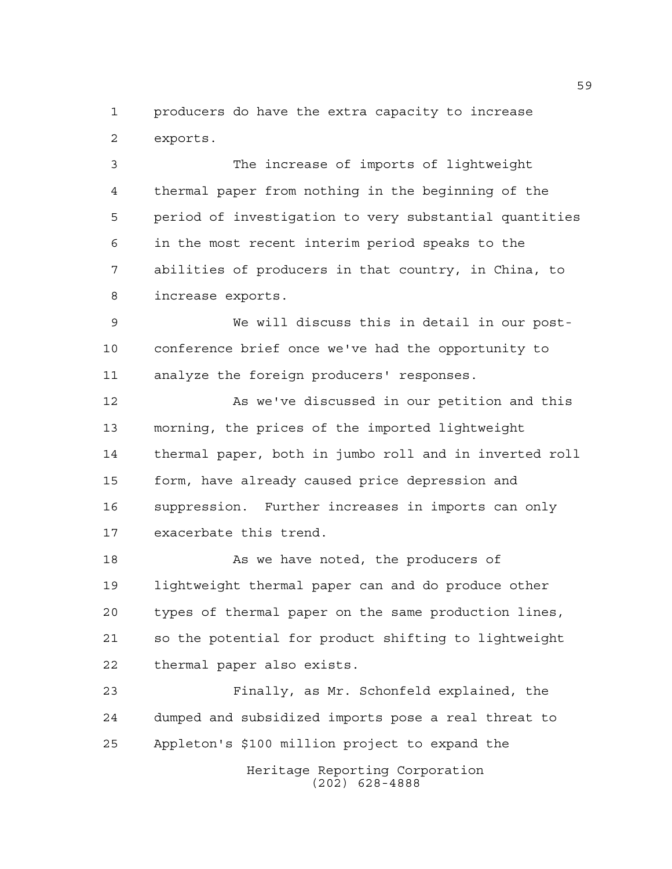producers do have the extra capacity to increase exports.

 The increase of imports of lightweight thermal paper from nothing in the beginning of the period of investigation to very substantial quantities in the most recent interim period speaks to the abilities of producers in that country, in China, to increase exports.

 We will discuss this in detail in our post- conference brief once we've had the opportunity to analyze the foreign producers' responses.

12 As we've discussed in our petition and this morning, the prices of the imported lightweight thermal paper, both in jumbo roll and in inverted roll form, have already caused price depression and suppression. Further increases in imports can only exacerbate this trend.

18 As we have noted, the producers of lightweight thermal paper can and do produce other types of thermal paper on the same production lines, so the potential for product shifting to lightweight thermal paper also exists.

 Finally, as Mr. Schonfeld explained, the dumped and subsidized imports pose a real threat to Appleton's \$100 million project to expand the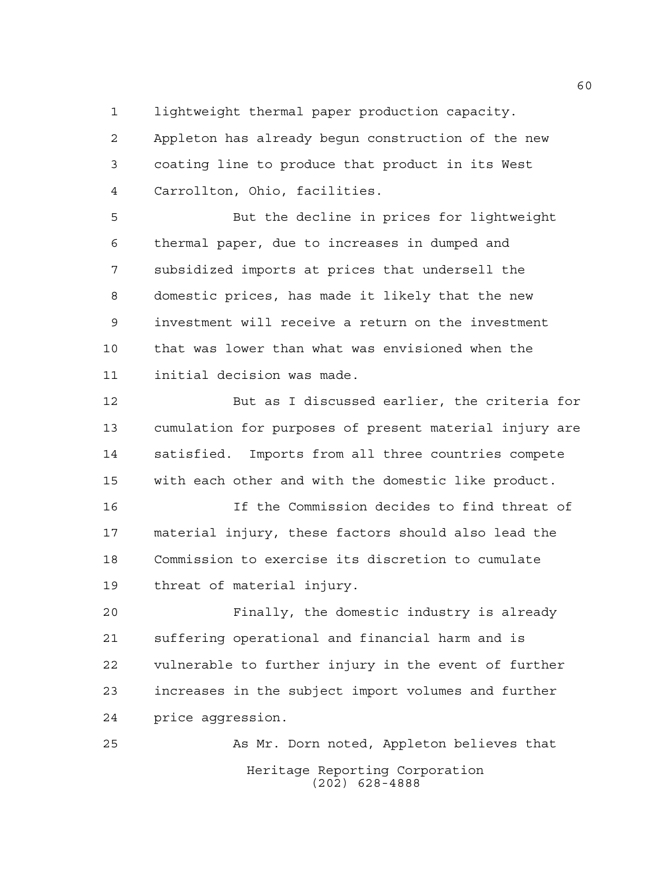lightweight thermal paper production capacity.

 Appleton has already begun construction of the new coating line to produce that product in its West Carrollton, Ohio, facilities.

 But the decline in prices for lightweight thermal paper, due to increases in dumped and subsidized imports at prices that undersell the domestic prices, has made it likely that the new investment will receive a return on the investment that was lower than what was envisioned when the initial decision was made.

 But as I discussed earlier, the criteria for cumulation for purposes of present material injury are satisfied. Imports from all three countries compete with each other and with the domestic like product.

 If the Commission decides to find threat of material injury, these factors should also lead the Commission to exercise its discretion to cumulate threat of material injury.

 Finally, the domestic industry is already suffering operational and financial harm and is vulnerable to further injury in the event of further increases in the subject import volumes and further price aggression.

Heritage Reporting Corporation (202) 628-4888 As Mr. Dorn noted, Appleton believes that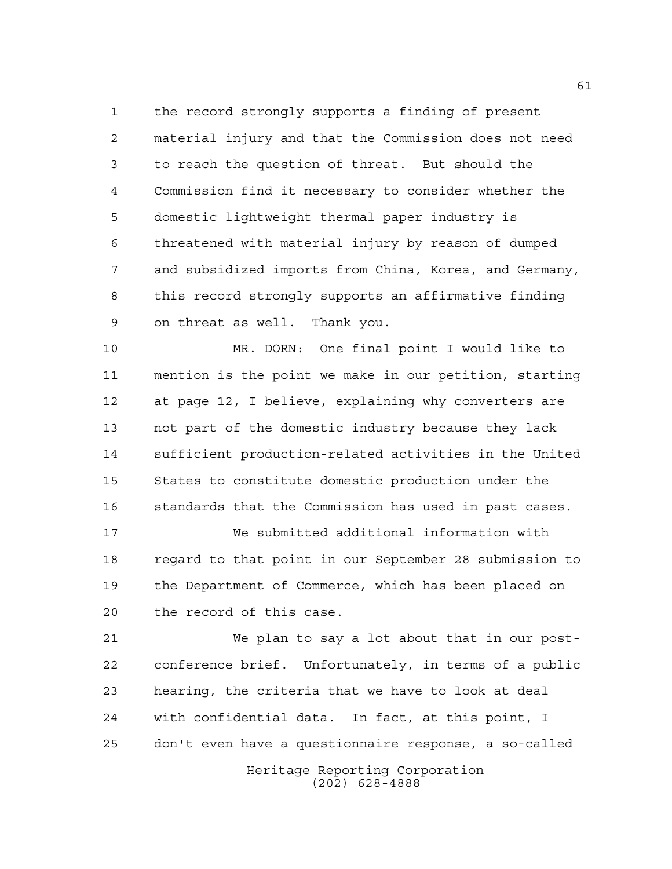the record strongly supports a finding of present material injury and that the Commission does not need to reach the question of threat. But should the Commission find it necessary to consider whether the domestic lightweight thermal paper industry is threatened with material injury by reason of dumped and subsidized imports from China, Korea, and Germany, this record strongly supports an affirmative finding on threat as well. Thank you.

 MR. DORN: One final point I would like to mention is the point we make in our petition, starting at page 12, I believe, explaining why converters are not part of the domestic industry because they lack sufficient production-related activities in the United States to constitute domestic production under the standards that the Commission has used in past cases.

 We submitted additional information with regard to that point in our September 28 submission to the Department of Commerce, which has been placed on the record of this case.

 We plan to say a lot about that in our post- conference brief. Unfortunately, in terms of a public hearing, the criteria that we have to look at deal with confidential data. In fact, at this point, I don't even have a questionnaire response, a so-called

> Heritage Reporting Corporation (202) 628-4888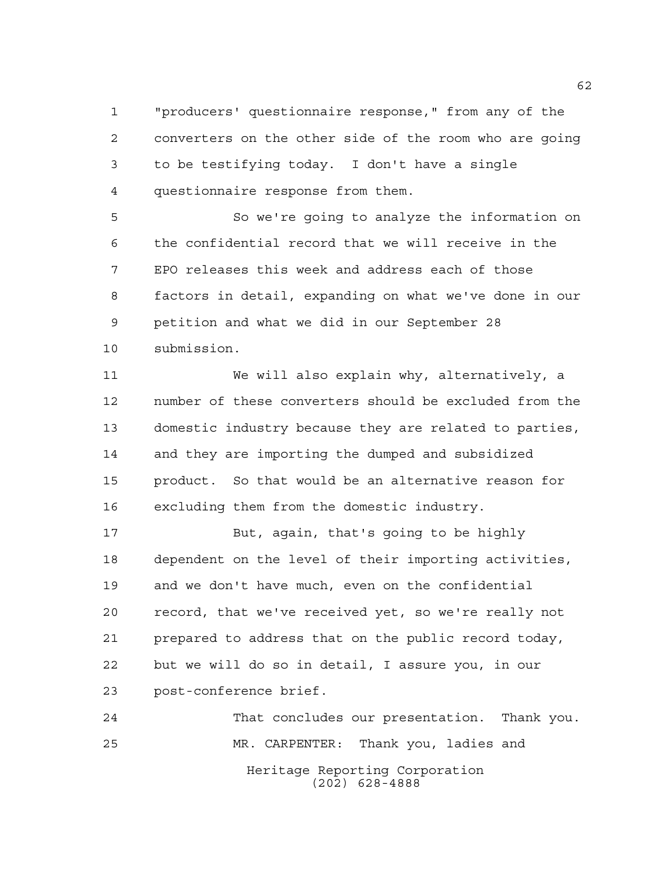"producers' questionnaire response," from any of the converters on the other side of the room who are going to be testifying today. I don't have a single questionnaire response from them.

 So we're going to analyze the information on the confidential record that we will receive in the EPO releases this week and address each of those factors in detail, expanding on what we've done in our petition and what we did in our September 28 submission.

 We will also explain why, alternatively, a number of these converters should be excluded from the domestic industry because they are related to parties, and they are importing the dumped and subsidized product. So that would be an alternative reason for excluding them from the domestic industry.

 But, again, that's going to be highly dependent on the level of their importing activities, and we don't have much, even on the confidential record, that we've received yet, so we're really not prepared to address that on the public record today, but we will do so in detail, I assure you, in our post-conference brief.

Heritage Reporting Corporation (202) 628-4888 That concludes our presentation. Thank you. MR. CARPENTER: Thank you, ladies and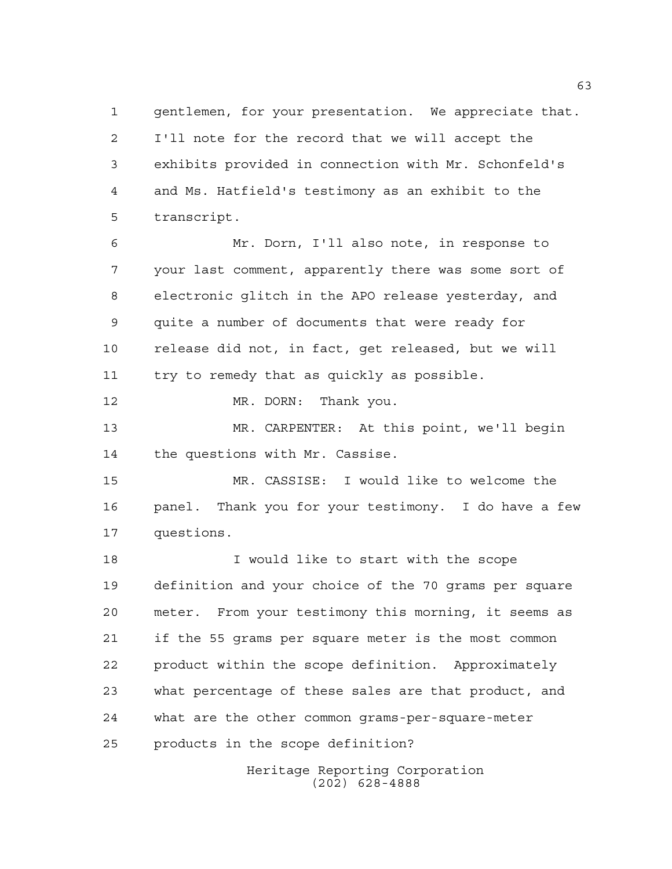gentlemen, for your presentation. We appreciate that. I'll note for the record that we will accept the exhibits provided in connection with Mr. Schonfeld's and Ms. Hatfield's testimony as an exhibit to the transcript.

 Mr. Dorn, I'll also note, in response to your last comment, apparently there was some sort of electronic glitch in the APO release yesterday, and quite a number of documents that were ready for release did not, in fact, get released, but we will try to remedy that as quickly as possible.

12 MR. DORN: Thank you.

 MR. CARPENTER: At this point, we'll begin the questions with Mr. Cassise.

 MR. CASSISE: I would like to welcome the panel. Thank you for your testimony. I do have a few questions.

 I would like to start with the scope definition and your choice of the 70 grams per square meter. From your testimony this morning, it seems as if the 55 grams per square meter is the most common product within the scope definition. Approximately what percentage of these sales are that product, and what are the other common grams-per-square-meter products in the scope definition?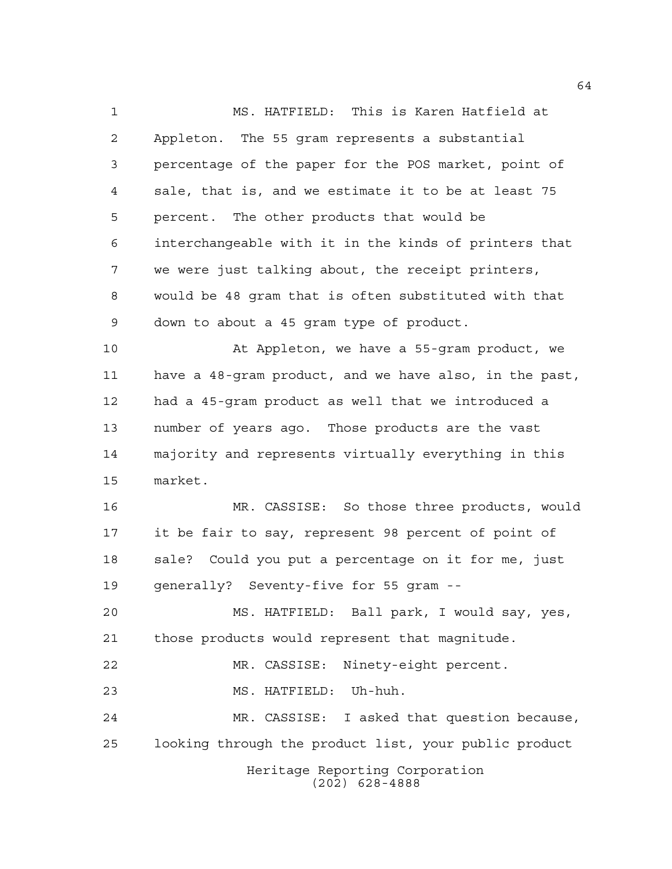Heritage Reporting Corporation (202) 628-4888 MS. HATFIELD: This is Karen Hatfield at Appleton. The 55 gram represents a substantial percentage of the paper for the POS market, point of sale, that is, and we estimate it to be at least 75 percent. The other products that would be interchangeable with it in the kinds of printers that we were just talking about, the receipt printers, would be 48 gram that is often substituted with that down to about a 45 gram type of product. At Appleton, we have a 55-gram product, we have a 48-gram product, and we have also, in the past, had a 45-gram product as well that we introduced a number of years ago. Those products are the vast majority and represents virtually everything in this market. MR. CASSISE: So those three products, would it be fair to say, represent 98 percent of point of sale? Could you put a percentage on it for me, just generally? Seventy-five for 55 gram -- MS. HATFIELD: Ball park, I would say, yes, those products would represent that magnitude. MR. CASSISE: Ninety-eight percent. MS. HATFIELD: Uh-huh. MR. CASSISE: I asked that question because, looking through the product list, your public product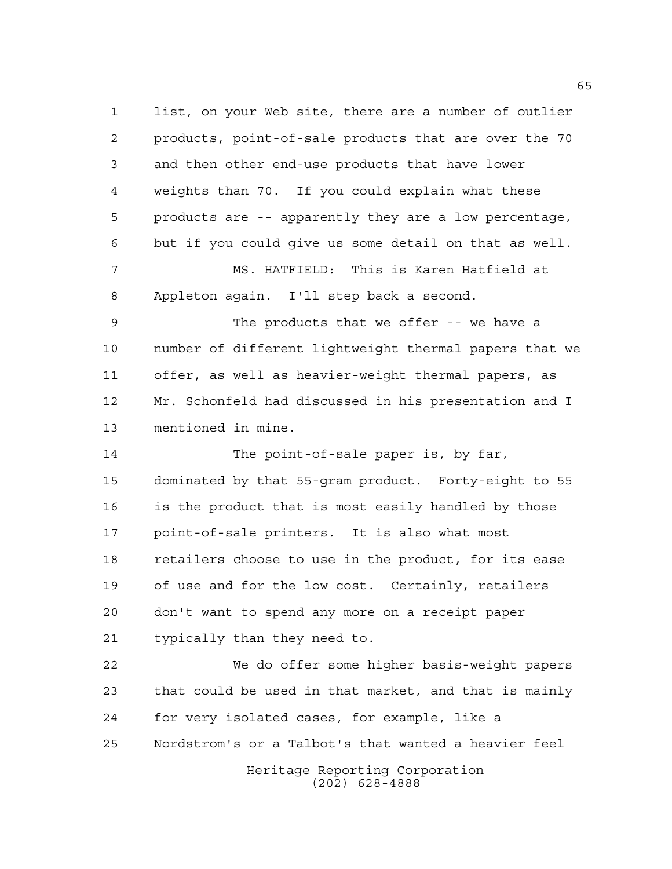Heritage Reporting Corporation list, on your Web site, there are a number of outlier products, point-of-sale products that are over the 70 and then other end-use products that have lower weights than 70. If you could explain what these products are -- apparently they are a low percentage, but if you could give us some detail on that as well. MS. HATFIELD: This is Karen Hatfield at Appleton again. I'll step back a second. The products that we offer -- we have a number of different lightweight thermal papers that we offer, as well as heavier-weight thermal papers, as Mr. Schonfeld had discussed in his presentation and I mentioned in mine. The point-of-sale paper is, by far, dominated by that 55-gram product. Forty-eight to 55 is the product that is most easily handled by those point-of-sale printers. It is also what most retailers choose to use in the product, for its ease of use and for the low cost. Certainly, retailers don't want to spend any more on a receipt paper typically than they need to. We do offer some higher basis-weight papers that could be used in that market, and that is mainly for very isolated cases, for example, like a Nordstrom's or a Talbot's that wanted a heavier feel

(202) 628-4888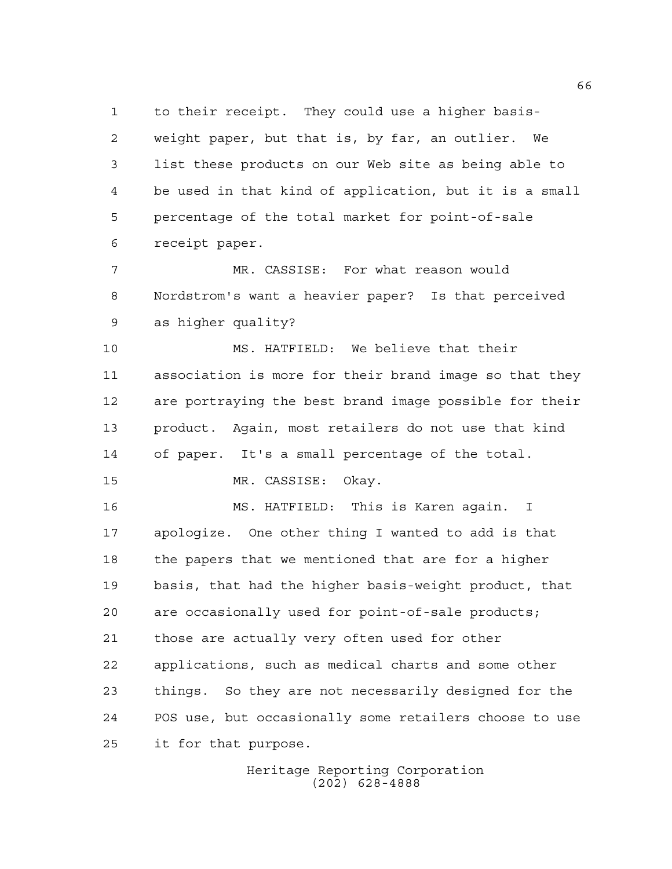to their receipt. They could use a higher basis- weight paper, but that is, by far, an outlier. We list these products on our Web site as being able to be used in that kind of application, but it is a small percentage of the total market for point-of-sale receipt paper.

 MR. CASSISE: For what reason would Nordstrom's want a heavier paper? Is that perceived as higher quality?

 MS. HATFIELD: We believe that their association is more for their brand image so that they are portraying the best brand image possible for their product. Again, most retailers do not use that kind of paper. It's a small percentage of the total.

MR. CASSISE: Okay.

 MS. HATFIELD: This is Karen again. I apologize. One other thing I wanted to add is that the papers that we mentioned that are for a higher basis, that had the higher basis-weight product, that are occasionally used for point-of-sale products; those are actually very often used for other applications, such as medical charts and some other things. So they are not necessarily designed for the POS use, but occasionally some retailers choose to use it for that purpose.

> Heritage Reporting Corporation (202) 628-4888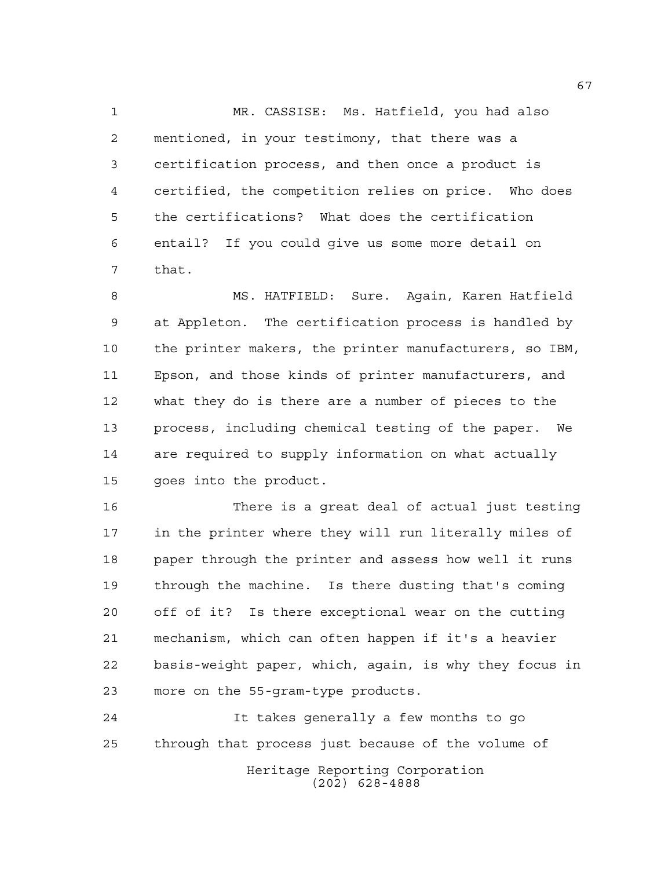MR. CASSISE: Ms. Hatfield, you had also mentioned, in your testimony, that there was a certification process, and then once a product is certified, the competition relies on price. Who does the certifications? What does the certification entail? If you could give us some more detail on that.

 MS. HATFIELD: Sure. Again, Karen Hatfield at Appleton. The certification process is handled by the printer makers, the printer manufacturers, so IBM, Epson, and those kinds of printer manufacturers, and what they do is there are a number of pieces to the process, including chemical testing of the paper. We are required to supply information on what actually goes into the product.

 There is a great deal of actual just testing in the printer where they will run literally miles of paper through the printer and assess how well it runs through the machine. Is there dusting that's coming off of it? Is there exceptional wear on the cutting mechanism, which can often happen if it's a heavier basis-weight paper, which, again, is why they focus in more on the 55-gram-type products.

Heritage Reporting Corporation (202) 628-4888 It takes generally a few months to go through that process just because of the volume of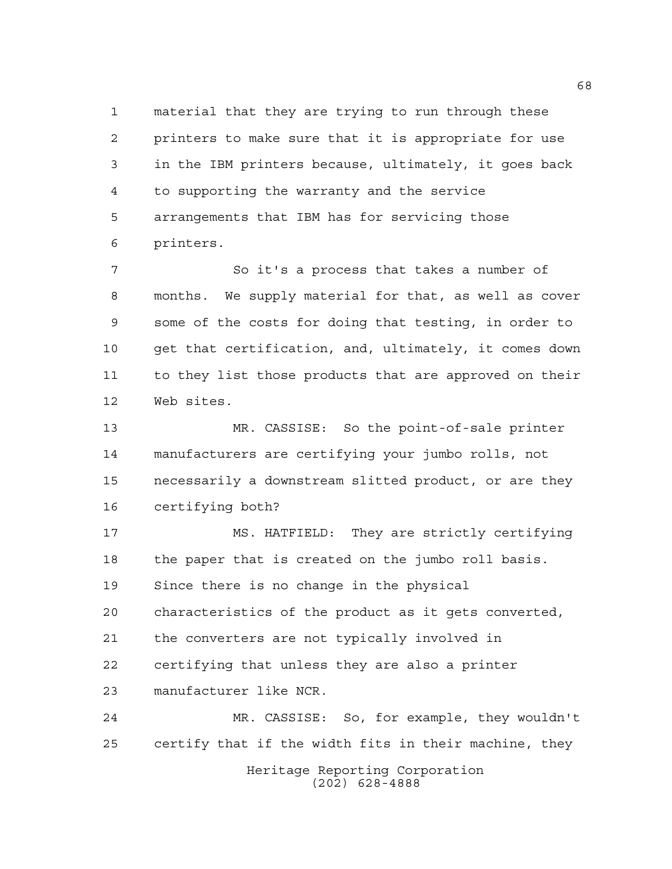material that they are trying to run through these printers to make sure that it is appropriate for use in the IBM printers because, ultimately, it goes back to supporting the warranty and the service arrangements that IBM has for servicing those printers.

 So it's a process that takes a number of months. We supply material for that, as well as cover some of the costs for doing that testing, in order to get that certification, and, ultimately, it comes down to they list those products that are approved on their Web sites.

 MR. CASSISE: So the point-of-sale printer manufacturers are certifying your jumbo rolls, not necessarily a downstream slitted product, or are they certifying both?

 MS. HATFIELD: They are strictly certifying the paper that is created on the jumbo roll basis. Since there is no change in the physical characteristics of the product as it gets converted, the converters are not typically involved in certifying that unless they are also a printer manufacturer like NCR.

 MR. CASSISE: So, for example, they wouldn't certify that if the width fits in their machine, they

Heritage Reporting Corporation (202) 628-4888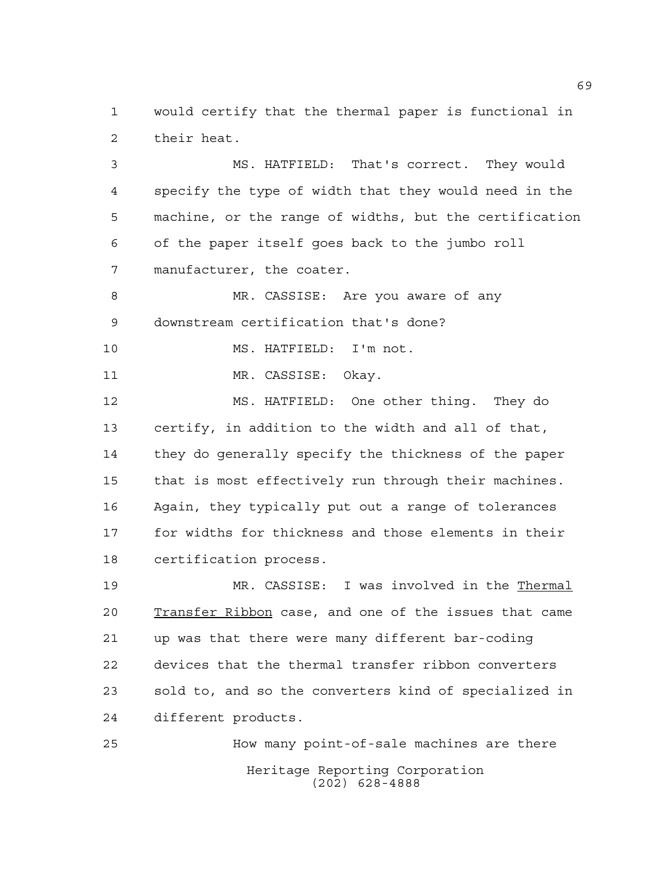would certify that the thermal paper is functional in their heat.

 MS. HATFIELD: That's correct. They would specify the type of width that they would need in the machine, or the range of widths, but the certification of the paper itself goes back to the jumbo roll manufacturer, the coater.

8 MR. CASSISE: Are you aware of any downstream certification that's done?

10 MS. HATFIELD: I'm not.

MR. CASSISE: Okay.

 MS. HATFIELD: One other thing. They do certify, in addition to the width and all of that, they do generally specify the thickness of the paper that is most effectively run through their machines. Again, they typically put out a range of tolerances for widths for thickness and those elements in their certification process.

 MR. CASSISE: I was involved in the Thermal Transfer Ribbon case, and one of the issues that came up was that there were many different bar-coding devices that the thermal transfer ribbon converters sold to, and so the converters kind of specialized in different products.

Heritage Reporting Corporation (202) 628-4888 How many point-of-sale machines are there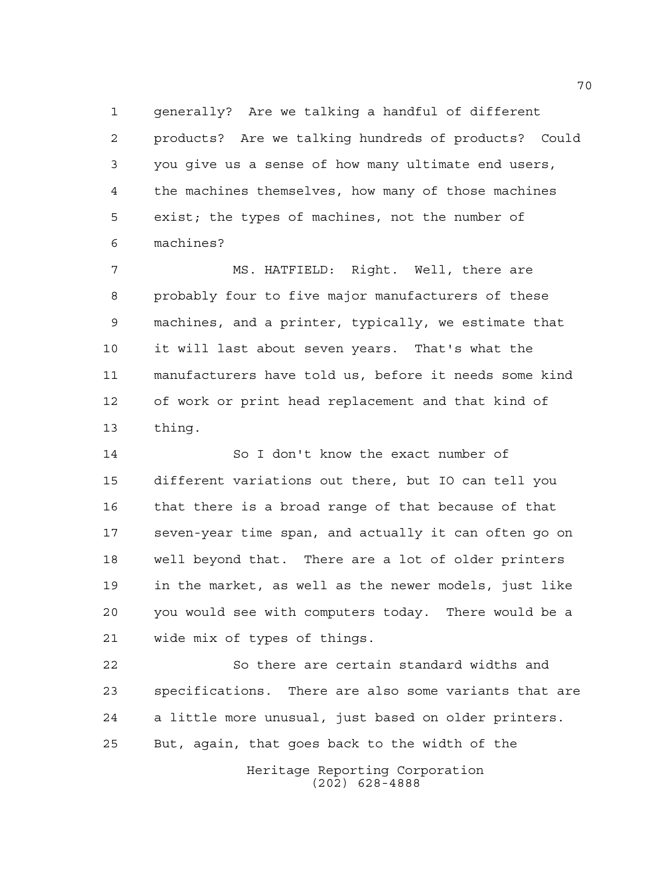generally? Are we talking a handful of different products? Are we talking hundreds of products? Could you give us a sense of how many ultimate end users, the machines themselves, how many of those machines exist; the types of machines, not the number of machines?

 MS. HATFIELD: Right. Well, there are probably four to five major manufacturers of these machines, and a printer, typically, we estimate that it will last about seven years. That's what the manufacturers have told us, before it needs some kind of work or print head replacement and that kind of thing.

 So I don't know the exact number of different variations out there, but IO can tell you that there is a broad range of that because of that seven-year time span, and actually it can often go on well beyond that. There are a lot of older printers in the market, as well as the newer models, just like you would see with computers today. There would be a wide mix of types of things.

 So there are certain standard widths and specifications. There are also some variants that are a little more unusual, just based on older printers. But, again, that goes back to the width of the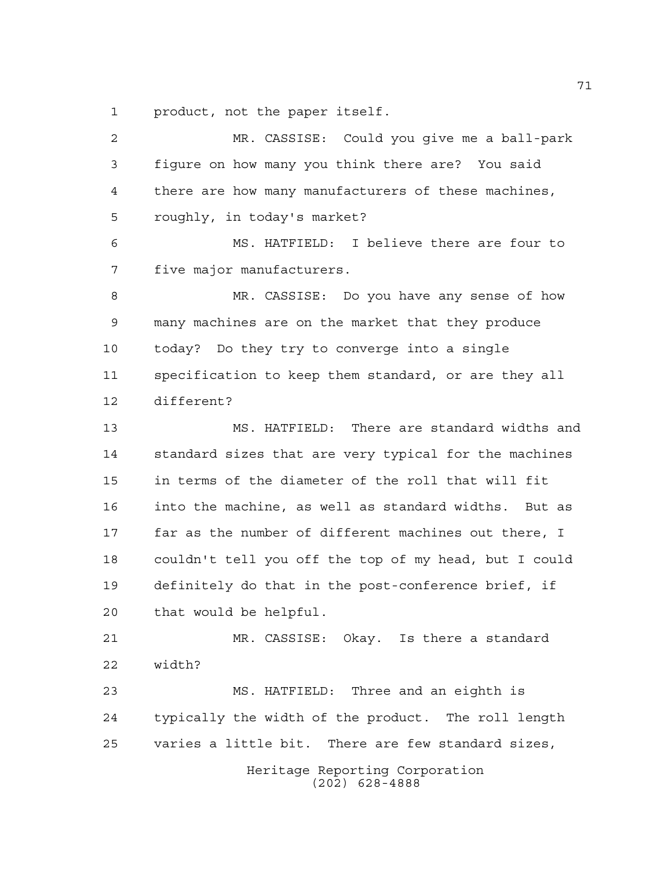product, not the paper itself.

Heritage Reporting Corporation (202) 628-4888 MR. CASSISE: Could you give me a ball-park figure on how many you think there are? You said there are how many manufacturers of these machines, roughly, in today's market? MS. HATFIELD: I believe there are four to five major manufacturers. MR. CASSISE: Do you have any sense of how many machines are on the market that they produce today? Do they try to converge into a single specification to keep them standard, or are they all different? MS. HATFIELD: There are standard widths and standard sizes that are very typical for the machines in terms of the diameter of the roll that will fit into the machine, as well as standard widths. But as far as the number of different machines out there, I couldn't tell you off the top of my head, but I could definitely do that in the post-conference brief, if that would be helpful. MR. CASSISE: Okay. Is there a standard width? MS. HATFIELD: Three and an eighth is typically the width of the product. The roll length varies a little bit. There are few standard sizes,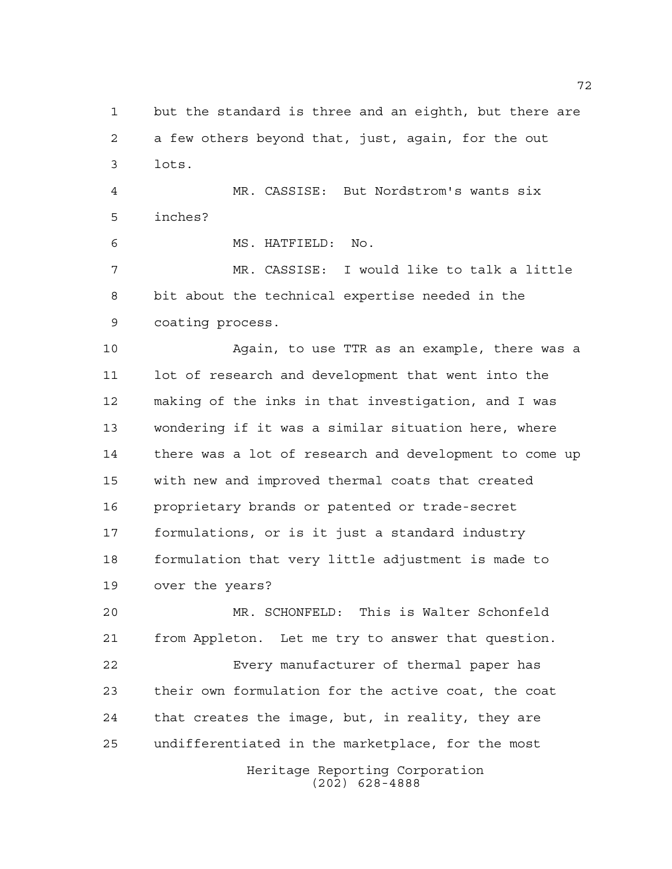but the standard is three and an eighth, but there are a few others beyond that, just, again, for the out lots.

 MR. CASSISE: But Nordstrom's wants six inches?

MS. HATFIELD: No.

 MR. CASSISE: I would like to talk a little bit about the technical expertise needed in the coating process.

 Again, to use TTR as an example, there was a lot of research and development that went into the making of the inks in that investigation, and I was wondering if it was a similar situation here, where there was a lot of research and development to come up with new and improved thermal coats that created proprietary brands or patented or trade-secret formulations, or is it just a standard industry formulation that very little adjustment is made to over the years?

Heritage Reporting Corporation MR. SCHONFELD: This is Walter Schonfeld from Appleton. Let me try to answer that question. Every manufacturer of thermal paper has their own formulation for the active coat, the coat that creates the image, but, in reality, they are undifferentiated in the marketplace, for the most

(202) 628-4888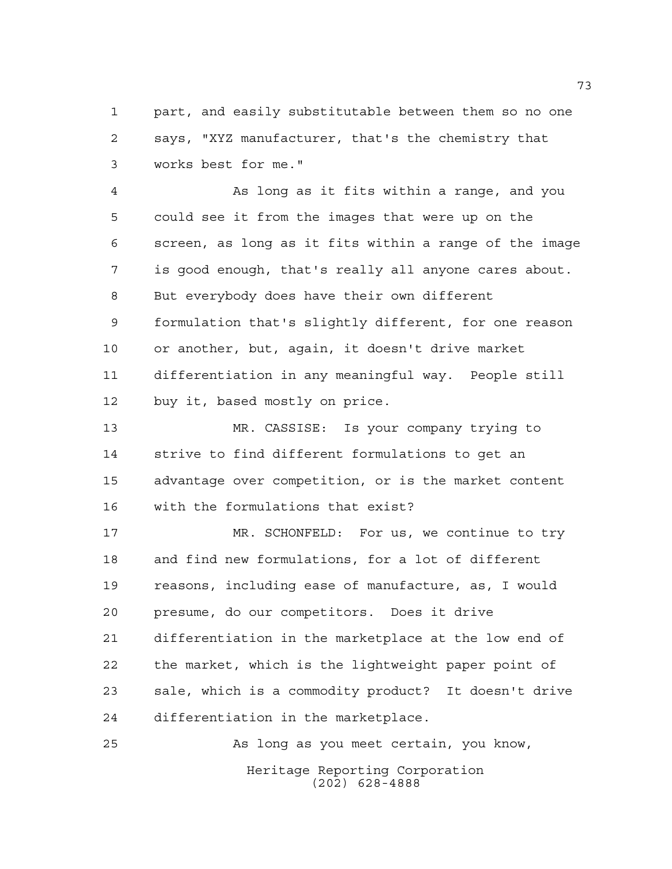part, and easily substitutable between them so no one says, "XYZ manufacturer, that's the chemistry that works best for me."

 As long as it fits within a range, and you could see it from the images that were up on the screen, as long as it fits within a range of the image is good enough, that's really all anyone cares about. But everybody does have their own different formulation that's slightly different, for one reason or another, but, again, it doesn't drive market differentiation in any meaningful way. People still buy it, based mostly on price.

 MR. CASSISE: Is your company trying to strive to find different formulations to get an advantage over competition, or is the market content with the formulations that exist?

 MR. SCHONFELD: For us, we continue to try and find new formulations, for a lot of different reasons, including ease of manufacture, as, I would presume, do our competitors. Does it drive differentiation in the marketplace at the low end of the market, which is the lightweight paper point of sale, which is a commodity product? It doesn't drive differentiation in the marketplace.

Heritage Reporting Corporation (202) 628-4888 As long as you meet certain, you know,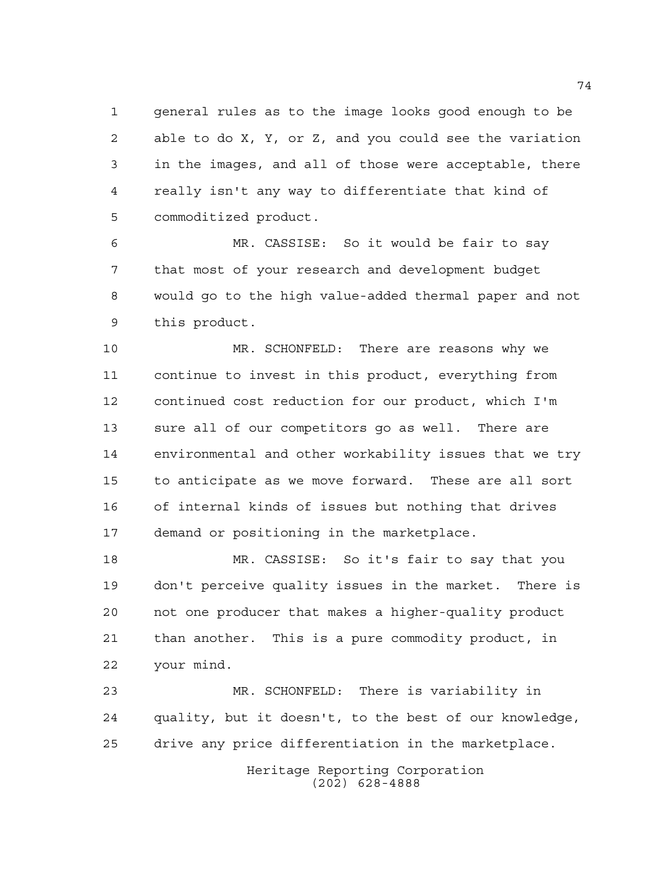general rules as to the image looks good enough to be able to do X, Y, or Z, and you could see the variation in the images, and all of those were acceptable, there really isn't any way to differentiate that kind of commoditized product.

 MR. CASSISE: So it would be fair to say that most of your research and development budget would go to the high value-added thermal paper and not this product.

 MR. SCHONFELD: There are reasons why we continue to invest in this product, everything from continued cost reduction for our product, which I'm sure all of our competitors go as well. There are environmental and other workability issues that we try to anticipate as we move forward. These are all sort of internal kinds of issues but nothing that drives demand or positioning in the marketplace.

 MR. CASSISE: So it's fair to say that you don't perceive quality issues in the market. There is not one producer that makes a higher-quality product than another. This is a pure commodity product, in your mind.

 MR. SCHONFELD: There is variability in quality, but it doesn't, to the best of our knowledge, drive any price differentiation in the marketplace.

> Heritage Reporting Corporation (202) 628-4888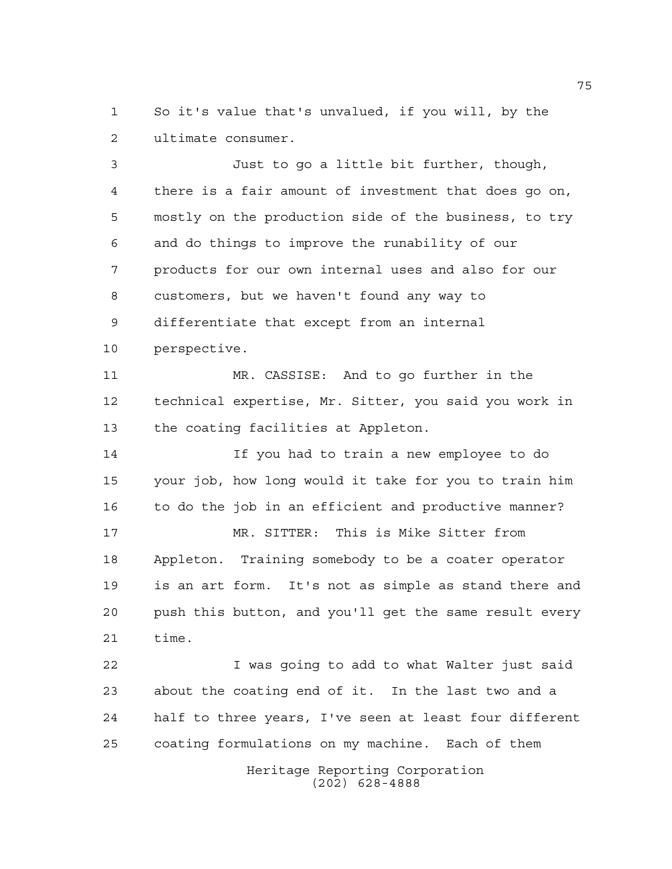So it's value that's unvalued, if you will, by the ultimate consumer.

 Just to go a little bit further, though, there is a fair amount of investment that does go on, mostly on the production side of the business, to try and do things to improve the runability of our products for our own internal uses and also for our customers, but we haven't found any way to differentiate that except from an internal perspective.

 MR. CASSISE: And to go further in the technical expertise, Mr. Sitter, you said you work in the coating facilities at Appleton.

 If you had to train a new employee to do your job, how long would it take for you to train him to do the job in an efficient and productive manner? MR. SITTER: This is Mike Sitter from Appleton. Training somebody to be a coater operator

 is an art form. It's not as simple as stand there and push this button, and you'll get the same result every time.

 I was going to add to what Walter just said about the coating end of it. In the last two and a half to three years, I've seen at least four different coating formulations on my machine. Each of them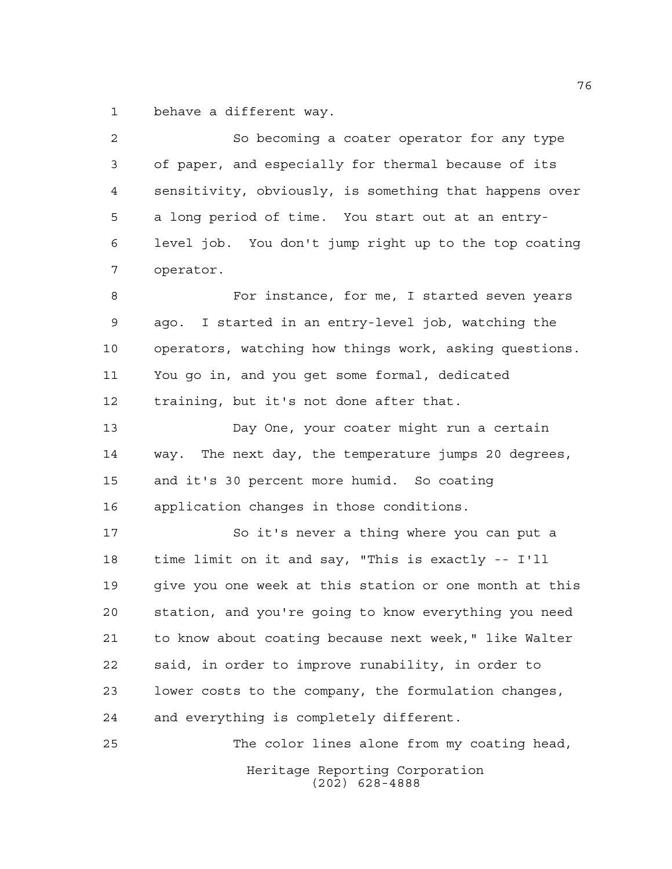behave a different way.

| $\overline{a}$ | So becoming a coater operator for any type             |
|----------------|--------------------------------------------------------|
| 3              | of paper, and especially for thermal because of its    |
| 4              | sensitivity, obviously, is something that happens over |
| 5              | a long period of time. You start out at an entry-      |
| 6              | level job. You don't jump right up to the top coating  |
| 7              | operator.                                              |
| 8              | For instance, for me, I started seven years            |
| $\mathsf 9$    | ago. I started in an entry-level job, watching the     |
| 10             | operators, watching how things work, asking questions. |
| 11             | You go in, and you get some formal, dedicated          |
| 12             | training, but it's not done after that.                |
| 13             | Day One, your coater might run a certain               |
| 14             | way. The next day, the temperature jumps 20 degrees,   |
| 15             | and it's 30 percent more humid. So coating             |
| 16             | application changes in those conditions.               |
| 17             | So it's never a thing where you can put a              |
| 18             | time limit on it and say, "This is exactly -- I'll     |
| 19             | give you one week at this station or one month at this |
| 20             | station, and you're going to know everything you need  |
| 21             | to know about coating because next week," like Walter  |
| 22             | said, in order to improve runability, in order to      |
| 23             | lower costs to the company, the formulation changes,   |
| 24             | and everything is completely different.                |
| 25             | The color lines alone from my coating head,            |
|                | Heritage Reporting Corporation<br>$(202)$ 628-4888     |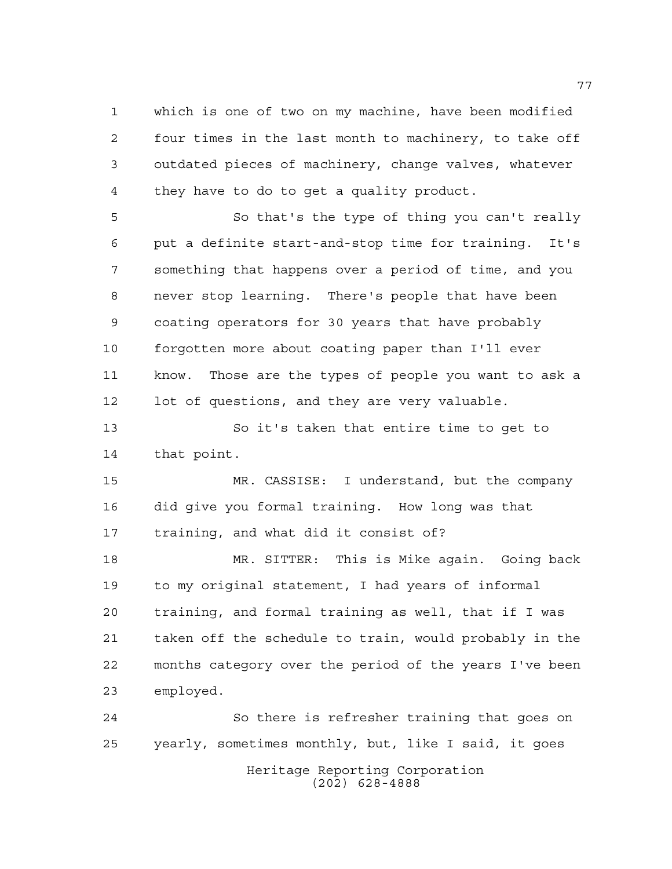which is one of two on my machine, have been modified four times in the last month to machinery, to take off outdated pieces of machinery, change valves, whatever they have to do to get a quality product.

 So that's the type of thing you can't really put a definite start-and-stop time for training. It's something that happens over a period of time, and you never stop learning. There's people that have been coating operators for 30 years that have probably forgotten more about coating paper than I'll ever know. Those are the types of people you want to ask a lot of questions, and they are very valuable.

 So it's taken that entire time to get to that point.

 MR. CASSISE: I understand, but the company did give you formal training. How long was that training, and what did it consist of?

 MR. SITTER: This is Mike again. Going back to my original statement, I had years of informal training, and formal training as well, that if I was taken off the schedule to train, would probably in the months category over the period of the years I've been employed.

Heritage Reporting Corporation (202) 628-4888 So there is refresher training that goes on yearly, sometimes monthly, but, like I said, it goes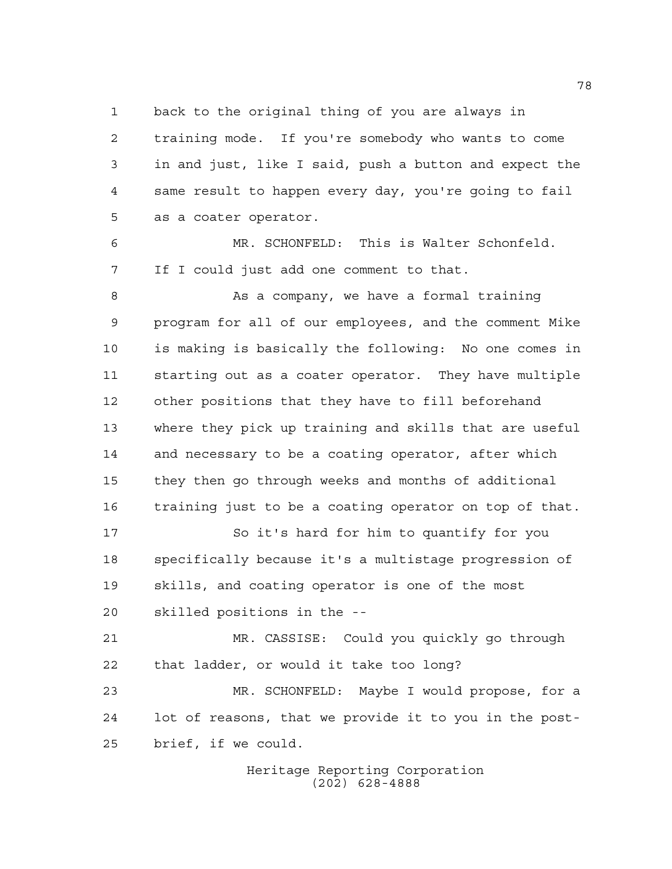back to the original thing of you are always in

 training mode. If you're somebody who wants to come in and just, like I said, push a button and expect the same result to happen every day, you're going to fail as a coater operator.

 MR. SCHONFELD: This is Walter Schonfeld. If I could just add one comment to that.

 As a company, we have a formal training program for all of our employees, and the comment Mike is making is basically the following: No one comes in starting out as a coater operator. They have multiple other positions that they have to fill beforehand where they pick up training and skills that are useful and necessary to be a coating operator, after which they then go through weeks and months of additional training just to be a coating operator on top of that.

 So it's hard for him to quantify for you specifically because it's a multistage progression of skills, and coating operator is one of the most skilled positions in the --

 MR. CASSISE: Could you quickly go through that ladder, or would it take too long?

 MR. SCHONFELD: Maybe I would propose, for a lot of reasons, that we provide it to you in the post-brief, if we could.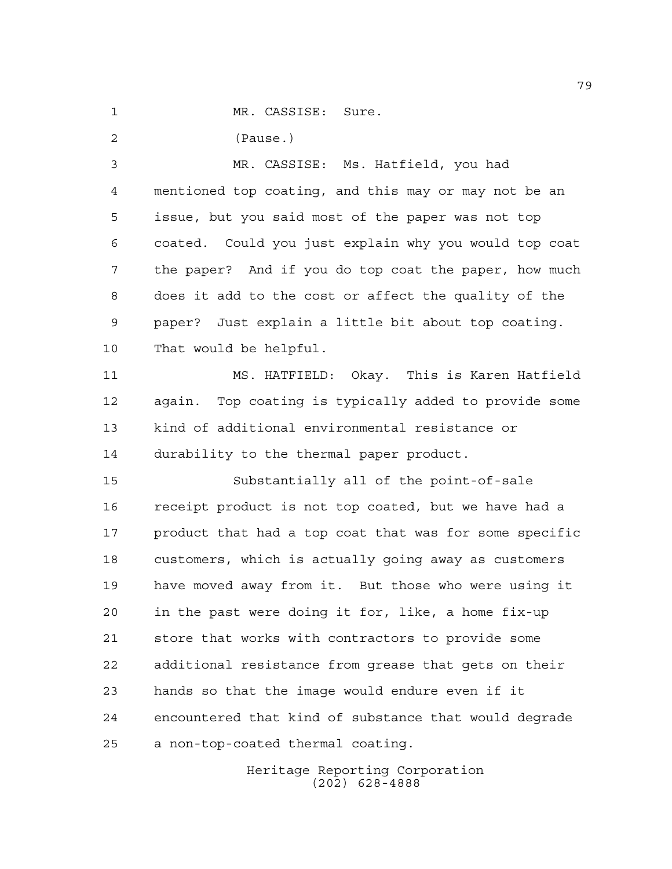1 MR. CASSISE: Sure.

(Pause.)

 MR. CASSISE: Ms. Hatfield, you had mentioned top coating, and this may or may not be an issue, but you said most of the paper was not top coated. Could you just explain why you would top coat the paper? And if you do top coat the paper, how much does it add to the cost or affect the quality of the paper? Just explain a little bit about top coating. That would be helpful.

 MS. HATFIELD: Okay. This is Karen Hatfield again. Top coating is typically added to provide some kind of additional environmental resistance or durability to the thermal paper product.

 Substantially all of the point-of-sale receipt product is not top coated, but we have had a 17 product that had a top coat that was for some specific customers, which is actually going away as customers have moved away from it. But those who were using it in the past were doing it for, like, a home fix-up store that works with contractors to provide some additional resistance from grease that gets on their hands so that the image would endure even if it encountered that kind of substance that would degrade a non-top-coated thermal coating.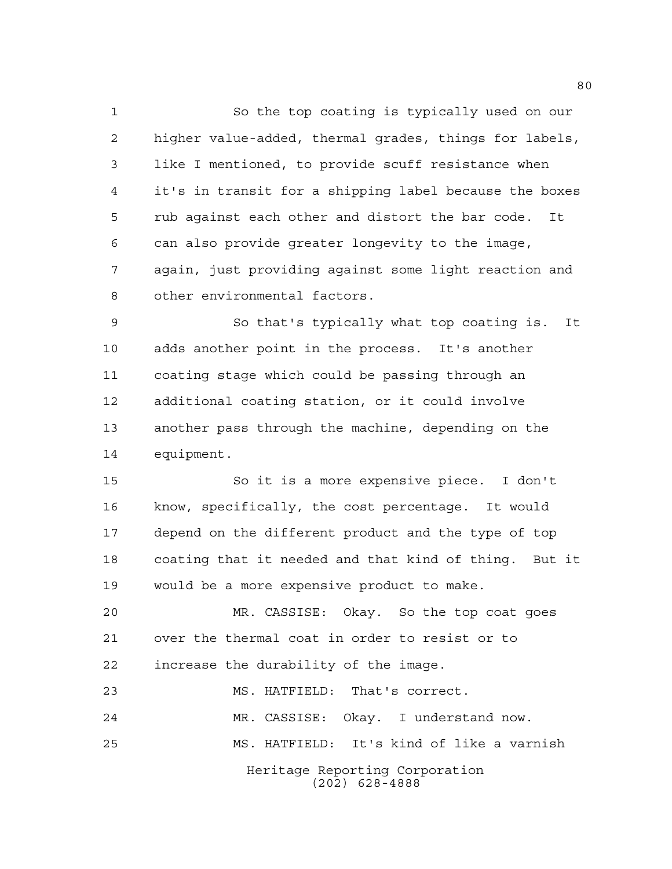So the top coating is typically used on our higher value-added, thermal grades, things for labels, like I mentioned, to provide scuff resistance when it's in transit for a shipping label because the boxes rub against each other and distort the bar code. It can also provide greater longevity to the image, again, just providing against some light reaction and other environmental factors.

 So that's typically what top coating is. It adds another point in the process. It's another coating stage which could be passing through an additional coating station, or it could involve another pass through the machine, depending on the equipment.

 So it is a more expensive piece. I don't know, specifically, the cost percentage. It would depend on the different product and the type of top coating that it needed and that kind of thing. But it would be a more expensive product to make.

 MR. CASSISE: Okay. So the top coat goes over the thermal coat in order to resist or to increase the durability of the image.

Heritage Reporting Corporation (202) 628-4888 MS. HATFIELD: That's correct. MR. CASSISE: Okay. I understand now. MS. HATFIELD: It's kind of like a varnish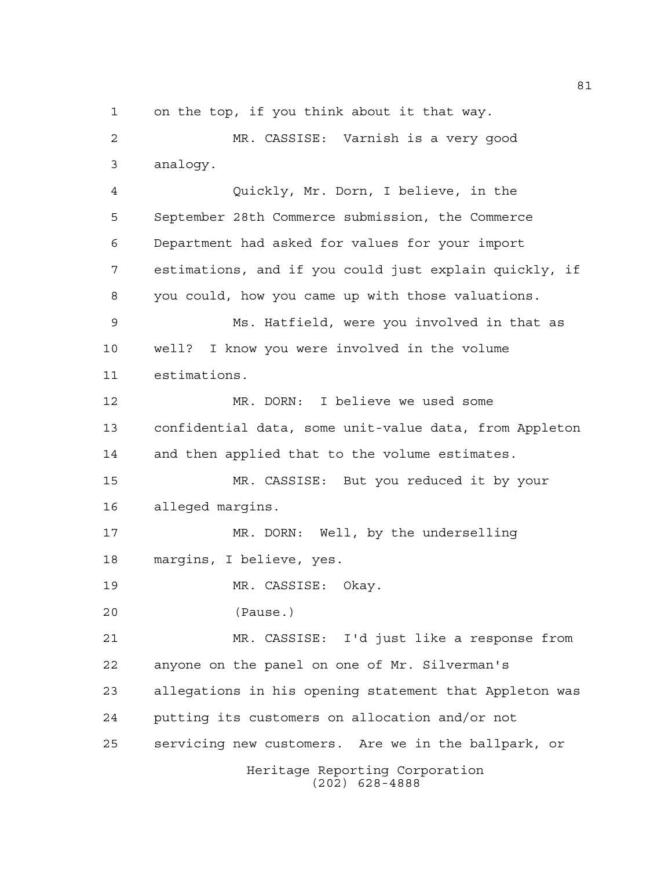on the top, if you think about it that way.

 MR. CASSISE: Varnish is a very good analogy.

 Quickly, Mr. Dorn, I believe, in the September 28th Commerce submission, the Commerce Department had asked for values for your import estimations, and if you could just explain quickly, if you could, how you came up with those valuations. Ms. Hatfield, were you involved in that as well? I know you were involved in the volume estimations. MR. DORN: I believe we used some confidential data, some unit-value data, from Appleton and then applied that to the volume estimates. MR. CASSISE: But you reduced it by your alleged margins. MR. DORN: Well, by the underselling margins, I believe, yes. MR. CASSISE: Okay. (Pause.) MR. CASSISE: I'd just like a response from anyone on the panel on one of Mr. Silverman's allegations in his opening statement that Appleton was putting its customers on allocation and/or not servicing new customers. Are we in the ballpark, or

> Heritage Reporting Corporation (202) 628-4888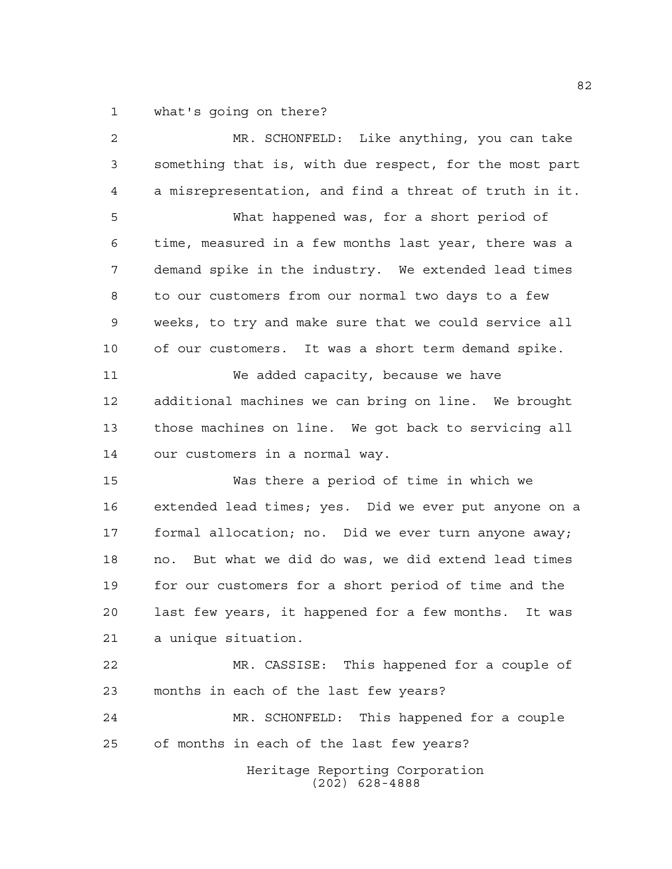what's going on there?

| 2  | MR. SCHONFELD: Like anything, you can take              |
|----|---------------------------------------------------------|
| 3  | something that is, with due respect, for the most part  |
| 4  | a misrepresentation, and find a threat of truth in it.  |
| 5  | What happened was, for a short period of                |
| 6  | time, measured in a few months last year, there was a   |
| 7  | demand spike in the industry. We extended lead times    |
| 8  | to our customers from our normal two days to a few      |
| 9  | weeks, to try and make sure that we could service all   |
| 10 | of our customers. It was a short term demand spike.     |
| 11 | We added capacity, because we have                      |
| 12 | additional machines we can bring on line. We brought    |
| 13 | those machines on line. We got back to servicing all    |
| 14 | our customers in a normal way.                          |
| 15 | Was there a period of time in which we                  |
| 16 | extended lead times; yes. Did we ever put anyone on a   |
| 17 | formal allocation; no. Did we ever turn anyone away;    |
| 18 | But what we did do was, we did extend lead times<br>no. |
| 19 | for our customers for a short period of time and the    |
| 20 | last few years, it happened for a few months.<br>It was |
| 21 | a unique situation.                                     |
| 22 | MR. CASSISE: This happened for a couple of              |
| 23 | months in each of the last few years?                   |
| 24 | MR. SCHONFELD:<br>This happened for a couple            |
| 25 | of months in each of the last few years?                |
|    | Heritage Reporting Corporation<br>$(202)$ 628-4888      |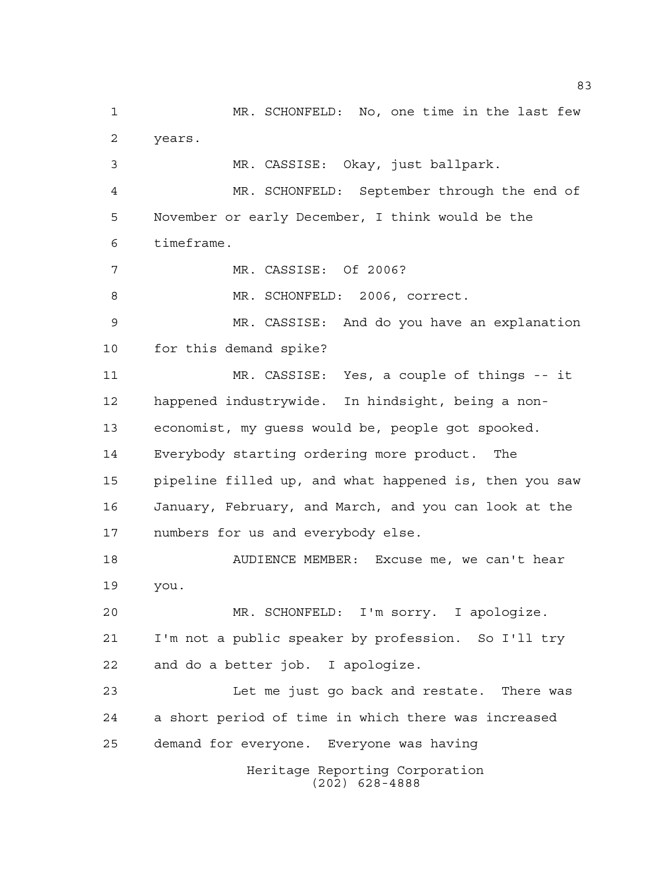Heritage Reporting Corporation (202) 628-4888 MR. SCHONFELD: No, one time in the last few years. MR. CASSISE: Okay, just ballpark. MR. SCHONFELD: September through the end of November or early December, I think would be the timeframe. MR. CASSISE: Of 2006? 8 MR. SCHONFELD: 2006, correct. MR. CASSISE: And do you have an explanation for this demand spike? MR. CASSISE: Yes, a couple of things -- it happened industrywide. In hindsight, being a non- economist, my guess would be, people got spooked. Everybody starting ordering more product. The pipeline filled up, and what happened is, then you saw January, February, and March, and you can look at the numbers for us and everybody else. AUDIENCE MEMBER: Excuse me, we can't hear you. MR. SCHONFELD: I'm sorry. I apologize. I'm not a public speaker by profession. So I'll try and do a better job. I apologize. Let me just go back and restate. There was a short period of time in which there was increased demand for everyone. Everyone was having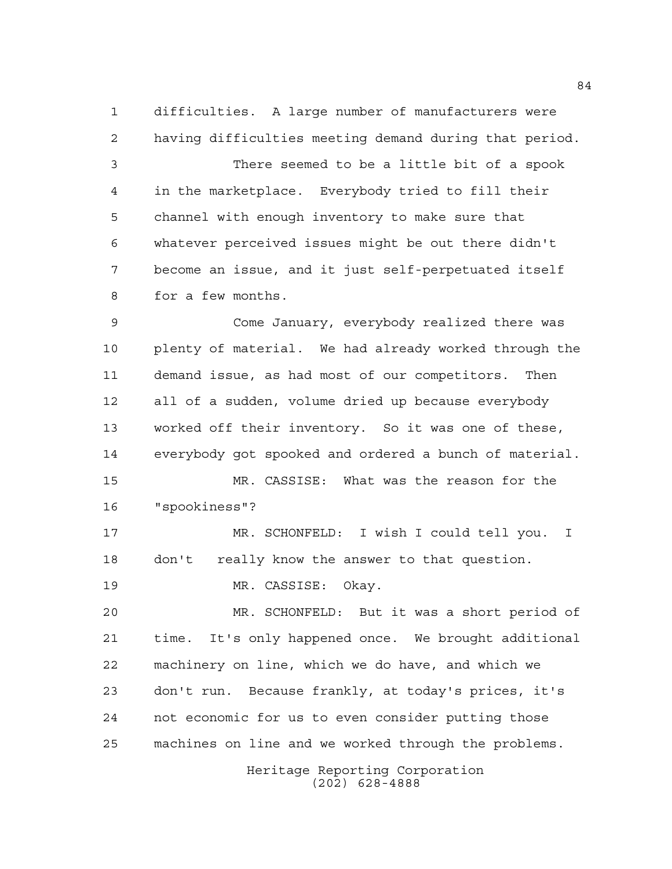difficulties. A large number of manufacturers were having difficulties meeting demand during that period. There seemed to be a little bit of a spook in the marketplace. Everybody tried to fill their channel with enough inventory to make sure that whatever perceived issues might be out there didn't become an issue, and it just self-perpetuated itself for a few months.

 Come January, everybody realized there was plenty of material. We had already worked through the demand issue, as had most of our competitors. Then all of a sudden, volume dried up because everybody worked off their inventory. So it was one of these, everybody got spooked and ordered a bunch of material. MR. CASSISE: What was the reason for the "spookiness"?

 MR. SCHONFELD: I wish I could tell you. I don't really know the answer to that question.

MR. CASSISE: Okay.

 MR. SCHONFELD: But it was a short period of time. It's only happened once. We brought additional machinery on line, which we do have, and which we don't run. Because frankly, at today's prices, it's not economic for us to even consider putting those machines on line and we worked through the problems.

> Heritage Reporting Corporation (202) 628-4888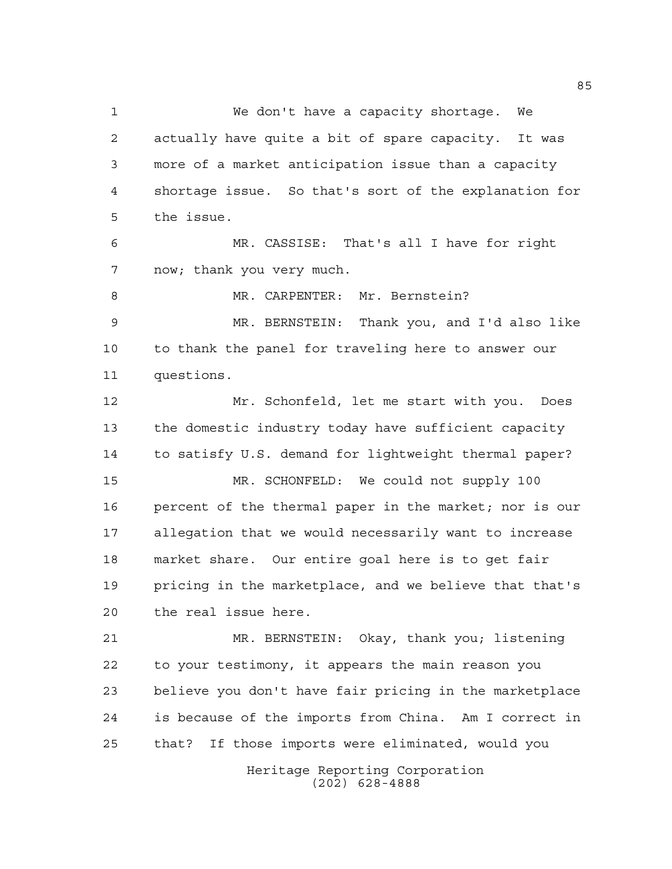We don't have a capacity shortage. We actually have quite a bit of spare capacity. It was more of a market anticipation issue than a capacity shortage issue. So that's sort of the explanation for the issue. MR. CASSISE: That's all I have for right now; thank you very much. 8 MR. CARPENTER: Mr. Bernstein? MR. BERNSTEIN: Thank you, and I'd also like to thank the panel for traveling here to answer our questions. Mr. Schonfeld, let me start with you. Does the domestic industry today have sufficient capacity to satisfy U.S. demand for lightweight thermal paper? MR. SCHONFELD: We could not supply 100 percent of the thermal paper in the market; nor is our allegation that we would necessarily want to increase market share. Our entire goal here is to get fair pricing in the marketplace, and we believe that that's the real issue here. MR. BERNSTEIN: Okay, thank you; listening to your testimony, it appears the main reason you believe you don't have fair pricing in the marketplace is because of the imports from China. Am I correct in that? If those imports were eliminated, would you

> Heritage Reporting Corporation (202) 628-4888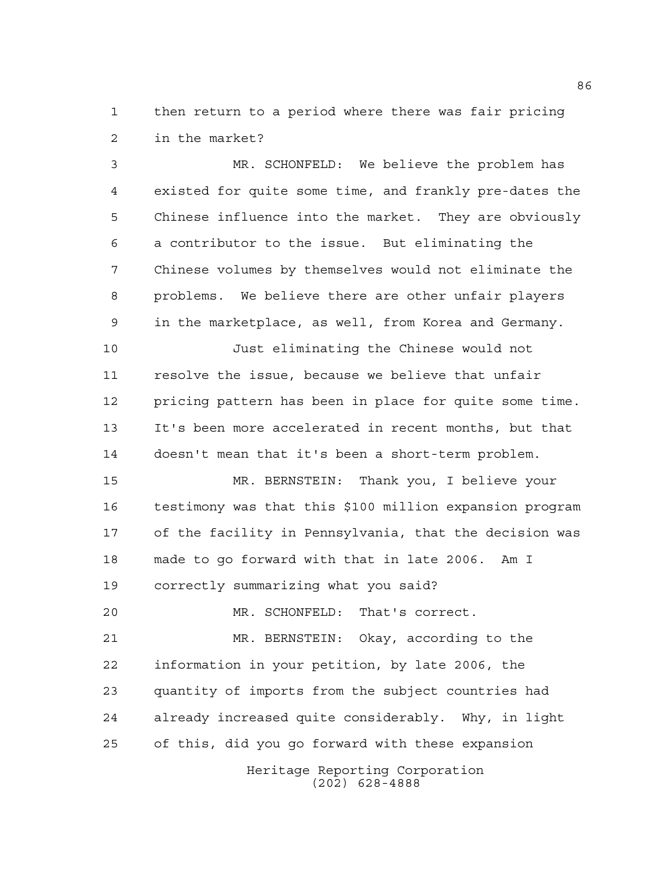then return to a period where there was fair pricing in the market?

 MR. SCHONFELD: We believe the problem has existed for quite some time, and frankly pre-dates the Chinese influence into the market. They are obviously a contributor to the issue. But eliminating the Chinese volumes by themselves would not eliminate the problems. We believe there are other unfair players in the marketplace, as well, from Korea and Germany. Just eliminating the Chinese would not resolve the issue, because we believe that unfair pricing pattern has been in place for quite some time.

 It's been more accelerated in recent months, but that doesn't mean that it's been a short-term problem.

 MR. BERNSTEIN: Thank you, I believe your testimony was that this \$100 million expansion program of the facility in Pennsylvania, that the decision was made to go forward with that in late 2006. Am I correctly summarizing what you said?

MR. SCHONFELD: That's correct.

 MR. BERNSTEIN: Okay, according to the information in your petition, by late 2006, the quantity of imports from the subject countries had already increased quite considerably. Why, in light of this, did you go forward with these expansion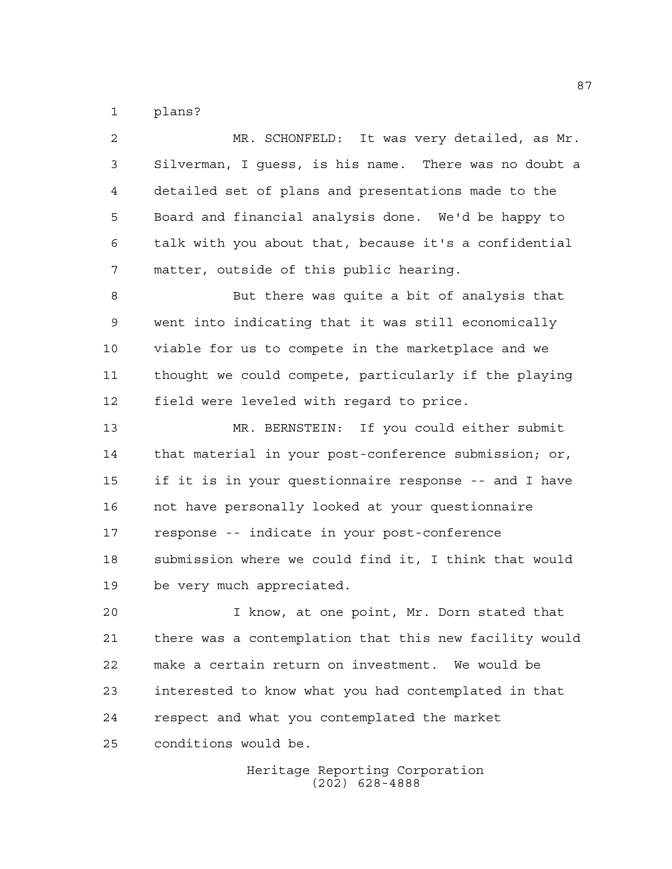plans?

| 2  | MR. SCHONFELD: It was very detailed, as Mr.            |
|----|--------------------------------------------------------|
| 3  | Silverman, I guess, is his name. There was no doubt a  |
| 4  | detailed set of plans and presentations made to the    |
| 5  | Board and financial analysis done. We'd be happy to    |
| 6  | talk with you about that, because it's a confidential  |
| 7  | matter, outside of this public hearing.                |
| 8  | But there was quite a bit of analysis that             |
| 9  | went into indicating that it was still economically    |
| 10 | viable for us to compete in the marketplace and we     |
| 11 | thought we could compete, particularly if the playing  |
| 12 | field were leveled with regard to price.               |
| 13 | MR. BERNSTEIN: If you could either submit              |
| 14 | that material in your post-conference submission; or,  |
| 15 | if it is in your questionnaire response -- and I have  |
| 16 | not have personally looked at your questionnaire       |
| 17 | response -- indicate in your post-conference           |
| 18 | submission where we could find it, I think that would  |
| 19 | be very much appreciated.                              |
| 20 | I know, at one point, Mr. Dorn stated that             |
| 21 | there was a contemplation that this new facility would |
| 22 | make a certain return on investment. We would be       |
| 23 | interested to know what you had contemplated in that   |
| 24 | respect and what you contemplated the market           |

conditions would be.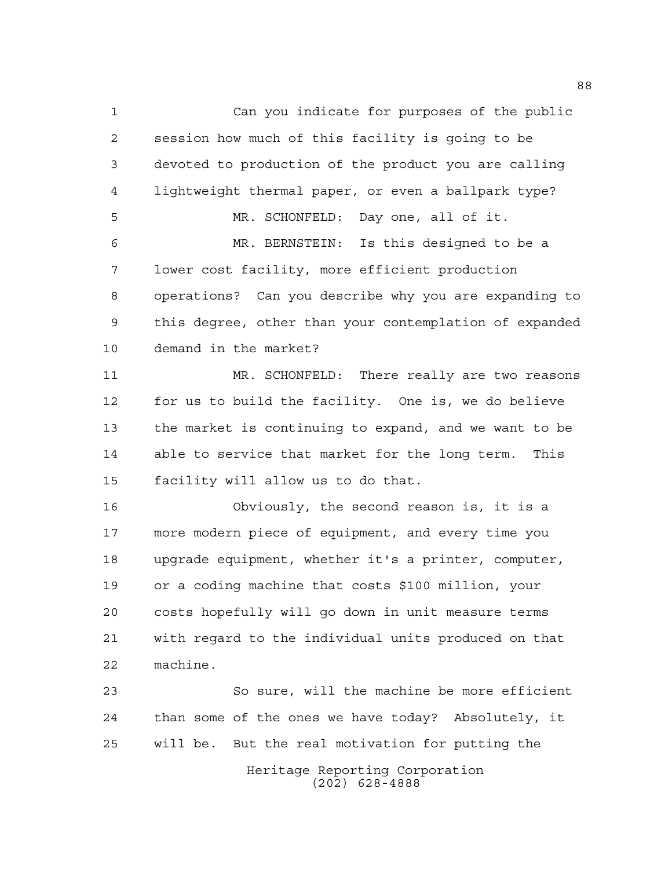Can you indicate for purposes of the public session how much of this facility is going to be devoted to production of the product you are calling lightweight thermal paper, or even a ballpark type? MR. SCHONFELD: Day one, all of it. MR. BERNSTEIN: Is this designed to be a lower cost facility, more efficient production operations? Can you describe why you are expanding to this degree, other than your contemplation of expanded demand in the market? MR. SCHONFELD: There really are two reasons for us to build the facility. One is, we do believe the market is continuing to expand, and we want to be able to service that market for the long term. This facility will allow us to do that. Obviously, the second reason is, it is a more modern piece of equipment, and every time you upgrade equipment, whether it's a printer, computer, or a coding machine that costs \$100 million, your costs hopefully will go down in unit measure terms with regard to the individual units produced on that

 So sure, will the machine be more efficient than some of the ones we have today? Absolutely, it will be. But the real motivation for putting the

machine.

Heritage Reporting Corporation (202) 628-4888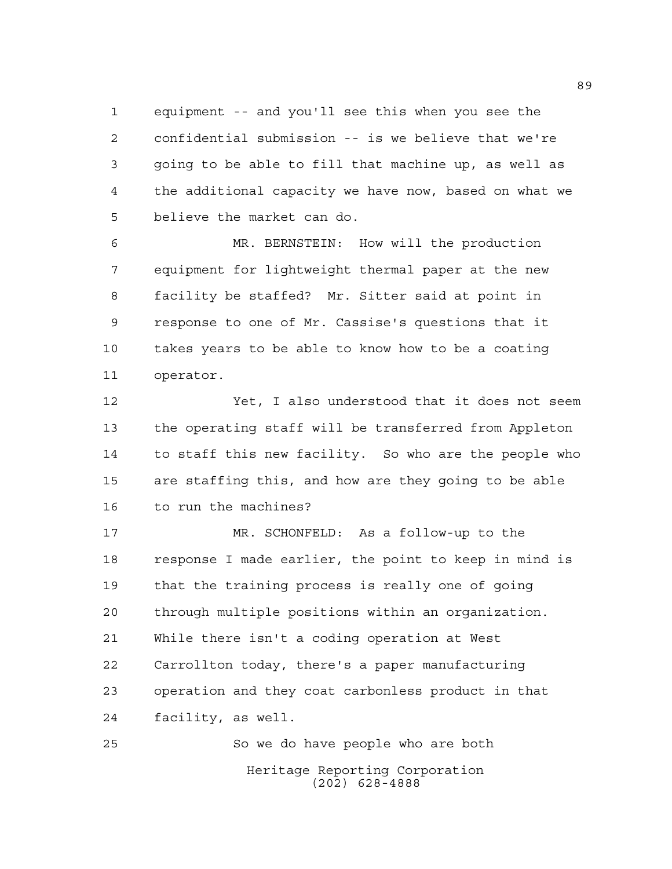equipment -- and you'll see this when you see the confidential submission -- is we believe that we're going to be able to fill that machine up, as well as the additional capacity we have now, based on what we believe the market can do.

 MR. BERNSTEIN: How will the production equipment for lightweight thermal paper at the new facility be staffed? Mr. Sitter said at point in response to one of Mr. Cassise's questions that it takes years to be able to know how to be a coating operator.

 Yet, I also understood that it does not seem the operating staff will be transferred from Appleton to staff this new facility. So who are the people who are staffing this, and how are they going to be able to run the machines?

 MR. SCHONFELD: As a follow-up to the response I made earlier, the point to keep in mind is that the training process is really one of going through multiple positions within an organization. While there isn't a coding operation at West Carrollton today, there's a paper manufacturing operation and they coat carbonless product in that facility, as well.

Heritage Reporting Corporation (202) 628-4888 So we do have people who are both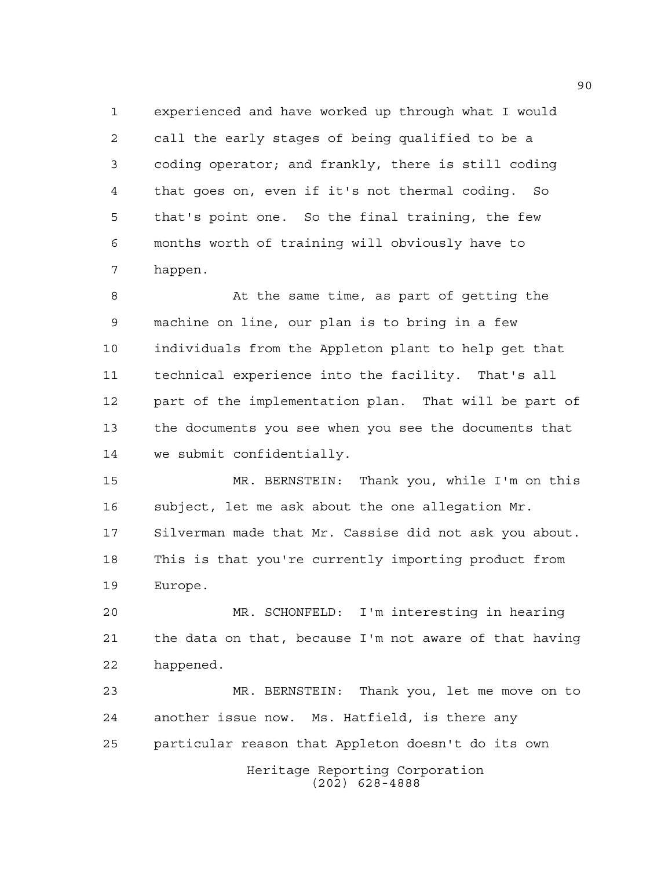experienced and have worked up through what I would call the early stages of being qualified to be a coding operator; and frankly, there is still coding that goes on, even if it's not thermal coding. So that's point one. So the final training, the few months worth of training will obviously have to happen.

 At the same time, as part of getting the machine on line, our plan is to bring in a few individuals from the Appleton plant to help get that technical experience into the facility. That's all part of the implementation plan. That will be part of the documents you see when you see the documents that we submit confidentially.

 MR. BERNSTEIN: Thank you, while I'm on this subject, let me ask about the one allegation Mr. Silverman made that Mr. Cassise did not ask you about. This is that you're currently importing product from Europe.

 MR. SCHONFELD: I'm interesting in hearing the data on that, because I'm not aware of that having happened.

Heritage Reporting Corporation (202) 628-4888 MR. BERNSTEIN: Thank you, let me move on to another issue now. Ms. Hatfield, is there any particular reason that Appleton doesn't do its own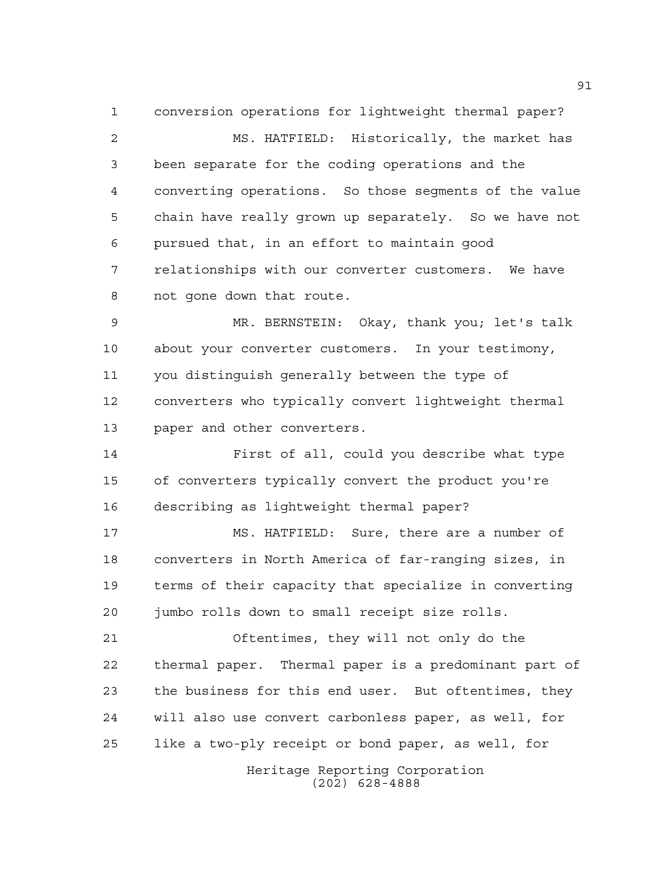conversion operations for lightweight thermal paper? MS. HATFIELD: Historically, the market has been separate for the coding operations and the converting operations. So those segments of the value chain have really grown up separately. So we have not pursued that, in an effort to maintain good relationships with our converter customers. We have not gone down that route.

 MR. BERNSTEIN: Okay, thank you; let's talk about your converter customers. In your testimony, you distinguish generally between the type of converters who typically convert lightweight thermal paper and other converters.

 First of all, could you describe what type of converters typically convert the product you're describing as lightweight thermal paper?

 MS. HATFIELD: Sure, there are a number of converters in North America of far-ranging sizes, in terms of their capacity that specialize in converting jumbo rolls down to small receipt size rolls.

 Oftentimes, they will not only do the thermal paper. Thermal paper is a predominant part of the business for this end user. But oftentimes, they will also use convert carbonless paper, as well, for like a two-ply receipt or bond paper, as well, for

> Heritage Reporting Corporation (202) 628-4888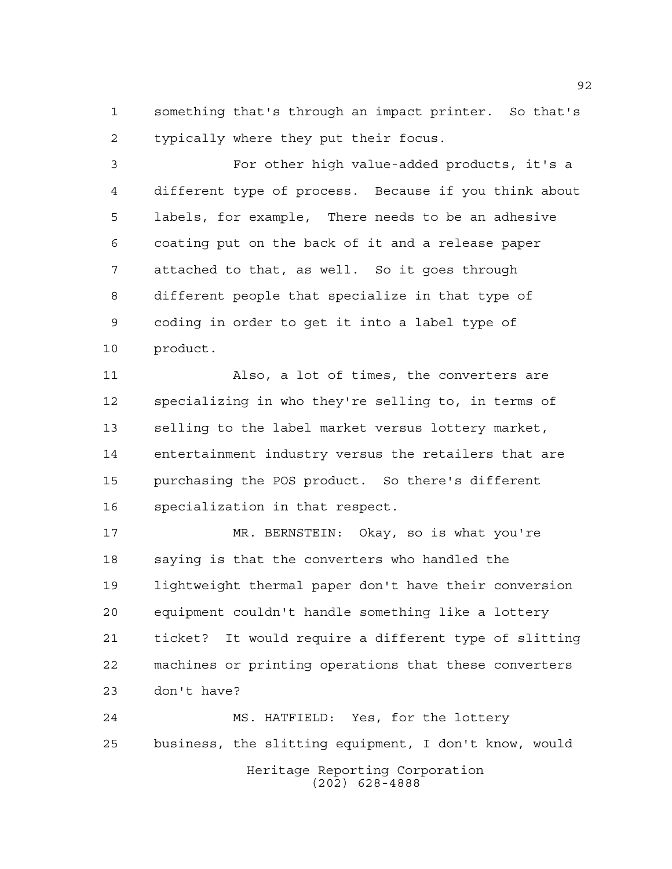something that's through an impact printer. So that's typically where they put their focus.

 For other high value-added products, it's a different type of process. Because if you think about labels, for example, There needs to be an adhesive coating put on the back of it and a release paper attached to that, as well. So it goes through different people that specialize in that type of coding in order to get it into a label type of product.

 Also, a lot of times, the converters are specializing in who they're selling to, in terms of selling to the label market versus lottery market, entertainment industry versus the retailers that are purchasing the POS product. So there's different specialization in that respect.

 MR. BERNSTEIN: Okay, so is what you're saying is that the converters who handled the lightweight thermal paper don't have their conversion equipment couldn't handle something like a lottery ticket? It would require a different type of slitting machines or printing operations that these converters don't have?

Heritage Reporting Corporation (202) 628-4888 MS. HATFIELD: Yes, for the lottery business, the slitting equipment, I don't know, would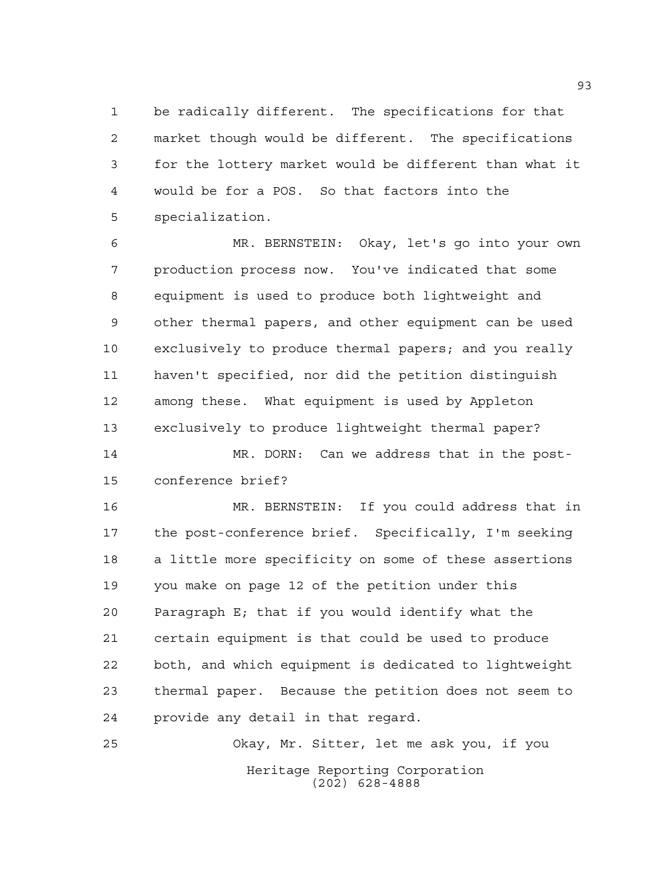be radically different. The specifications for that market though would be different. The specifications for the lottery market would be different than what it would be for a POS. So that factors into the specialization.

 MR. BERNSTEIN: Okay, let's go into your own production process now. You've indicated that some equipment is used to produce both lightweight and other thermal papers, and other equipment can be used exclusively to produce thermal papers; and you really haven't specified, nor did the petition distinguish among these. What equipment is used by Appleton exclusively to produce lightweight thermal paper?

 MR. DORN: Can we address that in the post-conference brief?

 MR. BERNSTEIN: If you could address that in the post-conference brief. Specifically, I'm seeking a little more specificity on some of these assertions you make on page 12 of the petition under this Paragraph E; that if you would identify what the certain equipment is that could be used to produce both, and which equipment is dedicated to lightweight thermal paper. Because the petition does not seem to provide any detail in that regard.

Heritage Reporting Corporation (202) 628-4888 Okay, Mr. Sitter, let me ask you, if you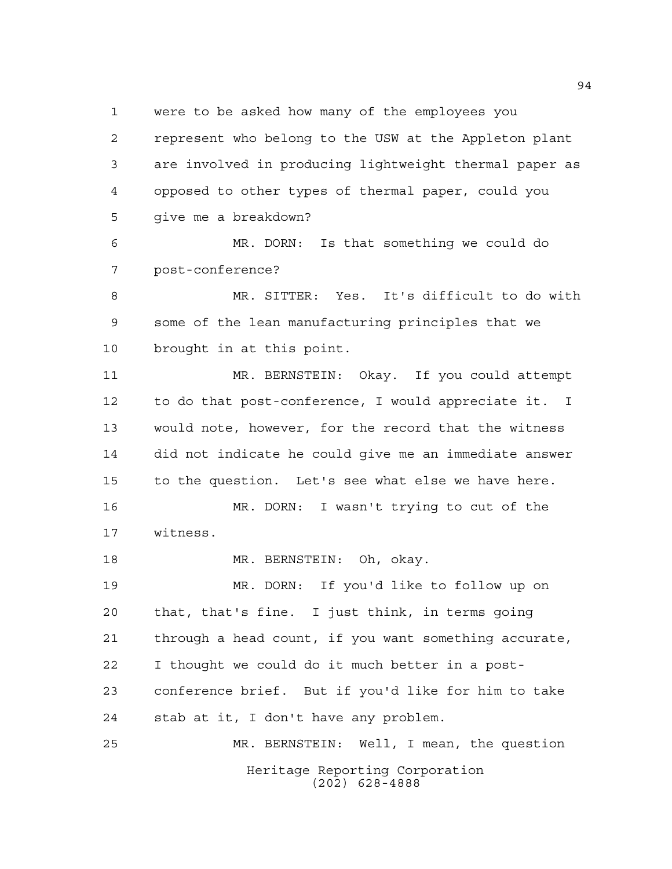were to be asked how many of the employees you

 represent who belong to the USW at the Appleton plant are involved in producing lightweight thermal paper as opposed to other types of thermal paper, could you give me a breakdown?

 MR. DORN: Is that something we could do post-conference?

 MR. SITTER: Yes. It's difficult to do with some of the lean manufacturing principles that we brought in at this point.

 MR. BERNSTEIN: Okay. If you could attempt to do that post-conference, I would appreciate it. I would note, however, for the record that the witness did not indicate he could give me an immediate answer to the question. Let's see what else we have here.

 MR. DORN: I wasn't trying to cut of the witness.

MR. BERNSTEIN: Oh, okay.

 MR. DORN: If you'd like to follow up on that, that's fine. I just think, in terms going through a head count, if you want something accurate, I thought we could do it much better in a post- conference brief. But if you'd like for him to take stab at it, I don't have any problem. MR. BERNSTEIN: Well, I mean, the question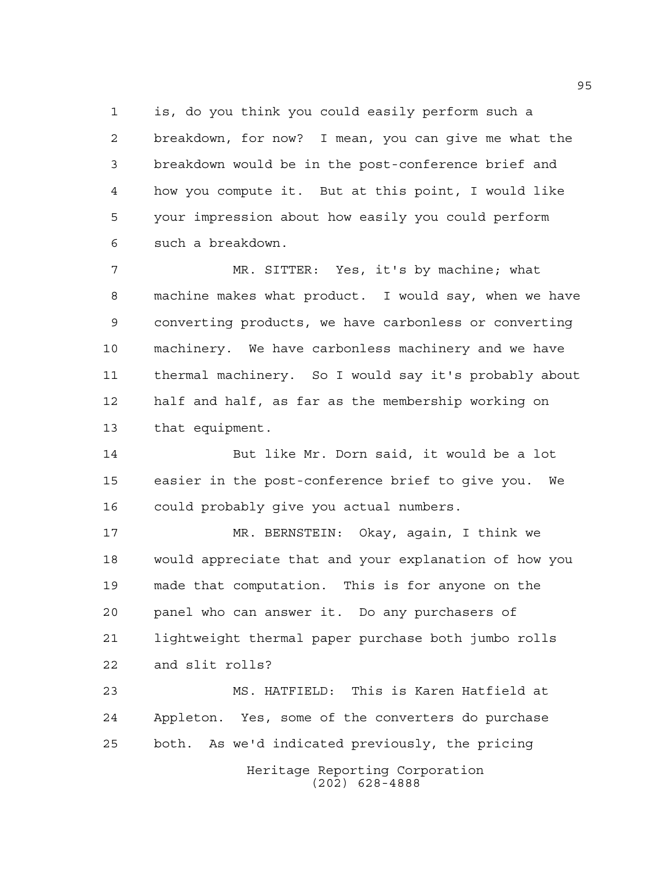is, do you think you could easily perform such a breakdown, for now? I mean, you can give me what the breakdown would be in the post-conference brief and how you compute it. But at this point, I would like your impression about how easily you could perform such a breakdown.

 MR. SITTER: Yes, it's by machine; what machine makes what product. I would say, when we have converting products, we have carbonless or converting machinery. We have carbonless machinery and we have thermal machinery. So I would say it's probably about half and half, as far as the membership working on that equipment.

 But like Mr. Dorn said, it would be a lot easier in the post-conference brief to give you. We could probably give you actual numbers.

 MR. BERNSTEIN: Okay, again, I think we would appreciate that and your explanation of how you made that computation. This is for anyone on the panel who can answer it. Do any purchasers of lightweight thermal paper purchase both jumbo rolls and slit rolls?

 MS. HATFIELD: This is Karen Hatfield at Appleton. Yes, some of the converters do purchase both. As we'd indicated previously, the pricing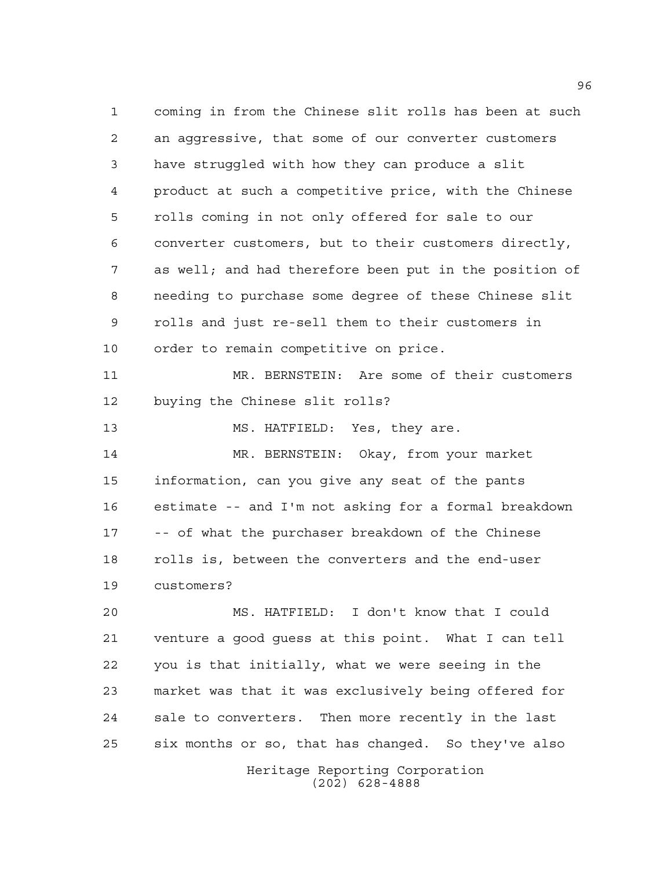coming in from the Chinese slit rolls has been at such an aggressive, that some of our converter customers have struggled with how they can produce a slit product at such a competitive price, with the Chinese rolls coming in not only offered for sale to our converter customers, but to their customers directly, as well; and had therefore been put in the position of needing to purchase some degree of these Chinese slit rolls and just re-sell them to their customers in order to remain competitive on price. MR. BERNSTEIN: Are some of their customers buying the Chinese slit rolls? MS. HATFIELD: Yes, they are. MR. BERNSTEIN: Okay, from your market information, can you give any seat of the pants estimate -- and I'm not asking for a formal breakdown -- of what the purchaser breakdown of the Chinese rolls is, between the converters and the end-user customers? MS. HATFIELD: I don't know that I could venture a good guess at this point. What I can tell you is that initially, what we were seeing in the market was that it was exclusively being offered for sale to converters. Then more recently in the last

> Heritage Reporting Corporation (202) 628-4888

six months or so, that has changed. So they've also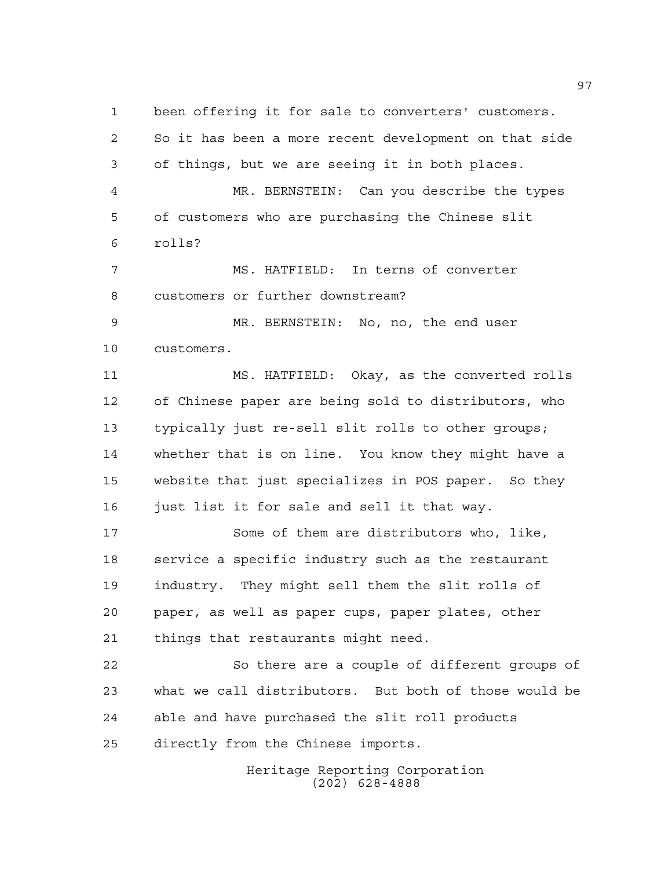So it has been a more recent development on that side of things, but we are seeing it in both places. MR. BERNSTEIN: Can you describe the types of customers who are purchasing the Chinese slit rolls? MS. HATFIELD: In terns of converter customers or further downstream? MR. BERNSTEIN: No, no, the end user customers. MS. HATFIELD: Okay, as the converted rolls of Chinese paper are being sold to distributors, who typically just re-sell slit rolls to other groups; whether that is on line. You know they might have a website that just specializes in POS paper. So they just list it for sale and sell it that way. Some of them are distributors who, like, service a specific industry such as the restaurant industry. They might sell them the slit rolls of paper, as well as paper cups, paper plates, other things that restaurants might need. So there are a couple of different groups of what we call distributors. But both of those would be able and have purchased the slit roll products directly from the Chinese imports.

been offering it for sale to converters' customers.

Heritage Reporting Corporation (202) 628-4888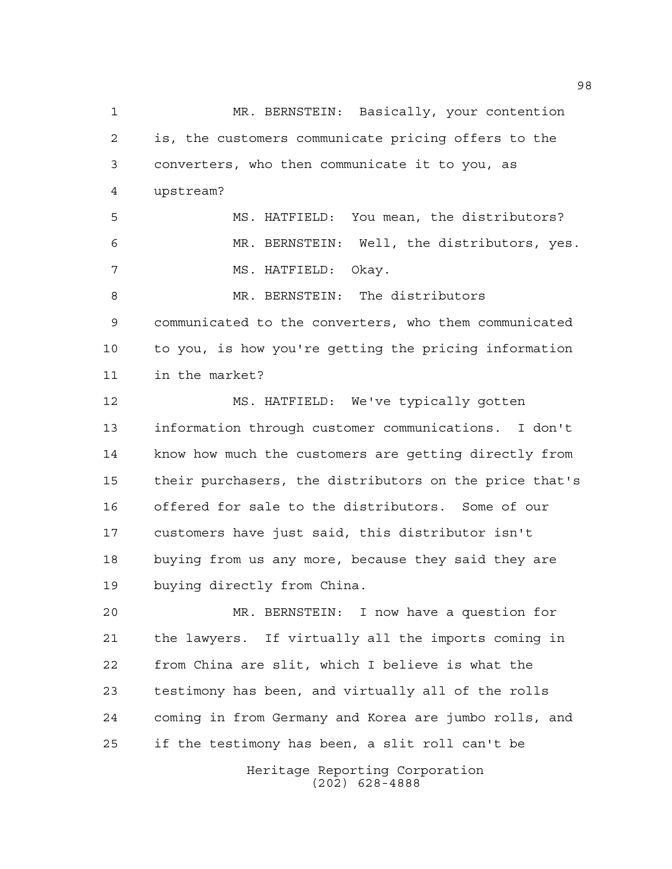Heritage Reporting Corporation (202) 628-4888 MR. BERNSTEIN: Basically, your contention is, the customers communicate pricing offers to the converters, who then communicate it to you, as upstream? MS. HATFIELD: You mean, the distributors? MR. BERNSTEIN: Well, the distributors, yes. MS. HATFIELD: Okay. 8 MR. BERNSTEIN: The distributors communicated to the converters, who them communicated to you, is how you're getting the pricing information in the market? MS. HATFIELD: We've typically gotten information through customer communications. I don't know how much the customers are getting directly from their purchasers, the distributors on the price that's offered for sale to the distributors. Some of our customers have just said, this distributor isn't buying from us any more, because they said they are buying directly from China. MR. BERNSTEIN: I now have a question for the lawyers. If virtually all the imports coming in from China are slit, which I believe is what the testimony has been, and virtually all of the rolls coming in from Germany and Korea are jumbo rolls, and if the testimony has been, a slit roll can't be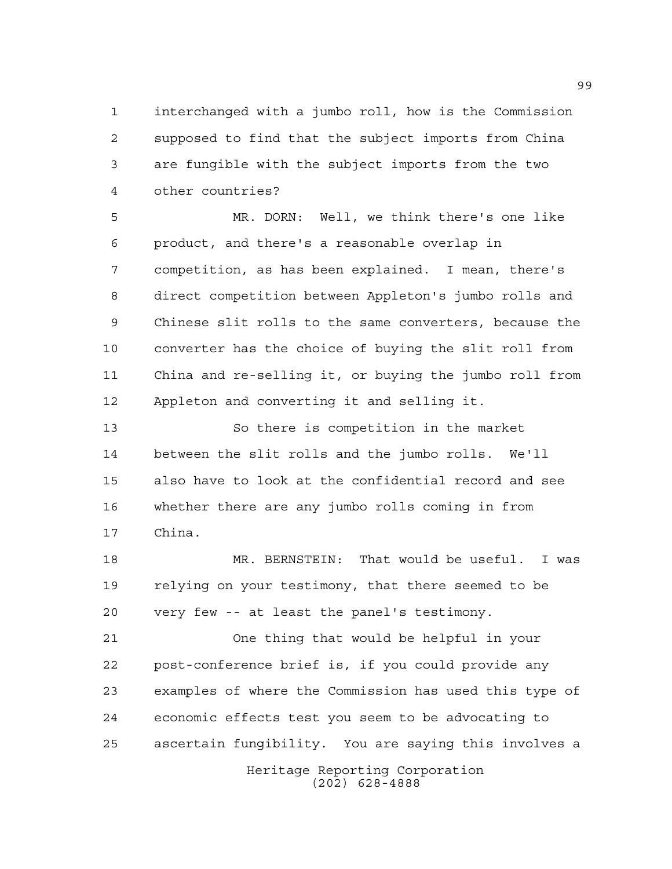interchanged with a jumbo roll, how is the Commission supposed to find that the subject imports from China are fungible with the subject imports from the two other countries?

 MR. DORN: Well, we think there's one like product, and there's a reasonable overlap in competition, as has been explained. I mean, there's direct competition between Appleton's jumbo rolls and Chinese slit rolls to the same converters, because the converter has the choice of buying the slit roll from China and re-selling it, or buying the jumbo roll from Appleton and converting it and selling it.

 So there is competition in the market between the slit rolls and the jumbo rolls. We'll also have to look at the confidential record and see whether there are any jumbo rolls coming in from China.

 MR. BERNSTEIN: That would be useful. I was relying on your testimony, that there seemed to be very few -- at least the panel's testimony.

 One thing that would be helpful in your post-conference brief is, if you could provide any examples of where the Commission has used this type of economic effects test you seem to be advocating to ascertain fungibility. You are saying this involves a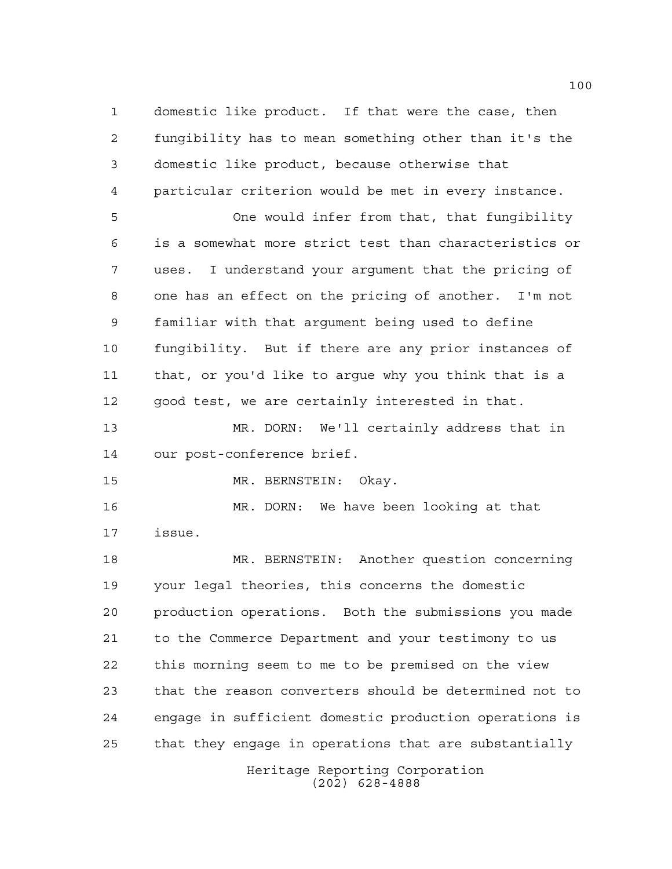Heritage Reporting Corporation domestic like product. If that were the case, then fungibility has to mean something other than it's the domestic like product, because otherwise that particular criterion would be met in every instance. One would infer from that, that fungibility is a somewhat more strict test than characteristics or uses. I understand your argument that the pricing of one has an effect on the pricing of another. I'm not familiar with that argument being used to define fungibility. But if there are any prior instances of that, or you'd like to argue why you think that is a good test, we are certainly interested in that. MR. DORN: We'll certainly address that in our post-conference brief. MR. BERNSTEIN: Okay. MR. DORN: We have been looking at that issue. MR. BERNSTEIN: Another question concerning your legal theories, this concerns the domestic production operations. Both the submissions you made to the Commerce Department and your testimony to us this morning seem to me to be premised on the view that the reason converters should be determined not to engage in sufficient domestic production operations is that they engage in operations that are substantially

(202) 628-4888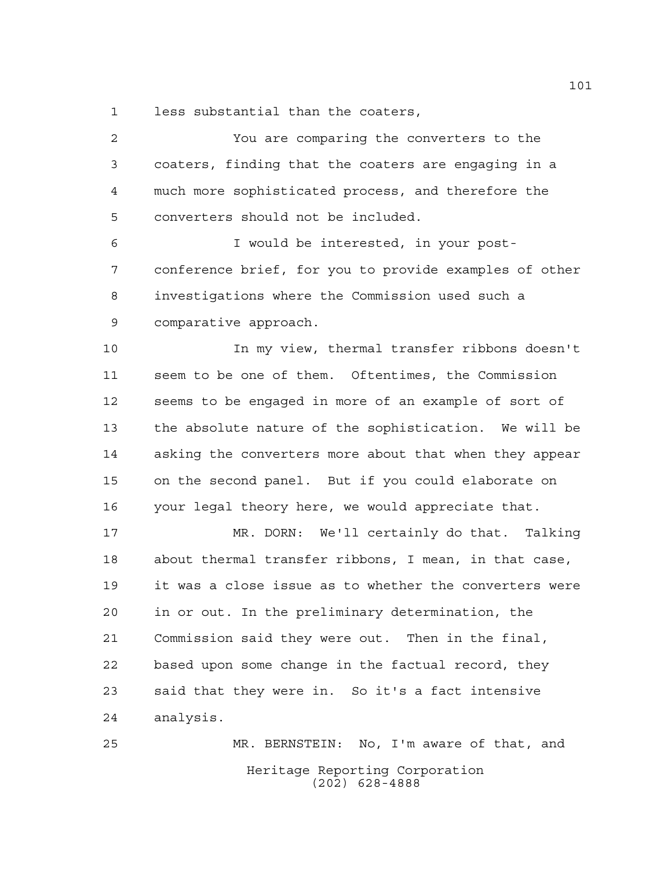less substantial than the coaters,

 You are comparing the converters to the coaters, finding that the coaters are engaging in a much more sophisticated process, and therefore the converters should not be included. I would be interested, in your post- conference brief, for you to provide examples of other investigations where the Commission used such a comparative approach. In my view, thermal transfer ribbons doesn't seem to be one of them. Oftentimes, the Commission seems to be engaged in more of an example of sort of the absolute nature of the sophistication. We will be asking the converters more about that when they appear on the second panel. But if you could elaborate on your legal theory here, we would appreciate that.

 MR. DORN: We'll certainly do that. Talking about thermal transfer ribbons, I mean, in that case, it was a close issue as to whether the converters were in or out. In the preliminary determination, the Commission said they were out. Then in the final, based upon some change in the factual record, they said that they were in. So it's a fact intensive analysis.

Heritage Reporting Corporation (202) 628-4888 MR. BERNSTEIN: No, I'm aware of that, and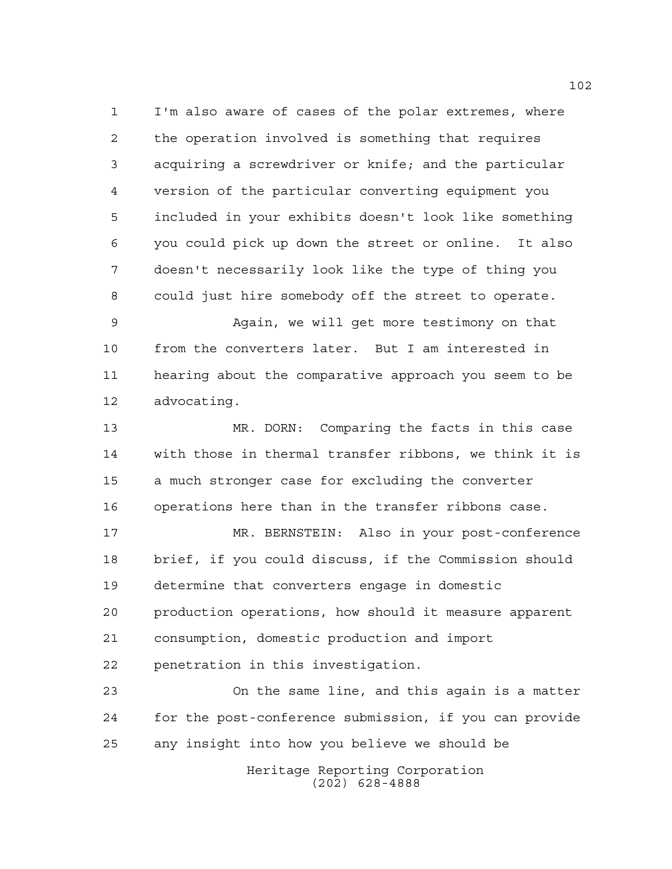I'm also aware of cases of the polar extremes, where the operation involved is something that requires acquiring a screwdriver or knife; and the particular version of the particular converting equipment you included in your exhibits doesn't look like something you could pick up down the street or online. It also doesn't necessarily look like the type of thing you could just hire somebody off the street to operate.

 Again, we will get more testimony on that from the converters later. But I am interested in hearing about the comparative approach you seem to be advocating.

 MR. DORN: Comparing the facts in this case with those in thermal transfer ribbons, we think it is a much stronger case for excluding the converter operations here than in the transfer ribbons case.

 MR. BERNSTEIN: Also in your post-conference brief, if you could discuss, if the Commission should determine that converters engage in domestic production operations, how should it measure apparent consumption, domestic production and import penetration in this investigation.

 On the same line, and this again is a matter for the post-conference submission, if you can provide any insight into how you believe we should be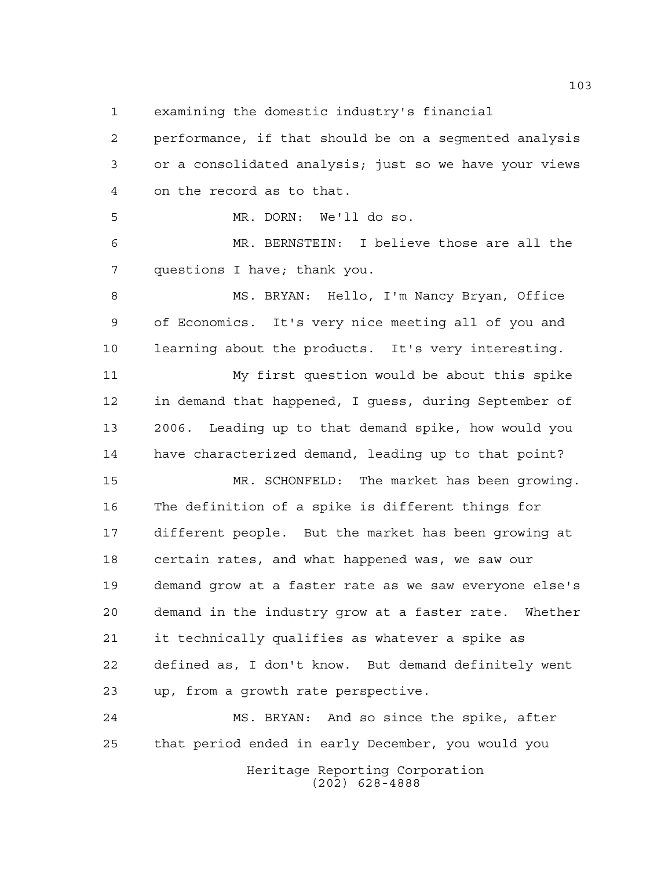examining the domestic industry's financial

 performance, if that should be on a segmented analysis or a consolidated analysis; just so we have your views on the record as to that.

MR. DORN: We'll do so.

 MR. BERNSTEIN: I believe those are all the questions I have; thank you.

8 MS. BRYAN: Hello, I'm Nancy Bryan, Office of Economics. It's very nice meeting all of you and learning about the products. It's very interesting.

 My first question would be about this spike in demand that happened, I guess, during September of 2006. Leading up to that demand spike, how would you have characterized demand, leading up to that point?

 MR. SCHONFELD: The market has been growing. The definition of a spike is different things for different people. But the market has been growing at certain rates, and what happened was, we saw our demand grow at a faster rate as we saw everyone else's demand in the industry grow at a faster rate. Whether it technically qualifies as whatever a spike as defined as, I don't know. But demand definitely went up, from a growth rate perspective.

Heritage Reporting Corporation MS. BRYAN: And so since the spike, after that period ended in early December, you would you

(202) 628-4888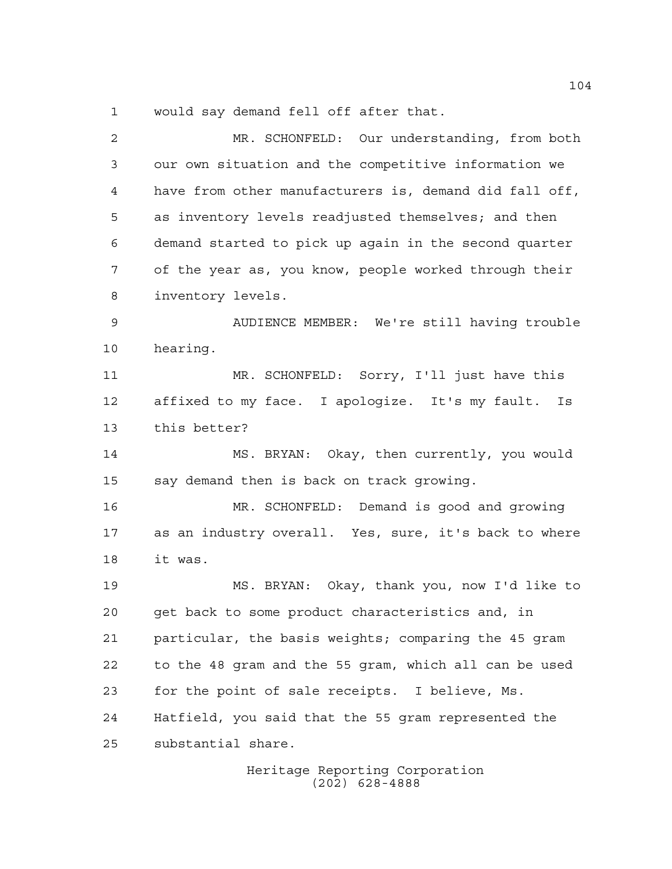would say demand fell off after that.

 MR. SCHONFELD: Our understanding, from both our own situation and the competitive information we have from other manufacturers is, demand did fall off, as inventory levels readjusted themselves; and then demand started to pick up again in the second quarter of the year as, you know, people worked through their inventory levels. AUDIENCE MEMBER: We're still having trouble hearing. MR. SCHONFELD: Sorry, I'll just have this affixed to my face. I apologize. It's my fault. Is this better? MS. BRYAN: Okay, then currently, you would say demand then is back on track growing. MR. SCHONFELD: Demand is good and growing as an industry overall. Yes, sure, it's back to where it was. MS. BRYAN: Okay, thank you, now I'd like to get back to some product characteristics and, in particular, the basis weights; comparing the 45 gram to the 48 gram and the 55 gram, which all can be used for the point of sale receipts. I believe, Ms. Hatfield, you said that the 55 gram represented the substantial share.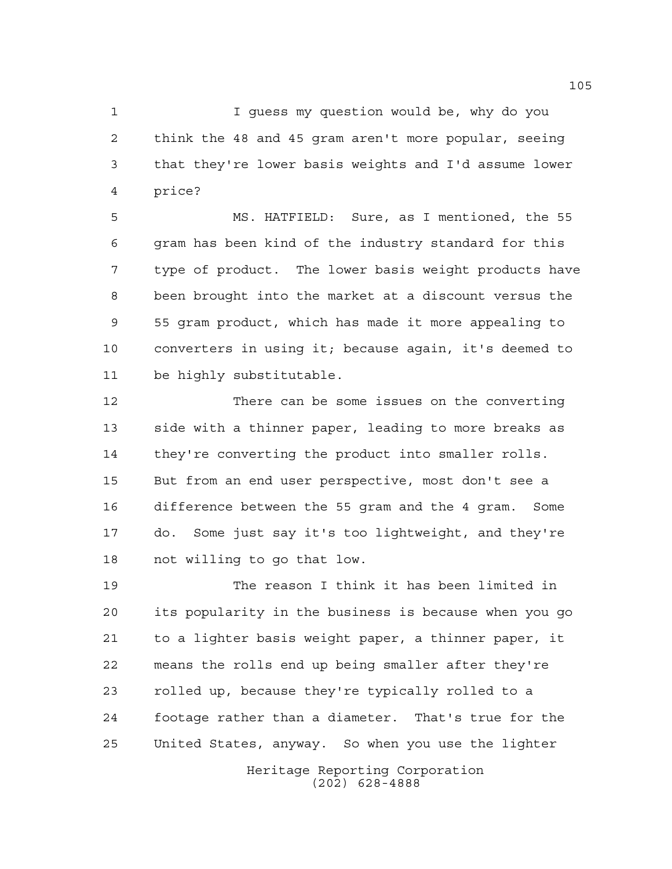I guess my question would be, why do you think the 48 and 45 gram aren't more popular, seeing that they're lower basis weights and I'd assume lower price?

 MS. HATFIELD: Sure, as I mentioned, the 55 gram has been kind of the industry standard for this type of product. The lower basis weight products have been brought into the market at a discount versus the 55 gram product, which has made it more appealing to converters in using it; because again, it's deemed to be highly substitutable.

 There can be some issues on the converting side with a thinner paper, leading to more breaks as they're converting the product into smaller rolls. But from an end user perspective, most don't see a difference between the 55 gram and the 4 gram. Some do. Some just say it's too lightweight, and they're not willing to go that low.

 The reason I think it has been limited in its popularity in the business is because when you go to a lighter basis weight paper, a thinner paper, it means the rolls end up being smaller after they're rolled up, because they're typically rolled to a footage rather than a diameter. That's true for the United States, anyway. So when you use the lighter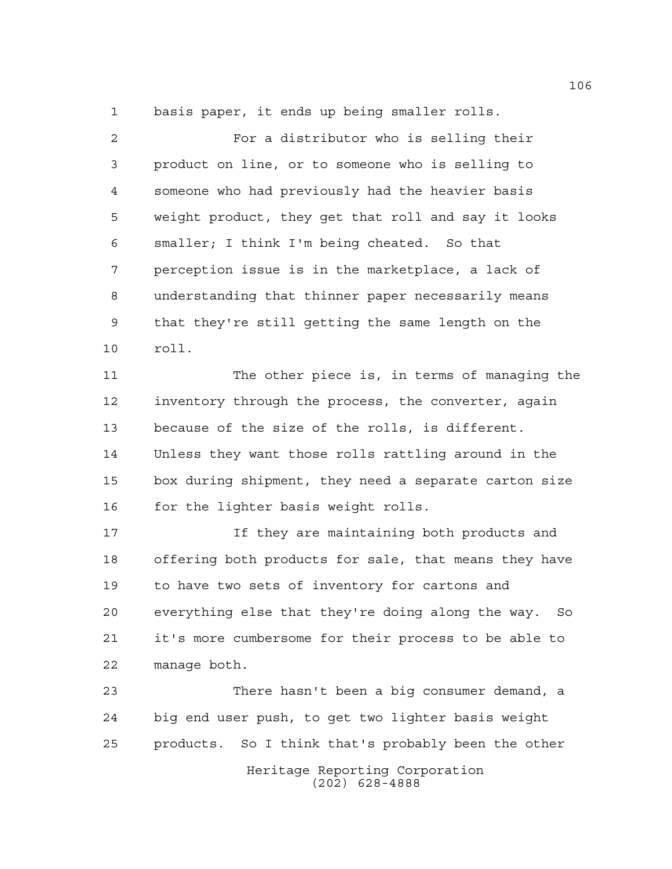basis paper, it ends up being smaller rolls.

 For a distributor who is selling their product on line, or to someone who is selling to someone who had previously had the heavier basis weight product, they get that roll and say it looks smaller; I think I'm being cheated. So that perception issue is in the marketplace, a lack of understanding that thinner paper necessarily means that they're still getting the same length on the roll.

 The other piece is, in terms of managing the inventory through the process, the converter, again because of the size of the rolls, is different. Unless they want those rolls rattling around in the box during shipment, they need a separate carton size 16 for the lighter basis weight rolls.

 If they are maintaining both products and offering both products for sale, that means they have to have two sets of inventory for cartons and everything else that they're doing along the way. So it's more cumbersome for their process to be able to manage both.

 There hasn't been a big consumer demand, a big end user push, to get two lighter basis weight products. So I think that's probably been the other

> Heritage Reporting Corporation (202) 628-4888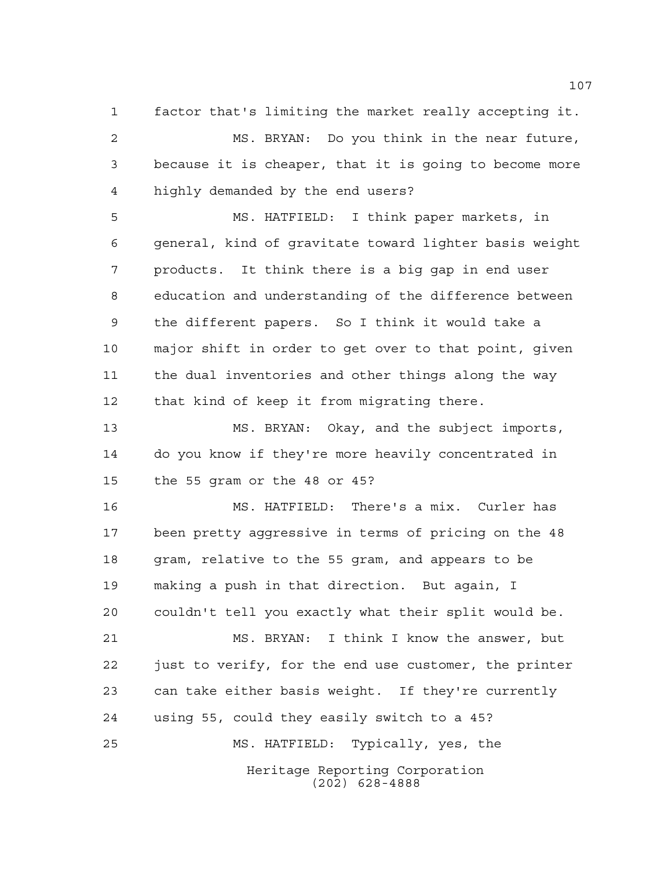factor that's limiting the market really accepting it. MS. BRYAN: Do you think in the near future, because it is cheaper, that it is going to become more highly demanded by the end users?

 MS. HATFIELD: I think paper markets, in general, kind of gravitate toward lighter basis weight products. It think there is a big gap in end user education and understanding of the difference between the different papers. So I think it would take a major shift in order to get over to that point, given the dual inventories and other things along the way that kind of keep it from migrating there.

 MS. BRYAN: Okay, and the subject imports, do you know if they're more heavily concentrated in the 55 gram or the 48 or 45?

 MS. HATFIELD: There's a mix. Curler has been pretty aggressive in terms of pricing on the 48 gram, relative to the 55 gram, and appears to be making a push in that direction. But again, I couldn't tell you exactly what their split would be. MS. BRYAN: I think I know the answer, but just to verify, for the end use customer, the printer can take either basis weight. If they're currently using 55, could they easily switch to a 45? MS. HATFIELD: Typically, yes, the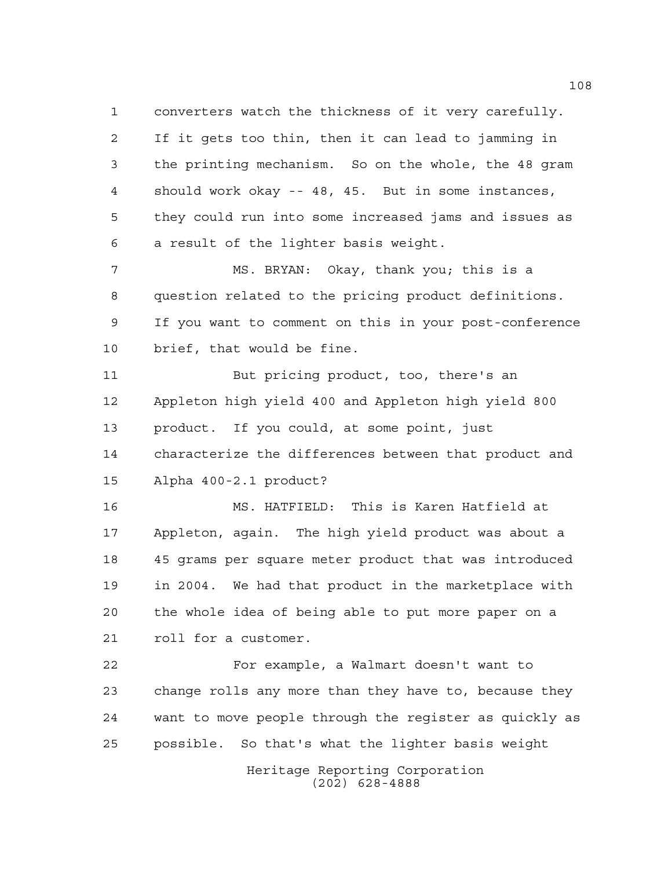converters watch the thickness of it very carefully. If it gets too thin, then it can lead to jamming in the printing mechanism. So on the whole, the 48 gram should work okay -- 48, 45. But in some instances, they could run into some increased jams and issues as a result of the lighter basis weight.

 MS. BRYAN: Okay, thank you; this is a question related to the pricing product definitions. If you want to comment on this in your post-conference brief, that would be fine.

11 But pricing product, too, there's an Appleton high yield 400 and Appleton high yield 800 product. If you could, at some point, just characterize the differences between that product and Alpha 400-2.1 product?

 MS. HATFIELD: This is Karen Hatfield at Appleton, again. The high yield product was about a 45 grams per square meter product that was introduced in 2004. We had that product in the marketplace with the whole idea of being able to put more paper on a roll for a customer.

 For example, a Walmart doesn't want to change rolls any more than they have to, because they want to move people through the register as quickly as possible. So that's what the lighter basis weight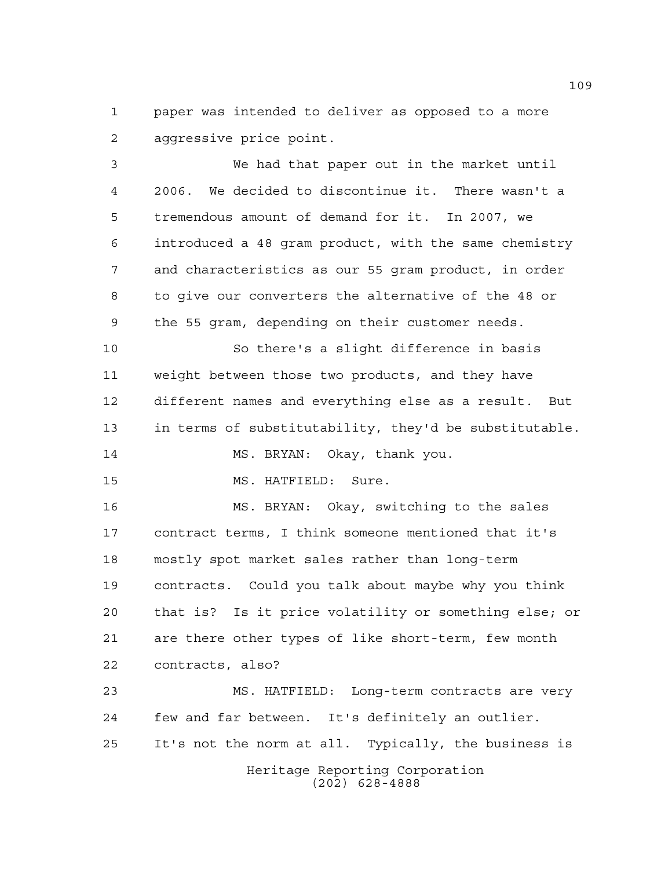paper was intended to deliver as opposed to a more aggressive price point.

 We had that paper out in the market until 2006. We decided to discontinue it. There wasn't a tremendous amount of demand for it. In 2007, we introduced a 48 gram product, with the same chemistry and characteristics as our 55 gram product, in order to give our converters the alternative of the 48 or the 55 gram, depending on their customer needs.

 So there's a slight difference in basis weight between those two products, and they have different names and everything else as a result. But in terms of substitutability, they'd be substitutable. MS. BRYAN: Okay, thank you.

MS. HATFIELD: Sure.

 MS. BRYAN: Okay, switching to the sales contract terms, I think someone mentioned that it's mostly spot market sales rather than long-term contracts. Could you talk about maybe why you think that is? Is it price volatility or something else; or are there other types of like short-term, few month contracts, also?

Heritage Reporting Corporation (202) 628-4888 MS. HATFIELD: Long-term contracts are very few and far between. It's definitely an outlier. It's not the norm at all. Typically, the business is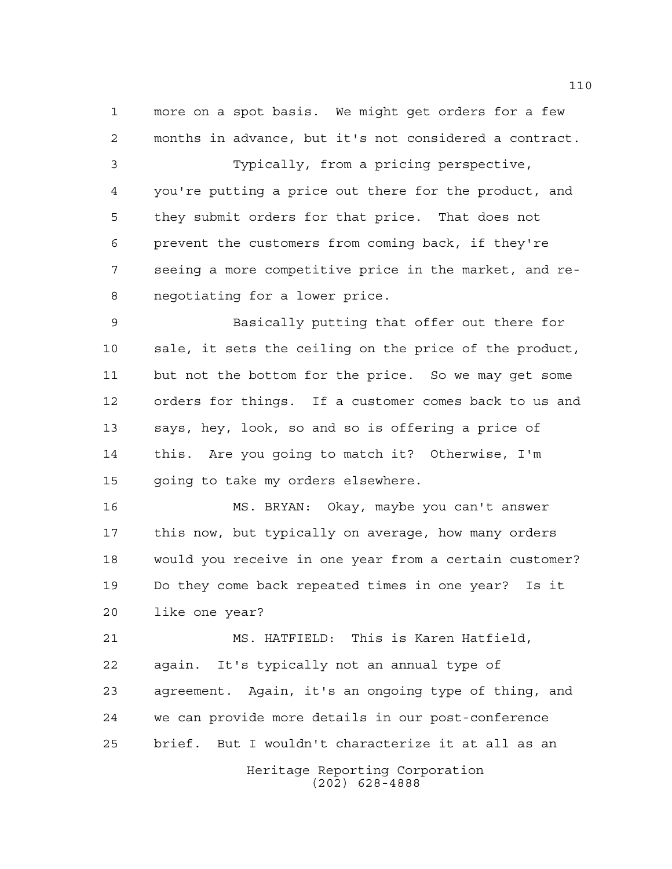more on a spot basis. We might get orders for a few months in advance, but it's not considered a contract.

 Typically, from a pricing perspective, you're putting a price out there for the product, and they submit orders for that price. That does not prevent the customers from coming back, if they're seeing a more competitive price in the market, and re-negotiating for a lower price.

 Basically putting that offer out there for sale, it sets the ceiling on the price of the product, but not the bottom for the price. So we may get some orders for things. If a customer comes back to us and says, hey, look, so and so is offering a price of this. Are you going to match it? Otherwise, I'm going to take my orders elsewhere.

 MS. BRYAN: Okay, maybe you can't answer this now, but typically on average, how many orders would you receive in one year from a certain customer? Do they come back repeated times in one year? Is it like one year?

 MS. HATFIELD: This is Karen Hatfield, again. It's typically not an annual type of agreement. Again, it's an ongoing type of thing, and we can provide more details in our post-conference brief. But I wouldn't characterize it at all as an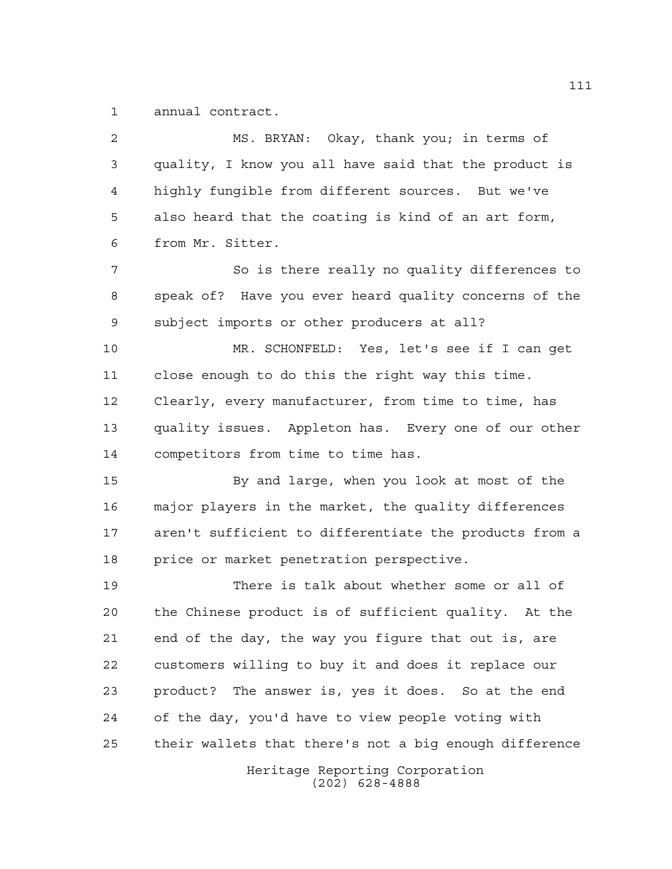annual contract.

Heritage Reporting Corporation (202) 628-4888 MS. BRYAN: Okay, thank you; in terms of quality, I know you all have said that the product is highly fungible from different sources. But we've also heard that the coating is kind of an art form, from Mr. Sitter. 7 So is there really no quality differences to speak of? Have you ever heard quality concerns of the subject imports or other producers at all? MR. SCHONFELD: Yes, let's see if I can get close enough to do this the right way this time. Clearly, every manufacturer, from time to time, has quality issues. Appleton has. Every one of our other competitors from time to time has. By and large, when you look at most of the major players in the market, the quality differences aren't sufficient to differentiate the products from a price or market penetration perspective. There is talk about whether some or all of the Chinese product is of sufficient quality. At the end of the day, the way you figure that out is, are customers willing to buy it and does it replace our product? The answer is, yes it does. So at the end of the day, you'd have to view people voting with their wallets that there's not a big enough difference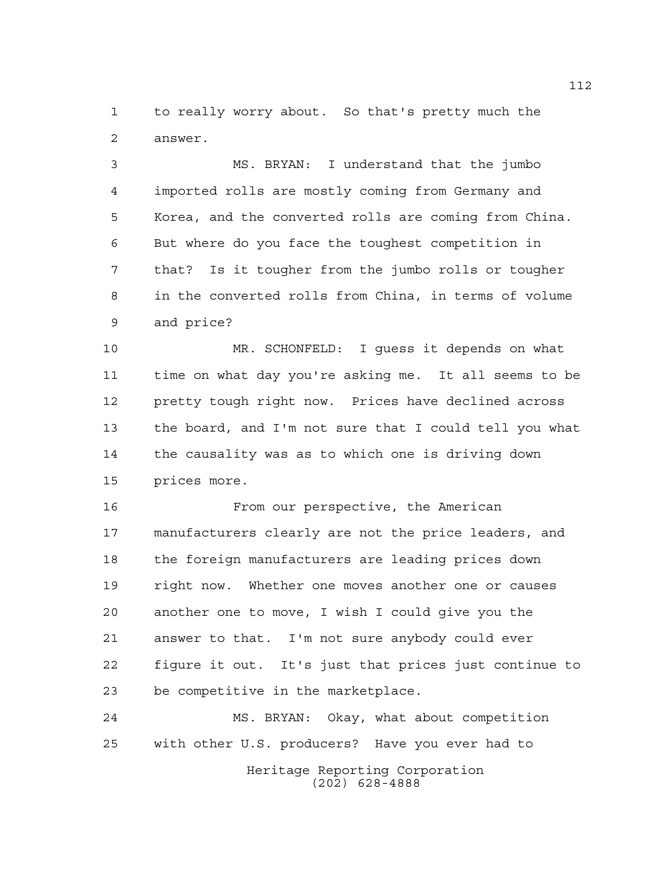to really worry about. So that's pretty much the answer.

 MS. BRYAN: I understand that the jumbo imported rolls are mostly coming from Germany and Korea, and the converted rolls are coming from China. But where do you face the toughest competition in that? Is it tougher from the jumbo rolls or tougher in the converted rolls from China, in terms of volume and price?

 MR. SCHONFELD: I guess it depends on what time on what day you're asking me. It all seems to be pretty tough right now. Prices have declined across the board, and I'm not sure that I could tell you what the causality was as to which one is driving down prices more.

 From our perspective, the American manufacturers clearly are not the price leaders, and 18 the foreign manufacturers are leading prices down right now. Whether one moves another one or causes another one to move, I wish I could give you the answer to that. I'm not sure anybody could ever figure it out. It's just that prices just continue to be competitive in the marketplace.

Heritage Reporting Corporation (202) 628-4888 MS. BRYAN: Okay, what about competition with other U.S. producers? Have you ever had to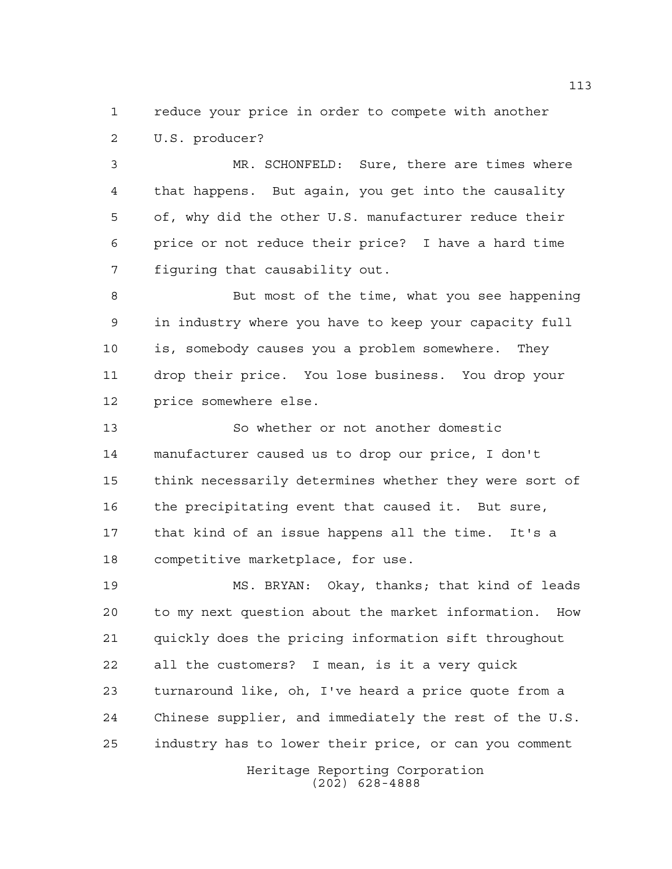reduce your price in order to compete with another U.S. producer?

 MR. SCHONFELD: Sure, there are times where that happens. But again, you get into the causality of, why did the other U.S. manufacturer reduce their price or not reduce their price? I have a hard time figuring that causability out.

 But most of the time, what you see happening in industry where you have to keep your capacity full is, somebody causes you a problem somewhere. They drop their price. You lose business. You drop your price somewhere else.

 So whether or not another domestic manufacturer caused us to drop our price, I don't think necessarily determines whether they were sort of the precipitating event that caused it. But sure, that kind of an issue happens all the time. It's a competitive marketplace, for use.

 MS. BRYAN: Okay, thanks; that kind of leads to my next question about the market information. How quickly does the pricing information sift throughout all the customers? I mean, is it a very quick turnaround like, oh, I've heard a price quote from a Chinese supplier, and immediately the rest of the U.S. industry has to lower their price, or can you comment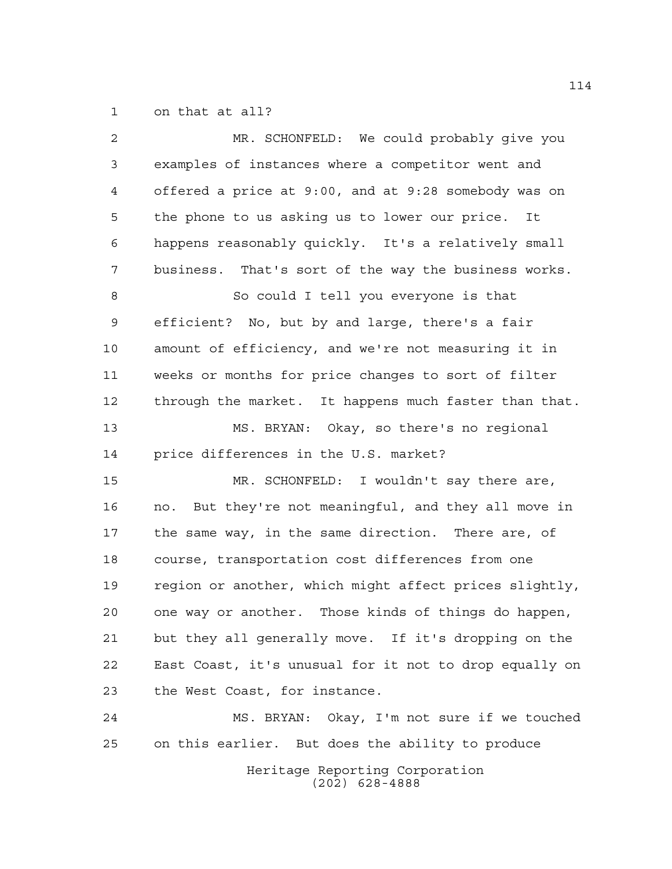on that at all?

| 2  | MR. SCHONFELD: We could probably give you              |
|----|--------------------------------------------------------|
| 3  | examples of instances where a competitor went and      |
| 4  | offered a price at 9:00, and at 9:28 somebody was on   |
| 5  | the phone to us asking us to lower our price.<br>It    |
| 6  | happens reasonably quickly. It's a relatively small    |
| 7  | business. That's sort of the way the business works.   |
| 8  | So could I tell you everyone is that                   |
| 9  | efficient? No, but by and large, there's a fair        |
| 10 | amount of efficiency, and we're not measuring it in    |
| 11 | weeks or months for price changes to sort of filter    |
| 12 | through the market. It happens much faster than that.  |
| 13 | MS. BRYAN: Okay, so there's no regional                |
| 14 | price differences in the U.S. market?                  |
| 15 | MR. SCHONFELD: I wouldn't say there are,               |
| 16 | no. But they're not meaningful, and they all move in   |
| 17 | the same way, in the same direction. There are, of     |
| 18 | course, transportation cost differences from one       |
| 19 | region or another, which might affect prices slightly, |
| 20 | one way or another. Those kinds of things do happen,   |
| 21 | but they all generally move. If it's dropping on the   |
| 22 | East Coast, it's unusual for it not to drop equally on |
| 23 | the West Coast, for instance.                          |
| 24 | MS. BRYAN: Okay, I'm not sure if we touched            |
| 25 | on this earlier. But does the ability to produce       |
|    | Heritage Reporting Corporation                         |

(202) 628-4888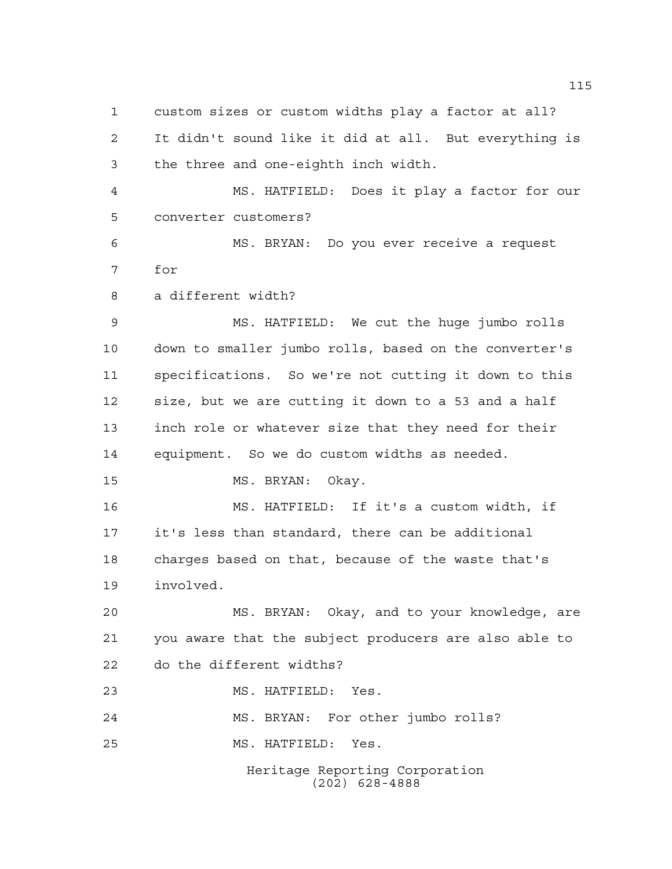custom sizes or custom widths play a factor at all? It didn't sound like it did at all. But everything is the three and one-eighth inch width.

 MS. HATFIELD: Does it play a factor for our converter customers?

 MS. BRYAN: Do you ever receive a request for

a different width?

 MS. HATFIELD: We cut the huge jumbo rolls down to smaller jumbo rolls, based on the converter's specifications. So we're not cutting it down to this size, but we are cutting it down to a 53 and a half inch role or whatever size that they need for their equipment. So we do custom widths as needed.

15 MS. BRYAN: Okay.

 MS. HATFIELD: If it's a custom width, if it's less than standard, there can be additional charges based on that, because of the waste that's involved.

 MS. BRYAN: Okay, and to your knowledge, are you aware that the subject producers are also able to do the different widths?

MS. HATFIELD: Yes.

MS. BRYAN: For other jumbo rolls?

MS. HATFIELD: Yes.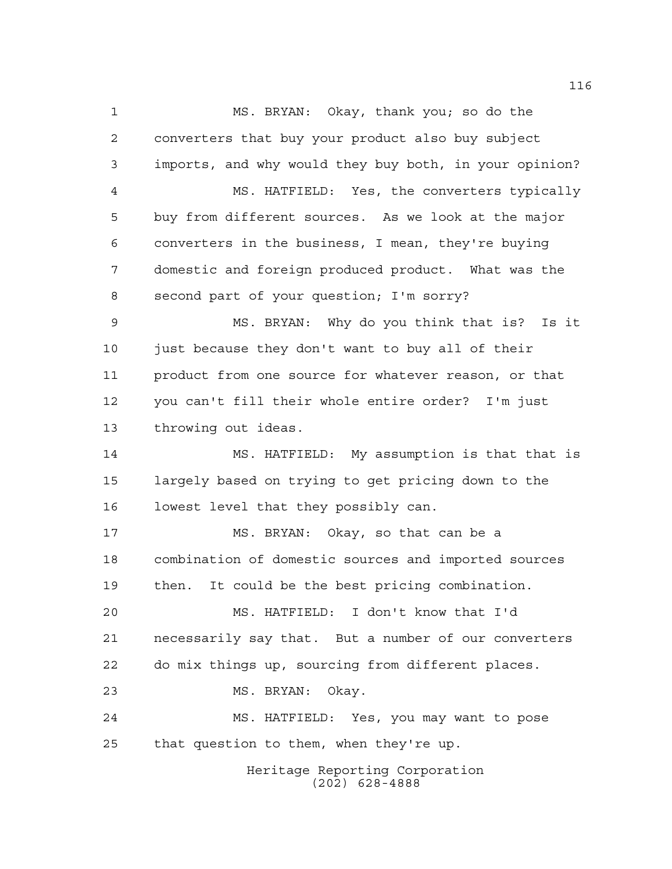Heritage Reporting Corporation (202) 628-4888 MS. BRYAN: Okay, thank you; so do the converters that buy your product also buy subject imports, and why would they buy both, in your opinion? MS. HATFIELD: Yes, the converters typically buy from different sources. As we look at the major converters in the business, I mean, they're buying domestic and foreign produced product. What was the second part of your question; I'm sorry? MS. BRYAN: Why do you think that is? Is it just because they don't want to buy all of their product from one source for whatever reason, or that you can't fill their whole entire order? I'm just throwing out ideas. MS. HATFIELD: My assumption is that that is largely based on trying to get pricing down to the lowest level that they possibly can. MS. BRYAN: Okay, so that can be a combination of domestic sources and imported sources then. It could be the best pricing combination. MS. HATFIELD: I don't know that I'd necessarily say that. But a number of our converters do mix things up, sourcing from different places. MS. BRYAN: Okay. MS. HATFIELD: Yes, you may want to pose that question to them, when they're up.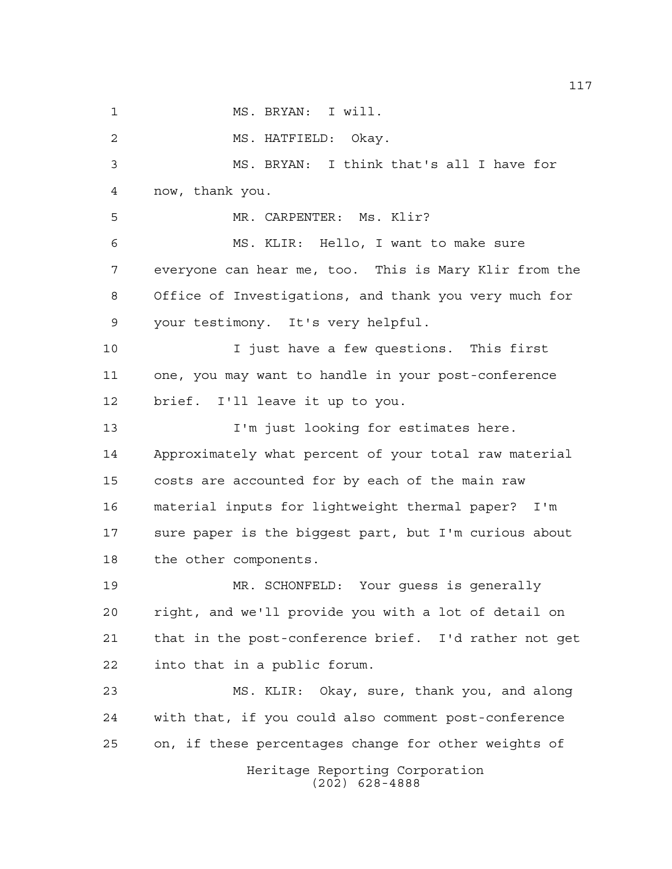Heritage Reporting Corporation (202) 628-4888 MS. BRYAN: I will. MS. HATFIELD: Okay. MS. BRYAN: I think that's all I have for now, thank you. MR. CARPENTER: Ms. Klir? MS. KLIR: Hello, I want to make sure everyone can hear me, too. This is Mary Klir from the Office of Investigations, and thank you very much for your testimony. It's very helpful. I just have a few questions. This first one, you may want to handle in your post-conference brief. I'll leave it up to you. **I'm** just looking for estimates here. Approximately what percent of your total raw material costs are accounted for by each of the main raw material inputs for lightweight thermal paper? I'm sure paper is the biggest part, but I'm curious about the other components. MR. SCHONFELD: Your guess is generally right, and we'll provide you with a lot of detail on that in the post-conference brief. I'd rather not get into that in a public forum. MS. KLIR: Okay, sure, thank you, and along with that, if you could also comment post-conference on, if these percentages change for other weights of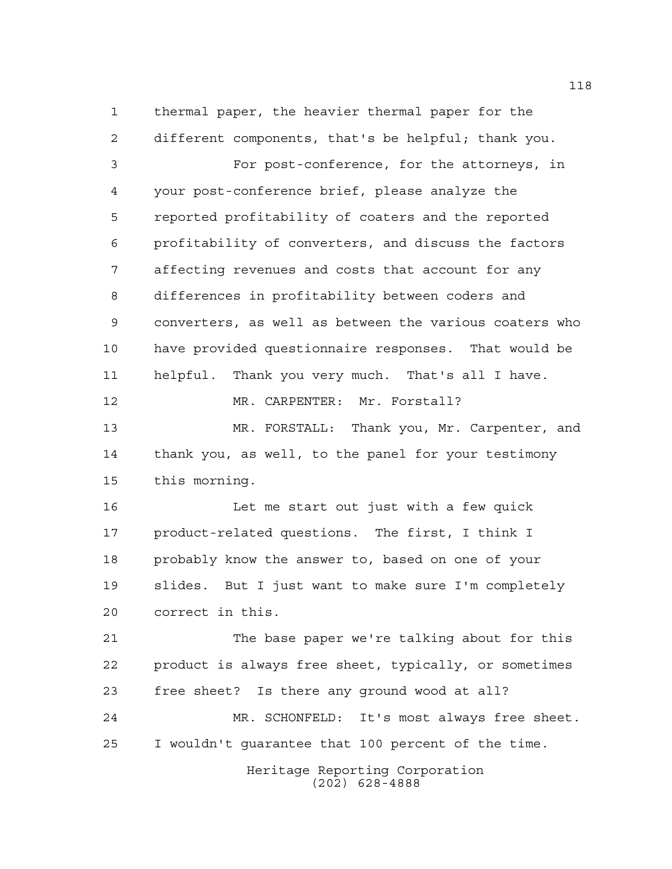Heritage Reporting Corporation thermal paper, the heavier thermal paper for the different components, that's be helpful; thank you. For post-conference, for the attorneys, in your post-conference brief, please analyze the reported profitability of coaters and the reported profitability of converters, and discuss the factors affecting revenues and costs that account for any differences in profitability between coders and converters, as well as between the various coaters who have provided questionnaire responses. That would be helpful. Thank you very much. That's all I have. 12 MR. CARPENTER: Mr. Forstall? MR. FORSTALL: Thank you, Mr. Carpenter, and thank you, as well, to the panel for your testimony this morning. Let me start out just with a few quick product-related questions. The first, I think I probably know the answer to, based on one of your slides. But I just want to make sure I'm completely correct in this. The base paper we're talking about for this product is always free sheet, typically, or sometimes free sheet? Is there any ground wood at all? MR. SCHONFELD: It's most always free sheet. I wouldn't guarantee that 100 percent of the time.

(202) 628-4888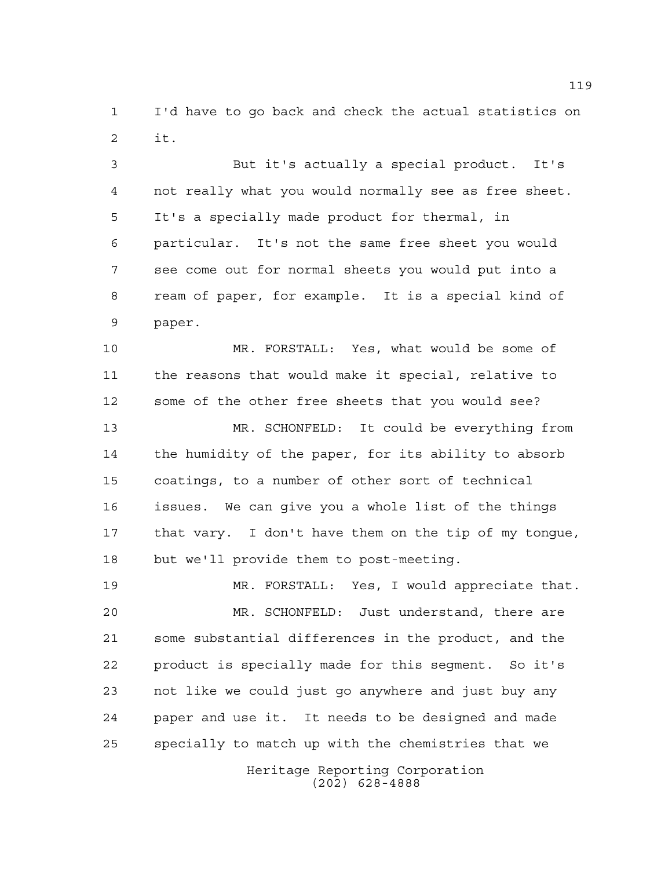I'd have to go back and check the actual statistics on it.

 But it's actually a special product. It's not really what you would normally see as free sheet. It's a specially made product for thermal, in particular. It's not the same free sheet you would see come out for normal sheets you would put into a ream of paper, for example. It is a special kind of paper.

 MR. FORSTALL: Yes, what would be some of the reasons that would make it special, relative to some of the other free sheets that you would see?

 MR. SCHONFELD: It could be everything from the humidity of the paper, for its ability to absorb coatings, to a number of other sort of technical issues. We can give you a whole list of the things that vary. I don't have them on the tip of my tongue, but we'll provide them to post-meeting.

 MR. FORSTALL: Yes, I would appreciate that. MR. SCHONFELD: Just understand, there are some substantial differences in the product, and the product is specially made for this segment. So it's not like we could just go anywhere and just buy any paper and use it. It needs to be designed and made specially to match up with the chemistries that we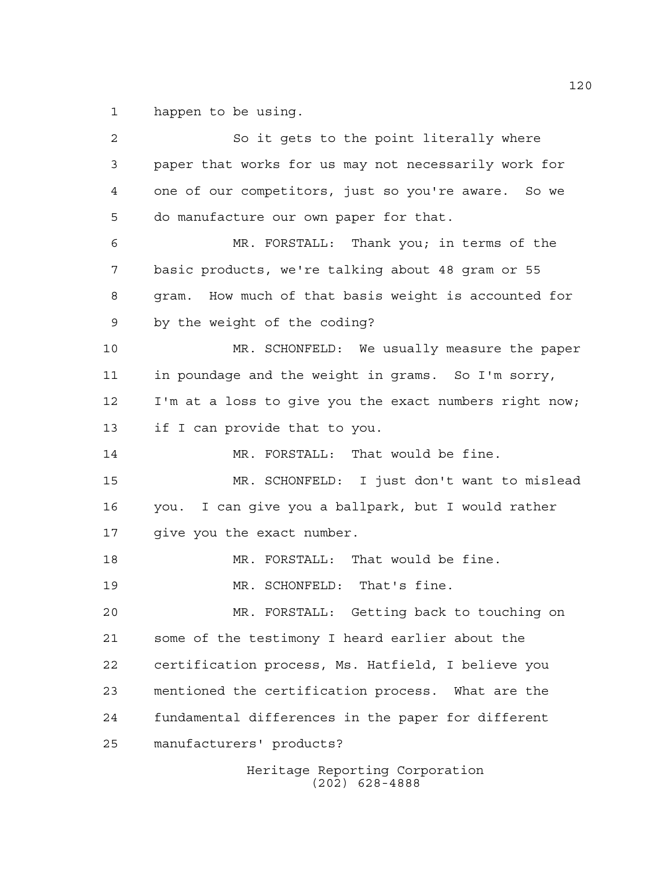happen to be using.

 So it gets to the point literally where paper that works for us may not necessarily work for one of our competitors, just so you're aware. So we do manufacture our own paper for that. MR. FORSTALL: Thank you; in terms of the basic products, we're talking about 48 gram or 55 gram. How much of that basis weight is accounted for by the weight of the coding? MR. SCHONFELD: We usually measure the paper in poundage and the weight in grams. So I'm sorry, I'm at a loss to give you the exact numbers right now; if I can provide that to you. 14 MR. FORSTALL: That would be fine. MR. SCHONFELD: I just don't want to mislead you. I can give you a ballpark, but I would rather give you the exact number. MR. FORSTALL: That would be fine. 19 MR. SCHONFELD: That's fine. MR. FORSTALL: Getting back to touching on some of the testimony I heard earlier about the certification process, Ms. Hatfield, I believe you mentioned the certification process. What are the fundamental differences in the paper for different manufacturers' products?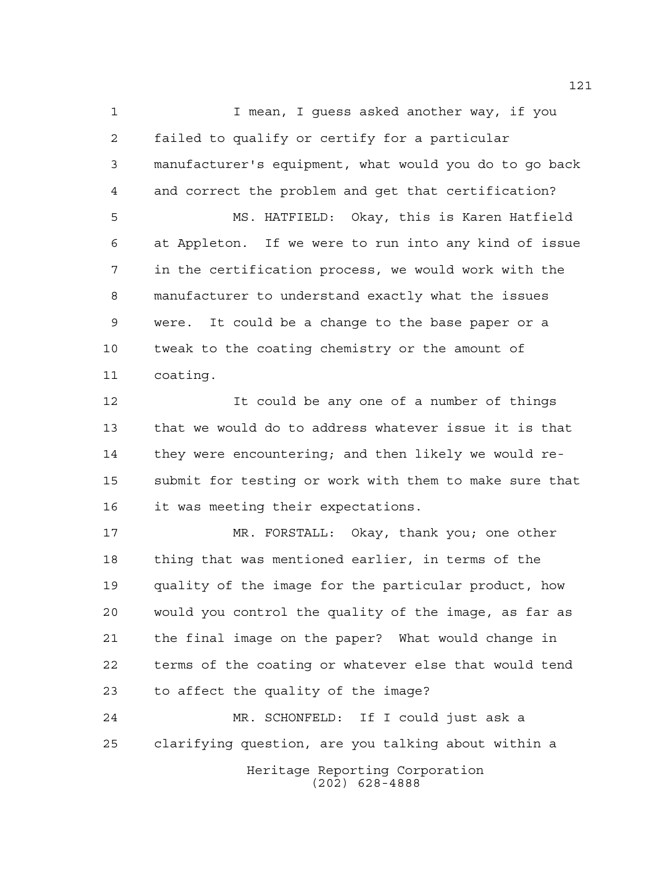1 1 I mean, I quess asked another way, if you failed to qualify or certify for a particular manufacturer's equipment, what would you do to go back and correct the problem and get that certification? MS. HATFIELD: Okay, this is Karen Hatfield at Appleton. If we were to run into any kind of issue in the certification process, we would work with the manufacturer to understand exactly what the issues were. It could be a change to the base paper or a tweak to the coating chemistry or the amount of coating.

 It could be any one of a number of things that we would do to address whatever issue it is that they were encountering; and then likely we would re- submit for testing or work with them to make sure that it was meeting their expectations.

 MR. FORSTALL: Okay, thank you; one other thing that was mentioned earlier, in terms of the quality of the image for the particular product, how would you control the quality of the image, as far as the final image on the paper? What would change in terms of the coating or whatever else that would tend to affect the quality of the image?

Heritage Reporting Corporation (202) 628-4888 MR. SCHONFELD: If I could just ask a clarifying question, are you talking about within a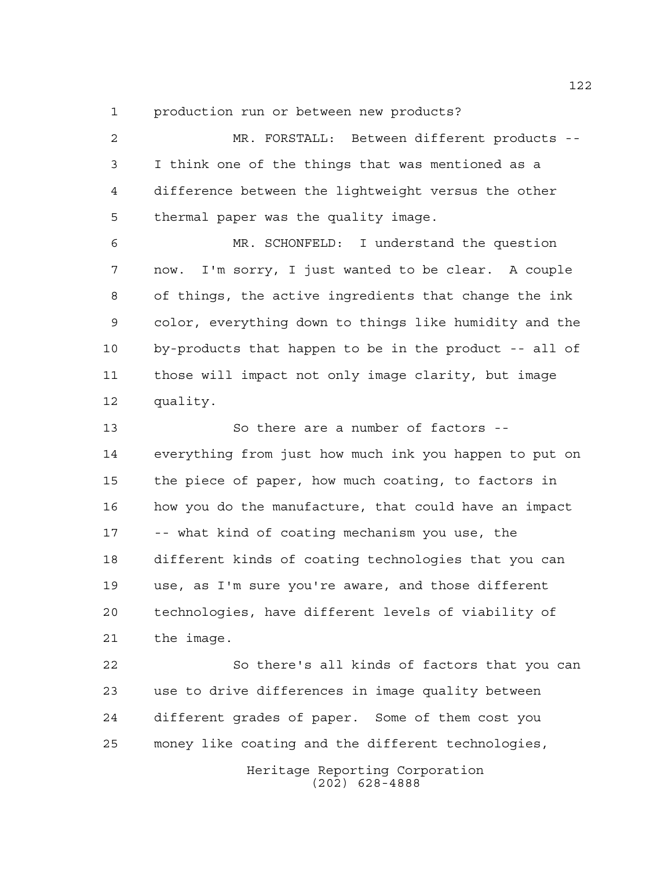production run or between new products?

 MR. FORSTALL: Between different products -- I think one of the things that was mentioned as a difference between the lightweight versus the other thermal paper was the quality image. MR. SCHONFELD: I understand the question now. I'm sorry, I just wanted to be clear. A couple of things, the active ingredients that change the ink color, everything down to things like humidity and the by-products that happen to be in the product -- all of those will impact not only image clarity, but image quality. So there are a number of factors -- everything from just how much ink you happen to put on the piece of paper, how much coating, to factors in how you do the manufacture, that could have an impact -- what kind of coating mechanism you use, the different kinds of coating technologies that you can use, as I'm sure you're aware, and those different technologies, have different levels of viability of the image.

Heritage Reporting Corporation So there's all kinds of factors that you can use to drive differences in image quality between different grades of paper. Some of them cost you money like coating and the different technologies,

(202) 628-4888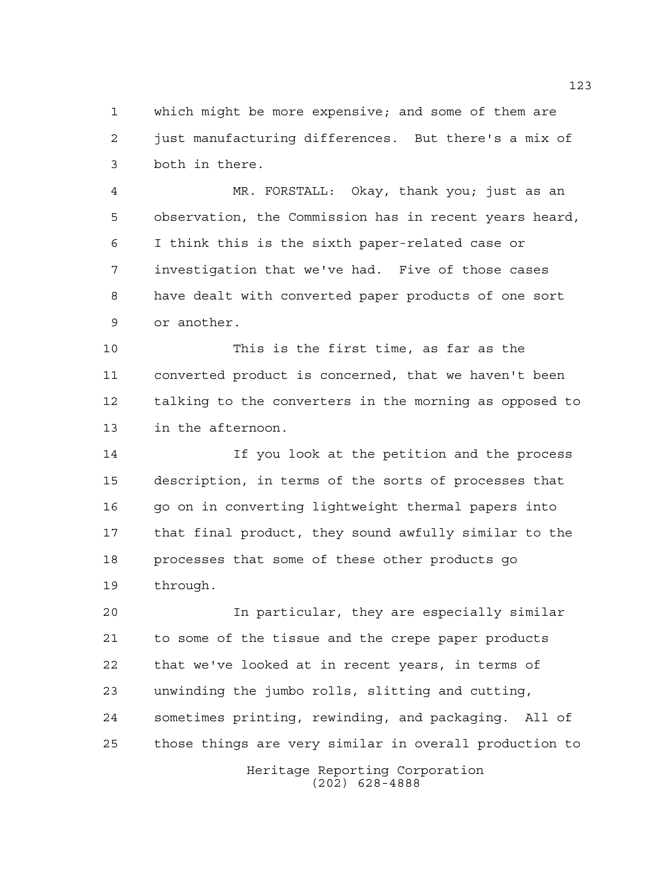which might be more expensive; and some of them are just manufacturing differences. But there's a mix of both in there.

 MR. FORSTALL: Okay, thank you; just as an observation, the Commission has in recent years heard, I think this is the sixth paper-related case or investigation that we've had. Five of those cases have dealt with converted paper products of one sort or another.

 This is the first time, as far as the converted product is concerned, that we haven't been talking to the converters in the morning as opposed to in the afternoon.

 If you look at the petition and the process description, in terms of the sorts of processes that 16 go on in converting lightweight thermal papers into that final product, they sound awfully similar to the processes that some of these other products go through.

 In particular, they are especially similar to some of the tissue and the crepe paper products that we've looked at in recent years, in terms of unwinding the jumbo rolls, slitting and cutting, sometimes printing, rewinding, and packaging. All of those things are very similar in overall production to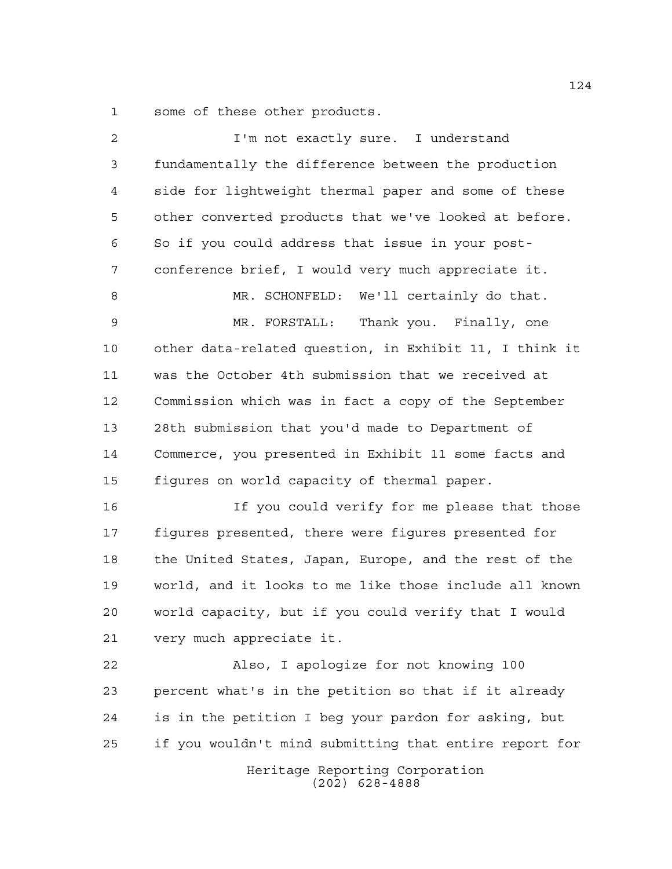some of these other products.

| $\overline{a}$ | I'm not exactly sure. I understand                     |
|----------------|--------------------------------------------------------|
| $\mathfrak{Z}$ | fundamentally the difference between the production    |
| 4              | side for lightweight thermal paper and some of these   |
| 5              | other converted products that we've looked at before.  |
| 6              | So if you could address that issue in your post-       |
| 7              | conference brief, I would very much appreciate it.     |
| 8              | MR. SCHONFELD: We'll certainly do that.                |
| 9              | MR. FORSTALL: Thank you. Finally, one                  |
| 10             | other data-related question, in Exhibit 11, I think it |
| 11             | was the October 4th submission that we received at     |
| 12             | Commission which was in fact a copy of the September   |
| 13             | 28th submission that you'd made to Department of       |
| 14             | Commerce, you presented in Exhibit 11 some facts and   |
| 15             | figures on world capacity of thermal paper.            |
| 16             | If you could verify for me please that those           |
| 17             | figures presented, there were figures presented for    |
| 18             | the United States, Japan, Europe, and the rest of the  |
| 19             | world, and it looks to me like those include all known |
| 20             | world capacity, but if you could verify that I would   |
| 21             | very much appreciate it.                               |
| 22             | Also, I apologize for not knowing 100                  |
| 23             | percent what's in the petition so that if it already   |
| 24             | is in the petition I beg your pardon for asking, but   |
| 25             | if you wouldn't mind submitting that entire report for |
|                | Heritage Reporting Corporation<br>$(202)$ 628-4888     |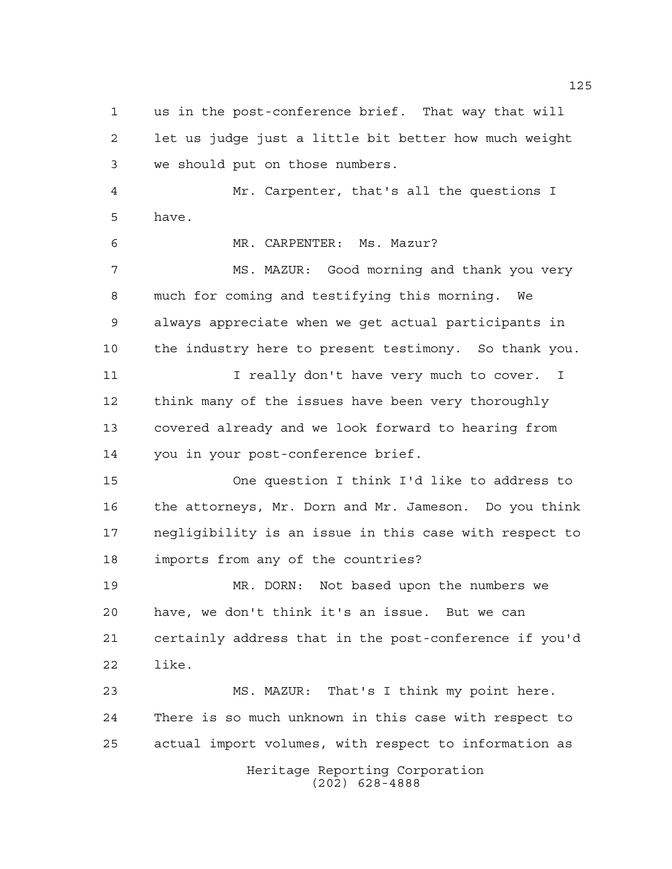Heritage Reporting Corporation (202) 628-4888 us in the post-conference brief. That way that will let us judge just a little bit better how much weight we should put on those numbers. Mr. Carpenter, that's all the questions I have. MR. CARPENTER: Ms. Mazur? MS. MAZUR: Good morning and thank you very much for coming and testifying this morning. We always appreciate when we get actual participants in the industry here to present testimony. So thank you. 11 I really don't have very much to cover. I think many of the issues have been very thoroughly covered already and we look forward to hearing from you in your post-conference brief. One question I think I'd like to address to the attorneys, Mr. Dorn and Mr. Jameson. Do you think negligibility is an issue in this case with respect to imports from any of the countries? MR. DORN: Not based upon the numbers we have, we don't think it's an issue. But we can certainly address that in the post-conference if you'd like. MS. MAZUR: That's I think my point here. There is so much unknown in this case with respect to actual import volumes, with respect to information as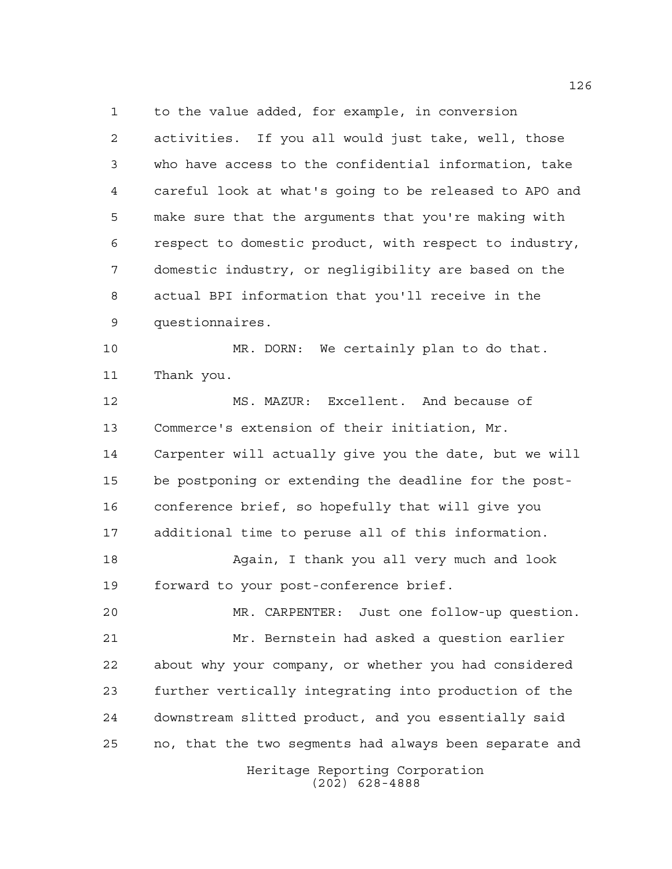to the value added, for example, in conversion activities. If you all would just take, well, those who have access to the confidential information, take careful look at what's going to be released to APO and make sure that the arguments that you're making with respect to domestic product, with respect to industry, domestic industry, or negligibility are based on the actual BPI information that you'll receive in the questionnaires.

 MR. DORN: We certainly plan to do that. Thank you.

 MS. MAZUR: Excellent. And because of Commerce's extension of their initiation, Mr. Carpenter will actually give you the date, but we will be postponing or extending the deadline for the post- conference brief, so hopefully that will give you additional time to peruse all of this information. Again, I thank you all very much and look forward to your post-conference brief. MR. CARPENTER: Just one follow-up question.

 Mr. Bernstein had asked a question earlier about why your company, or whether you had considered further vertically integrating into production of the downstream slitted product, and you essentially said no, that the two segments had always been separate and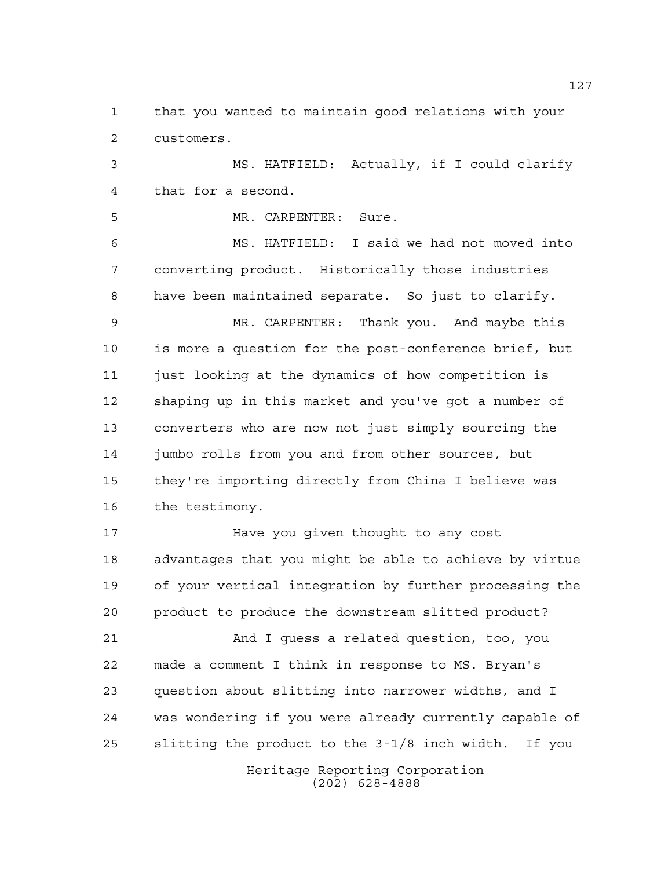that you wanted to maintain good relations with your customers.

 MS. HATFIELD: Actually, if I could clarify that for a second.

MR. CARPENTER: Sure.

 MS. HATFIELD: I said we had not moved into converting product. Historically those industries have been maintained separate. So just to clarify.

 MR. CARPENTER: Thank you. And maybe this is more a question for the post-conference brief, but just looking at the dynamics of how competition is shaping up in this market and you've got a number of converters who are now not just simply sourcing the jumbo rolls from you and from other sources, but they're importing directly from China I believe was the testimony.

 Have you given thought to any cost advantages that you might be able to achieve by virtue of your vertical integration by further processing the product to produce the downstream slitted product?

 And I guess a related question, too, you made a comment I think in response to MS. Bryan's question about slitting into narrower widths, and I was wondering if you were already currently capable of slitting the product to the 3-1/8 inch width. If you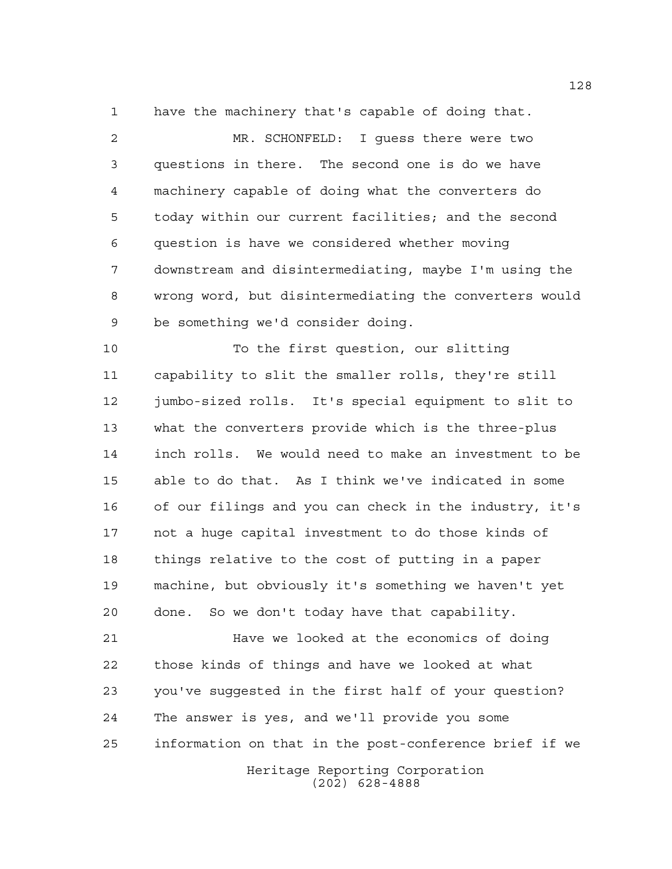have the machinery that's capable of doing that.

 MR. SCHONFELD: I guess there were two questions in there. The second one is do we have machinery capable of doing what the converters do today within our current facilities; and the second question is have we considered whether moving downstream and disintermediating, maybe I'm using the wrong word, but disintermediating the converters would be something we'd consider doing.

 To the first question, our slitting capability to slit the smaller rolls, they're still jumbo-sized rolls. It's special equipment to slit to what the converters provide which is the three-plus inch rolls. We would need to make an investment to be able to do that. As I think we've indicated in some of our filings and you can check in the industry, it's not a huge capital investment to do those kinds of things relative to the cost of putting in a paper machine, but obviously it's something we haven't yet done. So we don't today have that capability.

Heritage Reporting Corporation Have we looked at the economics of doing those kinds of things and have we looked at what you've suggested in the first half of your question? The answer is yes, and we'll provide you some information on that in the post-conference brief if we

(202) 628-4888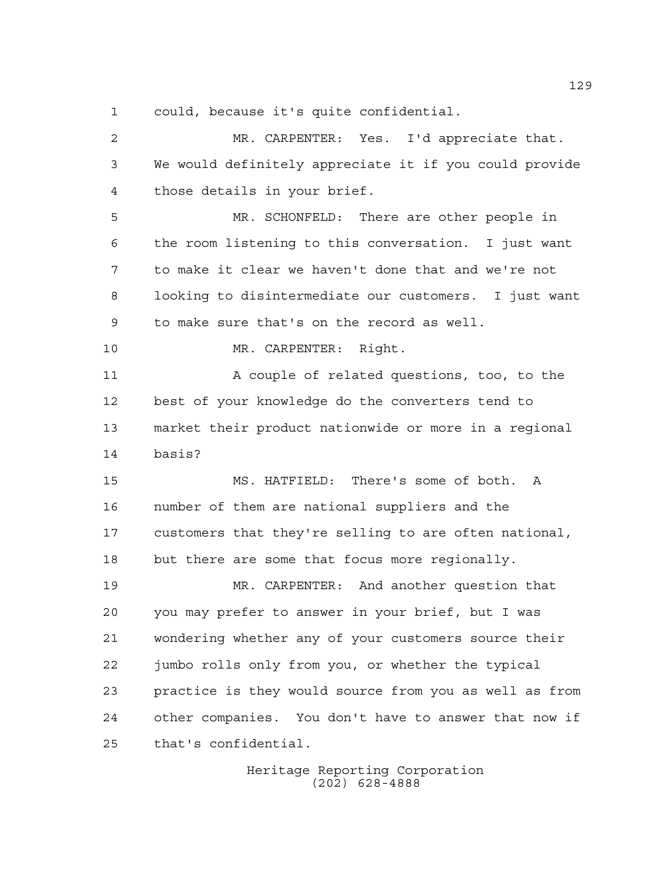could, because it's quite confidential.

 MR. CARPENTER: Yes. I'd appreciate that. We would definitely appreciate it if you could provide those details in your brief. MR. SCHONFELD: There are other people in the room listening to this conversation. I just want to make it clear we haven't done that and we're not looking to disintermediate our customers. I just want to make sure that's on the record as well. MR. CARPENTER: Right. A couple of related questions, too, to the best of your knowledge do the converters tend to market their product nationwide or more in a regional basis? MS. HATFIELD: There's some of both. A number of them are national suppliers and the customers that they're selling to are often national, but there are some that focus more regionally. MR. CARPENTER: And another question that you may prefer to answer in your brief, but I was wondering whether any of your customers source their jumbo rolls only from you, or whether the typical practice is they would source from you as well as from other companies. You don't have to answer that now if that's confidential.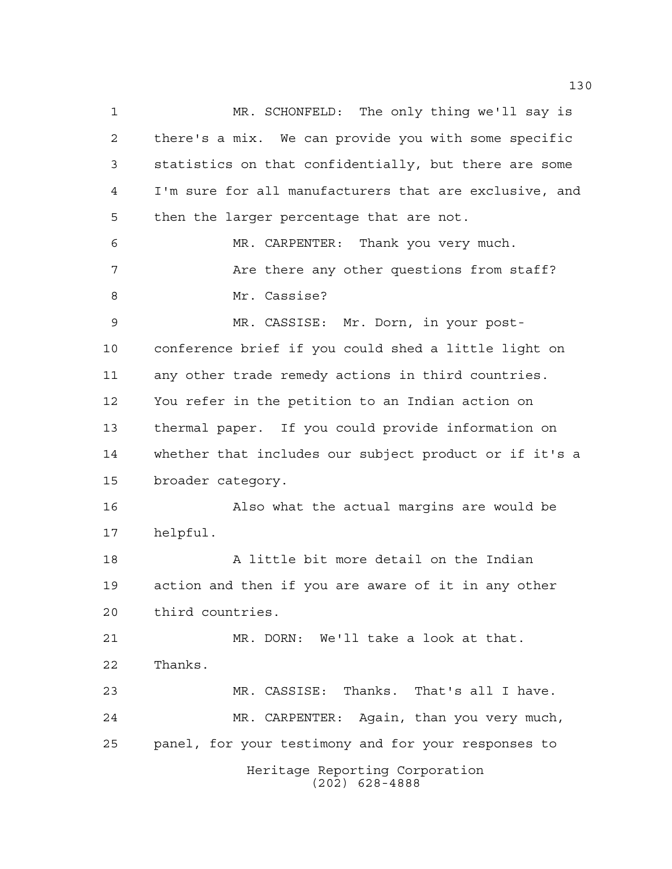Heritage Reporting Corporation (202) 628-4888 MR. SCHONFELD: The only thing we'll say is there's a mix. We can provide you with some specific statistics on that confidentially, but there are some I'm sure for all manufacturers that are exclusive, and then the larger percentage that are not. MR. CARPENTER: Thank you very much. 7 The Are there any other questions from staff? 8 Mr. Cassise? MR. CASSISE: Mr. Dorn, in your post- conference brief if you could shed a little light on any other trade remedy actions in third countries. You refer in the petition to an Indian action on thermal paper. If you could provide information on whether that includes our subject product or if it's a broader category. Also what the actual margins are would be helpful. A little bit more detail on the Indian action and then if you are aware of it in any other third countries. MR. DORN: We'll take a look at that. Thanks. MR. CASSISE: Thanks. That's all I have. MR. CARPENTER: Again, than you very much, panel, for your testimony and for your responses to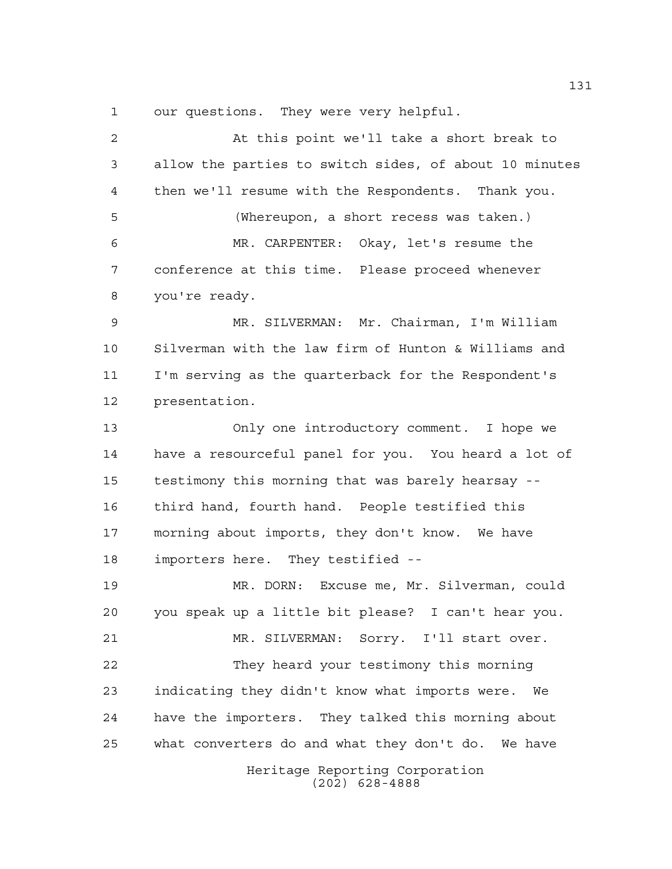our questions. They were very helpful.

Heritage Reporting Corporation (202) 628-4888 At this point we'll take a short break to allow the parties to switch sides, of about 10 minutes then we'll resume with the Respondents. Thank you. (Whereupon, a short recess was taken.) MR. CARPENTER: Okay, let's resume the conference at this time. Please proceed whenever you're ready. MR. SILVERMAN: Mr. Chairman, I'm William Silverman with the law firm of Hunton & Williams and I'm serving as the quarterback for the Respondent's presentation. Only one introductory comment. I hope we have a resourceful panel for you. You heard a lot of testimony this morning that was barely hearsay -- third hand, fourth hand. People testified this morning about imports, they don't know. We have importers here. They testified -- MR. DORN: Excuse me, Mr. Silverman, could you speak up a little bit please? I can't hear you. MR. SILVERMAN: Sorry. I'll start over. They heard your testimony this morning indicating they didn't know what imports were. We have the importers. They talked this morning about what converters do and what they don't do. We have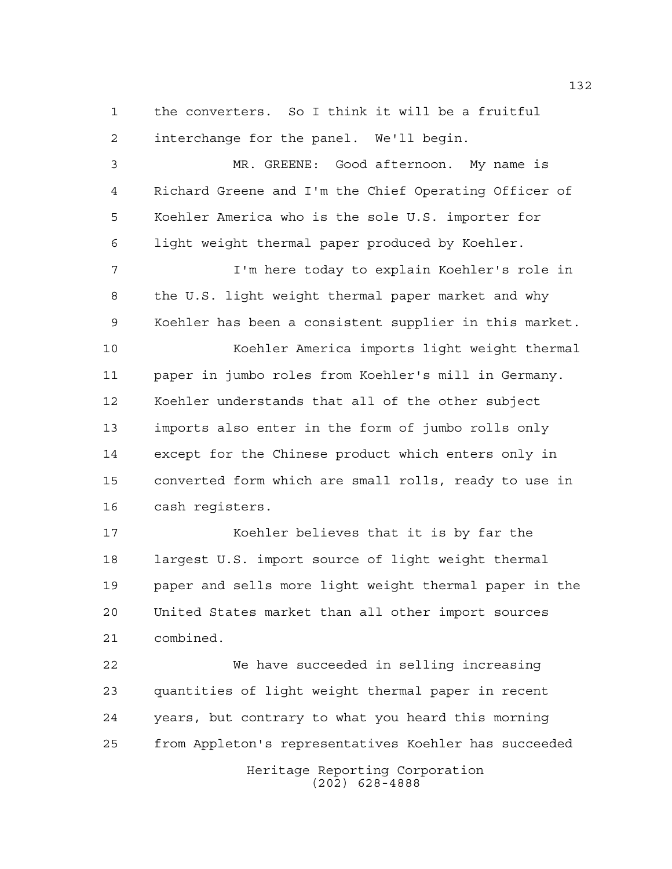the converters. So I think it will be a fruitful interchange for the panel. We'll begin.

 MR. GREENE: Good afternoon. My name is Richard Greene and I'm the Chief Operating Officer of Koehler America who is the sole U.S. importer for light weight thermal paper produced by Koehler.

 I'm here today to explain Koehler's role in the U.S. light weight thermal paper market and why Koehler has been a consistent supplier in this market.

 Koehler America imports light weight thermal paper in jumbo roles from Koehler's mill in Germany. Koehler understands that all of the other subject imports also enter in the form of jumbo rolls only except for the Chinese product which enters only in converted form which are small rolls, ready to use in cash registers.

 Koehler believes that it is by far the largest U.S. import source of light weight thermal paper and sells more light weight thermal paper in the United States market than all other import sources combined.

Heritage Reporting Corporation We have succeeded in selling increasing quantities of light weight thermal paper in recent years, but contrary to what you heard this morning from Appleton's representatives Koehler has succeeded

(202) 628-4888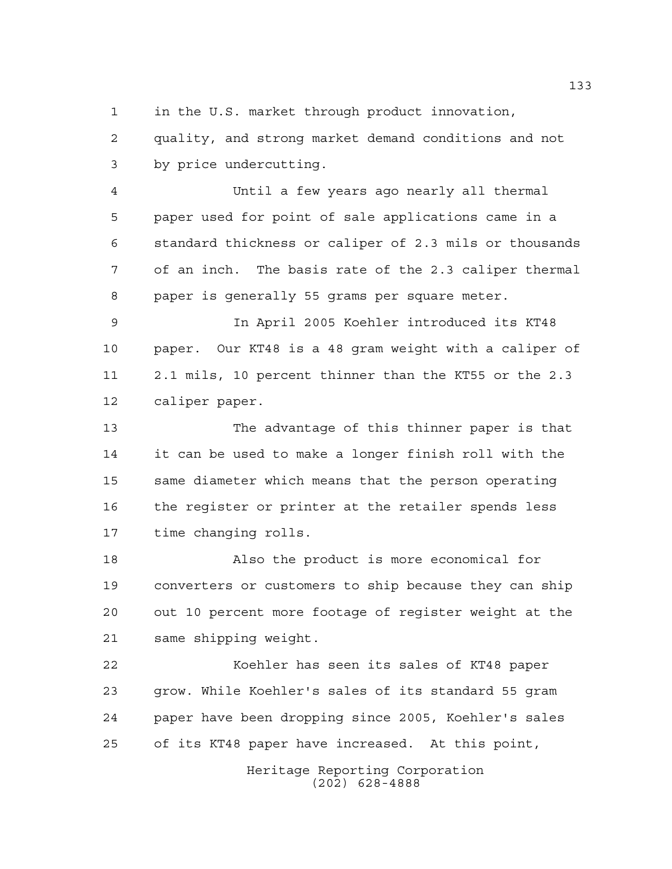1 in the U.S. market through product innovation,

 quality, and strong market demand conditions and not by price undercutting.

 Until a few years ago nearly all thermal paper used for point of sale applications came in a standard thickness or caliper of 2.3 mils or thousands of an inch. The basis rate of the 2.3 caliper thermal paper is generally 55 grams per square meter.

 In April 2005 Koehler introduced its KT48 paper. Our KT48 is a 48 gram weight with a caliper of 2.1 mils, 10 percent thinner than the KT55 or the 2.3 caliper paper.

 The advantage of this thinner paper is that it can be used to make a longer finish roll with the same diameter which means that the person operating the register or printer at the retailer spends less time changing rolls.

 Also the product is more economical for converters or customers to ship because they can ship out 10 percent more footage of register weight at the same shipping weight.

 Koehler has seen its sales of KT48 paper grow. While Koehler's sales of its standard 55 gram paper have been dropping since 2005, Koehler's sales of its KT48 paper have increased. At this point,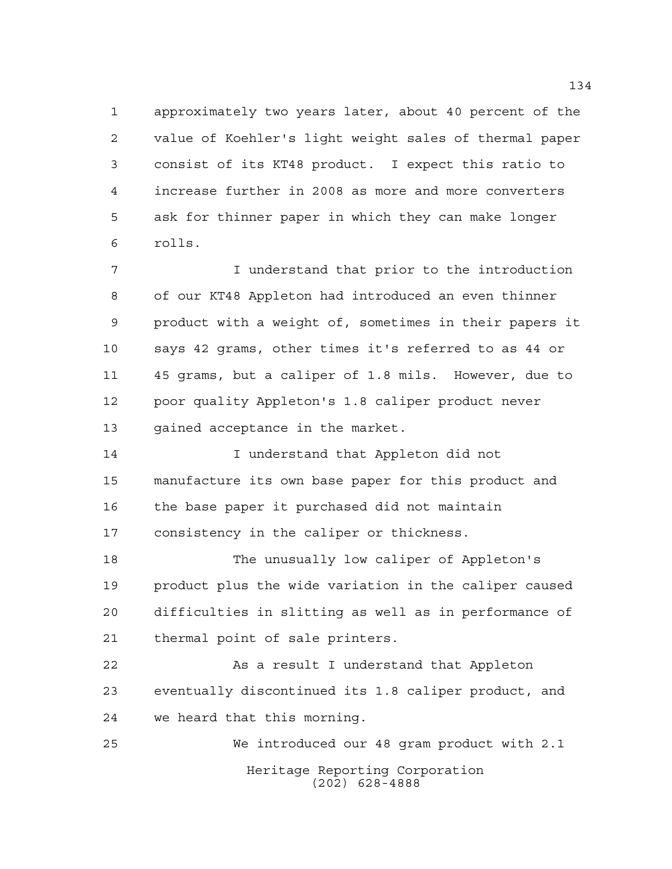approximately two years later, about 40 percent of the value of Koehler's light weight sales of thermal paper consist of its KT48 product. I expect this ratio to increase further in 2008 as more and more converters ask for thinner paper in which they can make longer rolls.

 I understand that prior to the introduction of our KT48 Appleton had introduced an even thinner product with a weight of, sometimes in their papers it says 42 grams, other times it's referred to as 44 or 45 grams, but a caliper of 1.8 mils. However, due to poor quality Appleton's 1.8 caliper product never gained acceptance in the market.

 I understand that Appleton did not manufacture its own base paper for this product and the base paper it purchased did not maintain consistency in the caliper or thickness.

 The unusually low caliper of Appleton's product plus the wide variation in the caliper caused difficulties in slitting as well as in performance of thermal point of sale printers.

 As a result I understand that Appleton eventually discontinued its 1.8 caliper product, and we heard that this morning.

Heritage Reporting Corporation (202) 628-4888 We introduced our 48 gram product with 2.1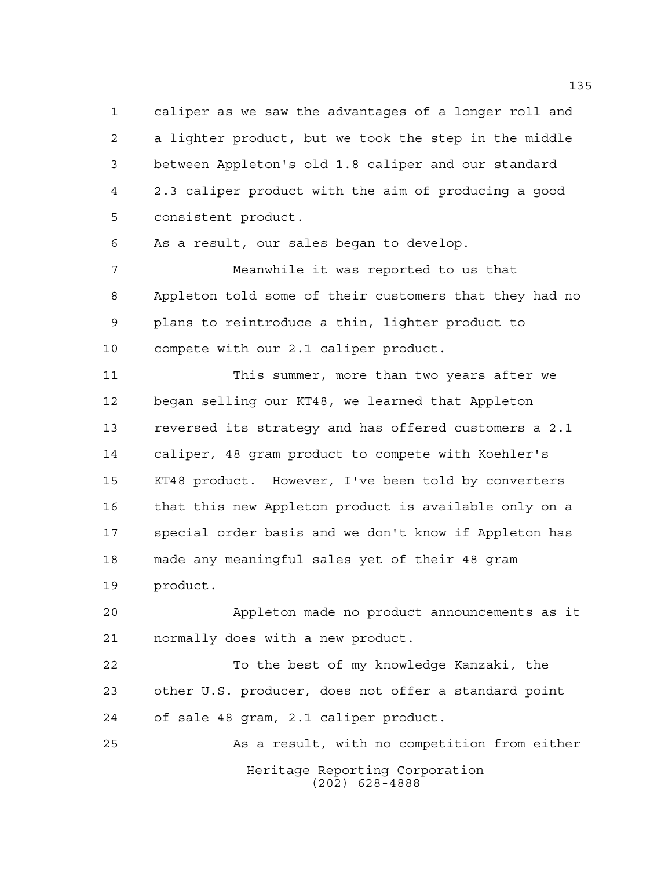caliper as we saw the advantages of a longer roll and a lighter product, but we took the step in the middle between Appleton's old 1.8 caliper and our standard 2.3 caliper product with the aim of producing a good consistent product.

As a result, our sales began to develop.

 Meanwhile it was reported to us that Appleton told some of their customers that they had no plans to reintroduce a thin, lighter product to compete with our 2.1 caliper product.

 This summer, more than two years after we began selling our KT48, we learned that Appleton reversed its strategy and has offered customers a 2.1 caliper, 48 gram product to compete with Koehler's KT48 product. However, I've been told by converters that this new Appleton product is available only on a special order basis and we don't know if Appleton has made any meaningful sales yet of their 48 gram product.

 Appleton made no product announcements as it normally does with a new product.

 To the best of my knowledge Kanzaki, the other U.S. producer, does not offer a standard point of sale 48 gram, 2.1 caliper product.

Heritage Reporting Corporation (202) 628-4888 As a result, with no competition from either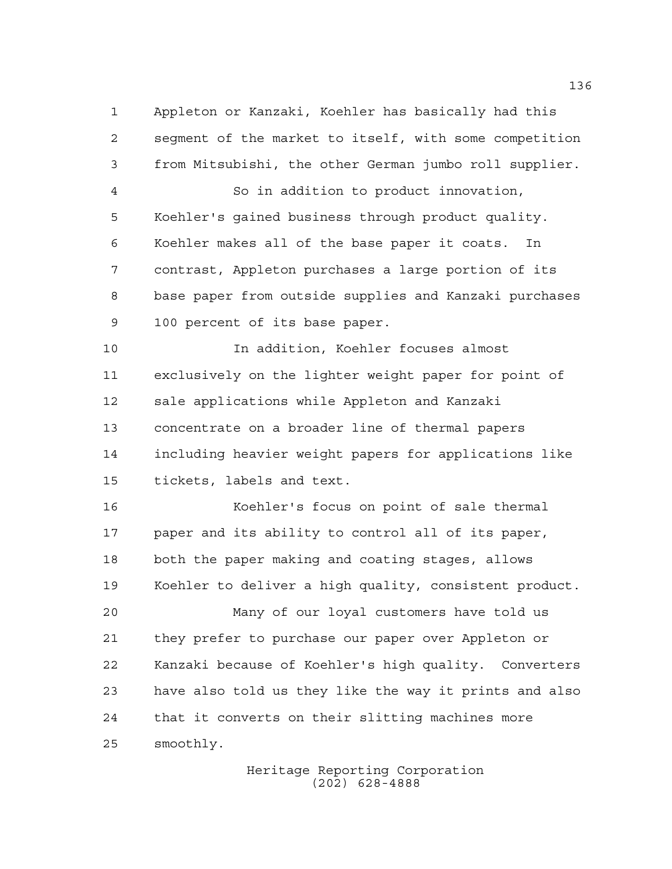Appleton or Kanzaki, Koehler has basically had this segment of the market to itself, with some competition from Mitsubishi, the other German jumbo roll supplier.

 So in addition to product innovation, Koehler's gained business through product quality. Koehler makes all of the base paper it coats. In contrast, Appleton purchases a large portion of its base paper from outside supplies and Kanzaki purchases 100 percent of its base paper.

 In addition, Koehler focuses almost exclusively on the lighter weight paper for point of sale applications while Appleton and Kanzaki concentrate on a broader line of thermal papers including heavier weight papers for applications like tickets, labels and text.

 Koehler's focus on point of sale thermal paper and its ability to control all of its paper, both the paper making and coating stages, allows Koehler to deliver a high quality, consistent product.

 Many of our loyal customers have told us they prefer to purchase our paper over Appleton or Kanzaki because of Koehler's high quality. Converters have also told us they like the way it prints and also that it converts on their slitting machines more smoothly.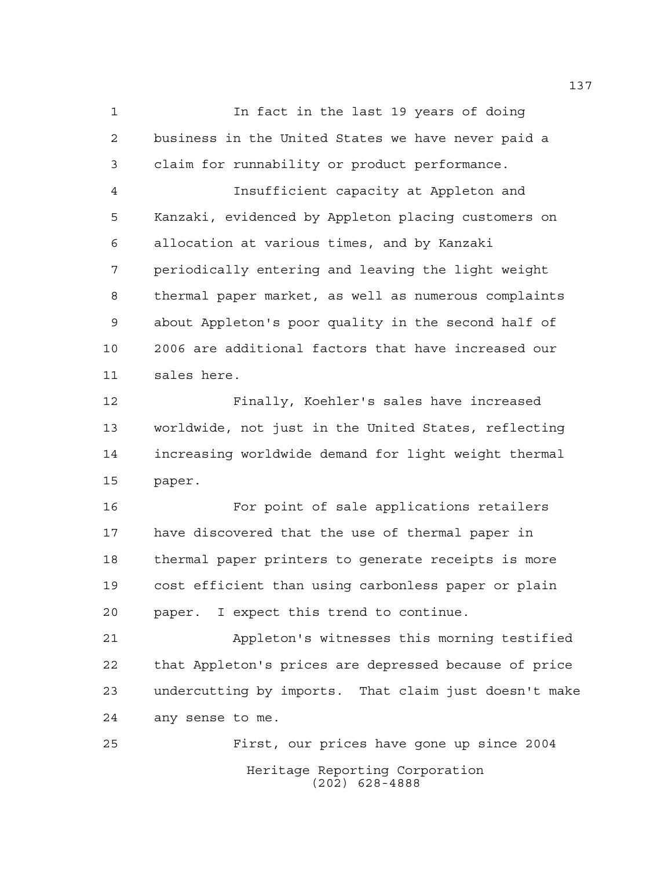In fact in the last 19 years of doing business in the United States we have never paid a claim for runnability or product performance.

 Insufficient capacity at Appleton and Kanzaki, evidenced by Appleton placing customers on allocation at various times, and by Kanzaki periodically entering and leaving the light weight thermal paper market, as well as numerous complaints about Appleton's poor quality in the second half of 2006 are additional factors that have increased our sales here.

 Finally, Koehler's sales have increased worldwide, not just in the United States, reflecting increasing worldwide demand for light weight thermal paper.

 For point of sale applications retailers have discovered that the use of thermal paper in thermal paper printers to generate receipts is more cost efficient than using carbonless paper or plain paper. I expect this trend to continue.

 Appleton's witnesses this morning testified that Appleton's prices are depressed because of price undercutting by imports. That claim just doesn't make any sense to me.

Heritage Reporting Corporation (202) 628-4888 First, our prices have gone up since 2004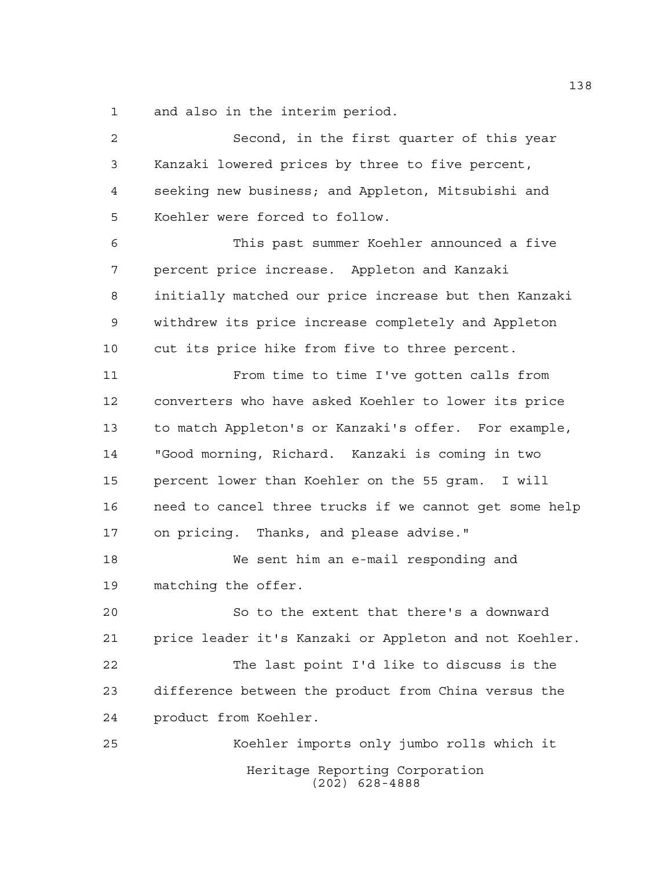and also in the interim period.

Heritage Reporting Corporation (202) 628-4888 Second, in the first quarter of this year Kanzaki lowered prices by three to five percent, seeking new business; and Appleton, Mitsubishi and Koehler were forced to follow. This past summer Koehler announced a five percent price increase. Appleton and Kanzaki initially matched our price increase but then Kanzaki withdrew its price increase completely and Appleton cut its price hike from five to three percent. From time to time I've gotten calls from converters who have asked Koehler to lower its price to match Appleton's or Kanzaki's offer. For example, "Good morning, Richard. Kanzaki is coming in two percent lower than Koehler on the 55 gram. I will need to cancel three trucks if we cannot get some help on pricing. Thanks, and please advise." We sent him an e-mail responding and matching the offer. So to the extent that there's a downward price leader it's Kanzaki or Appleton and not Koehler. The last point I'd like to discuss is the difference between the product from China versus the product from Koehler. Koehler imports only jumbo rolls which it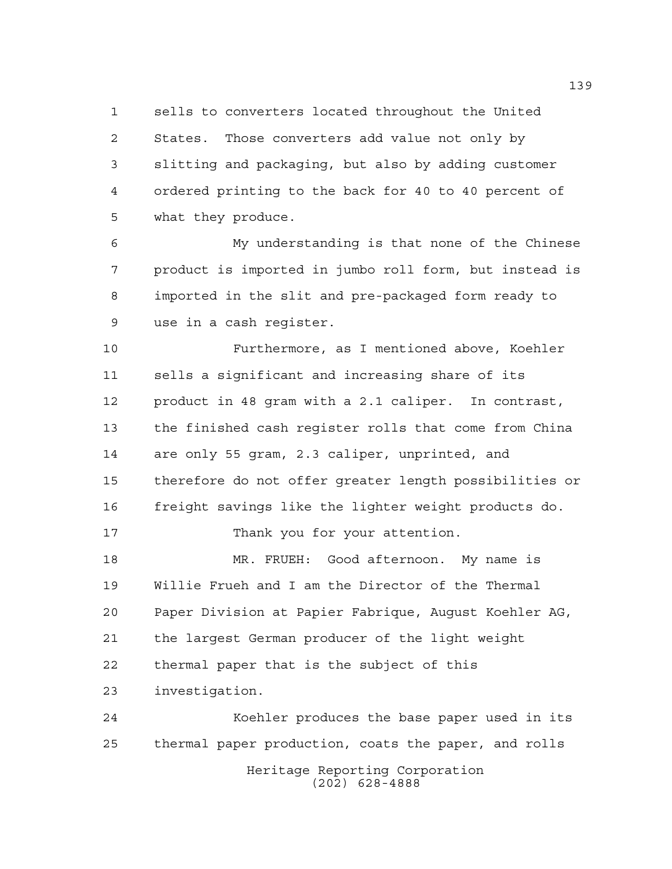sells to converters located throughout the United States. Those converters add value not only by slitting and packaging, but also by adding customer ordered printing to the back for 40 to 40 percent of what they produce.

 My understanding is that none of the Chinese product is imported in jumbo roll form, but instead is imported in the slit and pre-packaged form ready to use in a cash register.

 Furthermore, as I mentioned above, Koehler sells a significant and increasing share of its product in 48 gram with a 2.1 caliper. In contrast, the finished cash register rolls that come from China are only 55 gram, 2.3 caliper, unprinted, and therefore do not offer greater length possibilities or freight savings like the lighter weight products do.

Thank you for your attention.

 MR. FRUEH: Good afternoon. My name is Willie Frueh and I am the Director of the Thermal Paper Division at Papier Fabrique, August Koehler AG, the largest German producer of the light weight thermal paper that is the subject of this investigation.

Heritage Reporting Corporation (202) 628-4888 Koehler produces the base paper used in its thermal paper production, coats the paper, and rolls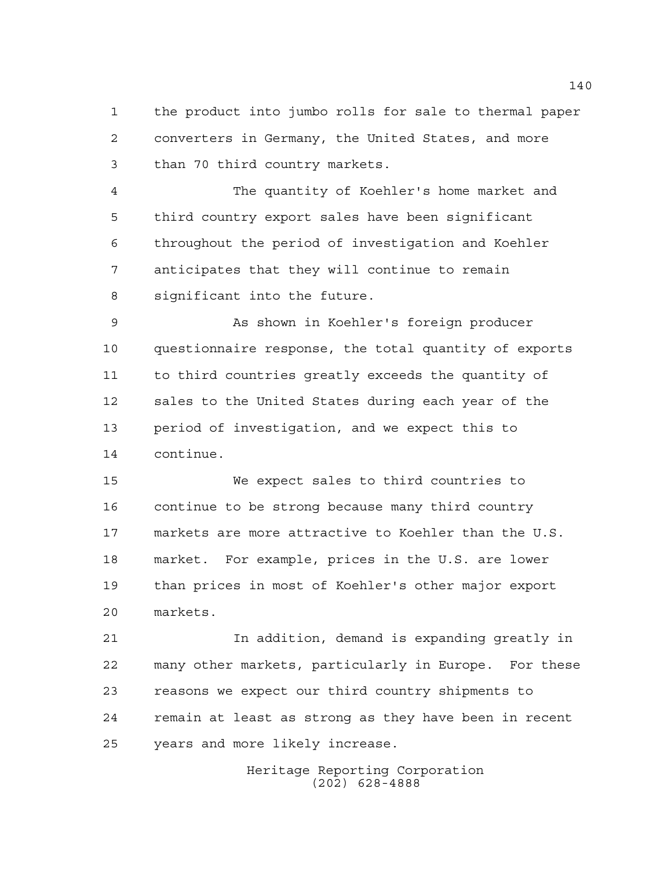the product into jumbo rolls for sale to thermal paper converters in Germany, the United States, and more than 70 third country markets.

 The quantity of Koehler's home market and third country export sales have been significant throughout the period of investigation and Koehler anticipates that they will continue to remain significant into the future.

 As shown in Koehler's foreign producer questionnaire response, the total quantity of exports to third countries greatly exceeds the quantity of sales to the United States during each year of the period of investigation, and we expect this to continue.

 We expect sales to third countries to continue to be strong because many third country markets are more attractive to Koehler than the U.S. market. For example, prices in the U.S. are lower than prices in most of Koehler's other major export markets.

 In addition, demand is expanding greatly in many other markets, particularly in Europe. For these reasons we expect our third country shipments to remain at least as strong as they have been in recent years and more likely increase.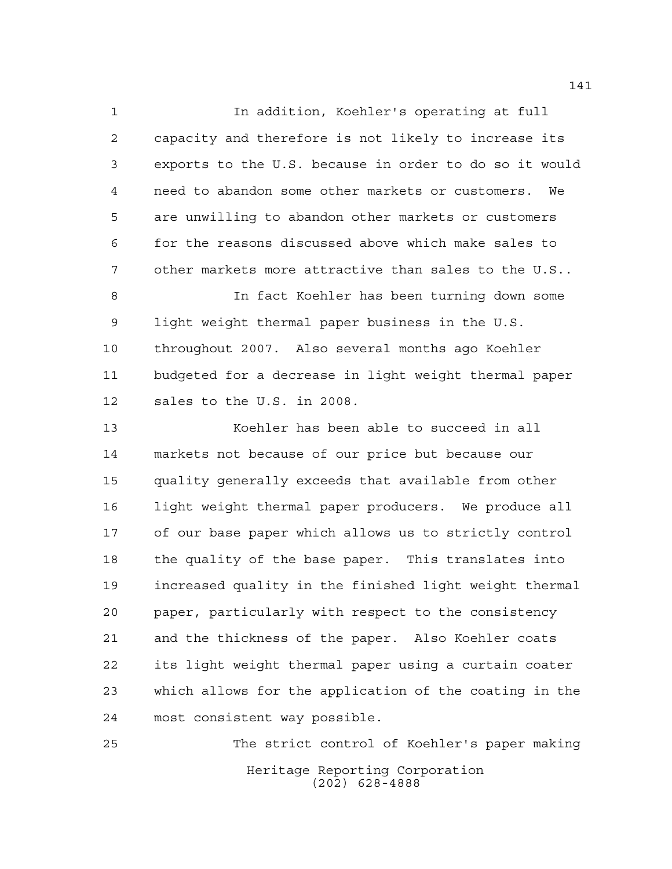In addition, Koehler's operating at full capacity and therefore is not likely to increase its exports to the U.S. because in order to do so it would need to abandon some other markets or customers. We are unwilling to abandon other markets or customers for the reasons discussed above which make sales to other markets more attractive than sales to the U.S..

 In fact Koehler has been turning down some light weight thermal paper business in the U.S. throughout 2007. Also several months ago Koehler budgeted for a decrease in light weight thermal paper sales to the U.S. in 2008.

 Koehler has been able to succeed in all markets not because of our price but because our quality generally exceeds that available from other light weight thermal paper producers. We produce all of our base paper which allows us to strictly control the quality of the base paper. This translates into increased quality in the finished light weight thermal paper, particularly with respect to the consistency and the thickness of the paper. Also Koehler coats its light weight thermal paper using a curtain coater which allows for the application of the coating in the most consistent way possible.

Heritage Reporting Corporation (202) 628-4888 The strict control of Koehler's paper making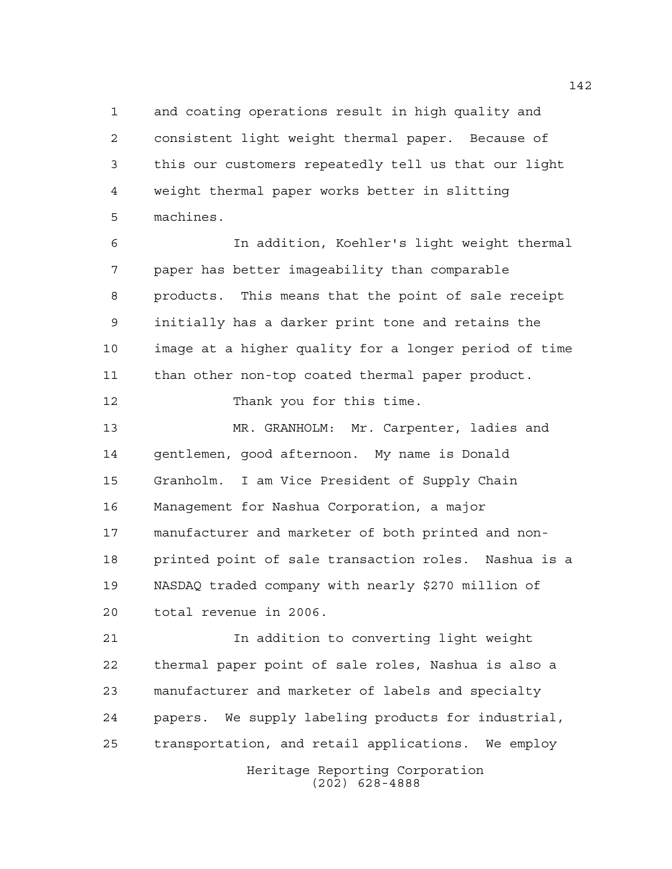and coating operations result in high quality and consistent light weight thermal paper. Because of this our customers repeatedly tell us that our light weight thermal paper works better in slitting machines.

 In addition, Koehler's light weight thermal paper has better imageability than comparable products. This means that the point of sale receipt initially has a darker print tone and retains the image at a higher quality for a longer period of time than other non-top coated thermal paper product.

12 Thank you for this time.

 MR. GRANHOLM: Mr. Carpenter, ladies and gentlemen, good afternoon. My name is Donald Granholm. I am Vice President of Supply Chain Management for Nashua Corporation, a major manufacturer and marketer of both printed and non- printed point of sale transaction roles. Nashua is a NASDAQ traded company with nearly \$270 million of total revenue in 2006.

 In addition to converting light weight thermal paper point of sale roles, Nashua is also a manufacturer and marketer of labels and specialty papers. We supply labeling products for industrial, transportation, and retail applications. We employ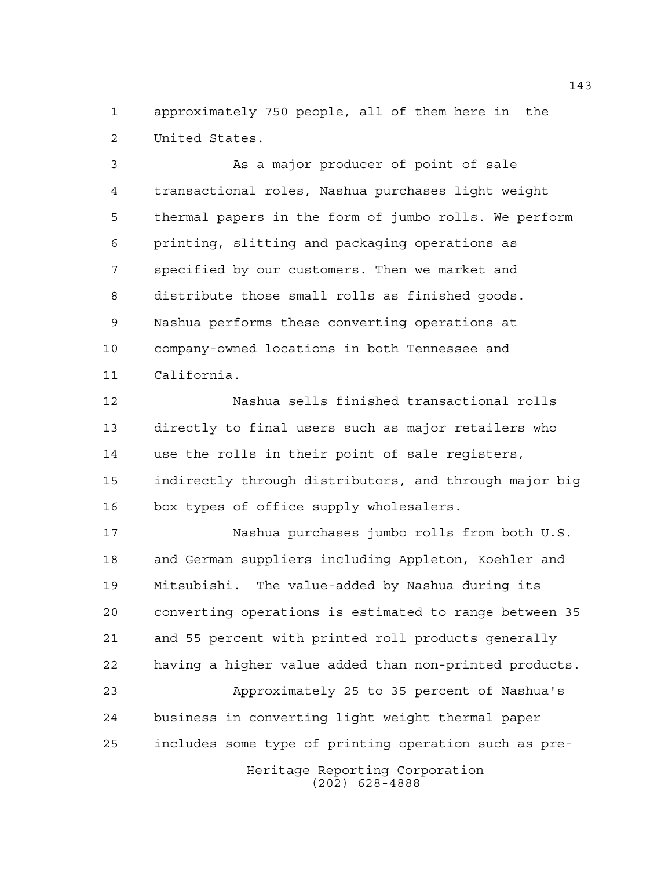approximately 750 people, all of them here in the United States.

 As a major producer of point of sale transactional roles, Nashua purchases light weight thermal papers in the form of jumbo rolls. We perform printing, slitting and packaging operations as specified by our customers. Then we market and distribute those small rolls as finished goods. Nashua performs these converting operations at company-owned locations in both Tennessee and California.

 Nashua sells finished transactional rolls directly to final users such as major retailers who use the rolls in their point of sale registers, indirectly through distributors, and through major big box types of office supply wholesalers.

 Nashua purchases jumbo rolls from both U.S. and German suppliers including Appleton, Koehler and Mitsubishi. The value-added by Nashua during its converting operations is estimated to range between 35 and 55 percent with printed roll products generally having a higher value added than non-printed products. Approximately 25 to 35 percent of Nashua's

 business in converting light weight thermal paper includes some type of printing operation such as pre-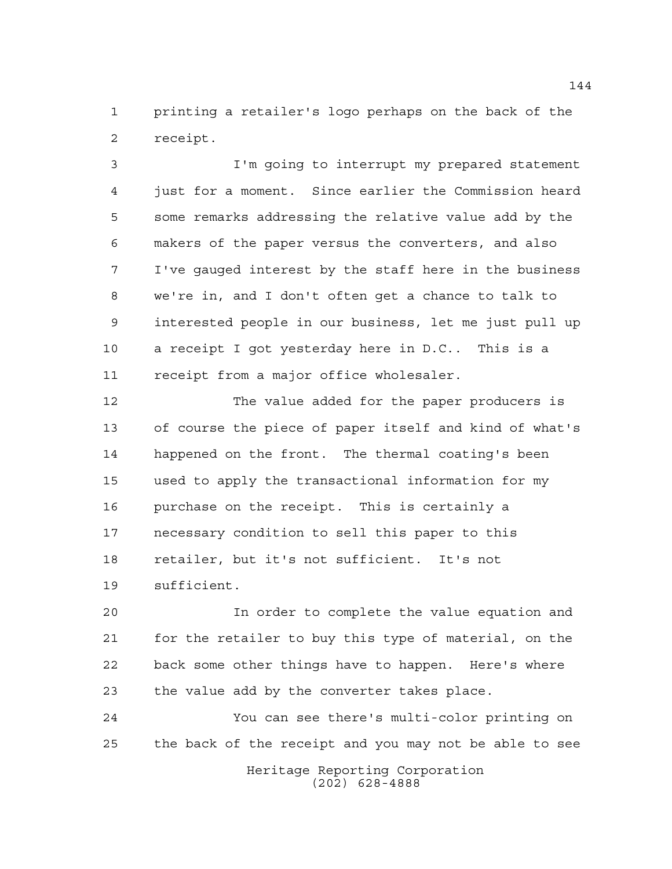printing a retailer's logo perhaps on the back of the receipt.

 I'm going to interrupt my prepared statement just for a moment. Since earlier the Commission heard some remarks addressing the relative value add by the makers of the paper versus the converters, and also I've gauged interest by the staff here in the business we're in, and I don't often get a chance to talk to interested people in our business, let me just pull up a receipt I got yesterday here in D.C.. This is a receipt from a major office wholesaler.

 The value added for the paper producers is of course the piece of paper itself and kind of what's happened on the front. The thermal coating's been used to apply the transactional information for my purchase on the receipt. This is certainly a necessary condition to sell this paper to this retailer, but it's not sufficient. It's not sufficient.

 In order to complete the value equation and for the retailer to buy this type of material, on the back some other things have to happen. Here's where the value add by the converter takes place.

 You can see there's multi-color printing on the back of the receipt and you may not be able to see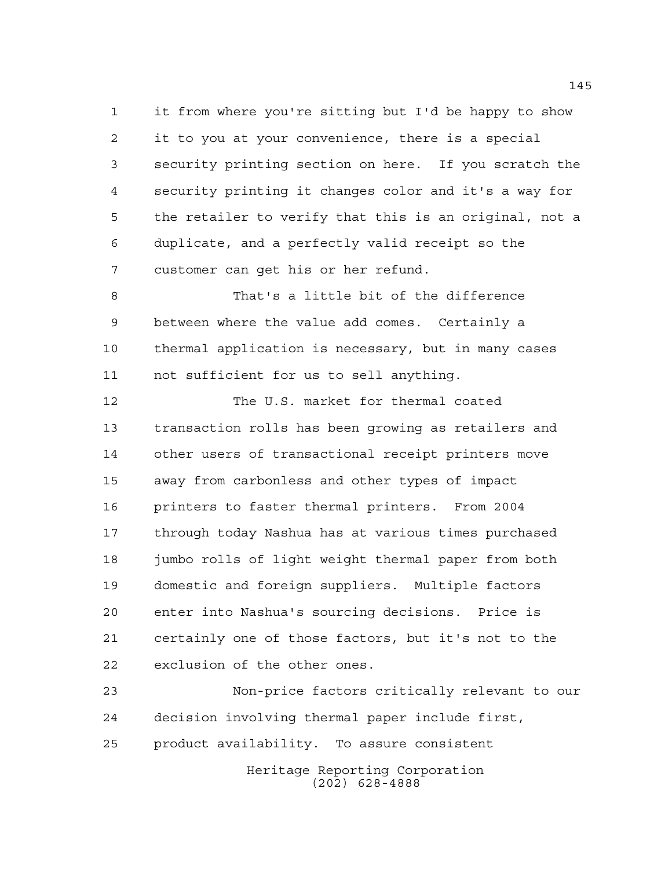it from where you're sitting but I'd be happy to show it to you at your convenience, there is a special security printing section on here. If you scratch the security printing it changes color and it's a way for the retailer to verify that this is an original, not a duplicate, and a perfectly valid receipt so the customer can get his or her refund.

 That's a little bit of the difference between where the value add comes. Certainly a thermal application is necessary, but in many cases not sufficient for us to sell anything.

 The U.S. market for thermal coated transaction rolls has been growing as retailers and other users of transactional receipt printers move away from carbonless and other types of impact printers to faster thermal printers. From 2004 through today Nashua has at various times purchased jumbo rolls of light weight thermal paper from both domestic and foreign suppliers. Multiple factors enter into Nashua's sourcing decisions. Price is certainly one of those factors, but it's not to the exclusion of the other ones.

Heritage Reporting Corporation (202) 628-4888 Non-price factors critically relevant to our decision involving thermal paper include first, product availability. To assure consistent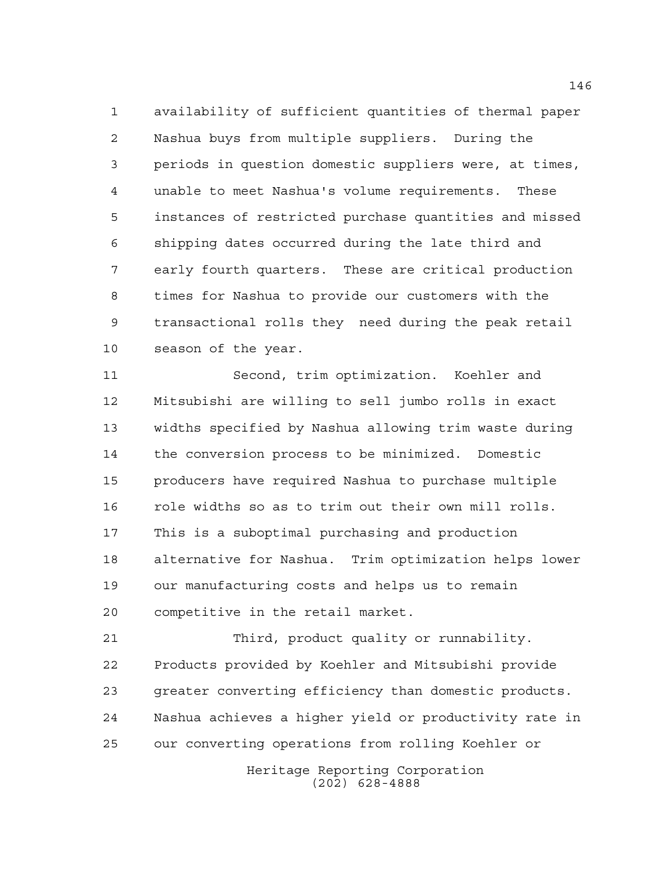availability of sufficient quantities of thermal paper Nashua buys from multiple suppliers. During the periods in question domestic suppliers were, at times, unable to meet Nashua's volume requirements. These instances of restricted purchase quantities and missed shipping dates occurred during the late third and early fourth quarters. These are critical production times for Nashua to provide our customers with the transactional rolls they need during the peak retail season of the year.

 Second, trim optimization. Koehler and Mitsubishi are willing to sell jumbo rolls in exact widths specified by Nashua allowing trim waste during the conversion process to be minimized. Domestic producers have required Nashua to purchase multiple role widths so as to trim out their own mill rolls. This is a suboptimal purchasing and production alternative for Nashua. Trim optimization helps lower our manufacturing costs and helps us to remain competitive in the retail market.

 Third, product quality or runnability. Products provided by Koehler and Mitsubishi provide greater converting efficiency than domestic products. Nashua achieves a higher yield or productivity rate in our converting operations from rolling Koehler or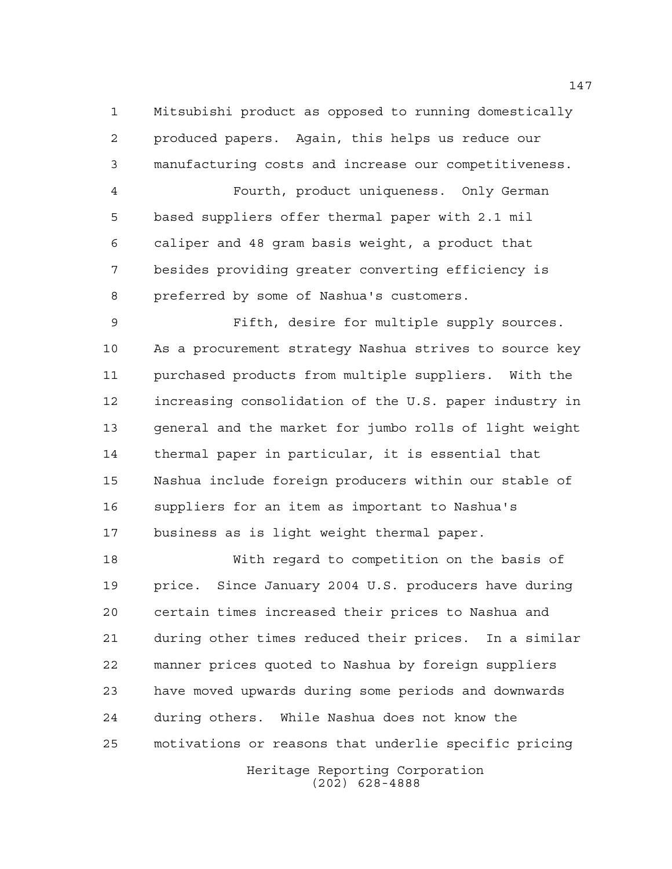Mitsubishi product as opposed to running domestically produced papers. Again, this helps us reduce our manufacturing costs and increase our competitiveness.

 Fourth, product uniqueness. Only German based suppliers offer thermal paper with 2.1 mil caliper and 48 gram basis weight, a product that besides providing greater converting efficiency is preferred by some of Nashua's customers.

 Fifth, desire for multiple supply sources. As a procurement strategy Nashua strives to source key purchased products from multiple suppliers. With the increasing consolidation of the U.S. paper industry in general and the market for jumbo rolls of light weight thermal paper in particular, it is essential that Nashua include foreign producers within our stable of suppliers for an item as important to Nashua's business as is light weight thermal paper.

 With regard to competition on the basis of price. Since January 2004 U.S. producers have during certain times increased their prices to Nashua and during other times reduced their prices. In a similar manner prices quoted to Nashua by foreign suppliers have moved upwards during some periods and downwards during others. While Nashua does not know the motivations or reasons that underlie specific pricing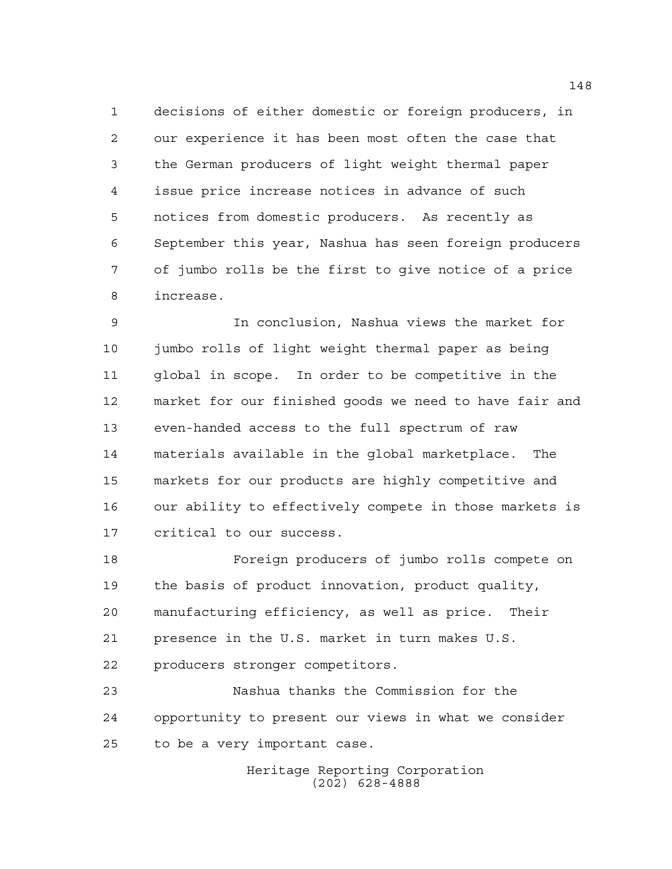decisions of either domestic or foreign producers, in our experience it has been most often the case that the German producers of light weight thermal paper issue price increase notices in advance of such notices from domestic producers. As recently as September this year, Nashua has seen foreign producers of jumbo rolls be the first to give notice of a price increase.

 In conclusion, Nashua views the market for jumbo rolls of light weight thermal paper as being global in scope. In order to be competitive in the market for our finished goods we need to have fair and even-handed access to the full spectrum of raw materials available in the global marketplace. The markets for our products are highly competitive and our ability to effectively compete in those markets is critical to our success.

 Foreign producers of jumbo rolls compete on the basis of product innovation, product quality, manufacturing efficiency, as well as price. Their presence in the U.S. market in turn makes U.S. producers stronger competitors.

 Nashua thanks the Commission for the opportunity to present our views in what we consider to be a very important case.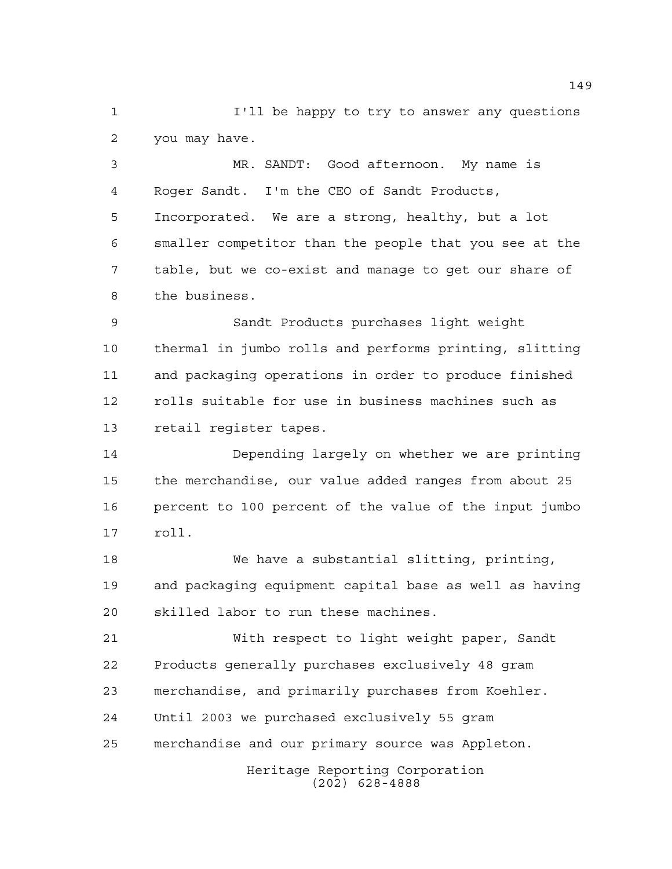I'll be happy to try to answer any questions you may have.

 MR. SANDT: Good afternoon. My name is Roger Sandt. I'm the CEO of Sandt Products, Incorporated. We are a strong, healthy, but a lot smaller competitor than the people that you see at the table, but we co-exist and manage to get our share of the business.

 Sandt Products purchases light weight thermal in jumbo rolls and performs printing, slitting and packaging operations in order to produce finished rolls suitable for use in business machines such as retail register tapes.

 Depending largely on whether we are printing the merchandise, our value added ranges from about 25 percent to 100 percent of the value of the input jumbo roll.

 We have a substantial slitting, printing, and packaging equipment capital base as well as having skilled labor to run these machines.

 With respect to light weight paper, Sandt Products generally purchases exclusively 48 gram merchandise, and primarily purchases from Koehler. Until 2003 we purchased exclusively 55 gram merchandise and our primary source was Appleton.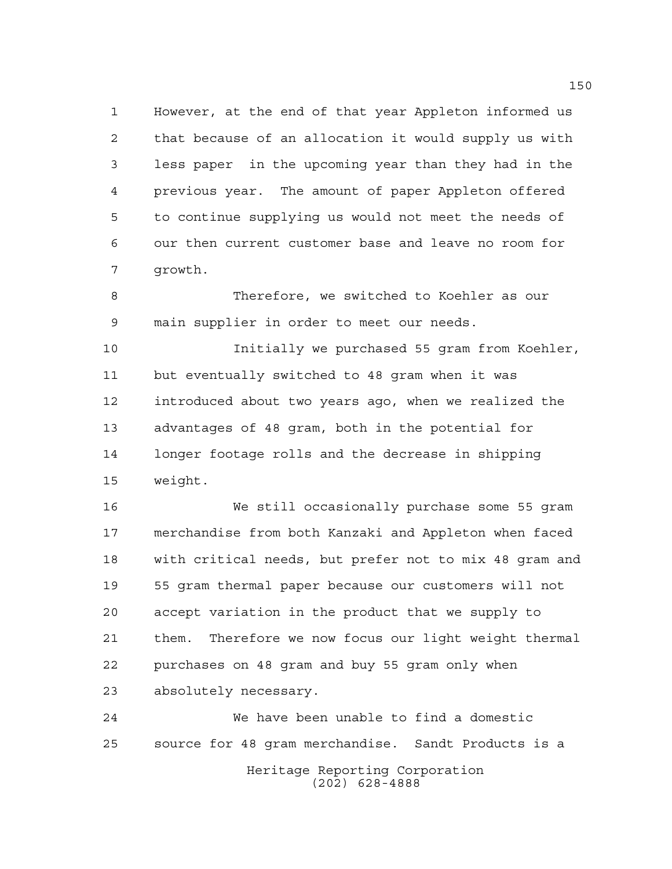However, at the end of that year Appleton informed us that because of an allocation it would supply us with less paper in the upcoming year than they had in the previous year. The amount of paper Appleton offered to continue supplying us would not meet the needs of our then current customer base and leave no room for growth.

 Therefore, we switched to Koehler as our main supplier in order to meet our needs.

 Initially we purchased 55 gram from Koehler, but eventually switched to 48 gram when it was introduced about two years ago, when we realized the advantages of 48 gram, both in the potential for longer footage rolls and the decrease in shipping weight.

 We still occasionally purchase some 55 gram merchandise from both Kanzaki and Appleton when faced with critical needs, but prefer not to mix 48 gram and 55 gram thermal paper because our customers will not accept variation in the product that we supply to them. Therefore we now focus our light weight thermal purchases on 48 gram and buy 55 gram only when absolutely necessary.

Heritage Reporting Corporation (202) 628-4888 We have been unable to find a domestic source for 48 gram merchandise. Sandt Products is a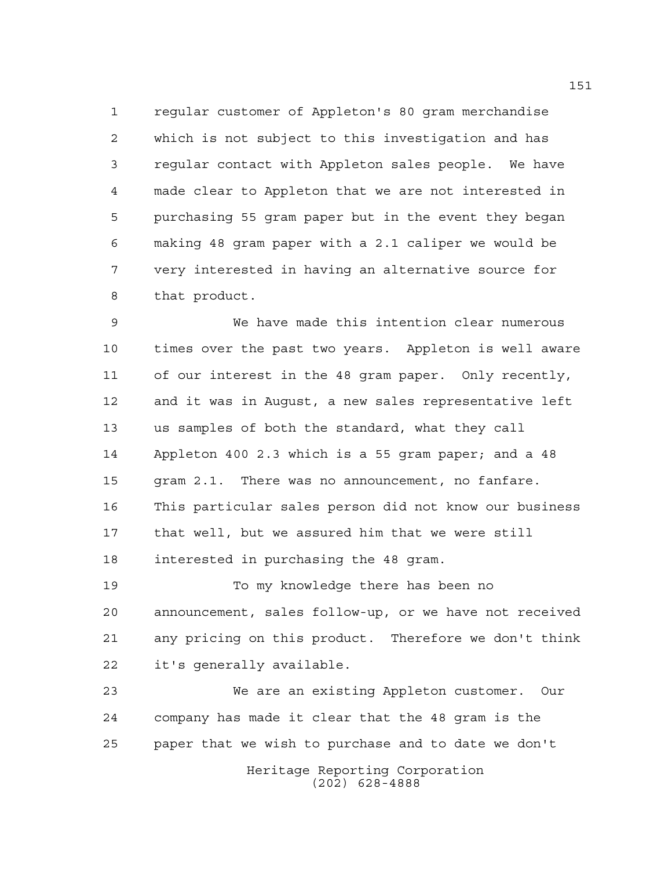regular customer of Appleton's 80 gram merchandise which is not subject to this investigation and has regular contact with Appleton sales people. We have made clear to Appleton that we are not interested in purchasing 55 gram paper but in the event they began making 48 gram paper with a 2.1 caliper we would be very interested in having an alternative source for that product.

 We have made this intention clear numerous times over the past two years. Appleton is well aware of our interest in the 48 gram paper. Only recently, and it was in August, a new sales representative left us samples of both the standard, what they call Appleton 400 2.3 which is a 55 gram paper; and a 48 gram 2.1. There was no announcement, no fanfare. This particular sales person did not know our business that well, but we assured him that we were still interested in purchasing the 48 gram.

 To my knowledge there has been no announcement, sales follow-up, or we have not received any pricing on this product. Therefore we don't think it's generally available.

Heritage Reporting Corporation (202) 628-4888 We are an existing Appleton customer. Our company has made it clear that the 48 gram is the paper that we wish to purchase and to date we don't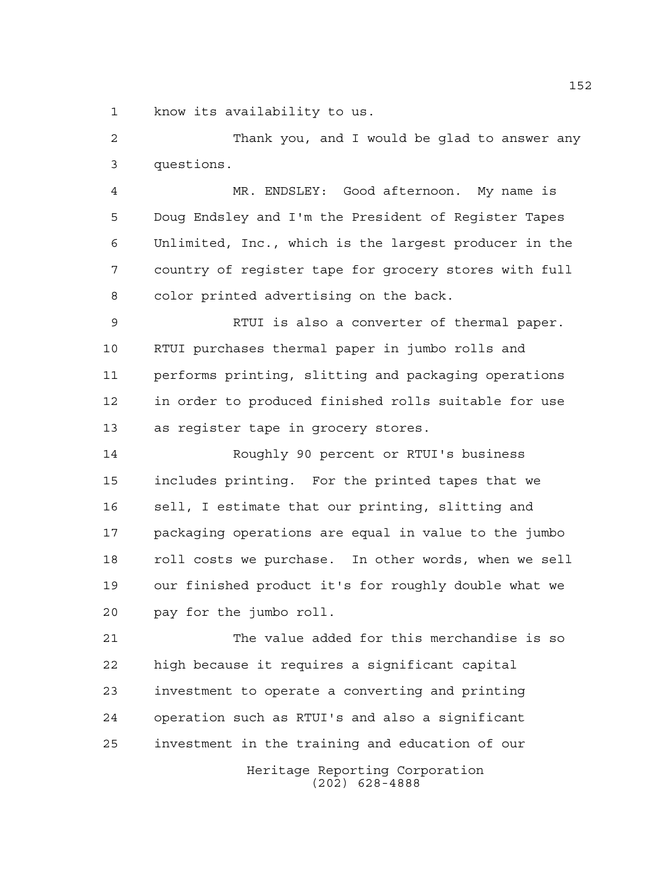know its availability to us.

 Thank you, and I would be glad to answer any questions.

 MR. ENDSLEY: Good afternoon. My name is Doug Endsley and I'm the President of Register Tapes Unlimited, Inc., which is the largest producer in the country of register tape for grocery stores with full color printed advertising on the back.

 RTUI is also a converter of thermal paper. RTUI purchases thermal paper in jumbo rolls and performs printing, slitting and packaging operations in order to produced finished rolls suitable for use as register tape in grocery stores.

 Roughly 90 percent or RTUI's business includes printing. For the printed tapes that we sell, I estimate that our printing, slitting and packaging operations are equal in value to the jumbo roll costs we purchase. In other words, when we sell our finished product it's for roughly double what we pay for the jumbo roll.

Heritage Reporting Corporation The value added for this merchandise is so high because it requires a significant capital investment to operate a converting and printing operation such as RTUI's and also a significant investment in the training and education of our

(202) 628-4888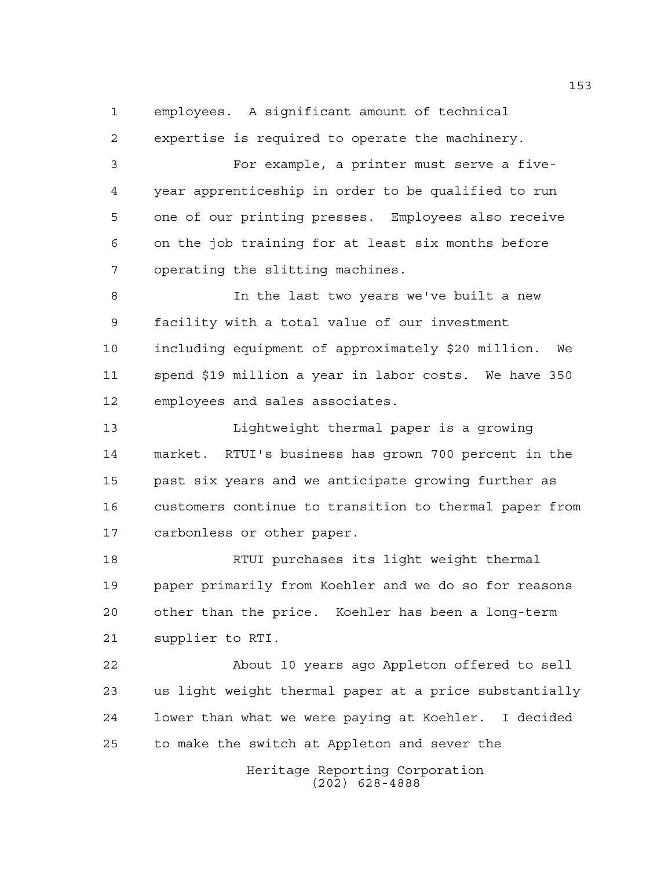employees. A significant amount of technical

 expertise is required to operate the machinery. For example, a printer must serve a five- year apprenticeship in order to be qualified to run one of our printing presses. Employees also receive on the job training for at least six months before operating the slitting machines.

 In the last two years we've built a new facility with a total value of our investment including equipment of approximately \$20 million. We spend \$19 million a year in labor costs. We have 350 employees and sales associates.

 Lightweight thermal paper is a growing market. RTUI's business has grown 700 percent in the past six years and we anticipate growing further as customers continue to transition to thermal paper from carbonless or other paper.

 RTUI purchases its light weight thermal paper primarily from Koehler and we do so for reasons other than the price. Koehler has been a long-term supplier to RTI.

 About 10 years ago Appleton offered to sell us light weight thermal paper at a price substantially lower than what we were paying at Koehler. I decided to make the switch at Appleton and sever the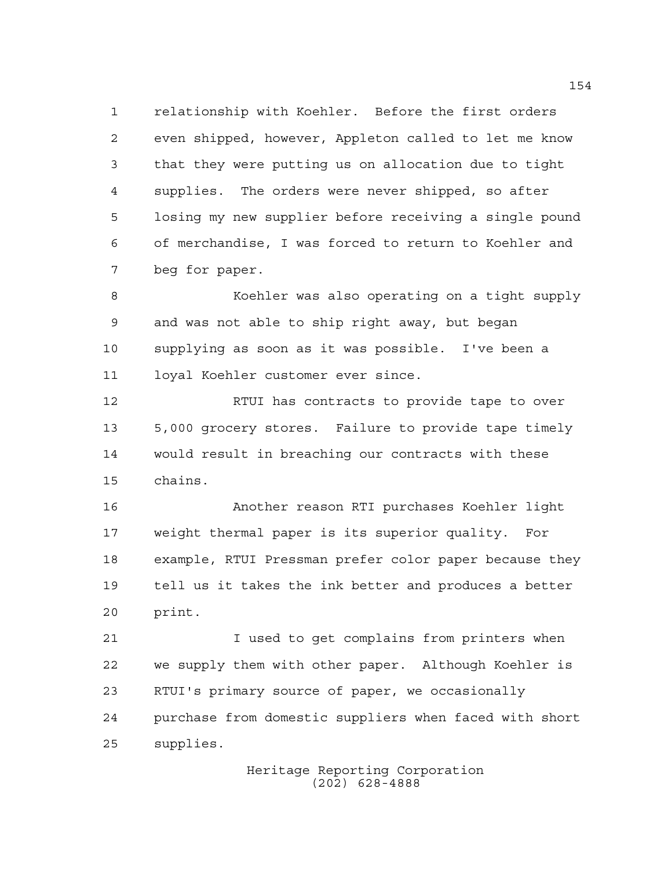relationship with Koehler. Before the first orders even shipped, however, Appleton called to let me know that they were putting us on allocation due to tight supplies. The orders were never shipped, so after losing my new supplier before receiving a single pound of merchandise, I was forced to return to Koehler and beg for paper.

 Koehler was also operating on a tight supply and was not able to ship right away, but began supplying as soon as it was possible. I've been a loyal Koehler customer ever since.

12 RTUI has contracts to provide tape to over 5,000 grocery stores. Failure to provide tape timely would result in breaching our contracts with these chains.

 Another reason RTI purchases Koehler light weight thermal paper is its superior quality. For example, RTUI Pressman prefer color paper because they tell us it takes the ink better and produces a better print.

 I used to get complains from printers when we supply them with other paper. Although Koehler is RTUI's primary source of paper, we occasionally purchase from domestic suppliers when faced with short supplies.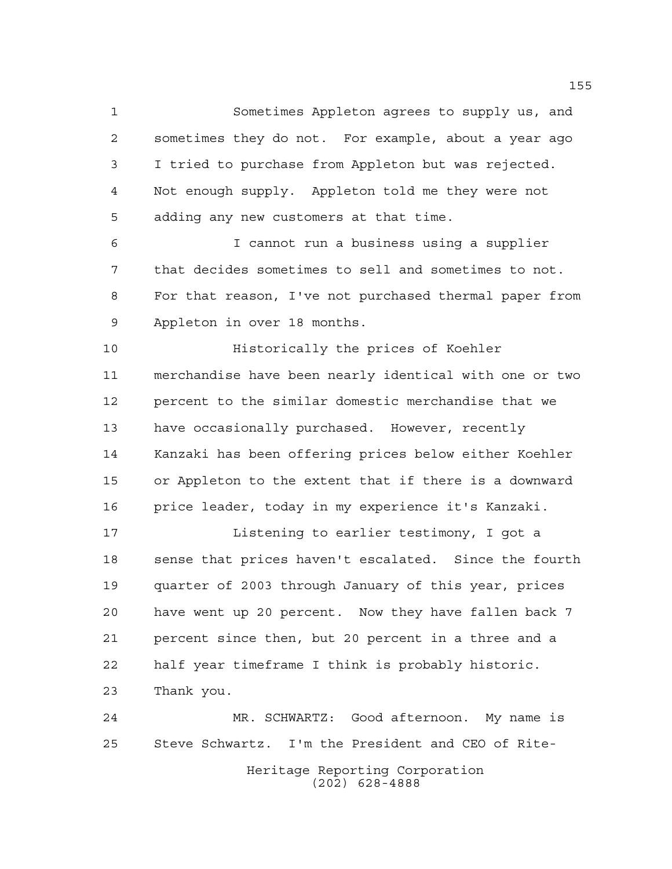Sometimes Appleton agrees to supply us, and sometimes they do not. For example, about a year ago I tried to purchase from Appleton but was rejected. Not enough supply. Appleton told me they were not adding any new customers at that time.

 I cannot run a business using a supplier that decides sometimes to sell and sometimes to not. For that reason, I've not purchased thermal paper from Appleton in over 18 months.

 Historically the prices of Koehler merchandise have been nearly identical with one or two percent to the similar domestic merchandise that we have occasionally purchased. However, recently Kanzaki has been offering prices below either Koehler or Appleton to the extent that if there is a downward price leader, today in my experience it's Kanzaki.

**Listening to earlier testimony, I got a**  sense that prices haven't escalated. Since the fourth quarter of 2003 through January of this year, prices have went up 20 percent. Now they have fallen back 7 percent since then, but 20 percent in a three and a half year timeframe I think is probably historic. Thank you.

Heritage Reporting Corporation (202) 628-4888 MR. SCHWARTZ: Good afternoon. My name is Steve Schwartz. I'm the President and CEO of Rite-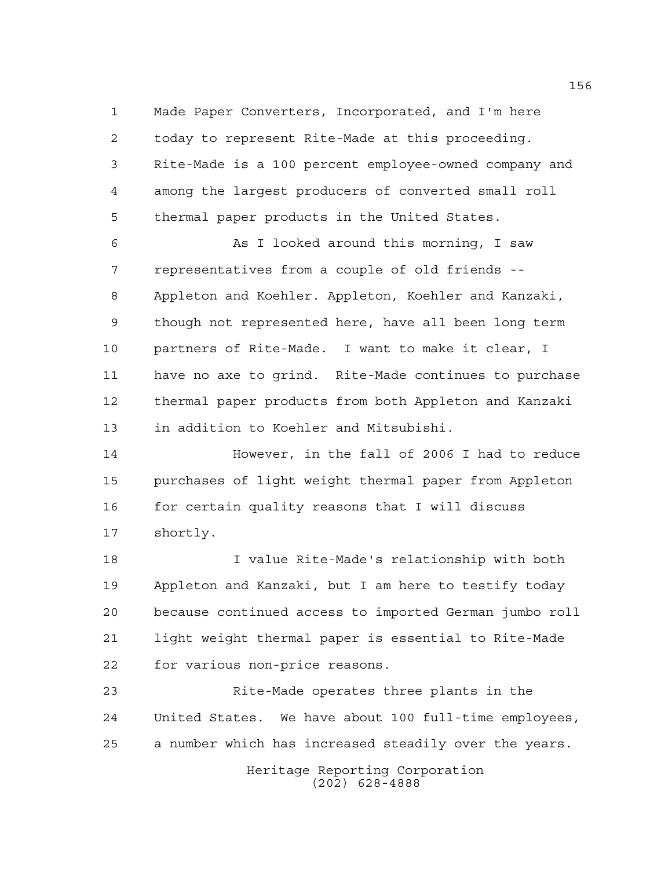Made Paper Converters, Incorporated, and I'm here today to represent Rite-Made at this proceeding. Rite-Made is a 100 percent employee-owned company and among the largest producers of converted small roll thermal paper products in the United States.

 As I looked around this morning, I saw representatives from a couple of old friends -- Appleton and Koehler. Appleton, Koehler and Kanzaki, though not represented here, have all been long term partners of Rite-Made. I want to make it clear, I have no axe to grind. Rite-Made continues to purchase thermal paper products from both Appleton and Kanzaki in addition to Koehler and Mitsubishi.

 However, in the fall of 2006 I had to reduce purchases of light weight thermal paper from Appleton for certain quality reasons that I will discuss shortly.

 I value Rite-Made's relationship with both Appleton and Kanzaki, but I am here to testify today because continued access to imported German jumbo roll light weight thermal paper is essential to Rite-Made for various non-price reasons.

 Rite-Made operates three plants in the United States. We have about 100 full-time employees, a number which has increased steadily over the years.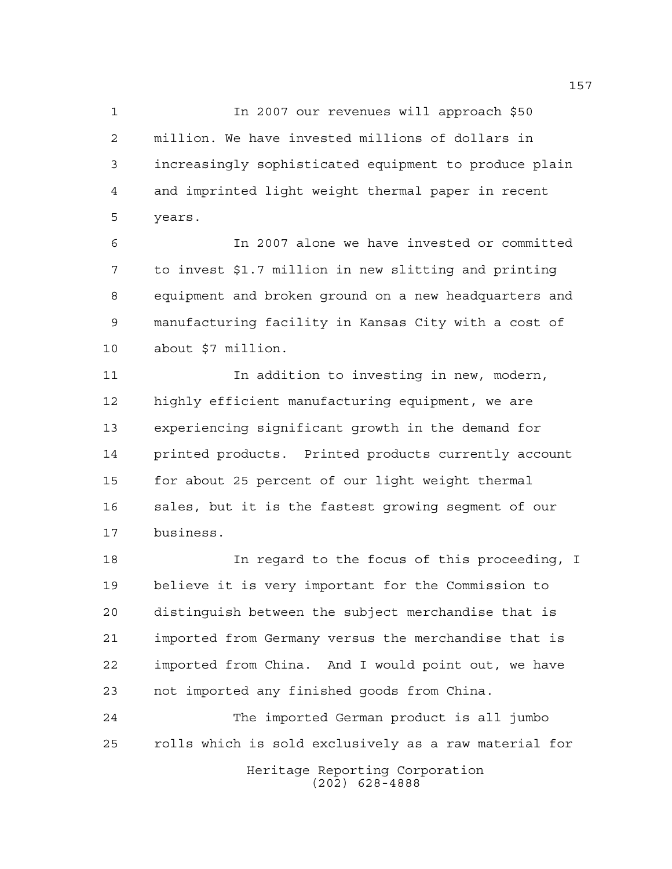In 2007 our revenues will approach \$50 million. We have invested millions of dollars in increasingly sophisticated equipment to produce plain and imprinted light weight thermal paper in recent years.

 In 2007 alone we have invested or committed to invest \$1.7 million in new slitting and printing equipment and broken ground on a new headquarters and manufacturing facility in Kansas City with a cost of about \$7 million.

 In addition to investing in new, modern, highly efficient manufacturing equipment, we are experiencing significant growth in the demand for printed products. Printed products currently account for about 25 percent of our light weight thermal sales, but it is the fastest growing segment of our business.

 In regard to the focus of this proceeding, I believe it is very important for the Commission to distinguish between the subject merchandise that is imported from Germany versus the merchandise that is imported from China. And I would point out, we have not imported any finished goods from China.

Heritage Reporting Corporation The imported German product is all jumbo rolls which is sold exclusively as a raw material for

(202) 628-4888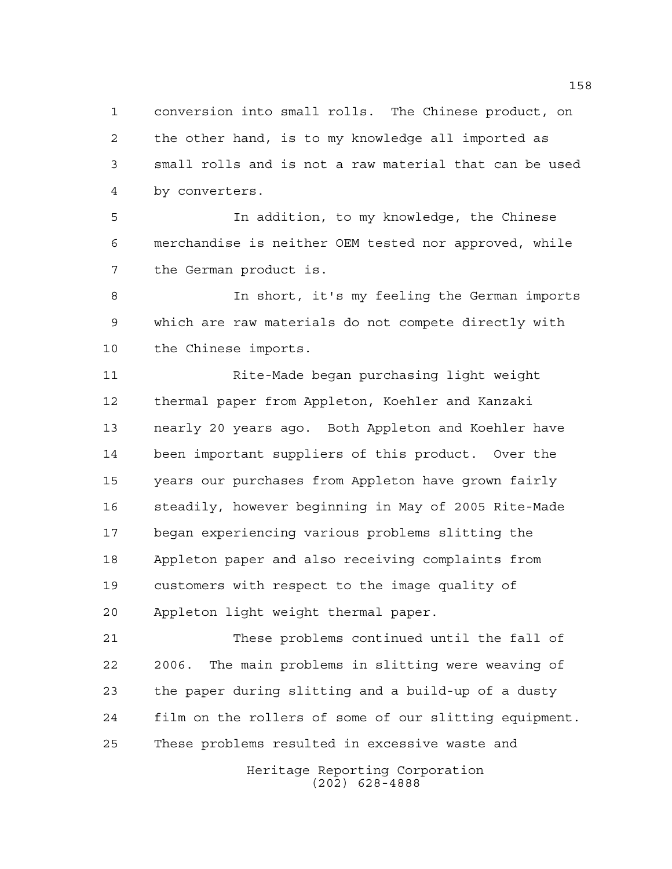conversion into small rolls. The Chinese product, on the other hand, is to my knowledge all imported as small rolls and is not a raw material that can be used by converters.

 In addition, to my knowledge, the Chinese merchandise is neither OEM tested nor approved, while the German product is.

 In short, it's my feeling the German imports which are raw materials do not compete directly with the Chinese imports.

 Rite-Made began purchasing light weight thermal paper from Appleton, Koehler and Kanzaki nearly 20 years ago. Both Appleton and Koehler have been important suppliers of this product. Over the years our purchases from Appleton have grown fairly steadily, however beginning in May of 2005 Rite-Made began experiencing various problems slitting the Appleton paper and also receiving complaints from customers with respect to the image quality of Appleton light weight thermal paper.

 These problems continued until the fall of 2006. The main problems in slitting were weaving of the paper during slitting and a build-up of a dusty film on the rollers of some of our slitting equipment. These problems resulted in excessive waste and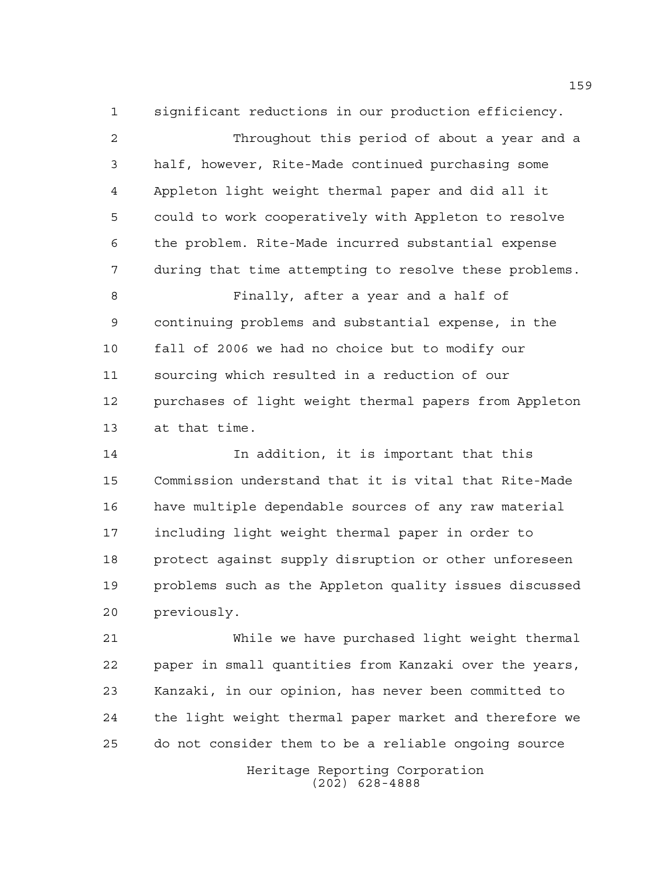significant reductions in our production efficiency. Throughout this period of about a year and a half, however, Rite-Made continued purchasing some Appleton light weight thermal paper and did all it could to work cooperatively with Appleton to resolve the problem. Rite-Made incurred substantial expense during that time attempting to resolve these problems. Finally, after a year and a half of continuing problems and substantial expense, in the fall of 2006 we had no choice but to modify our sourcing which resulted in a reduction of our purchases of light weight thermal papers from Appleton at that time.

 In addition, it is important that this Commission understand that it is vital that Rite-Made have multiple dependable sources of any raw material including light weight thermal paper in order to protect against supply disruption or other unforeseen problems such as the Appleton quality issues discussed previously.

 While we have purchased light weight thermal paper in small quantities from Kanzaki over the years, Kanzaki, in our opinion, has never been committed to the light weight thermal paper market and therefore we do not consider them to be a reliable ongoing source

> Heritage Reporting Corporation (202) 628-4888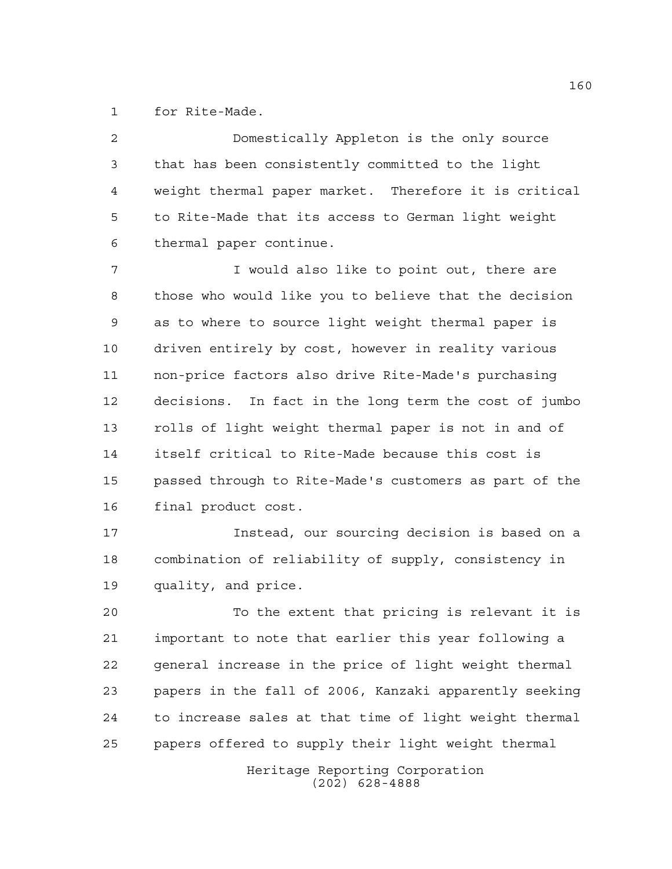for Rite-Made.

 Domestically Appleton is the only source that has been consistently committed to the light weight thermal paper market. Therefore it is critical to Rite-Made that its access to German light weight thermal paper continue.

 I would also like to point out, there are those who would like you to believe that the decision as to where to source light weight thermal paper is driven entirely by cost, however in reality various non-price factors also drive Rite-Made's purchasing decisions. In fact in the long term the cost of jumbo rolls of light weight thermal paper is not in and of itself critical to Rite-Made because this cost is passed through to Rite-Made's customers as part of the final product cost.

 Instead, our sourcing decision is based on a combination of reliability of supply, consistency in quality, and price.

 To the extent that pricing is relevant it is important to note that earlier this year following a general increase in the price of light weight thermal papers in the fall of 2006, Kanzaki apparently seeking to increase sales at that time of light weight thermal papers offered to supply their light weight thermal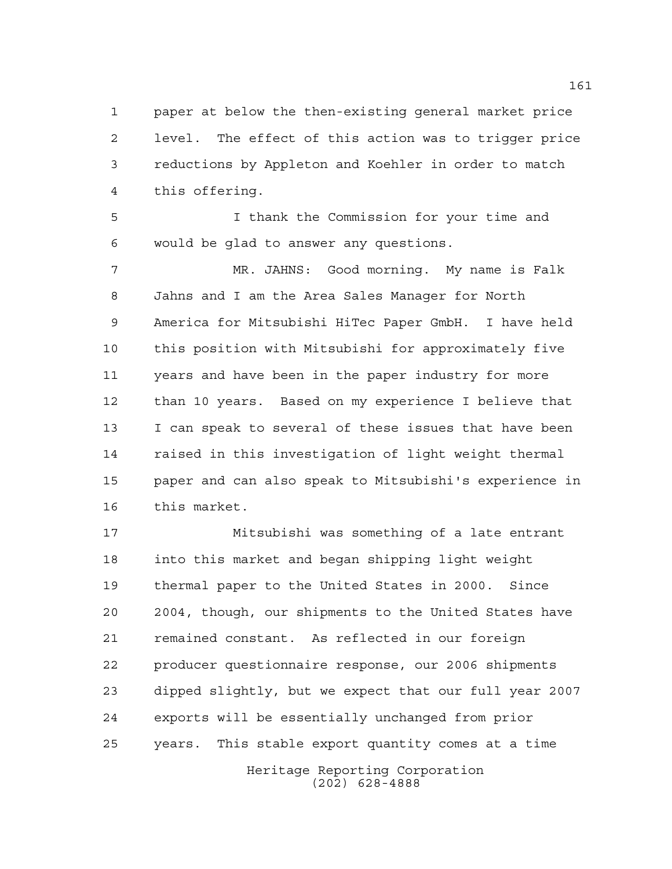paper at below the then-existing general market price level. The effect of this action was to trigger price reductions by Appleton and Koehler in order to match this offering.

 I thank the Commission for your time and would be glad to answer any questions.

 MR. JAHNS: Good morning. My name is Falk Jahns and I am the Area Sales Manager for North America for Mitsubishi HiTec Paper GmbH. I have held this position with Mitsubishi for approximately five years and have been in the paper industry for more than 10 years. Based on my experience I believe that I can speak to several of these issues that have been raised in this investigation of light weight thermal paper and can also speak to Mitsubishi's experience in this market.

Heritage Reporting Corporation Mitsubishi was something of a late entrant into this market and began shipping light weight thermal paper to the United States in 2000. Since 2004, though, our shipments to the United States have remained constant. As reflected in our foreign producer questionnaire response, our 2006 shipments dipped slightly, but we expect that our full year 2007 exports will be essentially unchanged from prior years. This stable export quantity comes at a time

(202) 628-4888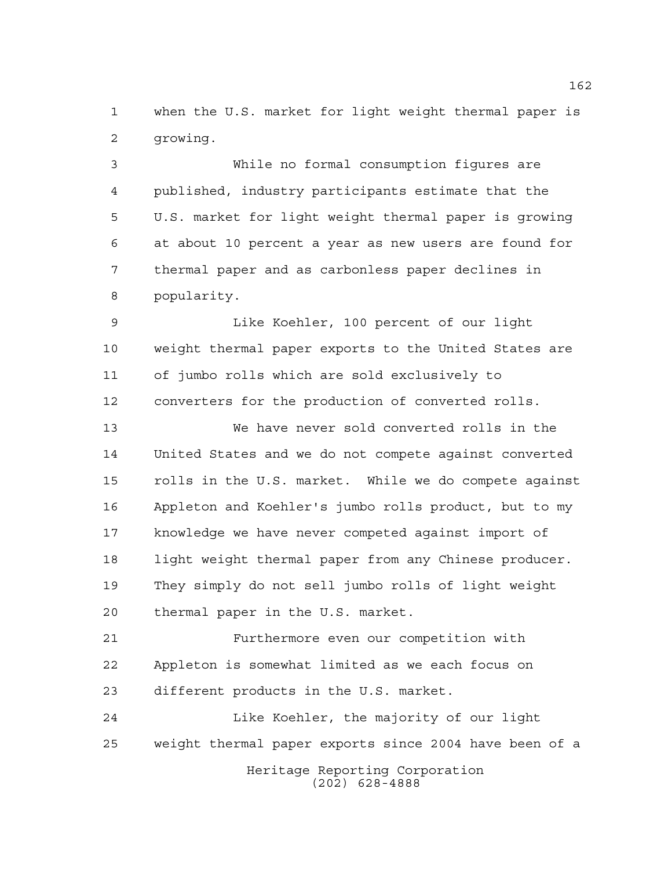when the U.S. market for light weight thermal paper is growing.

 While no formal consumption figures are published, industry participants estimate that the U.S. market for light weight thermal paper is growing at about 10 percent a year as new users are found for thermal paper and as carbonless paper declines in popularity.

 Like Koehler, 100 percent of our light weight thermal paper exports to the United States are of jumbo rolls which are sold exclusively to converters for the production of converted rolls.

 We have never sold converted rolls in the United States and we do not compete against converted rolls in the U.S. market. While we do compete against Appleton and Koehler's jumbo rolls product, but to my knowledge we have never competed against import of light weight thermal paper from any Chinese producer. They simply do not sell jumbo rolls of light weight thermal paper in the U.S. market.

 Furthermore even our competition with Appleton is somewhat limited as we each focus on different products in the U.S. market.

Heritage Reporting Corporation (202) 628-4888 Like Koehler, the majority of our light weight thermal paper exports since 2004 have been of a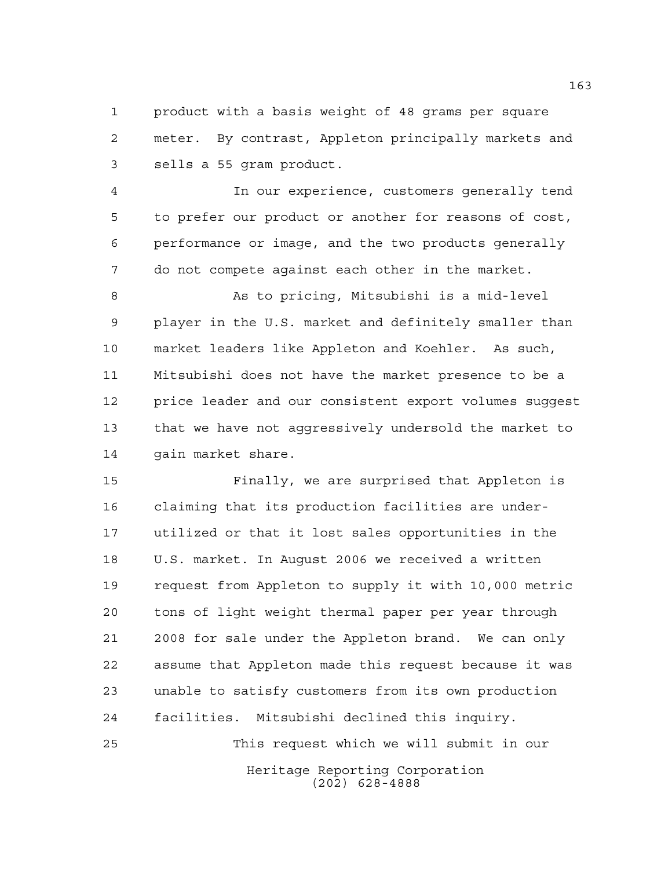product with a basis weight of 48 grams per square meter. By contrast, Appleton principally markets and sells a 55 gram product.

 In our experience, customers generally tend to prefer our product or another for reasons of cost, performance or image, and the two products generally do not compete against each other in the market.

 As to pricing, Mitsubishi is a mid-level player in the U.S. market and definitely smaller than market leaders like Appleton and Koehler. As such, Mitsubishi does not have the market presence to be a price leader and our consistent export volumes suggest that we have not aggressively undersold the market to gain market share.

 Finally, we are surprised that Appleton is claiming that its production facilities are under- utilized or that it lost sales opportunities in the U.S. market. In August 2006 we received a written request from Appleton to supply it with 10,000 metric tons of light weight thermal paper per year through 2008 for sale under the Appleton brand. We can only assume that Appleton made this request because it was unable to satisfy customers from its own production facilities. Mitsubishi declined this inquiry. This request which we will submit in our

> Heritage Reporting Corporation (202) 628-4888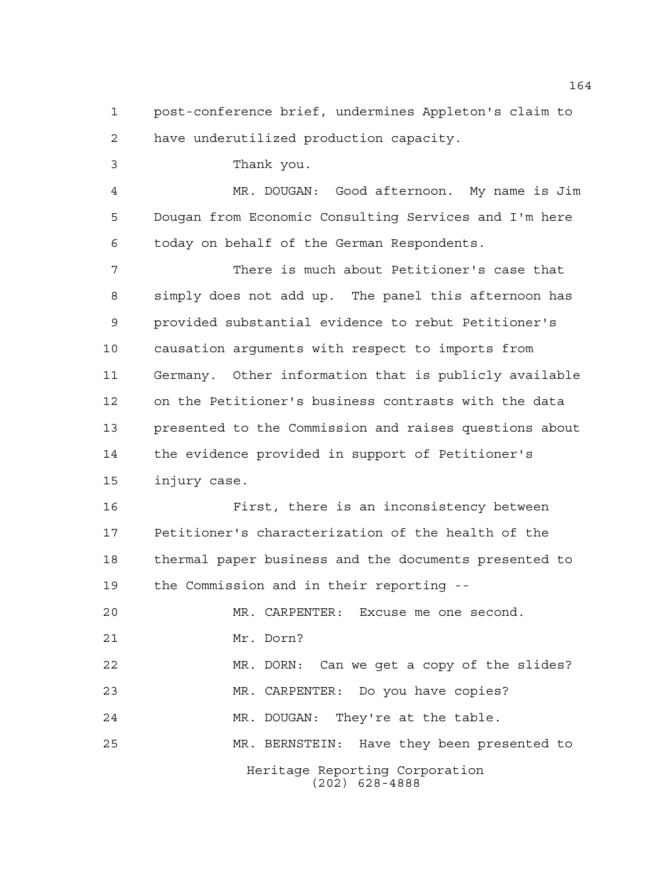post-conference brief, undermines Appleton's claim to have underutilized production capacity.

Thank you.

 MR. DOUGAN: Good afternoon. My name is Jim Dougan from Economic Consulting Services and I'm here today on behalf of the German Respondents.

 There is much about Petitioner's case that simply does not add up. The panel this afternoon has provided substantial evidence to rebut Petitioner's causation arguments with respect to imports from Germany. Other information that is publicly available on the Petitioner's business contrasts with the data presented to the Commission and raises questions about the evidence provided in support of Petitioner's injury case.

 First, there is an inconsistency between Petitioner's characterization of the health of the thermal paper business and the documents presented to the Commission and in their reporting --

Heritage Reporting Corporation (202) 628-4888 MR. CARPENTER: Excuse me one second. Mr. Dorn? MR. DORN: Can we get a copy of the slides? MR. CARPENTER: Do you have copies? MR. DOUGAN: They're at the table. MR. BERNSTEIN: Have they been presented to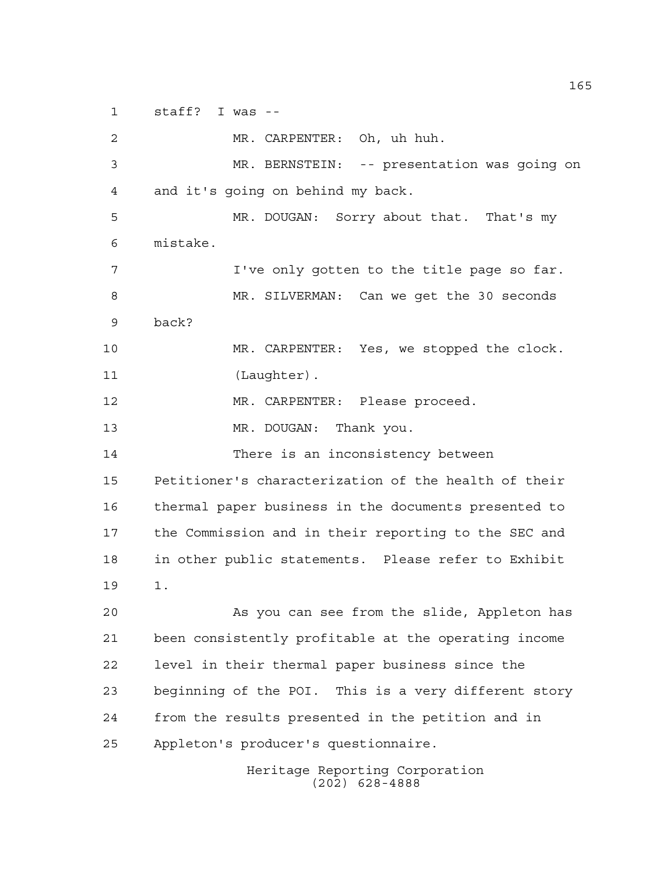staff? I was --

 MR. CARPENTER: Oh, uh huh. MR. BERNSTEIN: -- presentation was going on and it's going on behind my back. MR. DOUGAN: Sorry about that. That's my mistake. I've only gotten to the title page so far. MR. SILVERMAN: Can we get the 30 seconds back? MR. CARPENTER: Yes, we stopped the clock. 11 (Laughter). MR. CARPENTER: Please proceed. 13 MR. DOUGAN: Thank you. There is an inconsistency between Petitioner's characterization of the health of their thermal paper business in the documents presented to the Commission and in their reporting to the SEC and in other public statements. Please refer to Exhibit 1. As you can see from the slide, Appleton has been consistently profitable at the operating income level in their thermal paper business since the beginning of the POI. This is a very different story from the results presented in the petition and in Appleton's producer's questionnaire.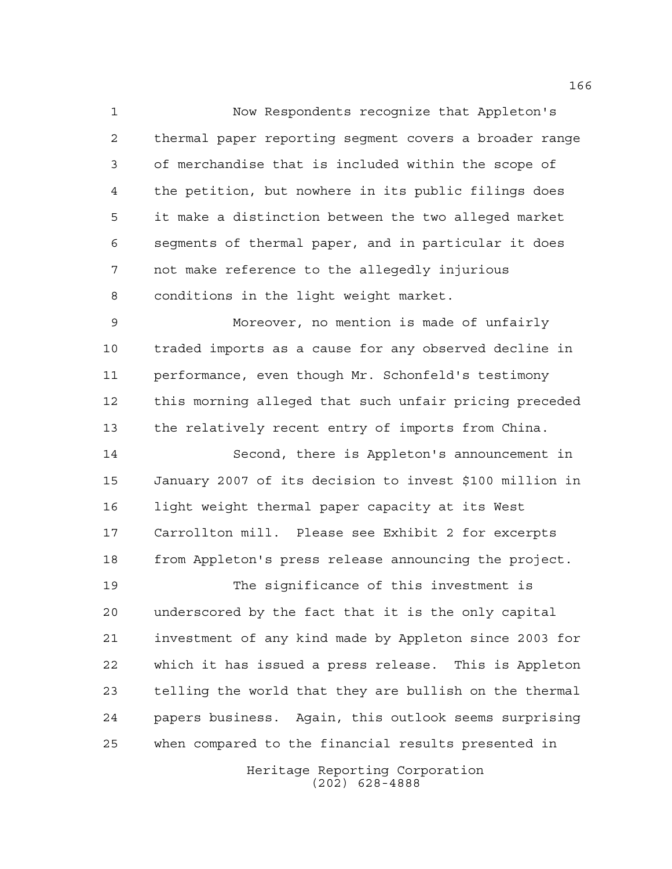Now Respondents recognize that Appleton's thermal paper reporting segment covers a broader range of merchandise that is included within the scope of the petition, but nowhere in its public filings does it make a distinction between the two alleged market segments of thermal paper, and in particular it does not make reference to the allegedly injurious conditions in the light weight market.

 Moreover, no mention is made of unfairly traded imports as a cause for any observed decline in performance, even though Mr. Schonfeld's testimony this morning alleged that such unfair pricing preceded the relatively recent entry of imports from China.

 Second, there is Appleton's announcement in January 2007 of its decision to invest \$100 million in light weight thermal paper capacity at its West Carrollton mill. Please see Exhibit 2 for excerpts from Appleton's press release announcing the project.

 The significance of this investment is underscored by the fact that it is the only capital investment of any kind made by Appleton since 2003 for which it has issued a press release. This is Appleton telling the world that they are bullish on the thermal papers business. Again, this outlook seems surprising when compared to the financial results presented in

> Heritage Reporting Corporation (202) 628-4888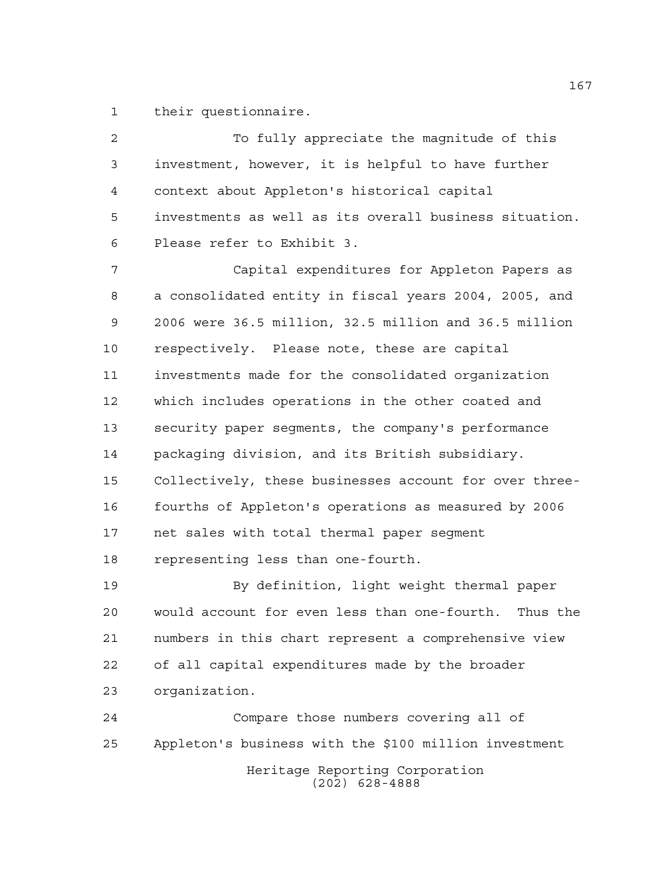their questionnaire.

2 To fully appreciate the magnitude of this investment, however, it is helpful to have further context about Appleton's historical capital investments as well as its overall business situation. Please refer to Exhibit 3.

 Capital expenditures for Appleton Papers as a consolidated entity in fiscal years 2004, 2005, and 2006 were 36.5 million, 32.5 million and 36.5 million respectively. Please note, these are capital investments made for the consolidated organization which includes operations in the other coated and security paper segments, the company's performance packaging division, and its British subsidiary. Collectively, these businesses account for over three- fourths of Appleton's operations as measured by 2006 net sales with total thermal paper segment representing less than one-fourth.

 By definition, light weight thermal paper would account for even less than one-fourth. Thus the numbers in this chart represent a comprehensive view of all capital expenditures made by the broader organization.

Heritage Reporting Corporation (202) 628-4888 Compare those numbers covering all of Appleton's business with the \$100 million investment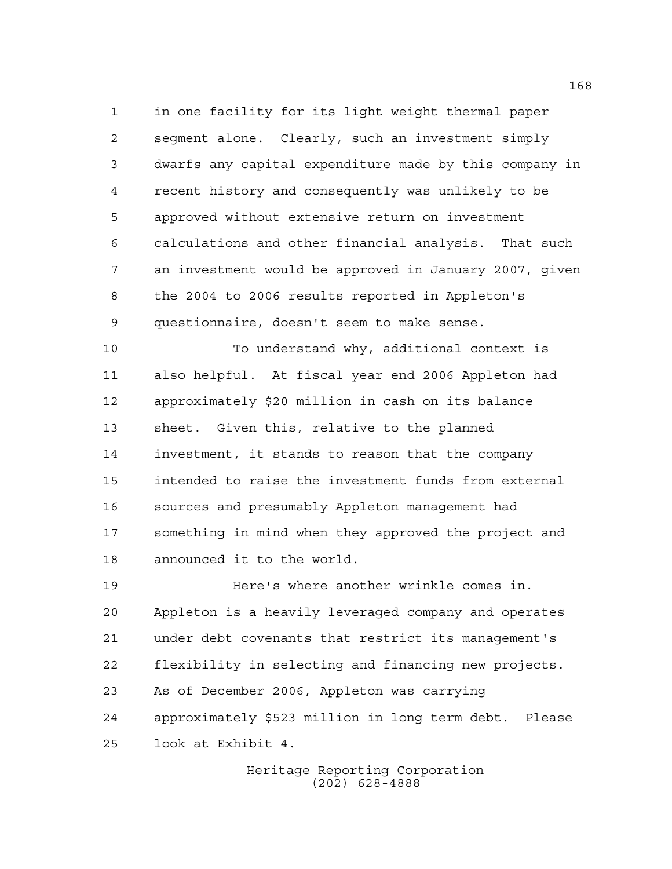in one facility for its light weight thermal paper segment alone. Clearly, such an investment simply dwarfs any capital expenditure made by this company in recent history and consequently was unlikely to be approved without extensive return on investment calculations and other financial analysis. That such an investment would be approved in January 2007, given the 2004 to 2006 results reported in Appleton's questionnaire, doesn't seem to make sense.

 To understand why, additional context is also helpful. At fiscal year end 2006 Appleton had approximately \$20 million in cash on its balance sheet. Given this, relative to the planned investment, it stands to reason that the company intended to raise the investment funds from external sources and presumably Appleton management had something in mind when they approved the project and announced it to the world.

 Here's where another wrinkle comes in. Appleton is a heavily leveraged company and operates under debt covenants that restrict its management's flexibility in selecting and financing new projects. As of December 2006, Appleton was carrying approximately \$523 million in long term debt. Please look at Exhibit 4.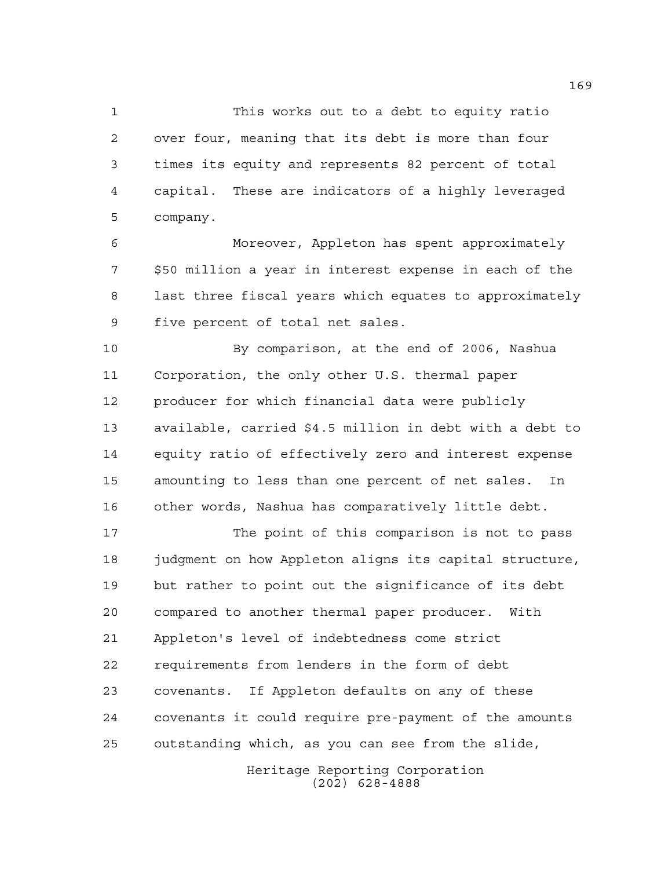This works out to a debt to equity ratio over four, meaning that its debt is more than four times its equity and represents 82 percent of total capital. These are indicators of a highly leveraged company.

 Moreover, Appleton has spent approximately \$50 million a year in interest expense in each of the last three fiscal years which equates to approximately five percent of total net sales.

 By comparison, at the end of 2006, Nashua Corporation, the only other U.S. thermal paper producer for which financial data were publicly available, carried \$4.5 million in debt with a debt to equity ratio of effectively zero and interest expense amounting to less than one percent of net sales. In other words, Nashua has comparatively little debt.

 The point of this comparison is not to pass judgment on how Appleton aligns its capital structure, but rather to point out the significance of its debt compared to another thermal paper producer. With Appleton's level of indebtedness come strict requirements from lenders in the form of debt covenants. If Appleton defaults on any of these covenants it could require pre-payment of the amounts outstanding which, as you can see from the slide,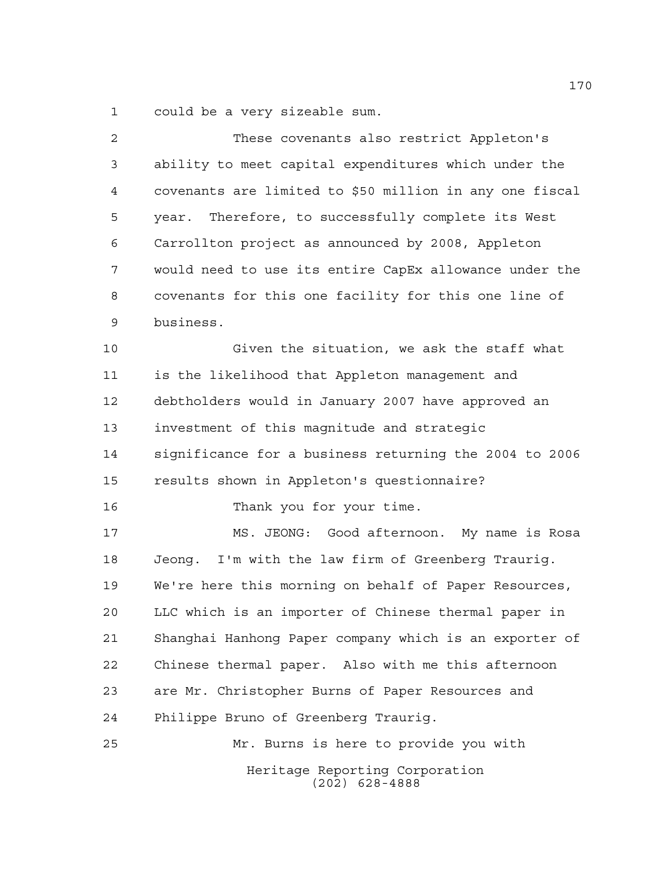could be a very sizeable sum.

| 2  | These covenants also restrict Appleton's                |
|----|---------------------------------------------------------|
| 3  | ability to meet capital expenditures which under the    |
| 4  | covenants are limited to \$50 million in any one fiscal |
| 5  | Therefore, to successfully complete its West<br>year.   |
| 6  | Carrollton project as announced by 2008, Appleton       |
| 7  | would need to use its entire CapEx allowance under the  |
| 8  | covenants for this one facility for this one line of    |
| 9  | business.                                               |
| 10 | Given the situation, we ask the staff what              |
| 11 | is the likelihood that Appleton management and          |
| 12 | debtholders would in January 2007 have approved an      |
| 13 | investment of this magnitude and strategic              |
| 14 | significance for a business returning the 2004 to 2006  |
| 15 | results shown in Appleton's questionnaire?              |
| 16 | Thank you for your time.                                |
| 17 | Good afternoon. My name is Rosa<br>MS. JEONG:           |
| 18 | Jeong. I'm with the law firm of Greenberg Traurig.      |
| 19 | We're here this morning on behalf of Paper Resources,   |
| 20 | LLC which is an importer of Chinese thermal paper in    |
| 21 | Shanghai Hanhong Paper company which is an exporter of  |
| 22 | Chinese thermal paper. Also with me this afternoon      |
| 23 | are Mr. Christopher Burns of Paper Resources and        |
| 24 | Philippe Bruno of Greenberg Traurig.                    |
| 25 | Mr. Burns is here to provide you with                   |
|    | Heritage Reporting Corporation<br>$(202)$ 628-4888      |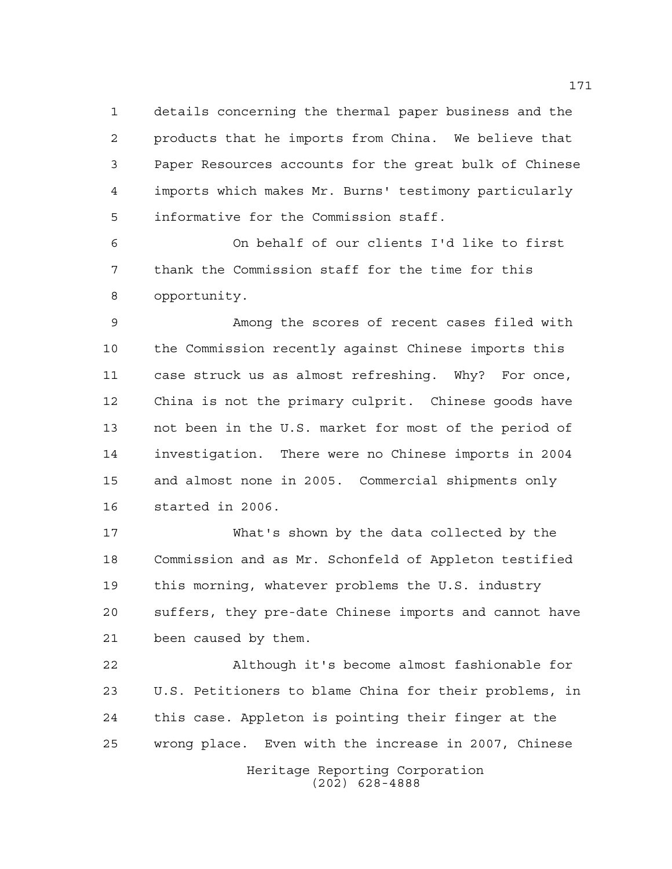details concerning the thermal paper business and the products that he imports from China. We believe that Paper Resources accounts for the great bulk of Chinese imports which makes Mr. Burns' testimony particularly informative for the Commission staff.

 On behalf of our clients I'd like to first thank the Commission staff for the time for this opportunity.

 Among the scores of recent cases filed with the Commission recently against Chinese imports this case struck us as almost refreshing. Why? For once, China is not the primary culprit. Chinese goods have not been in the U.S. market for most of the period of investigation. There were no Chinese imports in 2004 and almost none in 2005. Commercial shipments only started in 2006.

 What's shown by the data collected by the Commission and as Mr. Schonfeld of Appleton testified this morning, whatever problems the U.S. industry suffers, they pre-date Chinese imports and cannot have been caused by them.

 Although it's become almost fashionable for U.S. Petitioners to blame China for their problems, in this case. Appleton is pointing their finger at the wrong place. Even with the increase in 2007, Chinese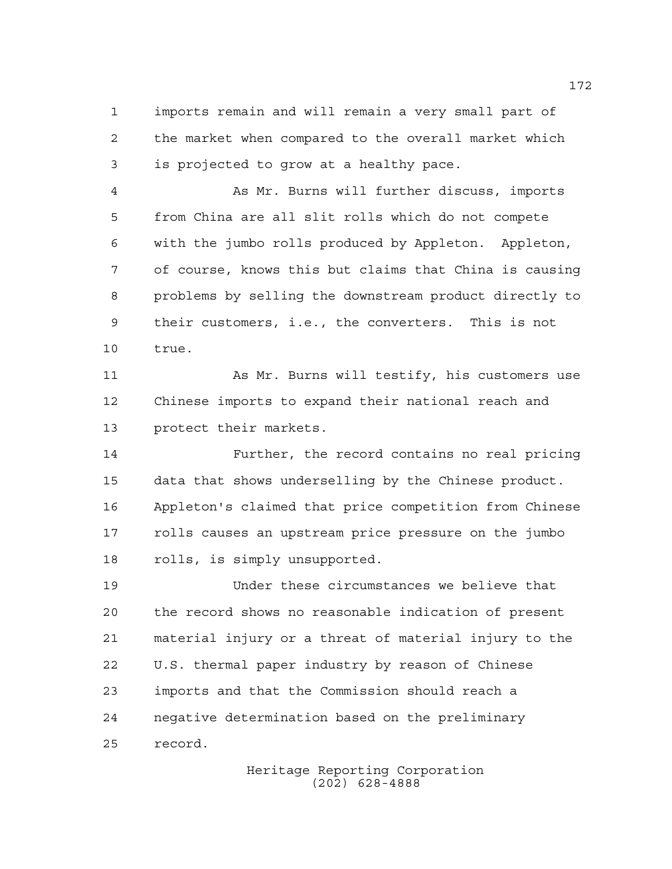imports remain and will remain a very small part of the market when compared to the overall market which is projected to grow at a healthy pace.

 As Mr. Burns will further discuss, imports from China are all slit rolls which do not compete with the jumbo rolls produced by Appleton. Appleton, of course, knows this but claims that China is causing problems by selling the downstream product directly to their customers, i.e., the converters. This is not true.

 As Mr. Burns will testify, his customers use Chinese imports to expand their national reach and protect their markets.

 Further, the record contains no real pricing data that shows underselling by the Chinese product. Appleton's claimed that price competition from Chinese rolls causes an upstream price pressure on the jumbo rolls, is simply unsupported.

 Under these circumstances we believe that the record shows no reasonable indication of present material injury or a threat of material injury to the U.S. thermal paper industry by reason of Chinese imports and that the Commission should reach a negative determination based on the preliminary record.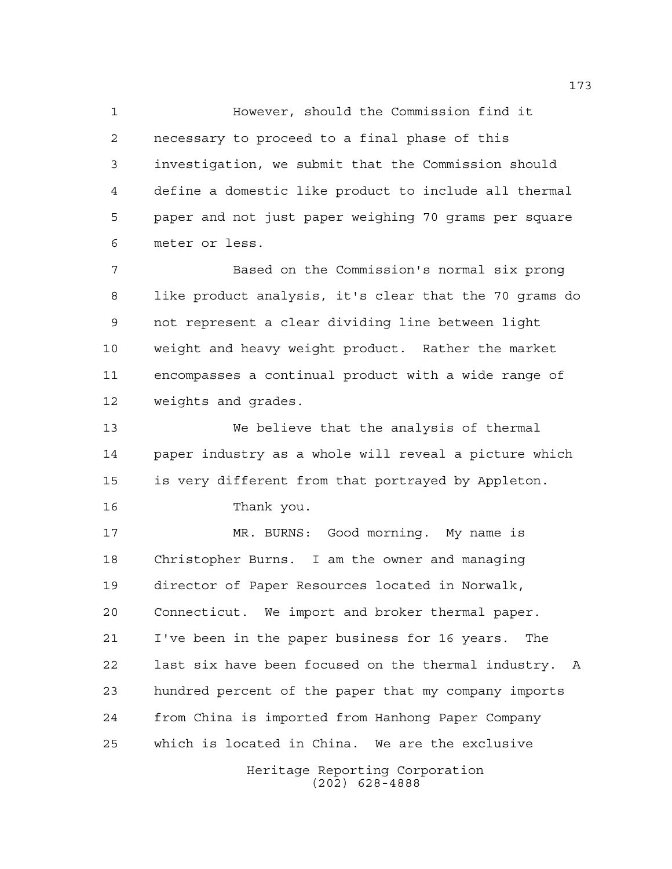However, should the Commission find it necessary to proceed to a final phase of this investigation, we submit that the Commission should define a domestic like product to include all thermal paper and not just paper weighing 70 grams per square meter or less.

 Based on the Commission's normal six prong like product analysis, it's clear that the 70 grams do not represent a clear dividing line between light weight and heavy weight product. Rather the market encompasses a continual product with a wide range of weights and grades.

 We believe that the analysis of thermal paper industry as a whole will reveal a picture which is very different from that portrayed by Appleton.

Thank you.

 MR. BURNS: Good morning. My name is Christopher Burns. I am the owner and managing director of Paper Resources located in Norwalk, Connecticut. We import and broker thermal paper. I've been in the paper business for 16 years. The last six have been focused on the thermal industry. A hundred percent of the paper that my company imports from China is imported from Hanhong Paper Company which is located in China. We are the exclusive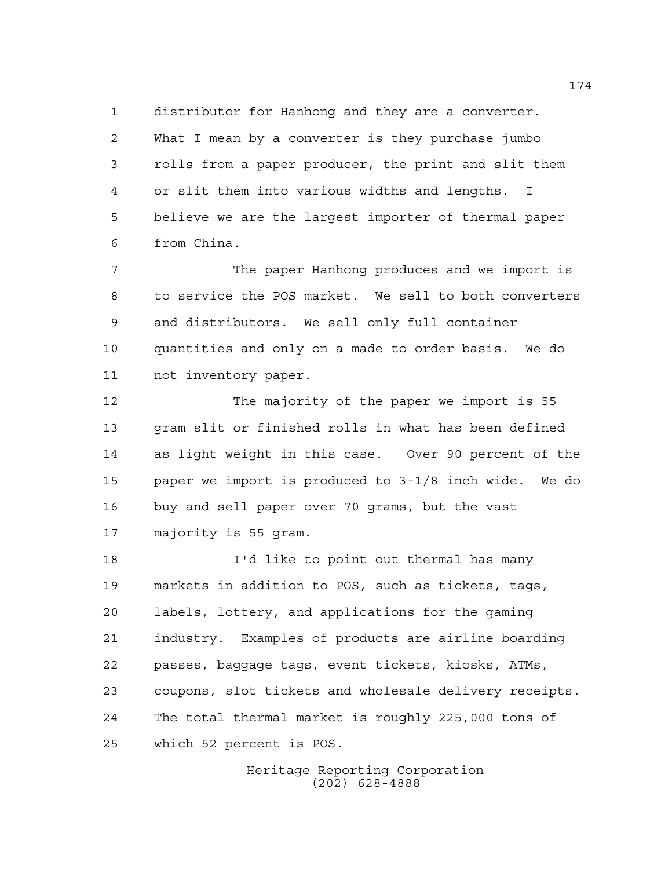distributor for Hanhong and they are a converter. What I mean by a converter is they purchase jumbo rolls from a paper producer, the print and slit them or slit them into various widths and lengths. I believe we are the largest importer of thermal paper from China.

 The paper Hanhong produces and we import is to service the POS market. We sell to both converters and distributors. We sell only full container quantities and only on a made to order basis. We do not inventory paper.

 The majority of the paper we import is 55 gram slit or finished rolls in what has been defined as light weight in this case. Over 90 percent of the paper we import is produced to 3-1/8 inch wide. We do buy and sell paper over 70 grams, but the vast majority is 55 gram.

 I'd like to point out thermal has many markets in addition to POS, such as tickets, tags, labels, lottery, and applications for the gaming industry. Examples of products are airline boarding passes, baggage tags, event tickets, kiosks, ATMs, coupons, slot tickets and wholesale delivery receipts. The total thermal market is roughly 225,000 tons of which 52 percent is POS.

> Heritage Reporting Corporation (202) 628-4888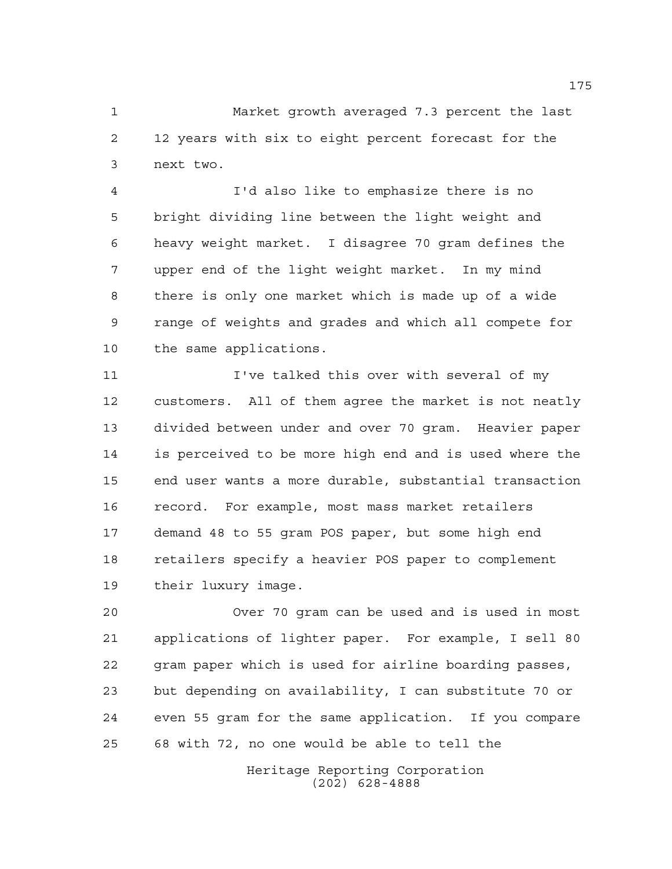Market growth averaged 7.3 percent the last 12 years with six to eight percent forecast for the next two.

 I'd also like to emphasize there is no bright dividing line between the light weight and heavy weight market. I disagree 70 gram defines the upper end of the light weight market. In my mind there is only one market which is made up of a wide range of weights and grades and which all compete for the same applications.

 I've talked this over with several of my customers. All of them agree the market is not neatly divided between under and over 70 gram. Heavier paper is perceived to be more high end and is used where the end user wants a more durable, substantial transaction record. For example, most mass market retailers demand 48 to 55 gram POS paper, but some high end retailers specify a heavier POS paper to complement their luxury image.

 Over 70 gram can be used and is used in most applications of lighter paper. For example, I sell 80 gram paper which is used for airline boarding passes, but depending on availability, I can substitute 70 or even 55 gram for the same application. If you compare 68 with 72, no one would be able to tell the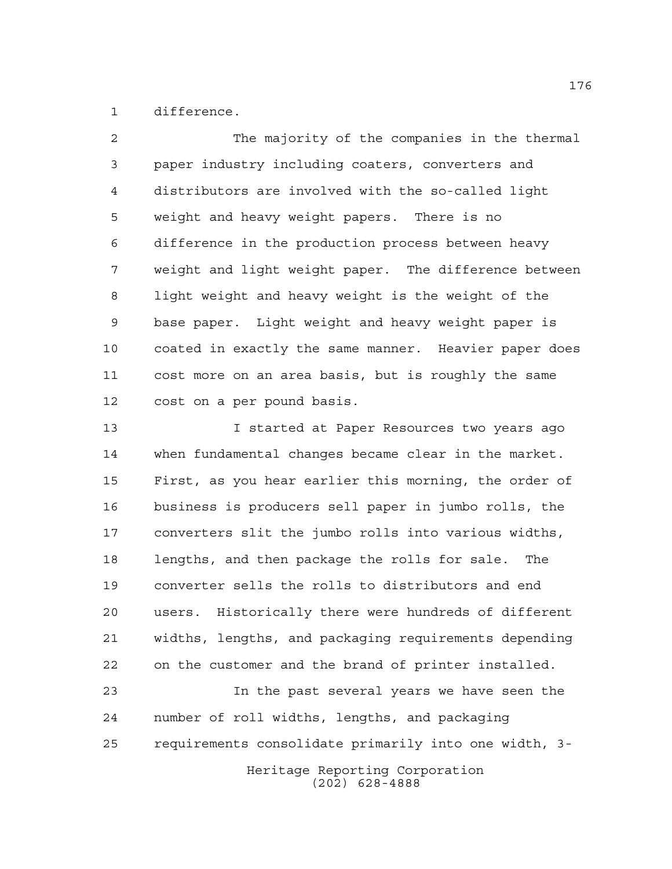difference.

 The majority of the companies in the thermal paper industry including coaters, converters and distributors are involved with the so-called light weight and heavy weight papers. There is no difference in the production process between heavy weight and light weight paper. The difference between light weight and heavy weight is the weight of the base paper. Light weight and heavy weight paper is coated in exactly the same manner. Heavier paper does cost more on an area basis, but is roughly the same cost on a per pound basis. 13 I started at Paper Resources two years ago when fundamental changes became clear in the market.

 First, as you hear earlier this morning, the order of business is producers sell paper in jumbo rolls, the converters slit the jumbo rolls into various widths, lengths, and then package the rolls for sale. The converter sells the rolls to distributors and end users. Historically there were hundreds of different widths, lengths, and packaging requirements depending on the customer and the brand of printer installed.

Heritage Reporting Corporation In the past several years we have seen the number of roll widths, lengths, and packaging requirements consolidate primarily into one width, 3-

(202) 628-4888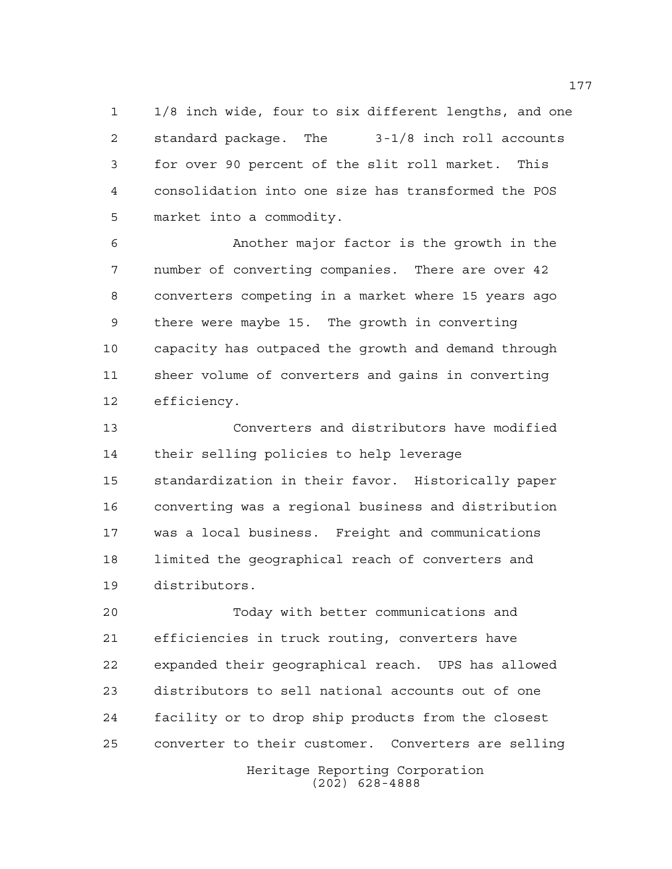1/8 inch wide, four to six different lengths, and one standard package. The 3-1/8 inch roll accounts for over 90 percent of the slit roll market. This consolidation into one size has transformed the POS market into a commodity.

 Another major factor is the growth in the number of converting companies. There are over 42 converters competing in a market where 15 years ago there were maybe 15. The growth in converting capacity has outpaced the growth and demand through sheer volume of converters and gains in converting efficiency.

 Converters and distributors have modified their selling policies to help leverage standardization in their favor. Historically paper converting was a regional business and distribution was a local business. Freight and communications limited the geographical reach of converters and distributors.

 Today with better communications and efficiencies in truck routing, converters have expanded their geographical reach. UPS has allowed distributors to sell national accounts out of one facility or to drop ship products from the closest converter to their customer. Converters are selling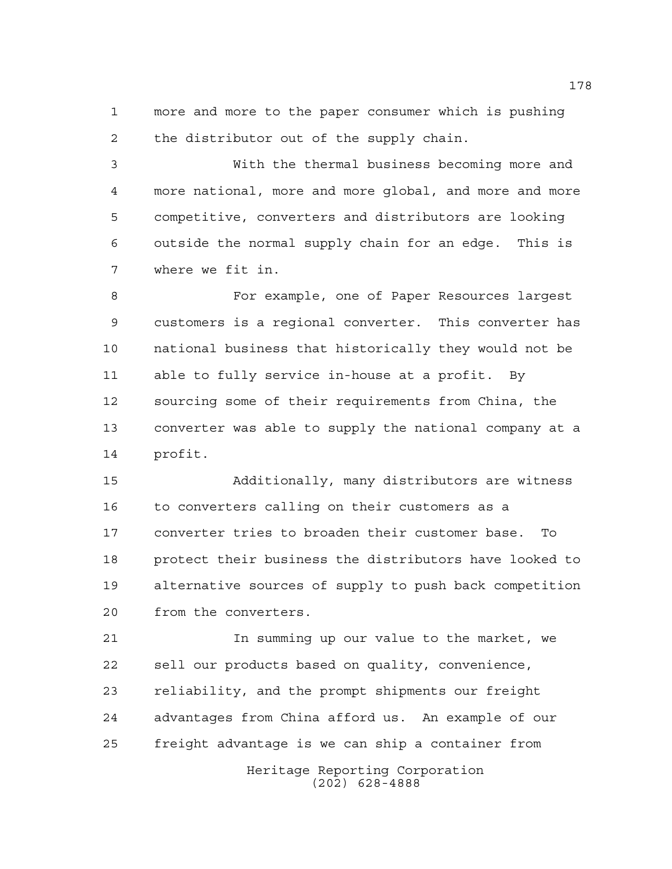more and more to the paper consumer which is pushing the distributor out of the supply chain.

 With the thermal business becoming more and more national, more and more global, and more and more competitive, converters and distributors are looking outside the normal supply chain for an edge. This is where we fit in.

 For example, one of Paper Resources largest customers is a regional converter. This converter has national business that historically they would not be able to fully service in-house at a profit. By sourcing some of their requirements from China, the converter was able to supply the national company at a profit.

 Additionally, many distributors are witness to converters calling on their customers as a converter tries to broaden their customer base. To protect their business the distributors have looked to alternative sources of supply to push back competition from the converters.

 In summing up our value to the market, we sell our products based on quality, convenience, reliability, and the prompt shipments our freight advantages from China afford us. An example of our freight advantage is we can ship a container from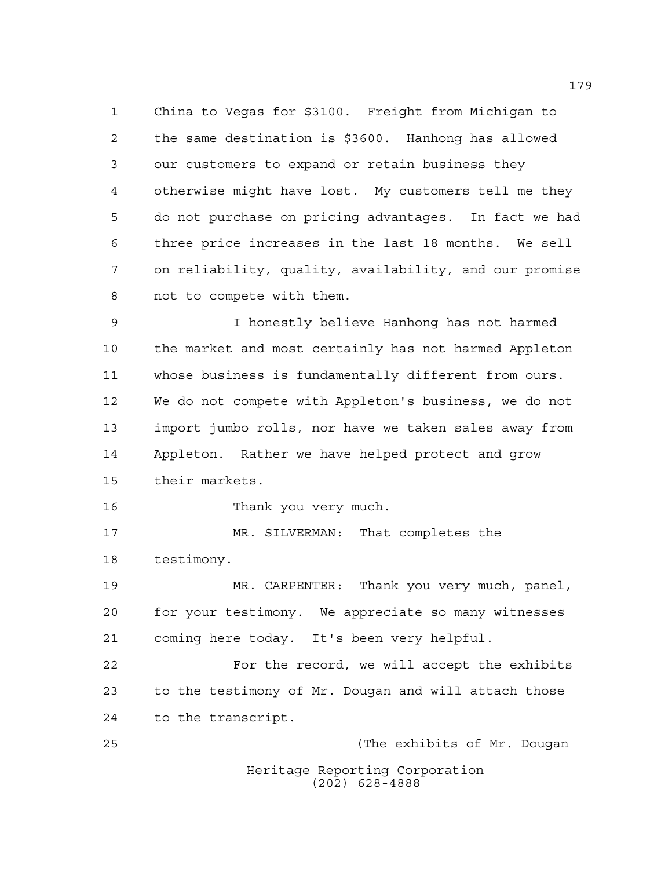China to Vegas for \$3100. Freight from Michigan to the same destination is \$3600. Hanhong has allowed our customers to expand or retain business they otherwise might have lost. My customers tell me they do not purchase on pricing advantages. In fact we had three price increases in the last 18 months. We sell on reliability, quality, availability, and our promise not to compete with them.

 I honestly believe Hanhong has not harmed the market and most certainly has not harmed Appleton whose business is fundamentally different from ours. We do not compete with Appleton's business, we do not import jumbo rolls, nor have we taken sales away from Appleton. Rather we have helped protect and grow their markets.

Thank you very much.

 MR. SILVERMAN: That completes the testimony.

 MR. CARPENTER: Thank you very much, panel, for your testimony. We appreciate so many witnesses coming here today. It's been very helpful.

 For the record, we will accept the exhibits to the testimony of Mr. Dougan and will attach those to the transcript.

Heritage Reporting Corporation (202) 628-4888 (The exhibits of Mr. Dougan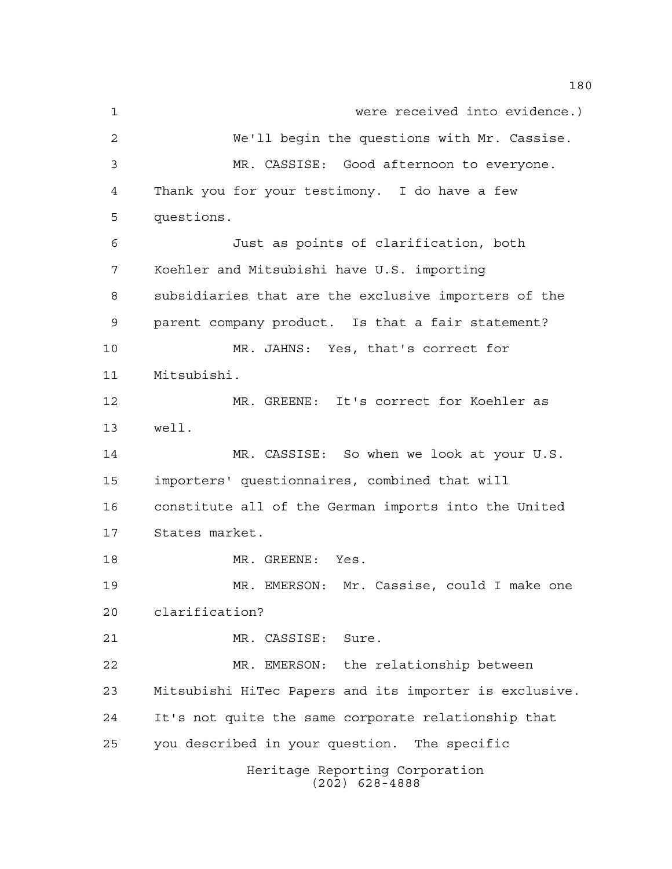Heritage Reporting Corporation (202) 628-4888 were received into evidence.) We'll begin the questions with Mr. Cassise. MR. CASSISE: Good afternoon to everyone. Thank you for your testimony. I do have a few questions. Just as points of clarification, both Koehler and Mitsubishi have U.S. importing subsidiaries that are the exclusive importers of the parent company product. Is that a fair statement? MR. JAHNS: Yes, that's correct for Mitsubishi. MR. GREENE: It's correct for Koehler as well. MR. CASSISE: So when we look at your U.S. importers' questionnaires, combined that will constitute all of the German imports into the United States market. MR. GREENE: Yes. MR. EMERSON: Mr. Cassise, could I make one clarification? MR. CASSISE: Sure. MR. EMERSON: the relationship between Mitsubishi HiTec Papers and its importer is exclusive. It's not quite the same corporate relationship that you described in your question. The specific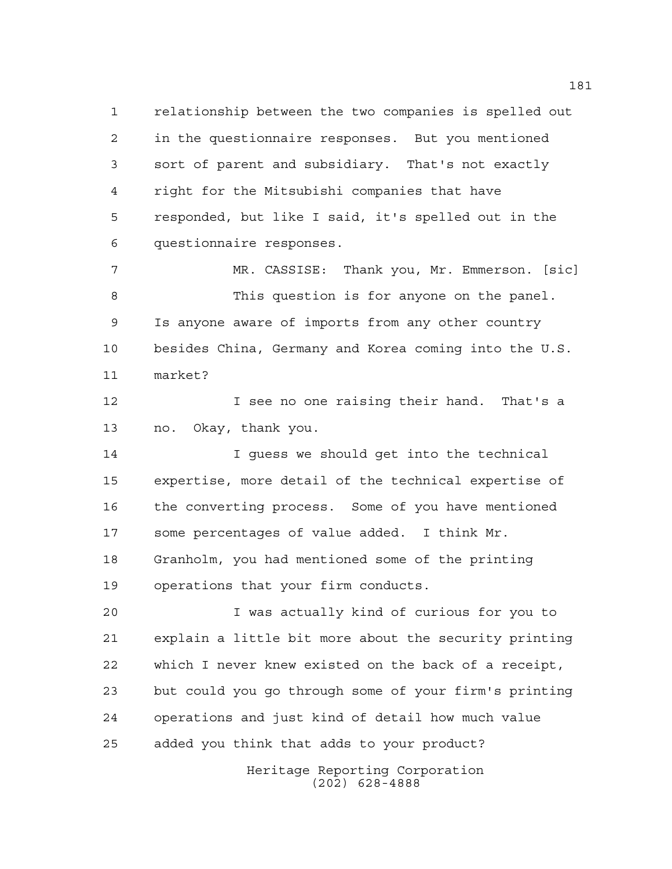relationship between the two companies is spelled out in the questionnaire responses. But you mentioned sort of parent and subsidiary. That's not exactly right for the Mitsubishi companies that have responded, but like I said, it's spelled out in the questionnaire responses.

 MR. CASSISE: Thank you, Mr. Emmerson. [sic] This question is for anyone on the panel. Is anyone aware of imports from any other country besides China, Germany and Korea coming into the U.S. market?

**I** see no one raising their hand. That's a no. Okay, thank you.

 I guess we should get into the technical expertise, more detail of the technical expertise of the converting process. Some of you have mentioned some percentages of value added. I think Mr. Granholm, you had mentioned some of the printing operations that your firm conducts.

 I was actually kind of curious for you to explain a little bit more about the security printing which I never knew existed on the back of a receipt, but could you go through some of your firm's printing operations and just kind of detail how much value added you think that adds to your product?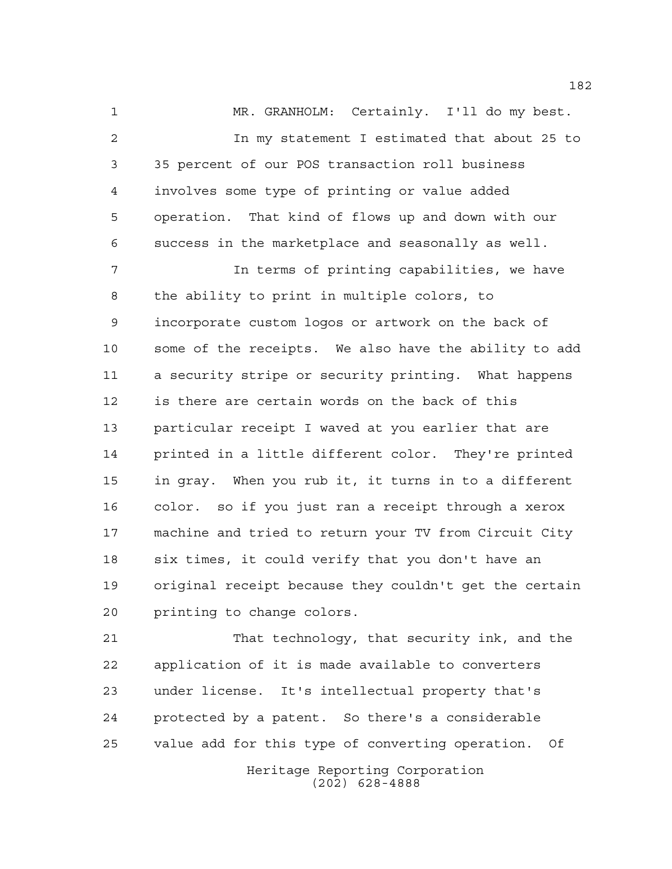MR. GRANHOLM: Certainly. I'll do my best. In my statement I estimated that about 25 to 35 percent of our POS transaction roll business involves some type of printing or value added operation. That kind of flows up and down with our success in the marketplace and seasonally as well.

 In terms of printing capabilities, we have the ability to print in multiple colors, to incorporate custom logos or artwork on the back of some of the receipts. We also have the ability to add a security stripe or security printing. What happens is there are certain words on the back of this particular receipt I waved at you earlier that are printed in a little different color. They're printed in gray. When you rub it, it turns in to a different color. so if you just ran a receipt through a xerox machine and tried to return your TV from Circuit City six times, it could verify that you don't have an original receipt because they couldn't get the certain printing to change colors.

 That technology, that security ink, and the application of it is made available to converters under license. It's intellectual property that's protected by a patent. So there's a considerable value add for this type of converting operation. Of

Heritage Reporting Corporation (202) 628-4888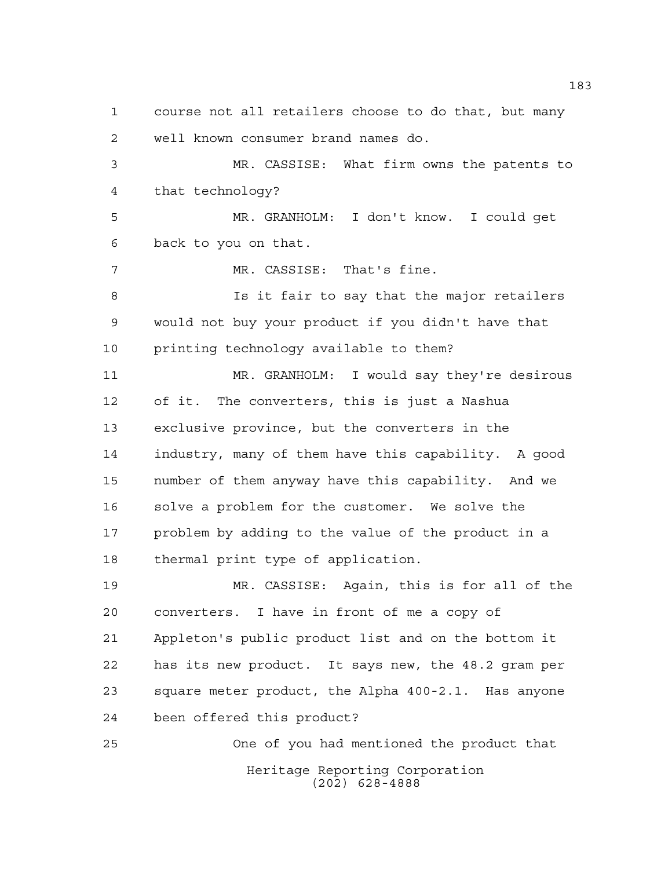Heritage Reporting Corporation (202) 628-4888 course not all retailers choose to do that, but many well known consumer brand names do. MR. CASSISE: What firm owns the patents to that technology? MR. GRANHOLM: I don't know. I could get back to you on that. MR. CASSISE: That's fine. Is it fair to say that the major retailers would not buy your product if you didn't have that printing technology available to them? MR. GRANHOLM: I would say they're desirous of it. The converters, this is just a Nashua exclusive province, but the converters in the industry, many of them have this capability. A good number of them anyway have this capability. And we solve a problem for the customer. We solve the problem by adding to the value of the product in a thermal print type of application. MR. CASSISE: Again, this is for all of the converters. I have in front of me a copy of Appleton's public product list and on the bottom it has its new product. It says new, the 48.2 gram per square meter product, the Alpha 400-2.1. Has anyone been offered this product? One of you had mentioned the product that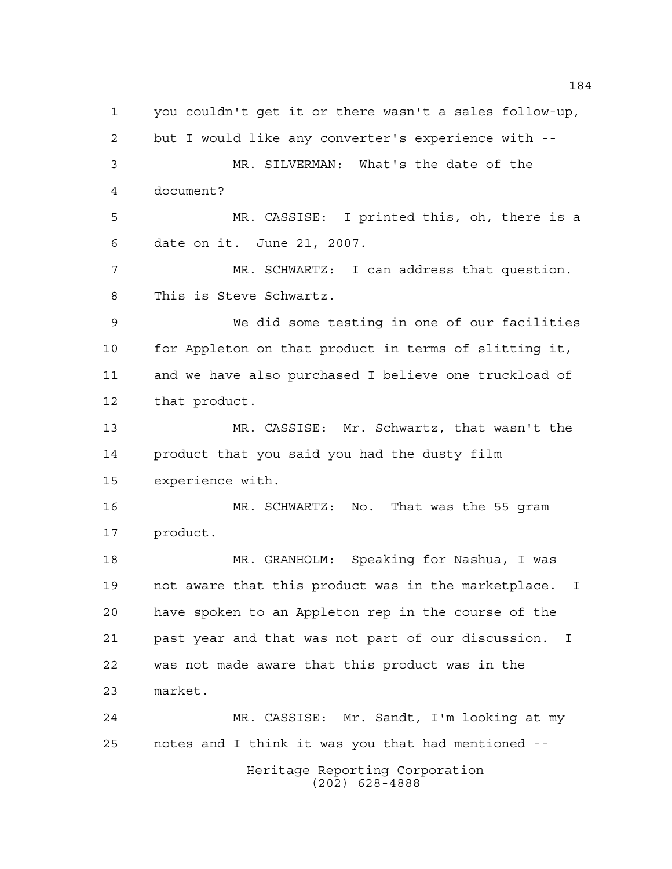Heritage Reporting Corporation (202) 628-4888 you couldn't get it or there wasn't a sales follow-up, but I would like any converter's experience with -- MR. SILVERMAN: What's the date of the document? MR. CASSISE: I printed this, oh, there is a date on it. June 21, 2007. MR. SCHWARTZ: I can address that question. This is Steve Schwartz. We did some testing in one of our facilities for Appleton on that product in terms of slitting it, and we have also purchased I believe one truckload of that product. MR. CASSISE: Mr. Schwartz, that wasn't the product that you said you had the dusty film experience with. MR. SCHWARTZ: No. That was the 55 gram product. MR. GRANHOLM: Speaking for Nashua, I was not aware that this product was in the marketplace. I have spoken to an Appleton rep in the course of the past year and that was not part of our discussion. I was not made aware that this product was in the market. MR. CASSISE: Mr. Sandt, I'm looking at my notes and I think it was you that had mentioned --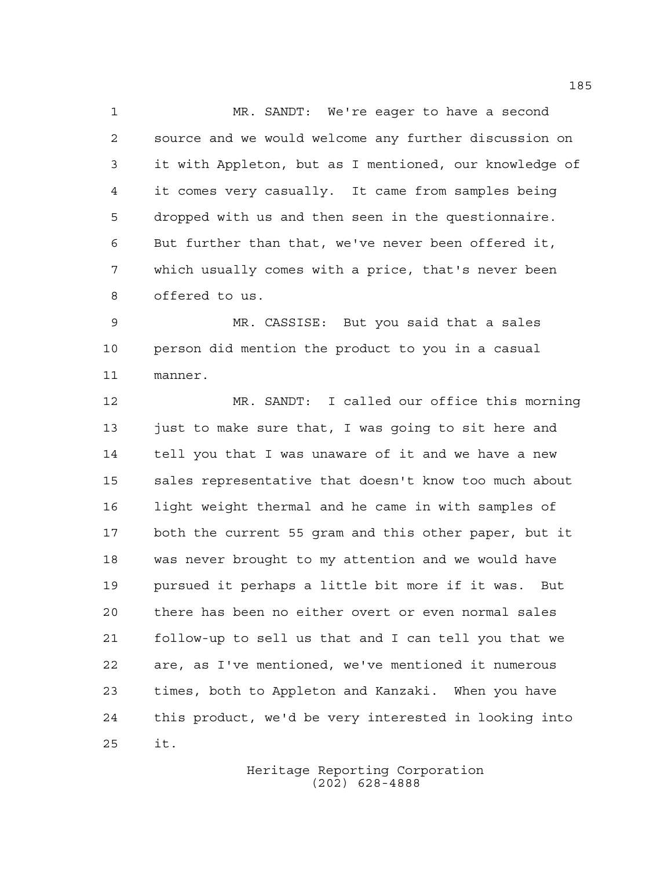MR. SANDT: We're eager to have a second source and we would welcome any further discussion on it with Appleton, but as I mentioned, our knowledge of it comes very casually. It came from samples being dropped with us and then seen in the questionnaire. But further than that, we've never been offered it, which usually comes with a price, that's never been offered to us.

 MR. CASSISE: But you said that a sales person did mention the product to you in a casual manner.

 MR. SANDT: I called our office this morning 13 just to make sure that, I was going to sit here and tell you that I was unaware of it and we have a new sales representative that doesn't know too much about light weight thermal and he came in with samples of both the current 55 gram and this other paper, but it was never brought to my attention and we would have pursued it perhaps a little bit more if it was. But there has been no either overt or even normal sales follow-up to sell us that and I can tell you that we are, as I've mentioned, we've mentioned it numerous times, both to Appleton and Kanzaki. When you have this product, we'd be very interested in looking into it.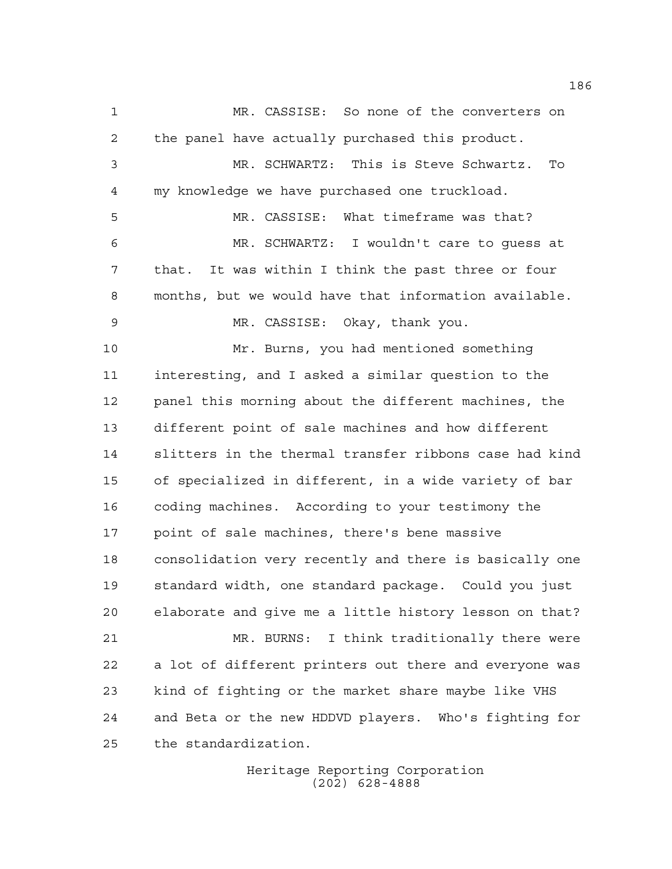MR. CASSISE: So none of the converters on the panel have actually purchased this product. MR. SCHWARTZ: This is Steve Schwartz. To my knowledge we have purchased one truckload. MR. CASSISE: What timeframe was that? MR. SCHWARTZ: I wouldn't care to guess at that. It was within I think the past three or four months, but we would have that information available. MR. CASSISE: Okay, thank you. Mr. Burns, you had mentioned something interesting, and I asked a similar question to the panel this morning about the different machines, the different point of sale machines and how different slitters in the thermal transfer ribbons case had kind of specialized in different, in a wide variety of bar coding machines. According to your testimony the point of sale machines, there's bene massive consolidation very recently and there is basically one standard width, one standard package. Could you just elaborate and give me a little history lesson on that? MR. BURNS: I think traditionally there were a lot of different printers out there and everyone was kind of fighting or the market share maybe like VHS and Beta or the new HDDVD players. Who's fighting for the standardization.

> Heritage Reporting Corporation (202) 628-4888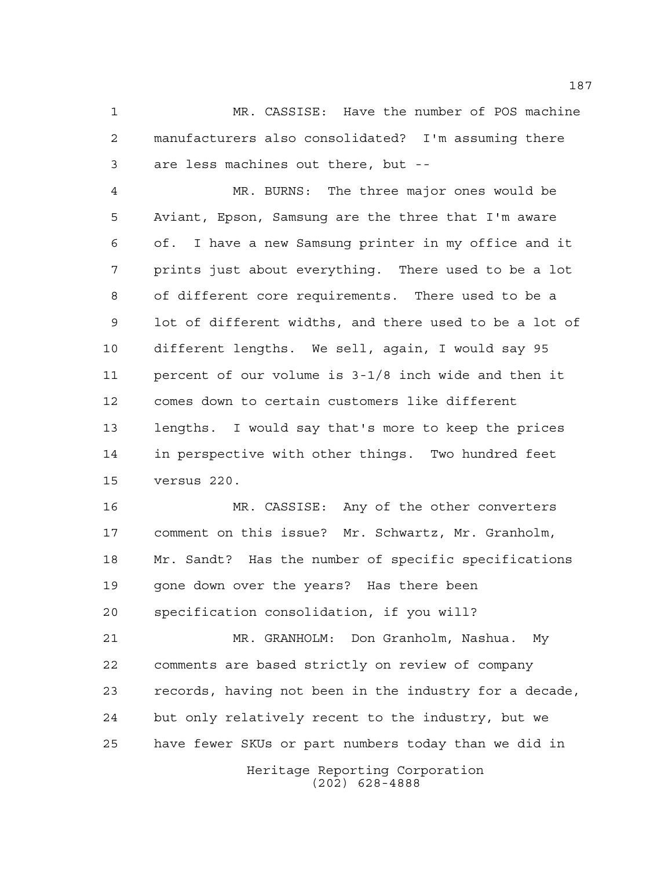MR. CASSISE: Have the number of POS machine manufacturers also consolidated? I'm assuming there are less machines out there, but --

 MR. BURNS: The three major ones would be Aviant, Epson, Samsung are the three that I'm aware of. I have a new Samsung printer in my office and it prints just about everything. There used to be a lot of different core requirements. There used to be a lot of different widths, and there used to be a lot of different lengths. We sell, again, I would say 95 percent of our volume is 3-1/8 inch wide and then it comes down to certain customers like different lengths. I would say that's more to keep the prices in perspective with other things. Two hundred feet versus 220.

 MR. CASSISE: Any of the other converters comment on this issue? Mr. Schwartz, Mr. Granholm, Mr. Sandt? Has the number of specific specifications gone down over the years? Has there been specification consolidation, if you will?

 MR. GRANHOLM: Don Granholm, Nashua. My comments are based strictly on review of company records, having not been in the industry for a decade, but only relatively recent to the industry, but we have fewer SKUs or part numbers today than we did in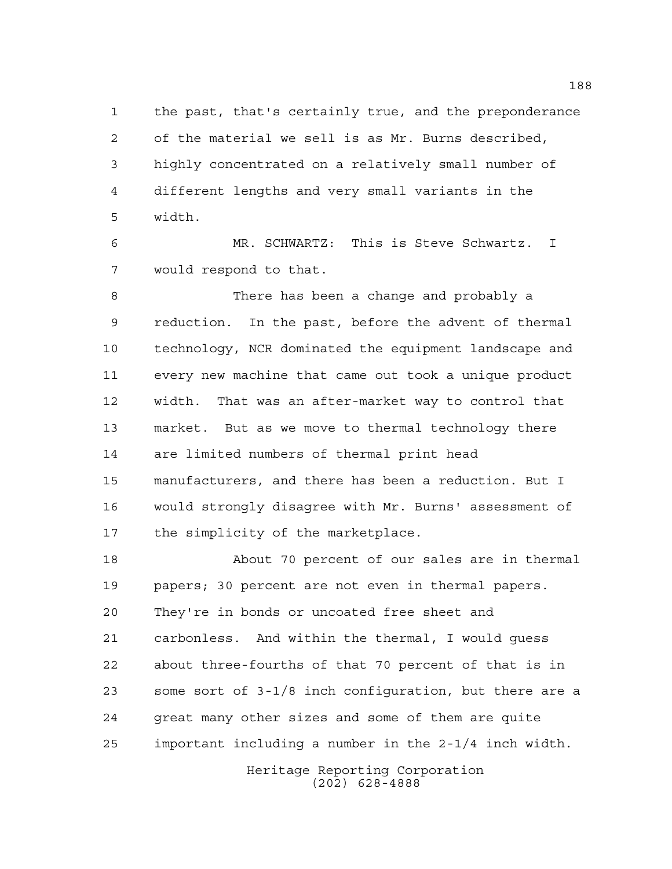the past, that's certainly true, and the preponderance of the material we sell is as Mr. Burns described, highly concentrated on a relatively small number of different lengths and very small variants in the width.

 MR. SCHWARTZ: This is Steve Schwartz. I would respond to that.

 There has been a change and probably a reduction. In the past, before the advent of thermal technology, NCR dominated the equipment landscape and every new machine that came out took a unique product width. That was an after-market way to control that market. But as we move to thermal technology there are limited numbers of thermal print head manufacturers, and there has been a reduction. But I would strongly disagree with Mr. Burns' assessment of the simplicity of the marketplace.

 About 70 percent of our sales are in thermal papers; 30 percent are not even in thermal papers. They're in bonds or uncoated free sheet and carbonless. And within the thermal, I would guess about three-fourths of that 70 percent of that is in some sort of 3-1/8 inch configuration, but there are a great many other sizes and some of them are quite important including a number in the 2-1/4 inch width.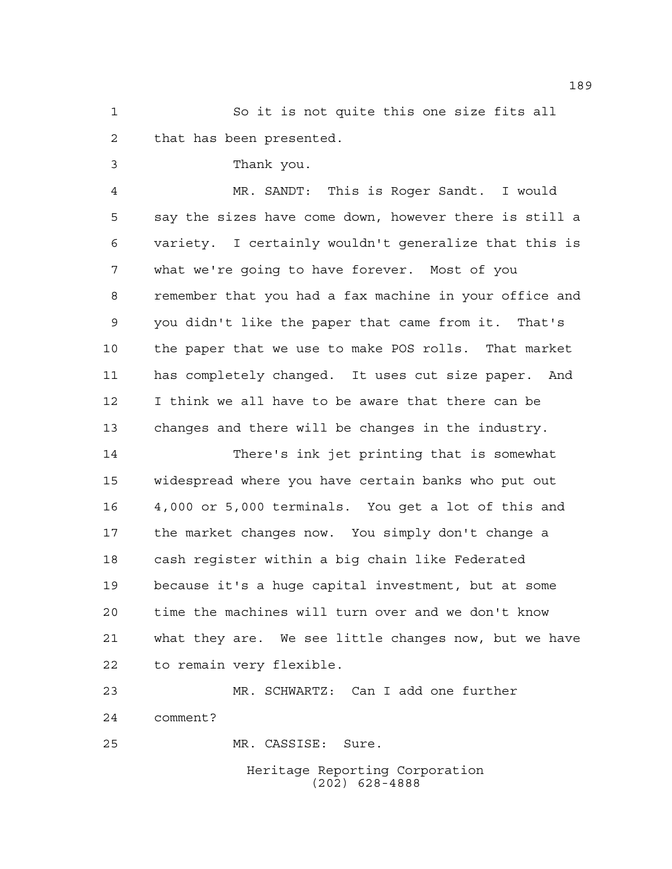So it is not quite this one size fits all that has been presented.

Thank you.

 MR. SANDT: This is Roger Sandt. I would say the sizes have come down, however there is still a variety. I certainly wouldn't generalize that this is what we're going to have forever. Most of you remember that you had a fax machine in your office and you didn't like the paper that came from it. That's the paper that we use to make POS rolls. That market has completely changed. It uses cut size paper. And I think we all have to be aware that there can be changes and there will be changes in the industry.

 There's ink jet printing that is somewhat widespread where you have certain banks who put out 4,000 or 5,000 terminals. You get a lot of this and the market changes now. You simply don't change a cash register within a big chain like Federated because it's a huge capital investment, but at some time the machines will turn over and we don't know what they are. We see little changes now, but we have to remain very flexible.

 MR. SCHWARTZ: Can I add one further comment? MR. CASSISE: Sure.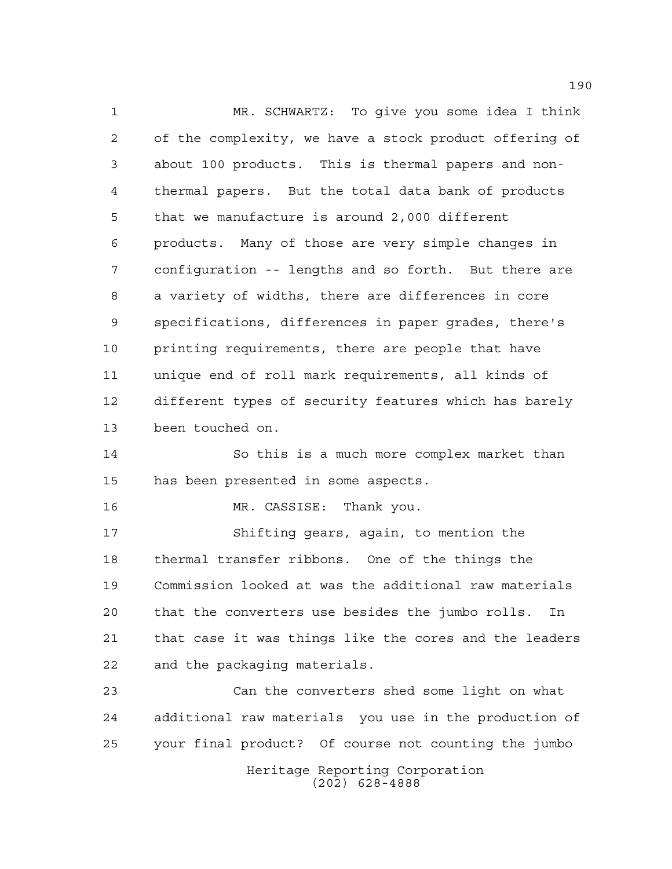MR. SCHWARTZ: To give you some idea I think of the complexity, we have a stock product offering of about 100 products. This is thermal papers and non- thermal papers. But the total data bank of products that we manufacture is around 2,000 different products. Many of those are very simple changes in configuration -- lengths and so forth. But there are a variety of widths, there are differences in core specifications, differences in paper grades, there's printing requirements, there are people that have unique end of roll mark requirements, all kinds of different types of security features which has barely been touched on.

 So this is a much more complex market than has been presented in some aspects.

MR. CASSISE: Thank you.

 Shifting gears, again, to mention the thermal transfer ribbons. One of the things the Commission looked at was the additional raw materials that the converters use besides the jumbo rolls. In that case it was things like the cores and the leaders and the packaging materials.

Heritage Reporting Corporation (202) 628-4888 Can the converters shed some light on what additional raw materials you use in the production of your final product? Of course not counting the jumbo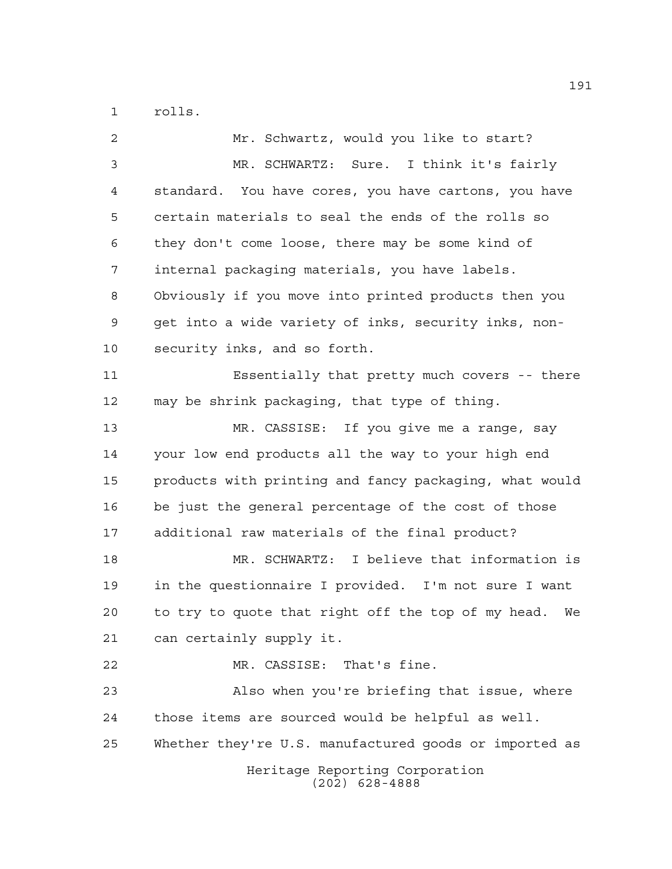rolls.

| 2              | Mr. Schwartz, would you like to start?                 |
|----------------|--------------------------------------------------------|
| 3              | MR. SCHWARTZ: Sure. I think it's fairly                |
| $\overline{4}$ | standard. You have cores, you have cartons, you have   |
| 5              | certain materials to seal the ends of the rolls so     |
| 6              | they don't come loose, there may be some kind of       |
| 7              | internal packaging materials, you have labels.         |
| 8              | Obviously if you move into printed products then you   |
| 9              | get into a wide variety of inks, security inks, non-   |
| 10             | security inks, and so forth.                           |
| 11             | Essentially that pretty much covers -- there           |
| 12             | may be shrink packaging, that type of thing.           |
| 13             | MR. CASSISE: If you give me a range, say               |
| 14             | your low end products all the way to your high end     |
| 15             | products with printing and fancy packaging, what would |
| 16             | be just the general percentage of the cost of those    |
| 17             | additional raw materials of the final product?         |
| 18             | MR. SCHWARTZ: I believe that information is            |
| 19             | in the questionnaire I provided. I'm not sure I want   |
| 20             | to try to quote that right off the top of my head. We  |
| 21             | can certainly supply it.                               |
| 22             | MR. CASSISE: That's fine.                              |
| 23             | Also when you're briefing that issue, where            |
| 24             | those items are sourced would be helpful as well.      |
| 25             | Whether they're U.S. manufactured goods or imported as |
|                | Heritage Reporting Corporation<br>$(202)$ 628-4888     |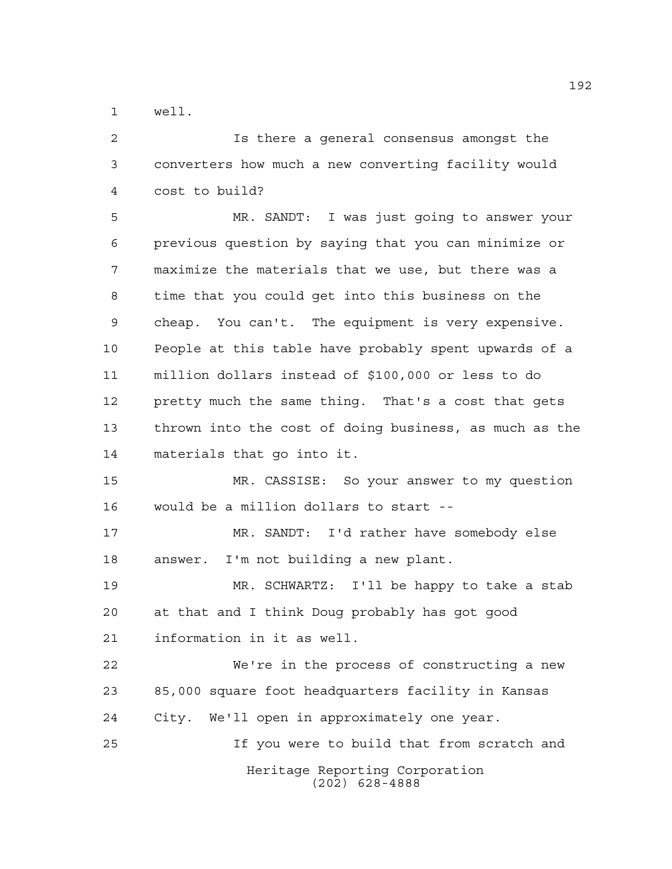well.

Heritage Reporting Corporation (202) 628-4888 Is there a general consensus amongst the converters how much a new converting facility would cost to build? MR. SANDT: I was just going to answer your previous question by saying that you can minimize or maximize the materials that we use, but there was a time that you could get into this business on the cheap. You can't. The equipment is very expensive. People at this table have probably spent upwards of a million dollars instead of \$100,000 or less to do pretty much the same thing. That's a cost that gets thrown into the cost of doing business, as much as the materials that go into it. MR. CASSISE: So your answer to my question would be a million dollars to start -- MR. SANDT: I'd rather have somebody else answer. I'm not building a new plant. MR. SCHWARTZ: I'll be happy to take a stab at that and I think Doug probably has got good information in it as well. We're in the process of constructing a new 85,000 square foot headquarters facility in Kansas City. We'll open in approximately one year. If you were to build that from scratch and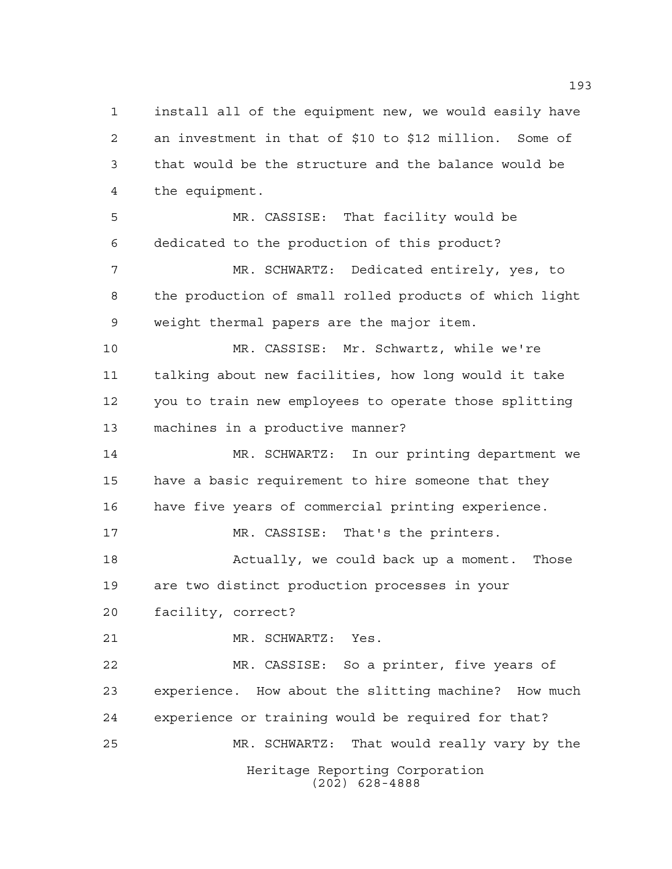Heritage Reporting Corporation (202) 628-4888 an investment in that of \$10 to \$12 million. Some of that would be the structure and the balance would be the equipment. MR. CASSISE: That facility would be dedicated to the production of this product? MR. SCHWARTZ: Dedicated entirely, yes, to the production of small rolled products of which light weight thermal papers are the major item. MR. CASSISE: Mr. Schwartz, while we're talking about new facilities, how long would it take you to train new employees to operate those splitting machines in a productive manner? MR. SCHWARTZ: In our printing department we have a basic requirement to hire someone that they have five years of commercial printing experience. MR. CASSISE: That's the printers. 18 Actually, we could back up a moment. Those are two distinct production processes in your facility, correct? MR. SCHWARTZ: Yes. MR. CASSISE: So a printer, five years of experience. How about the slitting machine? How much experience or training would be required for that? MR. SCHWARTZ: That would really vary by the

install all of the equipment new, we would easily have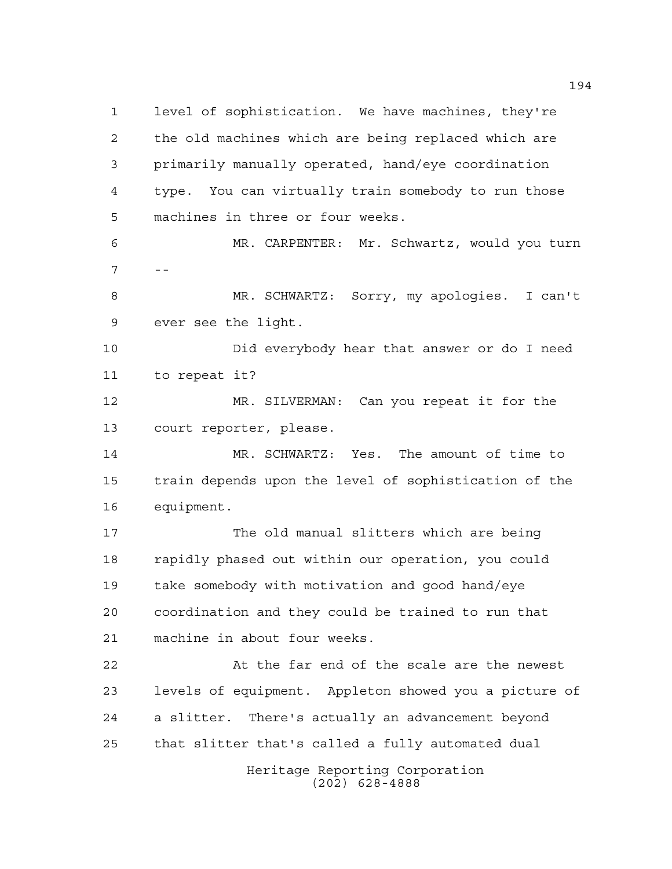Heritage Reporting Corporation (202) 628-4888 level of sophistication. We have machines, they're the old machines which are being replaced which are primarily manually operated, hand/eye coordination type. You can virtually train somebody to run those machines in three or four weeks. MR. CARPENTER: Mr. Schwartz, would you turn  $7 - -$  MR. SCHWARTZ: Sorry, my apologies. I can't ever see the light. Did everybody hear that answer or do I need to repeat it? MR. SILVERMAN: Can you repeat it for the court reporter, please. MR. SCHWARTZ: Yes. The amount of time to train depends upon the level of sophistication of the equipment. The old manual slitters which are being rapidly phased out within our operation, you could take somebody with motivation and good hand/eye coordination and they could be trained to run that machine in about four weeks. At the far end of the scale are the newest levels of equipment. Appleton showed you a picture of a slitter. There's actually an advancement beyond that slitter that's called a fully automated dual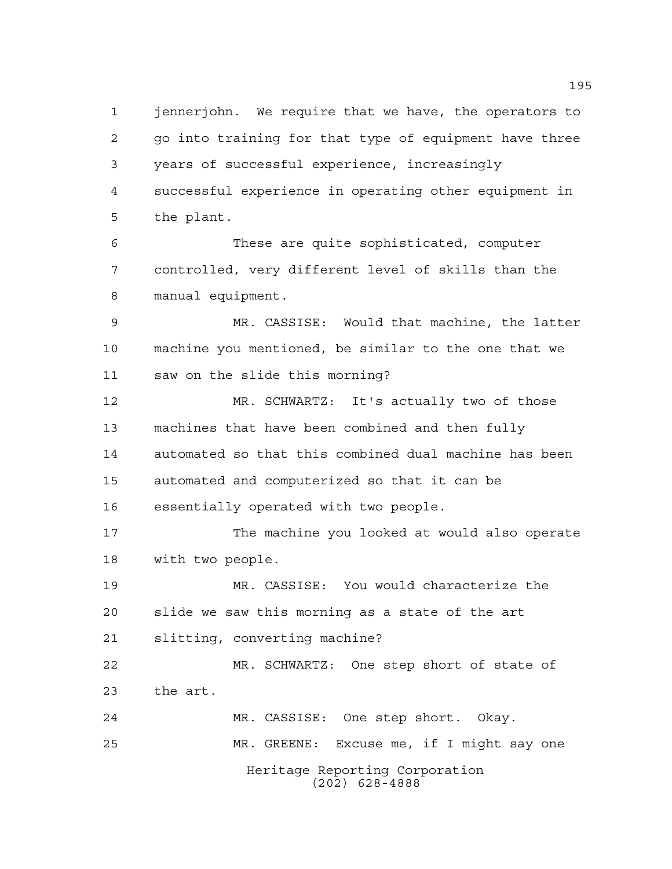jennerjohn. We require that we have, the operators to go into training for that type of equipment have three years of successful experience, increasingly successful experience in operating other equipment in the plant.

 These are quite sophisticated, computer controlled, very different level of skills than the manual equipment.

 MR. CASSISE: Would that machine, the latter machine you mentioned, be similar to the one that we saw on the slide this morning?

 MR. SCHWARTZ: It's actually two of those machines that have been combined and then fully automated so that this combined dual machine has been automated and computerized so that it can be essentially operated with two people.

 The machine you looked at would also operate with two people.

 MR. CASSISE: You would characterize the slide we saw this morning as a state of the art slitting, converting machine?

 MR. SCHWARTZ: One step short of state of the art.

Heritage Reporting Corporation (202) 628-4888 MR. CASSISE: One step short. Okay. MR. GREENE: Excuse me, if I might say one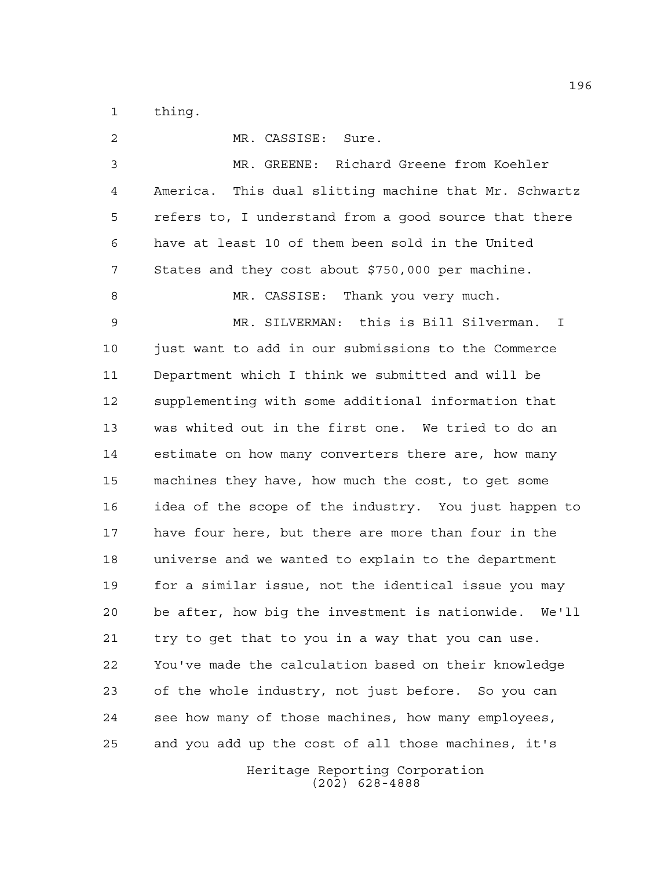thing.

| 2           | MR. CASSISE: Sure.                                       |
|-------------|----------------------------------------------------------|
| 3           | MR. GREENE: Richard Greene from Koehler                  |
| 4           | America. This dual slitting machine that Mr. Schwartz    |
| 5           | refers to, I understand from a good source that there    |
| 6           | have at least 10 of them been sold in the United         |
| 7           | States and they cost about \$750,000 per machine.        |
| 8           | MR. CASSISE: Thank you very much.                        |
| $\mathsf 9$ | MR. SILVERMAN: this is Bill Silverman.<br>$\mathbb{I}$   |
| 10          | just want to add in our submissions to the Commerce      |
| 11          | Department which I think we submitted and will be        |
| 12          | supplementing with some additional information that      |
| 13          | was whited out in the first one. We tried to do an       |
| 14          | estimate on how many converters there are, how many      |
| 15          | machines they have, how much the cost, to get some       |
| 16          | idea of the scope of the industry. You just happen to    |
| 17          | have four here, but there are more than four in the      |
| 18          | universe and we wanted to explain to the department      |
| 19          | for a similar issue, not the identical issue you may     |
| 20          | be after, how big the investment is nationwide.<br>We'll |
| 21          | try to get that to you in a way that you can use.        |
| 22          | You've made the calculation based on their knowledge     |
| 23          | of the whole industry, not just before. So you can       |
| 24          | see how many of those machines, how many employees,      |
| 25          | and you add up the cost of all those machines, it's      |
|             | Heritage Reporting Corporation                           |

(202) 628-4888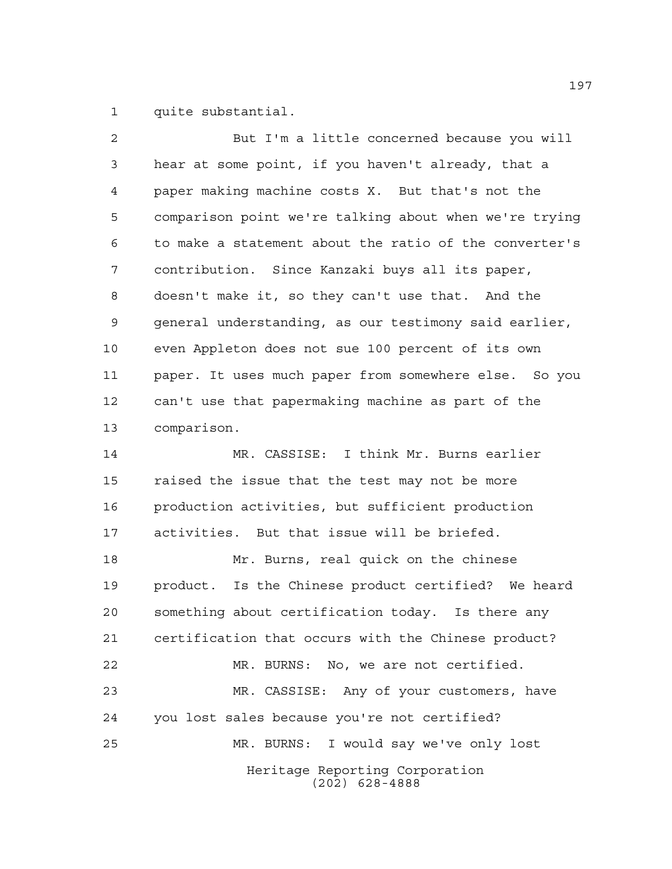quite substantial.

| $\overline{a}$ | But I'm a little concerned because you will            |
|----------------|--------------------------------------------------------|
| 3              | hear at some point, if you haven't already, that a     |
| 4              | paper making machine costs X. But that's not the       |
| 5              | comparison point we're talking about when we're trying |
| 6              | to make a statement about the ratio of the converter's |
| 7              | contribution. Since Kanzaki buys all its paper,        |
| 8              | doesn't make it, so they can't use that. And the       |
| 9              | general understanding, as our testimony said earlier,  |
| 10             | even Appleton does not sue 100 percent of its own      |
| 11             | paper. It uses much paper from somewhere else. So you  |
| 12             | can't use that papermaking machine as part of the      |
| 13             | comparison.                                            |
| 14             | MR. CASSISE: I think Mr. Burns earlier                 |
| 15             | raised the issue that the test may not be more         |
| 16             | production activities, but sufficient production       |
| 17             | activities. But that issue will be briefed.            |
| 18             | Mr. Burns, real quick on the chinese                   |
| 19             | product. Is the Chinese product certified? We heard    |
| 20             | something about certification today. Is there any      |
| 21             | certification that occurs with the Chinese product?    |
| 22             | MR. BURNS: No, we are not certified.                   |
| 23             | MR. CASSISE: Any of your customers, have               |
| 24             | you lost sales because you're not certified?           |
| 25             | MR. BURNS: I would say we've only lost                 |
|                | Heritage Reporting Corporation<br>$(202)$ 628-4888     |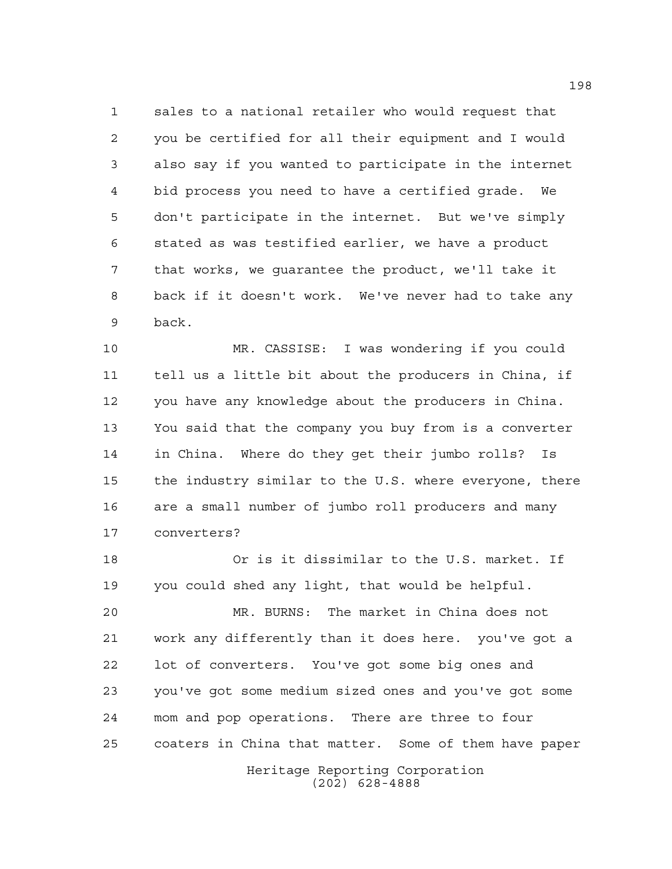sales to a national retailer who would request that you be certified for all their equipment and I would also say if you wanted to participate in the internet bid process you need to have a certified grade. We don't participate in the internet. But we've simply stated as was testified earlier, we have a product that works, we guarantee the product, we'll take it back if it doesn't work. We've never had to take any back.

 MR. CASSISE: I was wondering if you could tell us a little bit about the producers in China, if you have any knowledge about the producers in China. You said that the company you buy from is a converter in China. Where do they get their jumbo rolls? Is the industry similar to the U.S. where everyone, there are a small number of jumbo roll producers and many converters?

 Or is it dissimilar to the U.S. market. If you could shed any light, that would be helpful.

Heritage Reporting Corporation MR. BURNS: The market in China does not work any differently than it does here. you've got a lot of converters. You've got some big ones and you've got some medium sized ones and you've got some mom and pop operations. There are three to four coaters in China that matter. Some of them have paper

(202) 628-4888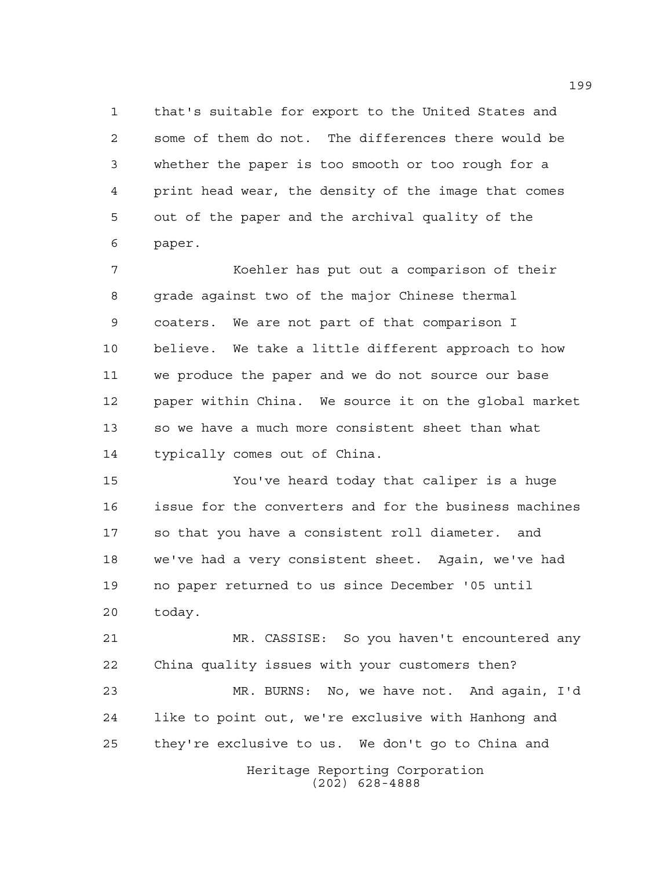that's suitable for export to the United States and some of them do not. The differences there would be whether the paper is too smooth or too rough for a print head wear, the density of the image that comes out of the paper and the archival quality of the paper.

 Koehler has put out a comparison of their 8 grade against two of the major Chinese thermal coaters. We are not part of that comparison I believe. We take a little different approach to how we produce the paper and we do not source our base paper within China. We source it on the global market so we have a much more consistent sheet than what typically comes out of China.

 You've heard today that caliper is a huge issue for the converters and for the business machines so that you have a consistent roll diameter. and we've had a very consistent sheet. Again, we've had no paper returned to us since December '05 until today.

 MR. CASSISE: So you haven't encountered any China quality issues with your customers then?

Heritage Reporting Corporation (202) 628-4888 MR. BURNS: No, we have not. And again, I'd like to point out, we're exclusive with Hanhong and they're exclusive to us. We don't go to China and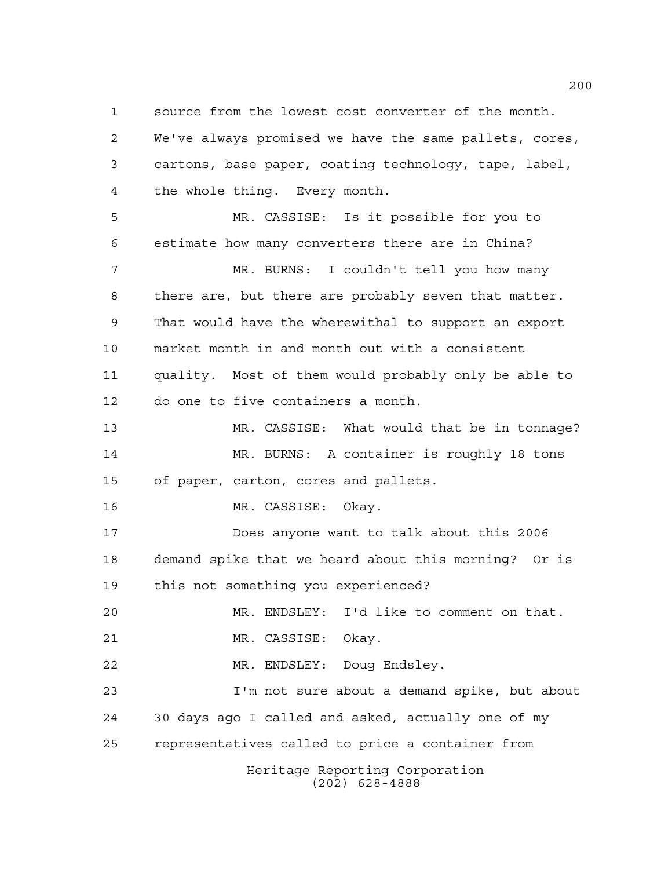Heritage Reporting Corporation (202) 628-4888 source from the lowest cost converter of the month. We've always promised we have the same pallets, cores, cartons, base paper, coating technology, tape, label, the whole thing. Every month. MR. CASSISE: Is it possible for you to estimate how many converters there are in China? MR. BURNS: I couldn't tell you how many there are, but there are probably seven that matter. That would have the wherewithal to support an export market month in and month out with a consistent quality. Most of them would probably only be able to do one to five containers a month. MR. CASSISE: What would that be in tonnage? MR. BURNS: A container is roughly 18 tons of paper, carton, cores and pallets. MR. CASSISE: Okay. Does anyone want to talk about this 2006 demand spike that we heard about this morning? Or is this not something you experienced? MR. ENDSLEY: I'd like to comment on that. MR. CASSISE: Okay. MR. ENDSLEY: Doug Endsley. I'm not sure about a demand spike, but about 30 days ago I called and asked, actually one of my representatives called to price a container from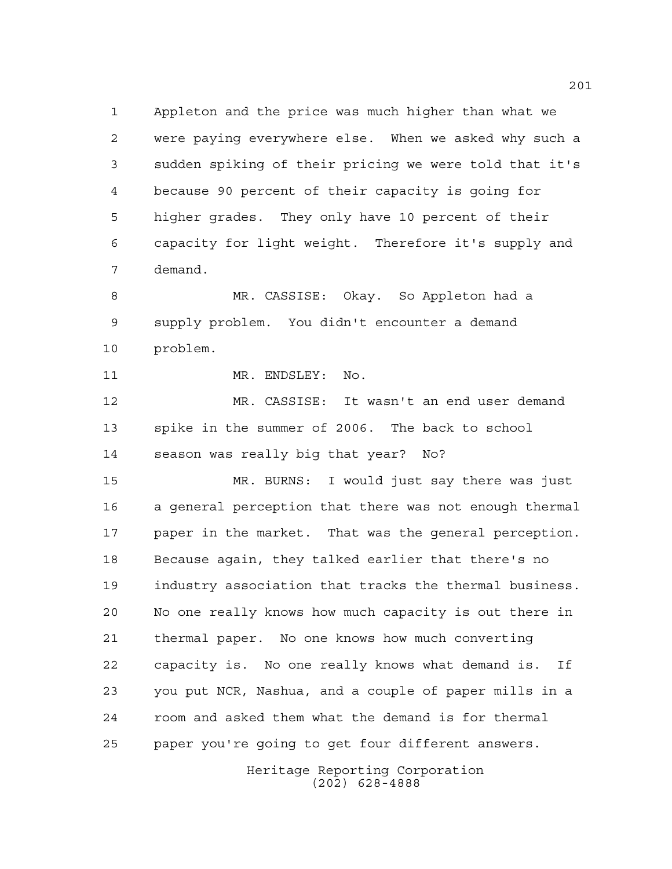Appleton and the price was much higher than what we were paying everywhere else. When we asked why such a sudden spiking of their pricing we were told that it's because 90 percent of their capacity is going for higher grades. They only have 10 percent of their capacity for light weight. Therefore it's supply and demand.

 MR. CASSISE: Okay. So Appleton had a supply problem. You didn't encounter a demand problem.

11 MR. ENDSLEY: No.

 MR. CASSISE: It wasn't an end user demand spike in the summer of 2006. The back to school season was really big that year? No?

 MR. BURNS: I would just say there was just a general perception that there was not enough thermal paper in the market. That was the general perception. Because again, they talked earlier that there's no industry association that tracks the thermal business. No one really knows how much capacity is out there in thermal paper. No one knows how much converting capacity is. No one really knows what demand is. If you put NCR, Nashua, and a couple of paper mills in a room and asked them what the demand is for thermal paper you're going to get four different answers.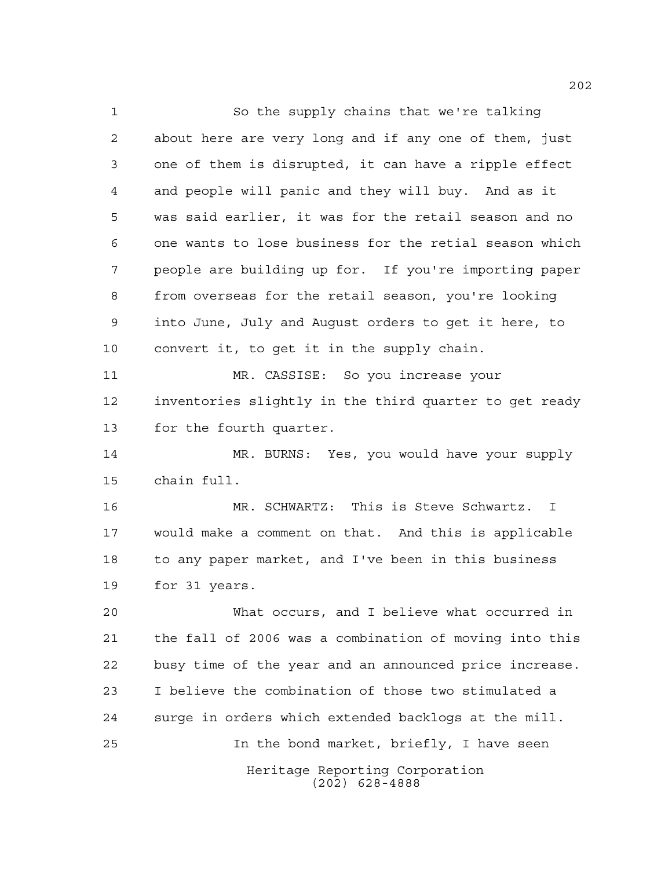So the supply chains that we're talking about here are very long and if any one of them, just one of them is disrupted, it can have a ripple effect and people will panic and they will buy. And as it was said earlier, it was for the retail season and no one wants to lose business for the retial season which people are building up for. If you're importing paper from overseas for the retail season, you're looking into June, July and August orders to get it here, to convert it, to get it in the supply chain.

 MR. CASSISE: So you increase your inventories slightly in the third quarter to get ready for the fourth quarter.

 MR. BURNS: Yes, you would have your supply chain full.

 MR. SCHWARTZ: This is Steve Schwartz. I would make a comment on that. And this is applicable to any paper market, and I've been in this business for 31 years.

Heritage Reporting Corporation (202) 628-4888 What occurs, and I believe what occurred in the fall of 2006 was a combination of moving into this busy time of the year and an announced price increase. I believe the combination of those two stimulated a surge in orders which extended backlogs at the mill. In the bond market, briefly, I have seen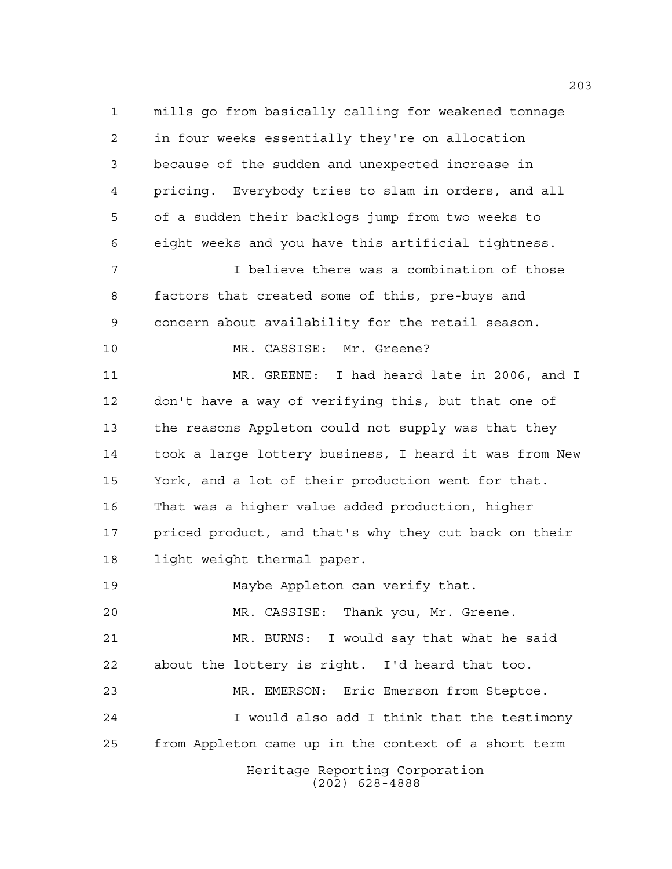Heritage Reporting Corporation (202) 628-4888 mills go from basically calling for weakened tonnage in four weeks essentially they're on allocation because of the sudden and unexpected increase in pricing. Everybody tries to slam in orders, and all of a sudden their backlogs jump from two weeks to eight weeks and you have this artificial tightness. I believe there was a combination of those factors that created some of this, pre-buys and concern about availability for the retail season. 10 MR. CASSISE: Mr. Greene? MR. GREENE: I had heard late in 2006, and I don't have a way of verifying this, but that one of the reasons Appleton could not supply was that they took a large lottery business, I heard it was from New York, and a lot of their production went for that. That was a higher value added production, higher priced product, and that's why they cut back on their light weight thermal paper. Maybe Appleton can verify that. MR. CASSISE: Thank you, Mr. Greene. MR. BURNS: I would say that what he said about the lottery is right. I'd heard that too. MR. EMERSON: Eric Emerson from Steptoe. I would also add I think that the testimony from Appleton came up in the context of a short term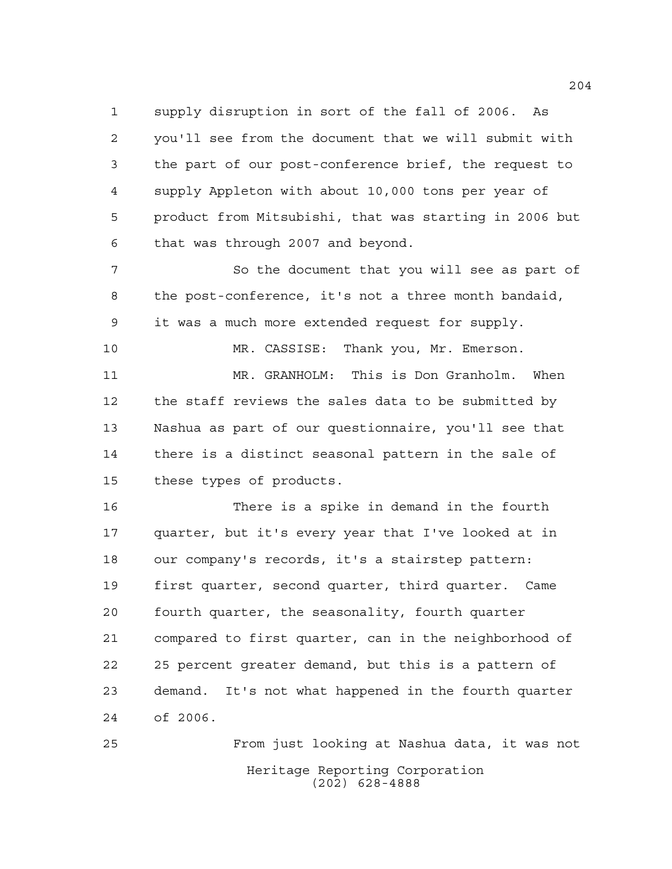supply disruption in sort of the fall of 2006. As you'll see from the document that we will submit with the part of our post-conference brief, the request to supply Appleton with about 10,000 tons per year of product from Mitsubishi, that was starting in 2006 but that was through 2007 and beyond.

7 So the document that you will see as part of the post-conference, it's not a three month bandaid, it was a much more extended request for supply.

 MR. GRANHOLM: This is Don Granholm. When the staff reviews the sales data to be submitted by Nashua as part of our questionnaire, you'll see that there is a distinct seasonal pattern in the sale of these types of products.

MR. CASSISE: Thank you, Mr. Emerson.

 There is a spike in demand in the fourth quarter, but it's every year that I've looked at in our company's records, it's a stairstep pattern: first quarter, second quarter, third quarter. Came fourth quarter, the seasonality, fourth quarter compared to first quarter, can in the neighborhood of 25 percent greater demand, but this is a pattern of demand. It's not what happened in the fourth quarter of 2006.

Heritage Reporting Corporation (202) 628-4888 From just looking at Nashua data, it was not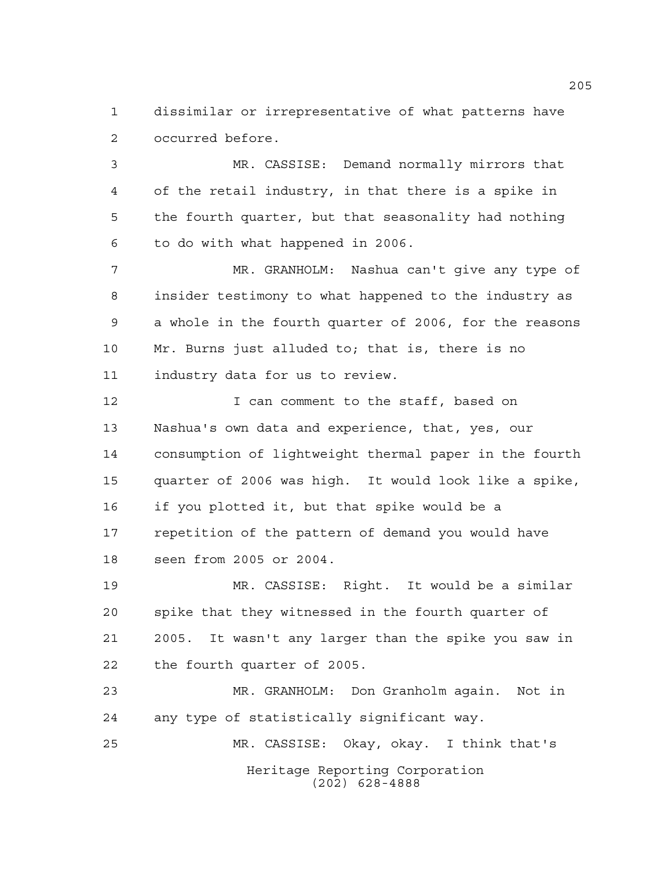dissimilar or irrepresentative of what patterns have occurred before.

 MR. CASSISE: Demand normally mirrors that of the retail industry, in that there is a spike in the fourth quarter, but that seasonality had nothing to do with what happened in 2006.

 MR. GRANHOLM: Nashua can't give any type of insider testimony to what happened to the industry as a whole in the fourth quarter of 2006, for the reasons Mr. Burns just alluded to; that is, there is no industry data for us to review.

12 12 I can comment to the staff, based on Nashua's own data and experience, that, yes, our consumption of lightweight thermal paper in the fourth quarter of 2006 was high. It would look like a spike, if you plotted it, but that spike would be a repetition of the pattern of demand you would have seen from 2005 or 2004.

 MR. CASSISE: Right. It would be a similar spike that they witnessed in the fourth quarter of 2005. It wasn't any larger than the spike you saw in the fourth quarter of 2005.

Heritage Reporting Corporation (202) 628-4888 MR. GRANHOLM: Don Granholm again. Not in any type of statistically significant way. MR. CASSISE: Okay, okay. I think that's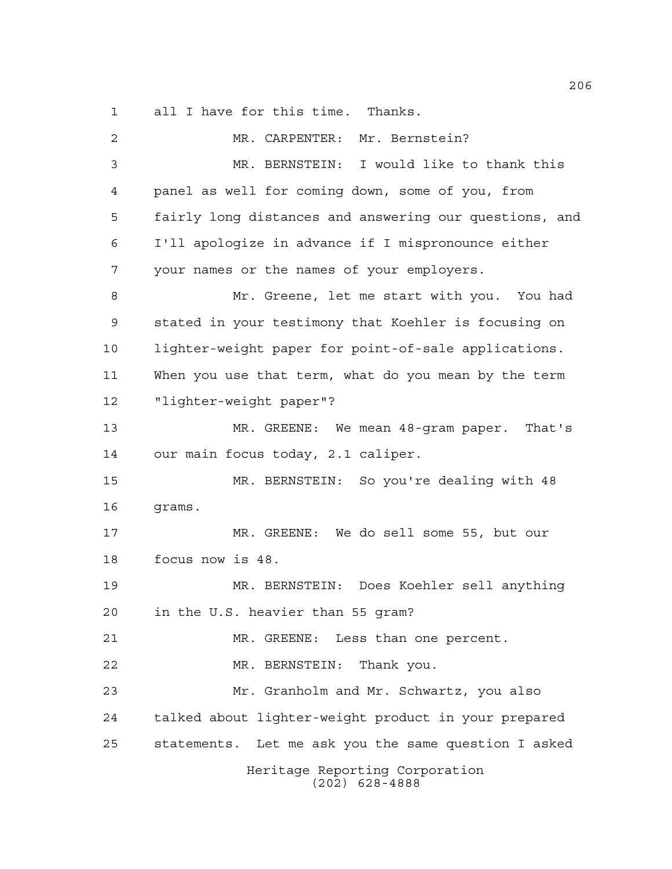all I have for this time. Thanks.

| 2  | MR. CARPENTER:<br>Mr. Bernstein?                       |
|----|--------------------------------------------------------|
| 3  | MR. BERNSTEIN: I would like to thank this              |
| 4  | panel as well for coming down, some of you, from       |
| 5  | fairly long distances and answering our questions, and |
| 6  | I'll apologize in advance if I mispronounce either     |
| 7  | your names or the names of your employers.             |
| 8  | Mr. Greene, let me start with you. You had             |
| 9  | stated in your testimony that Koehler is focusing on   |
| 10 | lighter-weight paper for point-of-sale applications.   |
| 11 | When you use that term, what do you mean by the term   |
| 12 | "lighter-weight paper"?                                |
| 13 | MR. GREENE: We mean 48-gram paper. That's              |
| 14 | our main focus today, 2.1 caliper.                     |
| 15 | MR. BERNSTEIN: So you're dealing with 48               |
| 16 | grams.                                                 |
| 17 | MR. GREENE: We do sell some 55, but our                |
| 18 | focus now is 48.                                       |
| 19 | MR. BERNSTEIN: Does Koehler sell anything              |
| 20 | in the U.S. heavier than 55 gram?                      |
| 21 | MR. GREENE: Less than one percent.                     |
| 22 | MR. BERNSTEIN: Thank you.                              |
| 23 | Mr. Granholm and Mr. Schwartz, you also                |
| 24 | talked about lighter-weight product in your prepared   |
| 25 | statements. Let me ask you the same question I asked   |
|    | Heritage Reporting Corporation<br>$(202)$ 628-4888     |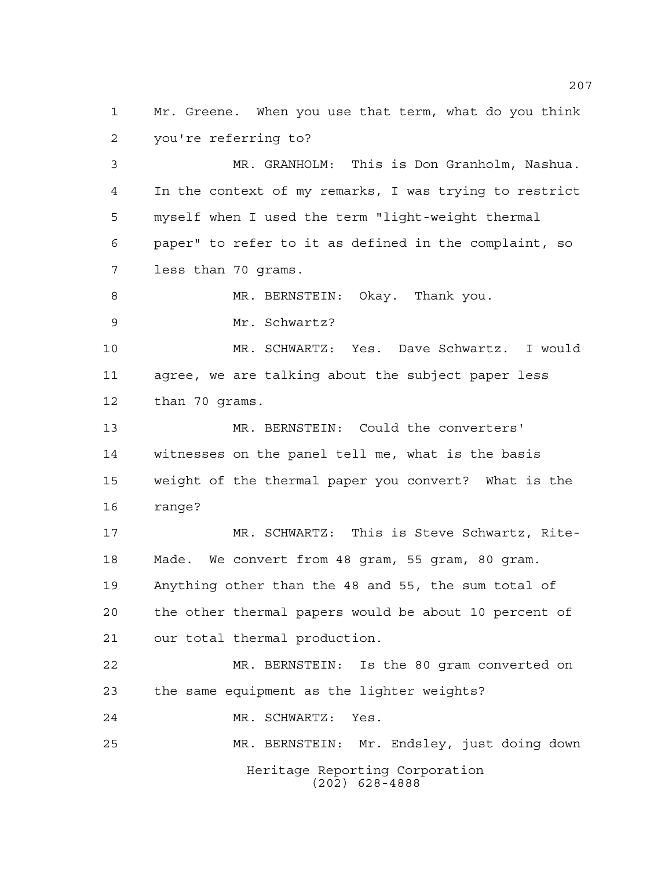Mr. Greene. When you use that term, what do you think you're referring to?

 MR. GRANHOLM: This is Don Granholm, Nashua. In the context of my remarks, I was trying to restrict myself when I used the term "light-weight thermal paper" to refer to it as defined in the complaint, so less than 70 grams.

8 MR. BERNSTEIN: Okay. Thank you.

Mr. Schwartz?

 MR. SCHWARTZ: Yes. Dave Schwartz. I would agree, we are talking about the subject paper less than 70 grams.

 MR. BERNSTEIN: Could the converters' witnesses on the panel tell me, what is the basis weight of the thermal paper you convert? What is the range?

 MR. SCHWARTZ: This is Steve Schwartz, Rite- Made. We convert from 48 gram, 55 gram, 80 gram. Anything other than the 48 and 55, the sum total of the other thermal papers would be about 10 percent of our total thermal production.

 MR. BERNSTEIN: Is the 80 gram converted on the same equipment as the lighter weights?

MR. SCHWARTZ: Yes.

MR. BERNSTEIN: Mr. Endsley, just doing down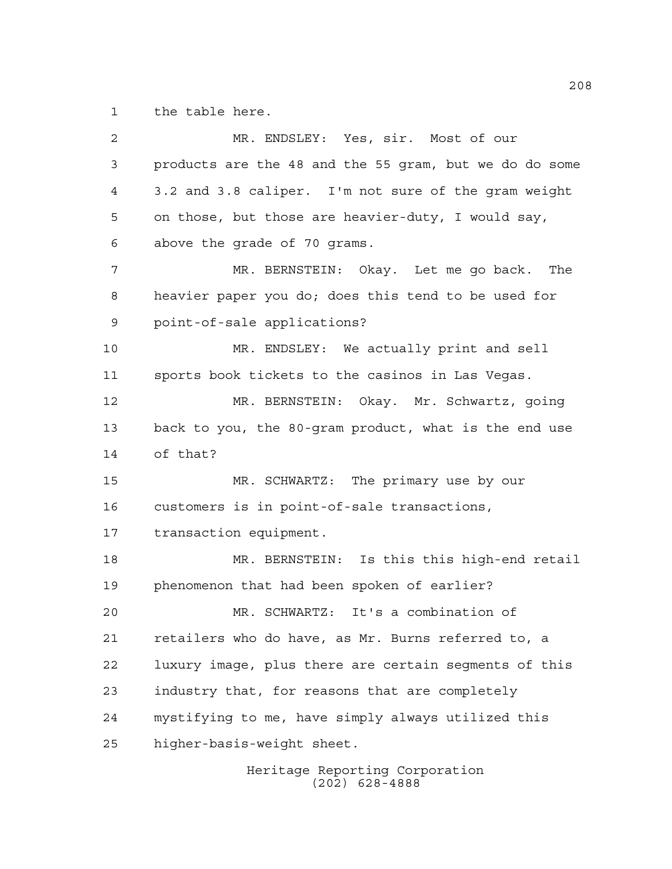the table here.

 MR. ENDSLEY: Yes, sir. Most of our products are the 48 and the 55 gram, but we do do some 3.2 and 3.8 caliper. I'm not sure of the gram weight on those, but those are heavier-duty, I would say, above the grade of 70 grams. MR. BERNSTEIN: Okay. Let me go back. The heavier paper you do; does this tend to be used for point-of-sale applications? MR. ENDSLEY: We actually print and sell sports book tickets to the casinos in Las Vegas. MR. BERNSTEIN: Okay. Mr. Schwartz, going back to you, the 80-gram product, what is the end use of that? MR. SCHWARTZ: The primary use by our customers is in point-of-sale transactions, transaction equipment. MR. BERNSTEIN: Is this this high-end retail phenomenon that had been spoken of earlier? MR. SCHWARTZ: It's a combination of retailers who do have, as Mr. Burns referred to, a luxury image, plus there are certain segments of this industry that, for reasons that are completely mystifying to me, have simply always utilized this higher-basis-weight sheet.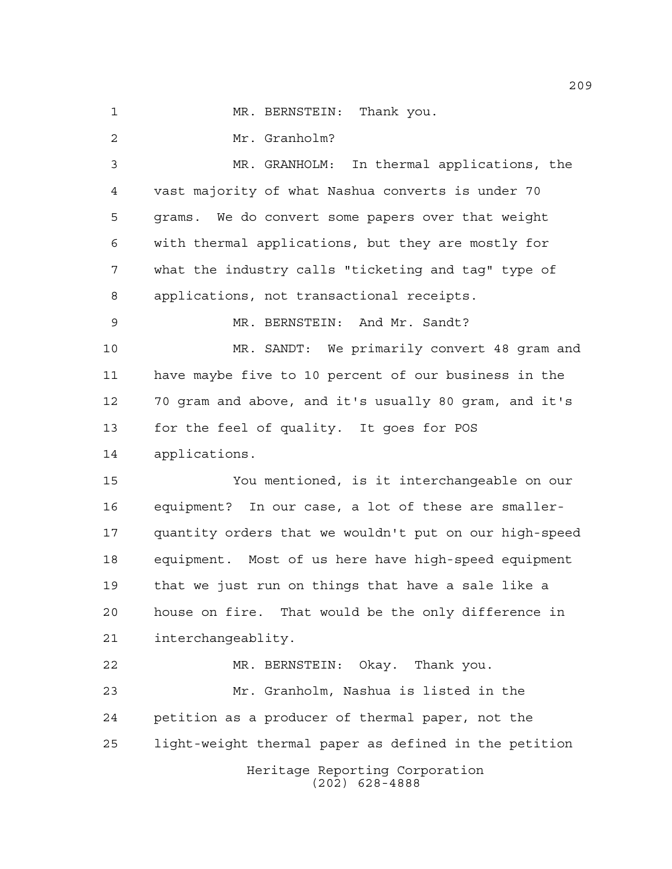1 MR. BERNSTEIN: Thank you.

Mr. Granholm?

Heritage Reporting Corporation (202) 628-4888 MR. GRANHOLM: In thermal applications, the vast majority of what Nashua converts is under 70 grams. We do convert some papers over that weight with thermal applications, but they are mostly for what the industry calls "ticketing and tag" type of applications, not transactional receipts. MR. BERNSTEIN: And Mr. Sandt? MR. SANDT: We primarily convert 48 gram and have maybe five to 10 percent of our business in the 70 gram and above, and it's usually 80 gram, and it's for the feel of quality. It goes for POS applications. You mentioned, is it interchangeable on our equipment? In our case, a lot of these are smaller- quantity orders that we wouldn't put on our high-speed equipment. Most of us here have high-speed equipment that we just run on things that have a sale like a house on fire. That would be the only difference in interchangeablity. MR. BERNSTEIN: Okay. Thank you. Mr. Granholm, Nashua is listed in the petition as a producer of thermal paper, not the light-weight thermal paper as defined in the petition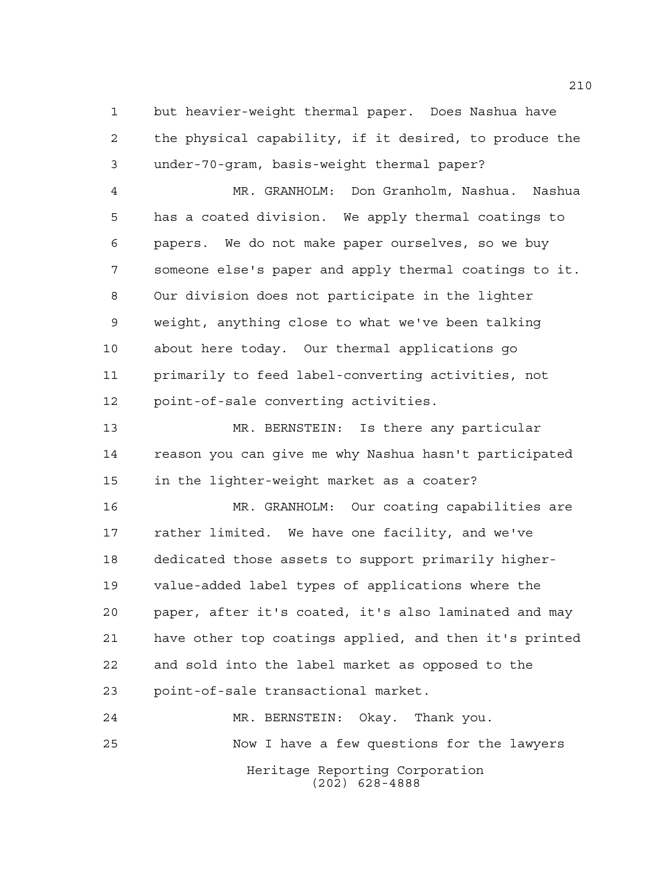but heavier-weight thermal paper. Does Nashua have the physical capability, if it desired, to produce the under-70-gram, basis-weight thermal paper?

 MR. GRANHOLM: Don Granholm, Nashua. Nashua has a coated division. We apply thermal coatings to papers. We do not make paper ourselves, so we buy someone else's paper and apply thermal coatings to it. Our division does not participate in the lighter weight, anything close to what we've been talking about here today. Our thermal applications go primarily to feed label-converting activities, not point-of-sale converting activities.

 MR. BERNSTEIN: Is there any particular reason you can give me why Nashua hasn't participated in the lighter-weight market as a coater?

 MR. GRANHOLM: Our coating capabilities are rather limited. We have one facility, and we've dedicated those assets to support primarily higher- value-added label types of applications where the paper, after it's coated, it's also laminated and may have other top coatings applied, and then it's printed and sold into the label market as opposed to the point-of-sale transactional market.

Heritage Reporting Corporation (202) 628-4888 MR. BERNSTEIN: Okay. Thank you. Now I have a few questions for the lawyers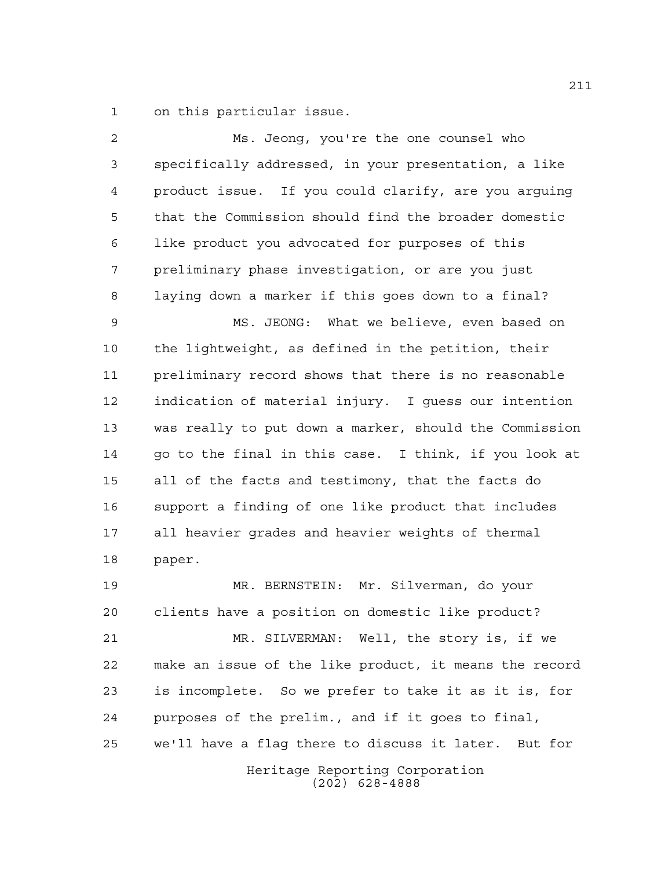on this particular issue.

| 2  | Ms. Jeong, you're the one counsel who                  |
|----|--------------------------------------------------------|
| 3  | specifically addressed, in your presentation, a like   |
| 4  | product issue. If you could clarify, are you arguing   |
| 5  | that the Commission should find the broader domestic   |
| 6  | like product you advocated for purposes of this        |
| 7  | preliminary phase investigation, or are you just       |
| 8  | laying down a marker if this goes down to a final?     |
| 9  | MS. JEONG: What we believe, even based on              |
| 10 | the lightweight, as defined in the petition, their     |
| 11 | preliminary record shows that there is no reasonable   |
| 12 | indication of material injury. I quess our intention   |
| 13 | was really to put down a marker, should the Commission |
| 14 | go to the final in this case. I think, if you look at  |
| 15 | all of the facts and testimony, that the facts do      |
| 16 | support a finding of one like product that includes    |
| 17 | all heavier grades and heavier weights of thermal      |
| 18 | paper.                                                 |
| 19 | MR. BERNSTEIN: Mr. Silverman, do your                  |
| 20 | clients have a position on domestic like product?      |
| 21 | MR. SILVERMAN: Well, the story is, if we               |
| 22 | make an issue of the like product, it means the record |
| 23 | is incomplete. So we prefer to take it as it is, for   |
| 24 | purposes of the prelim., and if it goes to final,      |
| 25 | we'll have a flag there to discuss it later. But for   |
|    | Heritage Reporting Corporation<br>$(202)$ 628-4888     |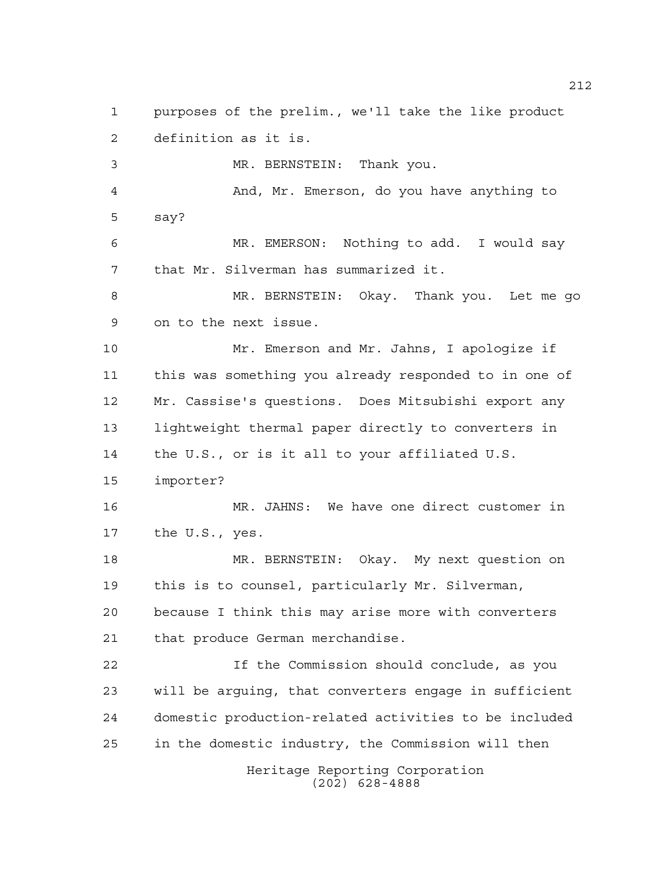Heritage Reporting Corporation (202) 628-4888 purposes of the prelim., we'll take the like product definition as it is. MR. BERNSTEIN: Thank you. And, Mr. Emerson, do you have anything to say? MR. EMERSON: Nothing to add. I would say that Mr. Silverman has summarized it. MR. BERNSTEIN: Okay. Thank you. Let me go on to the next issue. Mr. Emerson and Mr. Jahns, I apologize if this was something you already responded to in one of Mr. Cassise's questions. Does Mitsubishi export any lightweight thermal paper directly to converters in the U.S., or is it all to your affiliated U.S. importer? MR. JAHNS: We have one direct customer in the U.S., yes. MR. BERNSTEIN: Okay. My next question on this is to counsel, particularly Mr. Silverman, because I think this may arise more with converters that produce German merchandise. If the Commission should conclude, as you will be arguing, that converters engage in sufficient domestic production-related activities to be included in the domestic industry, the Commission will then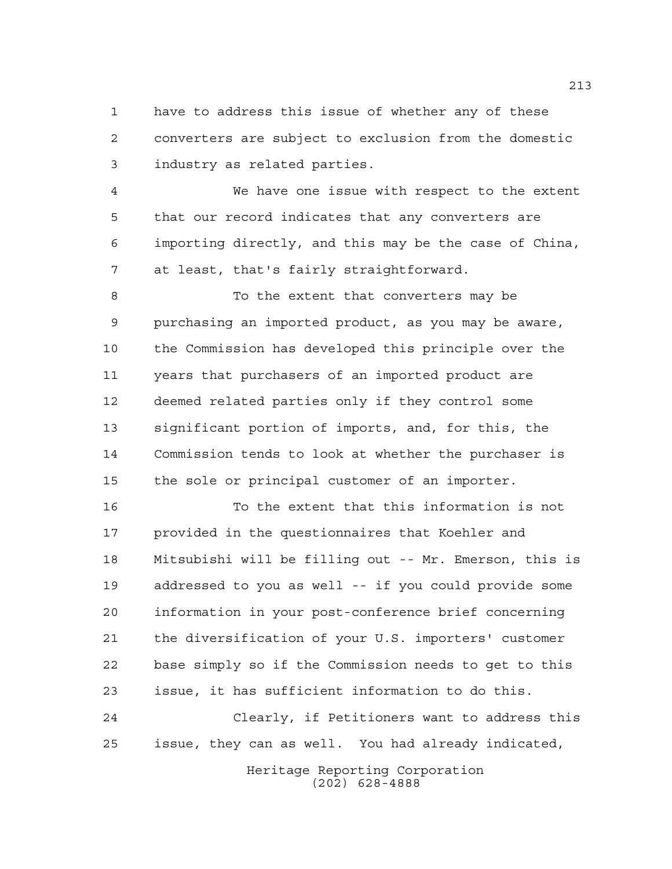have to address this issue of whether any of these converters are subject to exclusion from the domestic industry as related parties.

 We have one issue with respect to the extent that our record indicates that any converters are importing directly, and this may be the case of China, at least, that's fairly straightforward.

8 To the extent that converters may be purchasing an imported product, as you may be aware, the Commission has developed this principle over the years that purchasers of an imported product are deemed related parties only if they control some significant portion of imports, and, for this, the Commission tends to look at whether the purchaser is the sole or principal customer of an importer.

 To the extent that this information is not provided in the questionnaires that Koehler and Mitsubishi will be filling out -- Mr. Emerson, this is addressed to you as well -- if you could provide some information in your post-conference brief concerning the diversification of your U.S. importers' customer base simply so if the Commission needs to get to this issue, it has sufficient information to do this.

 Clearly, if Petitioners want to address this issue, they can as well. You had already indicated,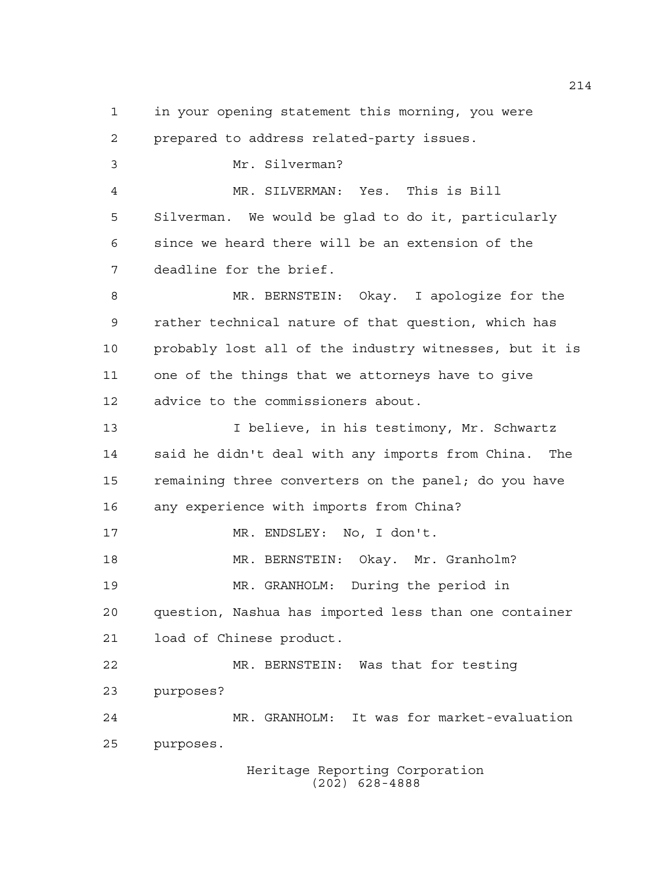prepared to address related-party issues. Mr. Silverman? MR. SILVERMAN: Yes. This is Bill Silverman. We would be glad to do it, particularly since we heard there will be an extension of the deadline for the brief. MR. BERNSTEIN: Okay. I apologize for the rather technical nature of that question, which has probably lost all of the industry witnesses, but it is one of the things that we attorneys have to give advice to the commissioners about. 13 13 I believe, in his testimony, Mr. Schwartz said he didn't deal with any imports from China. The 15 remaining three converters on the panel; do you have any experience with imports from China? 17 MR. ENDSLEY: No, I don't.

in your opening statement this morning, you were

MR. BERNSTEIN: Okay. Mr. Granholm?

MR. GRANHOLM: During the period in

purposes.

 question, Nashua has imported less than one container load of Chinese product.

 MR. BERNSTEIN: Was that for testing purposes? MR. GRANHOLM: It was for market-evaluation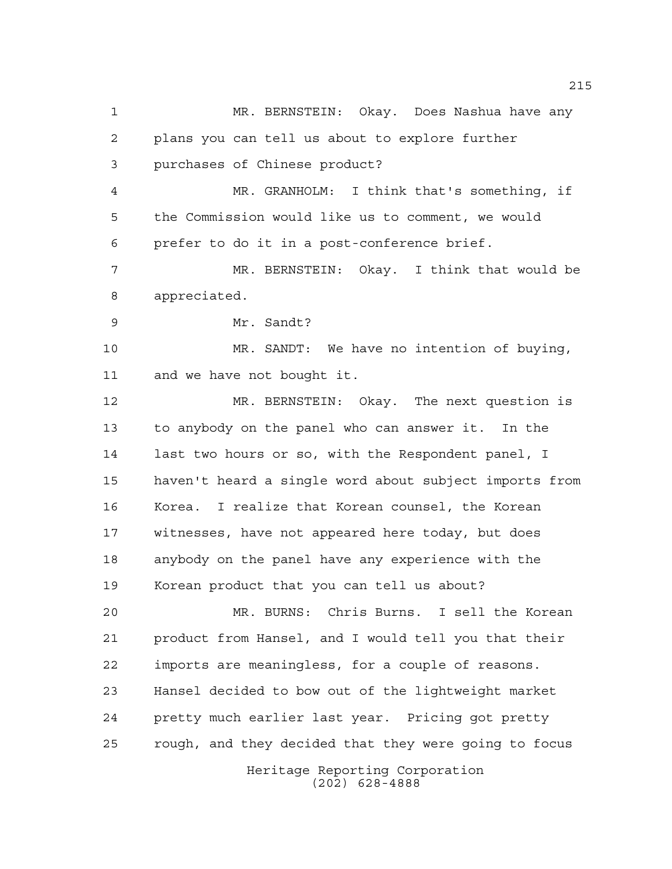Heritage Reporting Corporation (202) 628-4888 MR. BERNSTEIN: Okay. Does Nashua have any plans you can tell us about to explore further purchases of Chinese product? MR. GRANHOLM: I think that's something, if the Commission would like us to comment, we would prefer to do it in a post-conference brief. MR. BERNSTEIN: Okay. I think that would be appreciated. Mr. Sandt? MR. SANDT: We have no intention of buying, and we have not bought it. MR. BERNSTEIN: Okay. The next question is to anybody on the panel who can answer it. In the last two hours or so, with the Respondent panel, I haven't heard a single word about subject imports from Korea. I realize that Korean counsel, the Korean witnesses, have not appeared here today, but does anybody on the panel have any experience with the Korean product that you can tell us about? MR. BURNS: Chris Burns. I sell the Korean product from Hansel, and I would tell you that their imports are meaningless, for a couple of reasons. Hansel decided to bow out of the lightweight market pretty much earlier last year. Pricing got pretty rough, and they decided that they were going to focus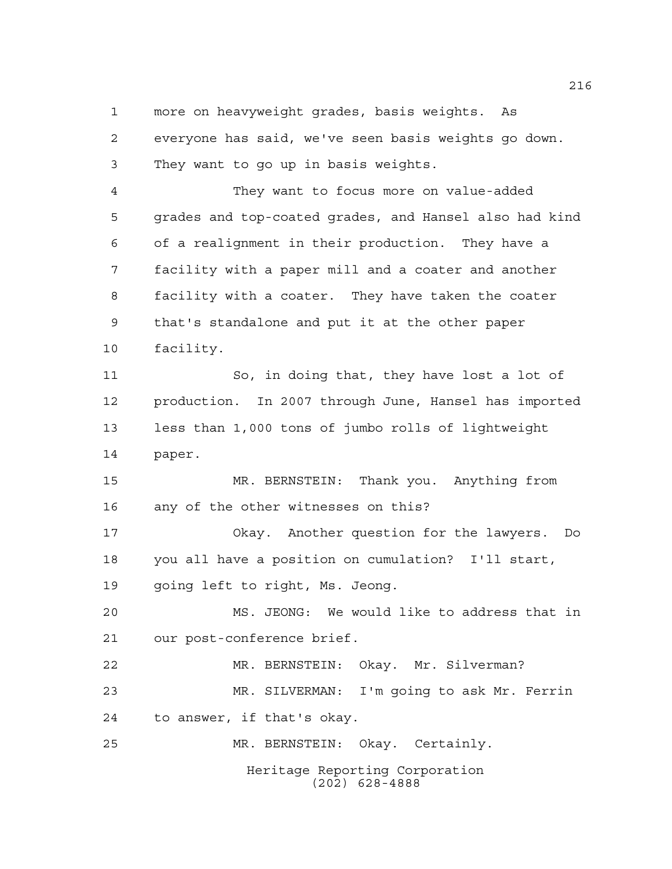more on heavyweight grades, basis weights. As everyone has said, we've seen basis weights go down. They want to go up in basis weights.

 They want to focus more on value-added grades and top-coated grades, and Hansel also had kind of a realignment in their production. They have a facility with a paper mill and a coater and another facility with a coater. They have taken the coater that's standalone and put it at the other paper facility.

 So, in doing that, they have lost a lot of production. In 2007 through June, Hansel has imported less than 1,000 tons of jumbo rolls of lightweight paper.

 MR. BERNSTEIN: Thank you. Anything from any of the other witnesses on this?

 Okay. Another question for the lawyers. Do you all have a position on cumulation? I'll start, going left to right, Ms. Jeong.

 MS. JEONG: We would like to address that in our post-conference brief.

 MR. BERNSTEIN: Okay. Mr. Silverman? MR. SILVERMAN: I'm going to ask Mr. Ferrin to answer, if that's okay.

MR. BERNSTEIN: Okay. Certainly.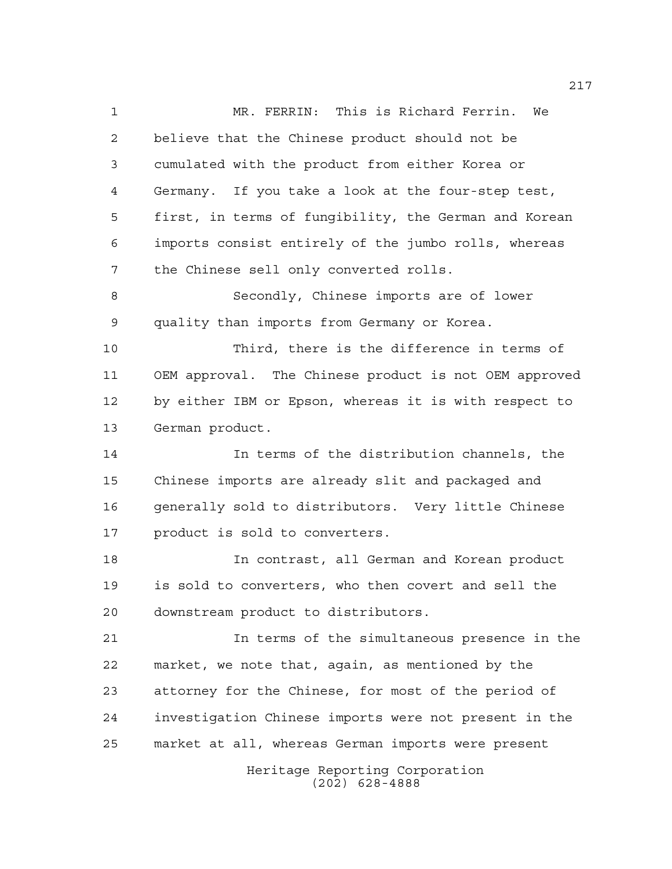MR. FERRIN: This is Richard Ferrin. We believe that the Chinese product should not be cumulated with the product from either Korea or Germany. If you take a look at the four-step test, first, in terms of fungibility, the German and Korean imports consist entirely of the jumbo rolls, whereas the Chinese sell only converted rolls. Secondly, Chinese imports are of lower quality than imports from Germany or Korea. Third, there is the difference in terms of OEM approval. The Chinese product is not OEM approved by either IBM or Epson, whereas it is with respect to German product. In terms of the distribution channels, the Chinese imports are already slit and packaged and generally sold to distributors. Very little Chinese product is sold to converters. In contrast, all German and Korean product is sold to converters, who then covert and sell the downstream product to distributors. In terms of the simultaneous presence in the market, we note that, again, as mentioned by the attorney for the Chinese, for most of the period of investigation Chinese imports were not present in the market at all, whereas German imports were present

Heritage Reporting Corporation (202) 628-4888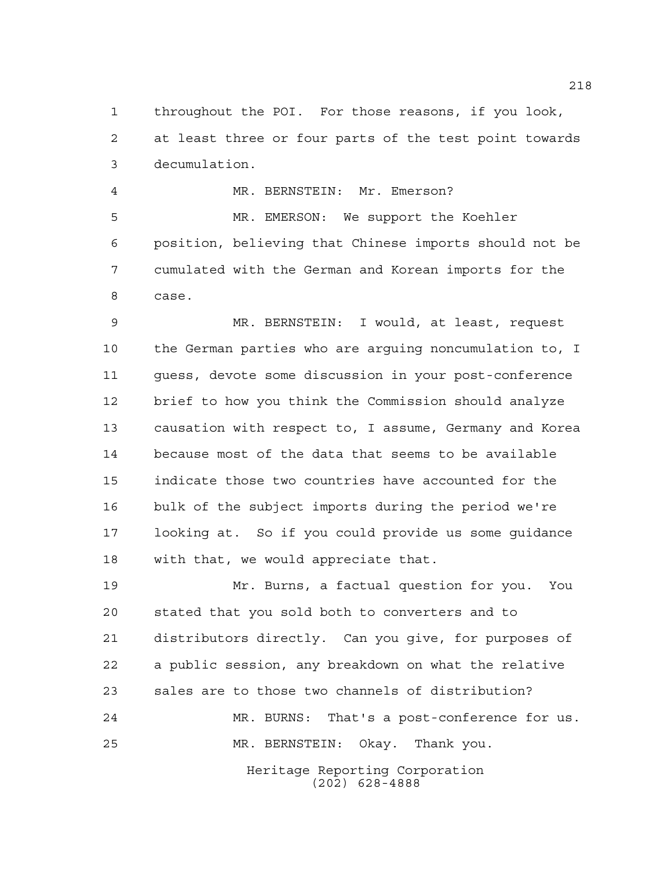throughout the POI. For those reasons, if you look, at least three or four parts of the test point towards decumulation.

 MR. BERNSTEIN: Mr. Emerson? MR. EMERSON: We support the Koehler position, believing that Chinese imports should not be cumulated with the German and Korean imports for the case.

 MR. BERNSTEIN: I would, at least, request the German parties who are arguing noncumulation to, I guess, devote some discussion in your post-conference brief to how you think the Commission should analyze causation with respect to, I assume, Germany and Korea because most of the data that seems to be available indicate those two countries have accounted for the bulk of the subject imports during the period we're looking at. So if you could provide us some guidance with that, we would appreciate that.

Heritage Reporting Corporation Mr. Burns, a factual question for you. You stated that you sold both to converters and to distributors directly. Can you give, for purposes of a public session, any breakdown on what the relative sales are to those two channels of distribution? MR. BURNS: That's a post-conference for us. MR. BERNSTEIN: Okay. Thank you.

(202) 628-4888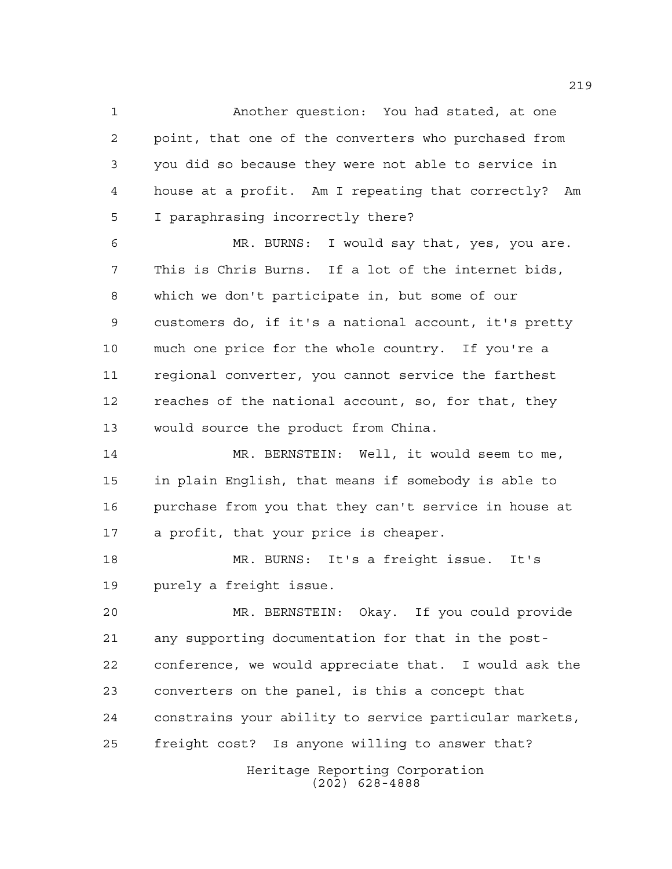Another question: You had stated, at one point, that one of the converters who purchased from you did so because they were not able to service in house at a profit. Am I repeating that correctly? Am I paraphrasing incorrectly there?

 MR. BURNS: I would say that, yes, you are. This is Chris Burns. If a lot of the internet bids, which we don't participate in, but some of our customers do, if it's a national account, it's pretty much one price for the whole country. If you're a regional converter, you cannot service the farthest reaches of the national account, so, for that, they would source the product from China.

 MR. BERNSTEIN: Well, it would seem to me, in plain English, that means if somebody is able to purchase from you that they can't service in house at a profit, that your price is cheaper.

 MR. BURNS: It's a freight issue. It's purely a freight issue.

 MR. BERNSTEIN: Okay. If you could provide any supporting documentation for that in the post- conference, we would appreciate that. I would ask the converters on the panel, is this a concept that constrains your ability to service particular markets, freight cost? Is anyone willing to answer that?

> Heritage Reporting Corporation (202) 628-4888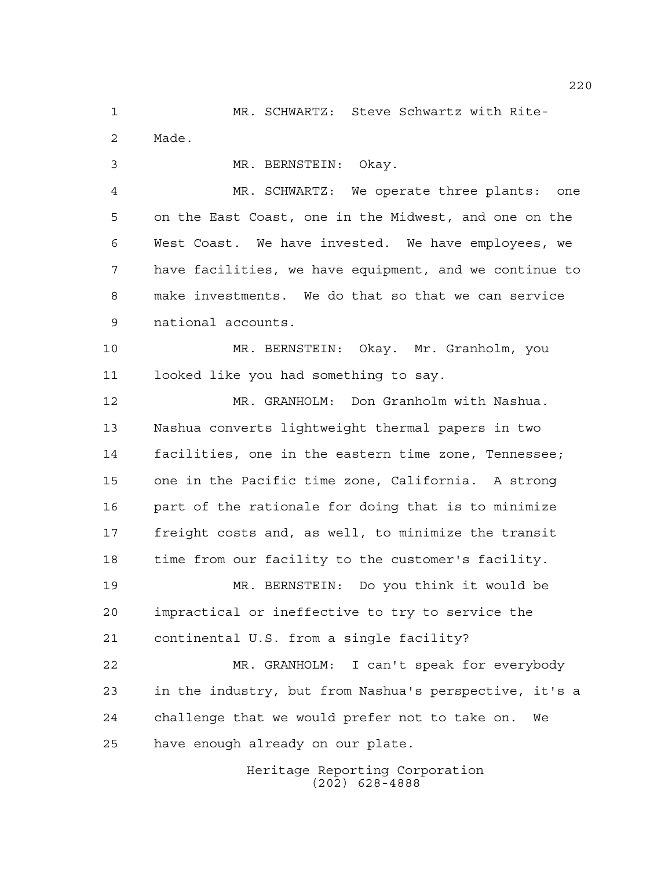MR. SCHWARTZ: Steve Schwartz with Rite- Made. MR. BERNSTEIN: Okay.

 MR. SCHWARTZ: We operate three plants: one on the East Coast, one in the Midwest, and one on the West Coast. We have invested. We have employees, we have facilities, we have equipment, and we continue to make investments. We do that so that we can service national accounts.

 MR. BERNSTEIN: Okay. Mr. Granholm, you looked like you had something to say.

 MR. GRANHOLM: Don Granholm with Nashua. Nashua converts lightweight thermal papers in two facilities, one in the eastern time zone, Tennessee; one in the Pacific time zone, California. A strong part of the rationale for doing that is to minimize freight costs and, as well, to minimize the transit time from our facility to the customer's facility.

 MR. BERNSTEIN: Do you think it would be impractical or ineffective to try to service the continental U.S. from a single facility?

 MR. GRANHOLM: I can't speak for everybody in the industry, but from Nashua's perspective, it's a challenge that we would prefer not to take on. We have enough already on our plate.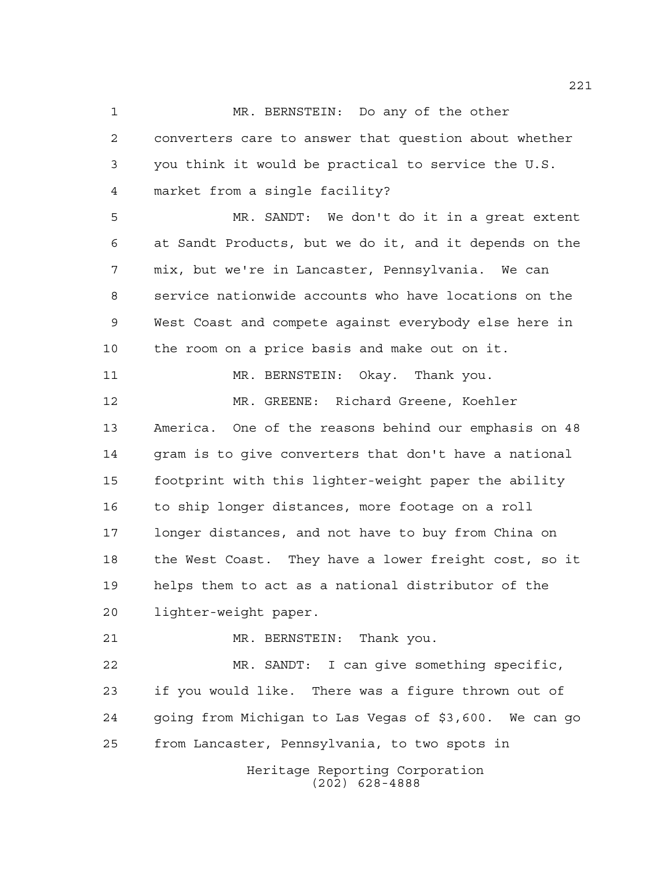MR. BERNSTEIN: Do any of the other converters care to answer that question about whether you think it would be practical to service the U.S. market from a single facility? MR. SANDT: We don't do it in a great extent at Sandt Products, but we do it, and it depends on the mix, but we're in Lancaster, Pennsylvania. We can service nationwide accounts who have locations on the West Coast and compete against everybody else here in the room on a price basis and make out on it. MR. BERNSTEIN: Okay. Thank you. MR. GREENE: Richard Greene, Koehler America. One of the reasons behind our emphasis on 48 gram is to give converters that don't have a national footprint with this lighter-weight paper the ability to ship longer distances, more footage on a roll longer distances, and not have to buy from China on the West Coast. They have a lower freight cost, so it helps them to act as a national distributor of the lighter-weight paper. MR. BERNSTEIN: Thank you. MR. SANDT: I can give something specific, if you would like. There was a figure thrown out of going from Michigan to Las Vegas of \$3,600. We can go

from Lancaster, Pennsylvania, to two spots in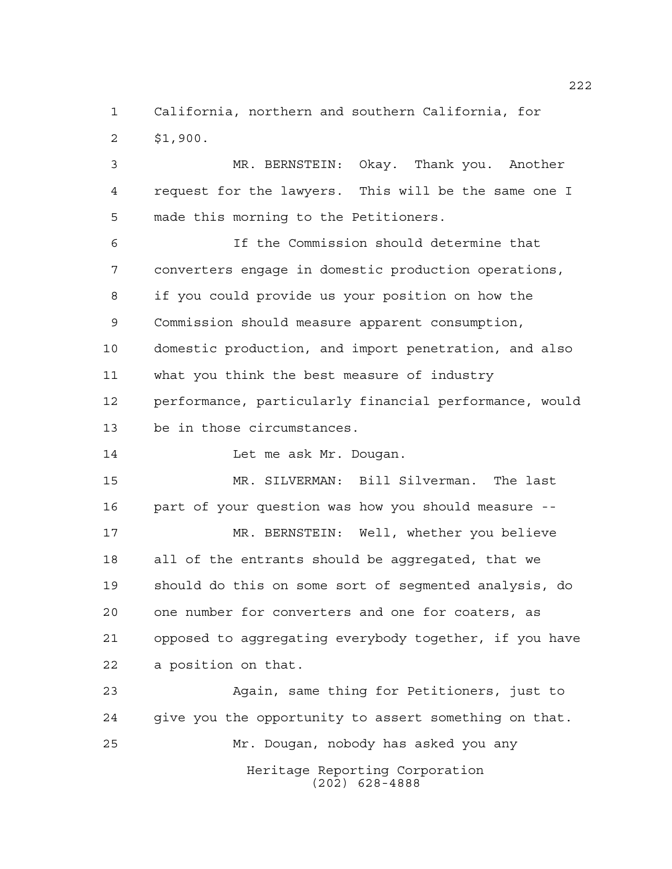California, northern and southern California, for \$1,900.

 MR. BERNSTEIN: Okay. Thank you. Another request for the lawyers. This will be the same one I made this morning to the Petitioners.

 If the Commission should determine that converters engage in domestic production operations, if you could provide us your position on how the Commission should measure apparent consumption, domestic production, and import penetration, and also what you think the best measure of industry performance, particularly financial performance, would be in those circumstances.

14 Let me ask Mr. Dougan.

 MR. SILVERMAN: Bill Silverman. The last part of your question was how you should measure -- MR. BERNSTEIN: Well, whether you believe all of the entrants should be aggregated, that we should do this on some sort of segmented analysis, do one number for converters and one for coaters, as opposed to aggregating everybody together, if you have a position on that.

Heritage Reporting Corporation (202) 628-4888 Again, same thing for Petitioners, just to give you the opportunity to assert something on that. Mr. Dougan, nobody has asked you any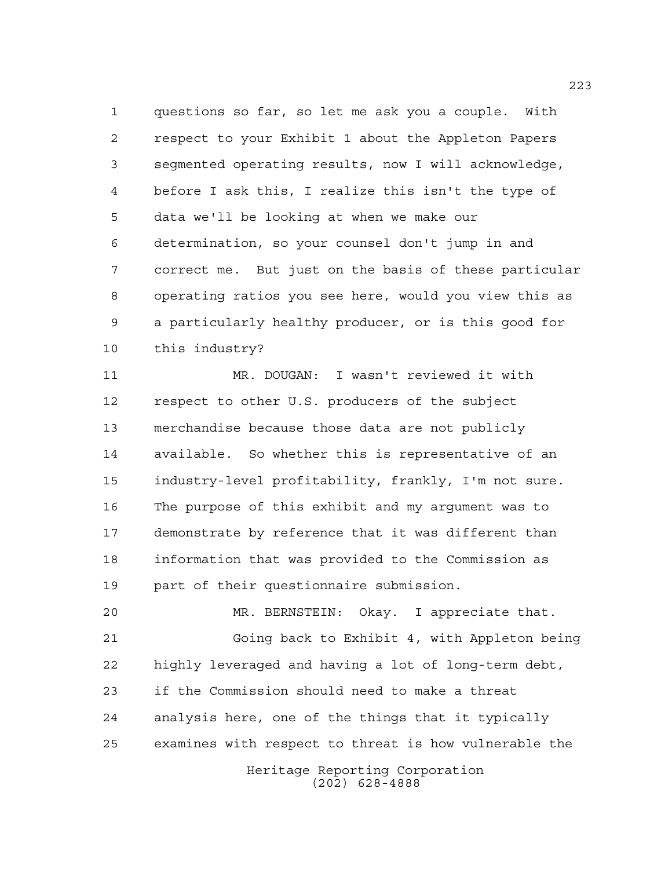questions so far, so let me ask you a couple. With respect to your Exhibit 1 about the Appleton Papers segmented operating results, now I will acknowledge, before I ask this, I realize this isn't the type of data we'll be looking at when we make our determination, so your counsel don't jump in and correct me. But just on the basis of these particular operating ratios you see here, would you view this as a particularly healthy producer, or is this good for this industry?

 MR. DOUGAN: I wasn't reviewed it with respect to other U.S. producers of the subject merchandise because those data are not publicly available. So whether this is representative of an industry-level profitability, frankly, I'm not sure. The purpose of this exhibit and my argument was to demonstrate by reference that it was different than information that was provided to the Commission as part of their questionnaire submission.

 MR. BERNSTEIN: Okay. I appreciate that. Going back to Exhibit 4, with Appleton being highly leveraged and having a lot of long-term debt, if the Commission should need to make a threat analysis here, one of the things that it typically examines with respect to threat is how vulnerable the

> Heritage Reporting Corporation (202) 628-4888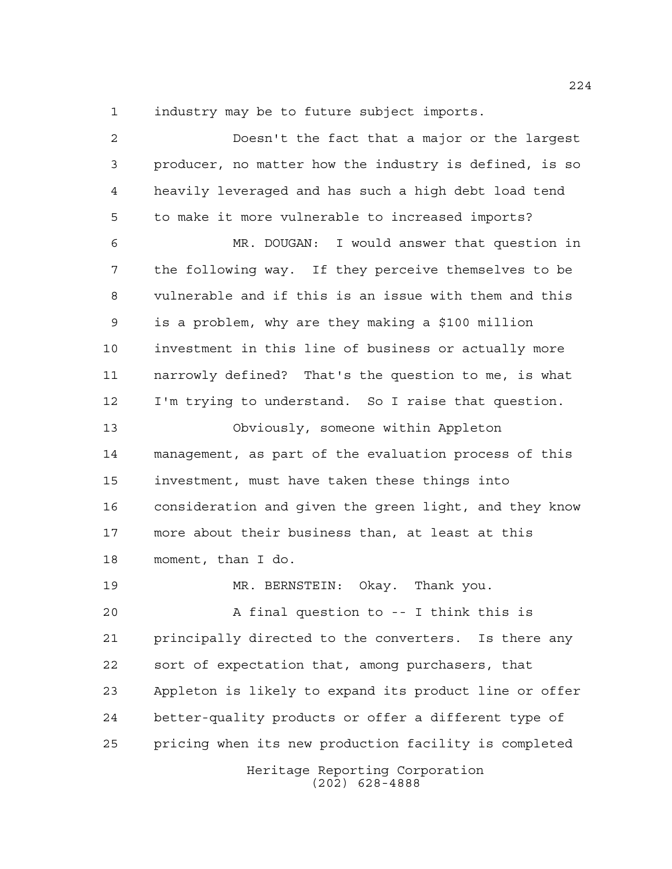industry may be to future subject imports.

Heritage Reporting Corporation (202) 628-4888 Doesn't the fact that a major or the largest producer, no matter how the industry is defined, is so heavily leveraged and has such a high debt load tend to make it more vulnerable to increased imports? MR. DOUGAN: I would answer that question in the following way. If they perceive themselves to be vulnerable and if this is an issue with them and this is a problem, why are they making a \$100 million investment in this line of business or actually more narrowly defined? That's the question to me, is what I'm trying to understand. So I raise that question. Obviously, someone within Appleton management, as part of the evaluation process of this investment, must have taken these things into consideration and given the green light, and they know more about their business than, at least at this moment, than I do. MR. BERNSTEIN: Okay. Thank you. A final question to -- I think this is principally directed to the converters. Is there any sort of expectation that, among purchasers, that Appleton is likely to expand its product line or offer better-quality products or offer a different type of pricing when its new production facility is completed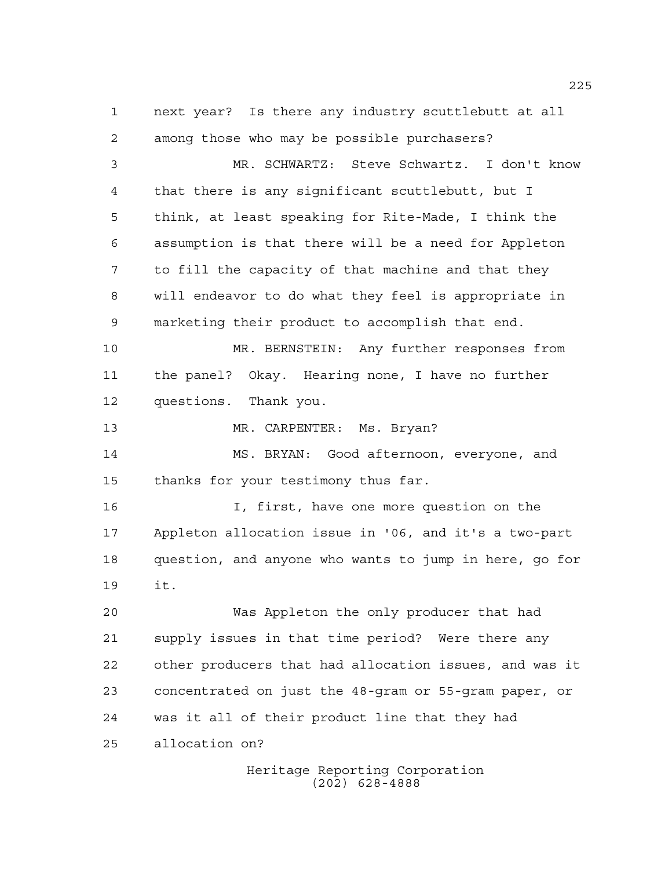next year? Is there any industry scuttlebutt at all among those who may be possible purchasers? MR. SCHWARTZ: Steve Schwartz. I don't know that there is any significant scuttlebutt, but I think, at least speaking for Rite-Made, I think the assumption is that there will be a need for Appleton to fill the capacity of that machine and that they will endeavor to do what they feel is appropriate in marketing their product to accomplish that end. MR. BERNSTEIN: Any further responses from the panel? Okay. Hearing none, I have no further questions. Thank you. MR. CARPENTER: Ms. Bryan? MS. BRYAN: Good afternoon, everyone, and thanks for your testimony thus far. I, first, have one more question on the Appleton allocation issue in '06, and it's a two-part question, and anyone who wants to jump in here, go for it. Was Appleton the only producer that had supply issues in that time period? Were there any other producers that had allocation issues, and was it concentrated on just the 48-gram or 55-gram paper, or was it all of their product line that they had allocation on?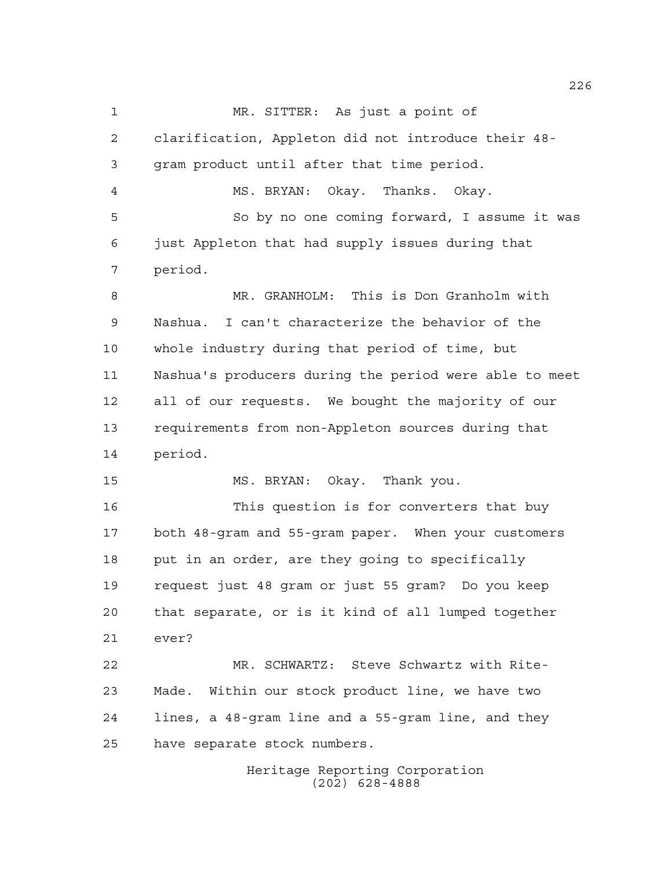MR. SITTER: As just a point of clarification, Appleton did not introduce their 48- gram product until after that time period. MS. BRYAN: Okay. Thanks. Okay. So by no one coming forward, I assume it was just Appleton that had supply issues during that period. MR. GRANHOLM: This is Don Granholm with Nashua. I can't characterize the behavior of the whole industry during that period of time, but Nashua's producers during the period were able to meet all of our requests. We bought the majority of our requirements from non-Appleton sources during that period. MS. BRYAN: Okay. Thank you. This question is for converters that buy both 48-gram and 55-gram paper. When your customers put in an order, are they going to specifically request just 48 gram or just 55 gram? Do you keep that separate, or is it kind of all lumped together ever? MR. SCHWARTZ: Steve Schwartz with Rite- Made. Within our stock product line, we have two lines, a 48-gram line and a 55-gram line, and they have separate stock numbers.

Heritage Reporting Corporation (202) 628-4888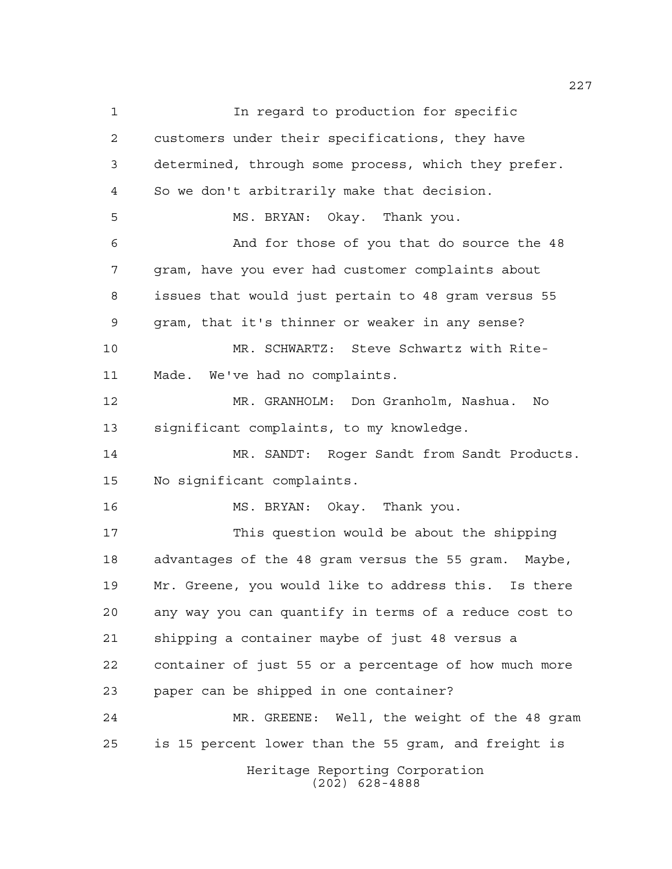Heritage Reporting Corporation (202) 628-4888 **In regard to production for specific**  customers under their specifications, they have determined, through some process, which they prefer. So we don't arbitrarily make that decision. MS. BRYAN: Okay. Thank you. And for those of you that do source the 48 gram, have you ever had customer complaints about issues that would just pertain to 48 gram versus 55 gram, that it's thinner or weaker in any sense? MR. SCHWARTZ: Steve Schwartz with Rite- Made. We've had no complaints. MR. GRANHOLM: Don Granholm, Nashua. No significant complaints, to my knowledge. MR. SANDT: Roger Sandt from Sandt Products. No significant complaints. MS. BRYAN: Okay. Thank you. This question would be about the shipping advantages of the 48 gram versus the 55 gram. Maybe, Mr. Greene, you would like to address this. Is there any way you can quantify in terms of a reduce cost to shipping a container maybe of just 48 versus a container of just 55 or a percentage of how much more paper can be shipped in one container? MR. GREENE: Well, the weight of the 48 gram is 15 percent lower than the 55 gram, and freight is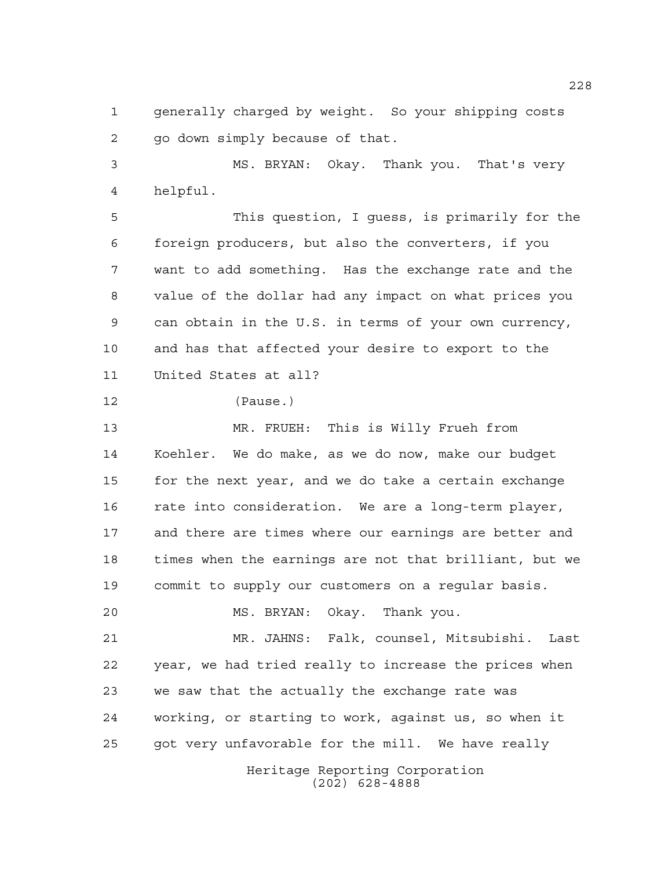generally charged by weight. So your shipping costs go down simply because of that.

 MS. BRYAN: Okay. Thank you. That's very helpful.

 This question, I guess, is primarily for the foreign producers, but also the converters, if you want to add something. Has the exchange rate and the value of the dollar had any impact on what prices you can obtain in the U.S. in terms of your own currency, and has that affected your desire to export to the United States at all?

(Pause.)

 MR. FRUEH: This is Willy Frueh from Koehler. We do make, as we do now, make our budget for the next year, and we do take a certain exchange rate into consideration. We are a long-term player, and there are times where our earnings are better and times when the earnings are not that brilliant, but we commit to supply our customers on a regular basis.

MS. BRYAN: Okay. Thank you.

 MR. JAHNS: Falk, counsel, Mitsubishi. Last year, we had tried really to increase the prices when we saw that the actually the exchange rate was working, or starting to work, against us, so when it got very unfavorable for the mill. We have really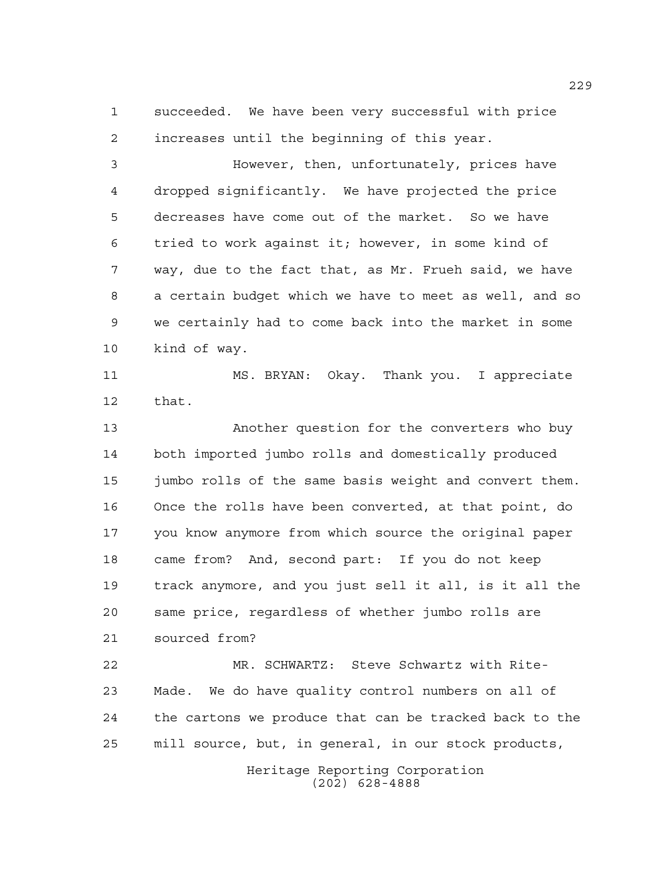succeeded. We have been very successful with price increases until the beginning of this year.

 However, then, unfortunately, prices have dropped significantly. We have projected the price decreases have come out of the market. So we have tried to work against it; however, in some kind of way, due to the fact that, as Mr. Frueh said, we have a certain budget which we have to meet as well, and so we certainly had to come back into the market in some kind of way.

 MS. BRYAN: Okay. Thank you. I appreciate that.

 Another question for the converters who buy both imported jumbo rolls and domestically produced jumbo rolls of the same basis weight and convert them. Once the rolls have been converted, at that point, do you know anymore from which source the original paper came from? And, second part: If you do not keep track anymore, and you just sell it all, is it all the same price, regardless of whether jumbo rolls are sourced from?

 MR. SCHWARTZ: Steve Schwartz with Rite- Made. We do have quality control numbers on all of the cartons we produce that can be tracked back to the mill source, but, in general, in our stock products,

> Heritage Reporting Corporation (202) 628-4888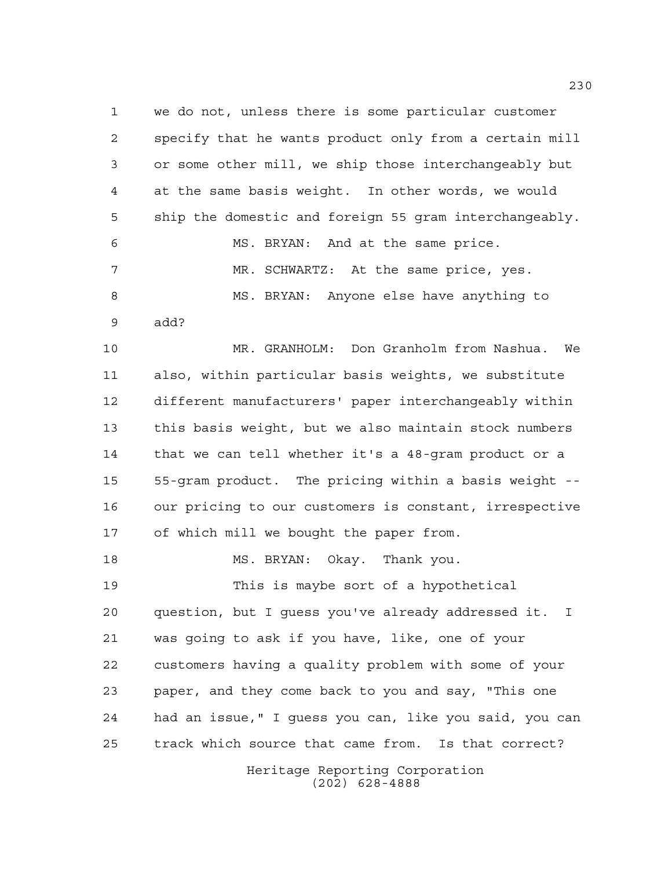we do not, unless there is some particular customer specify that he wants product only from a certain mill or some other mill, we ship those interchangeably but at the same basis weight. In other words, we would ship the domestic and foreign 55 gram interchangeably. MS. BRYAN: And at the same price. MR. SCHWARTZ: At the same price, yes. MS. BRYAN: Anyone else have anything to add? MR. GRANHOLM: Don Granholm from Nashua. We also, within particular basis weights, we substitute

 different manufacturers' paper interchangeably within this basis weight, but we also maintain stock numbers that we can tell whether it's a 48-gram product or a 55-gram product. The pricing within a basis weight -- our pricing to our customers is constant, irrespective of which mill we bought the paper from.

MS. BRYAN: Okay. Thank you.

 This is maybe sort of a hypothetical question, but I guess you've already addressed it. I was going to ask if you have, like, one of your customers having a quality problem with some of your paper, and they come back to you and say, "This one had an issue," I guess you can, like you said, you can track which source that came from. Is that correct?

> Heritage Reporting Corporation (202) 628-4888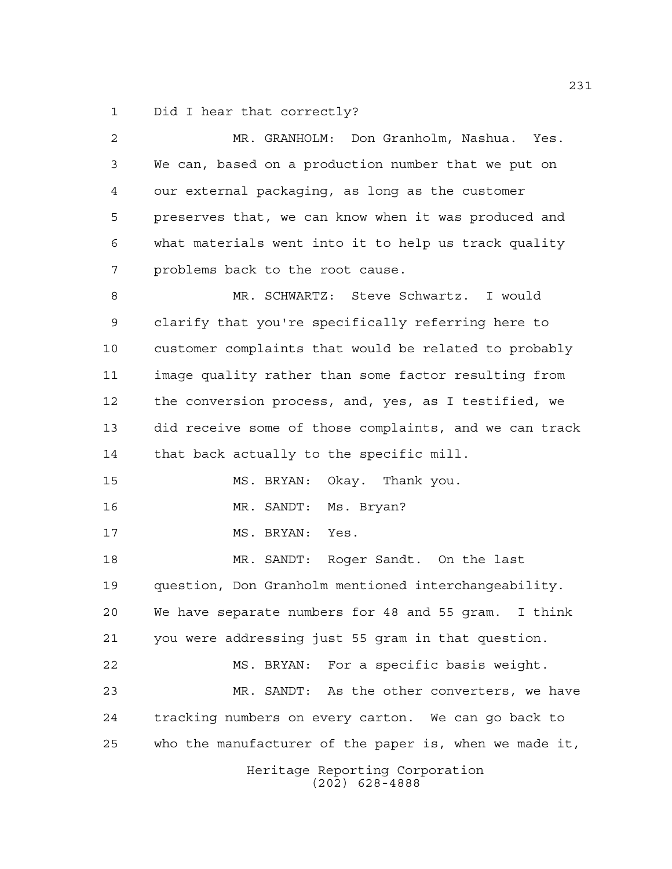Did I hear that correctly?

| 2  | MR. GRANHOLM: Don Granholm, Nashua. Yes.               |
|----|--------------------------------------------------------|
| 3  | We can, based on a production number that we put on    |
| 4  | our external packaging, as long as the customer        |
| 5  | preserves that, we can know when it was produced and   |
| 6  | what materials went into it to help us track quality   |
| 7  | problems back to the root cause.                       |
| 8  | MR. SCHWARTZ: Steve Schwartz. I would                  |
| 9  | clarify that you're specifically referring here to     |
| 10 | customer complaints that would be related to probably  |
| 11 | image quality rather than some factor resulting from   |
| 12 | the conversion process, and, yes, as I testified, we   |
| 13 | did receive some of those complaints, and we can track |
| 14 | that back actually to the specific mill.               |
| 15 | MS. BRYAN:<br>Okay. Thank you.                         |
| 16 | Ms. Bryan?<br>MR. SANDT:                               |
| 17 | MS. BRYAN:<br>Yes.                                     |
| 18 | MR. SANDT: Roger Sandt. On the last                    |
| 19 | question, Don Granholm mentioned interchangeability.   |
| 20 | We have separate numbers for 48 and 55 gram. I think   |
| 21 | you were addressing just 55 gram in that question.     |
| 22 | MS. BRYAN: For a specific basis weight.                |
| 23 | MR. SANDT: As the other converters, we have            |
| 24 | tracking numbers on every carton. We can go back to    |
| 25 | who the manufacturer of the paper is, when we made it, |
|    | Heritage Reporting Corporation<br>$(202)$ 628-4888     |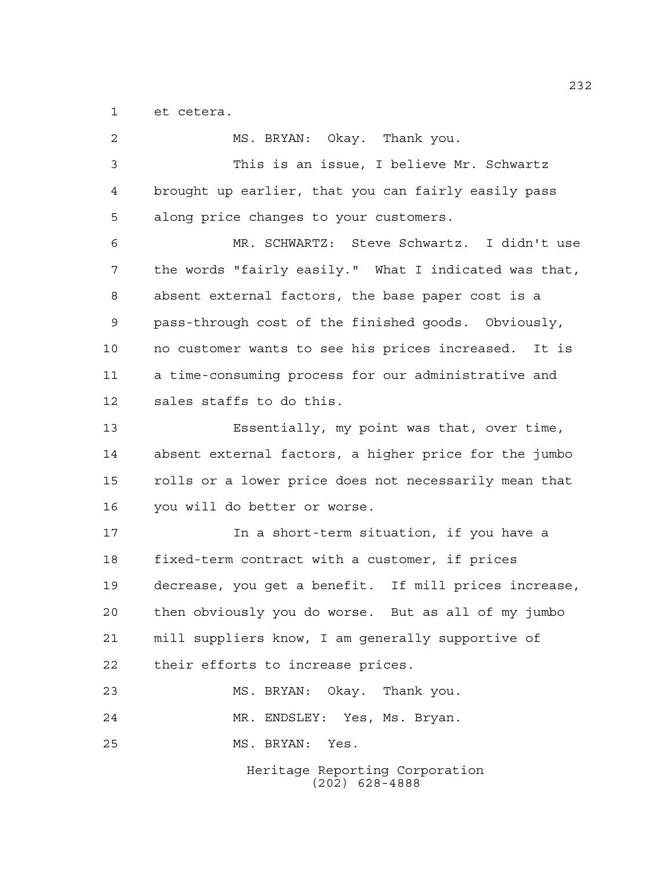et cetera.

| 2  | MS. BRYAN: Okay. Thank you.                           |
|----|-------------------------------------------------------|
| 3  | This is an issue, I believe Mr. Schwartz              |
| 4  | brought up earlier, that you can fairly easily pass   |
| 5  | along price changes to your customers.                |
| 6  | MR. SCHWARTZ: Steve Schwartz. I didn't use            |
| 7  | the words "fairly easily." What I indicated was that, |
| 8  | absent external factors, the base paper cost is a     |
| 9  | pass-through cost of the finished goods. Obviously,   |
| 10 | no customer wants to see his prices increased. It is  |
| 11 | a time-consuming process for our administrative and   |
| 12 | sales staffs to do this.                              |
| 13 | Essentially, my point was that, over time,            |
| 14 | absent external factors, a higher price for the jumbo |
| 15 | rolls or a lower price does not necessarily mean that |
| 16 | you will do better or worse.                          |
| 17 | In a short-term situation, if you have a              |
| 18 | fixed-term contract with a customer, if prices        |
| 19 | decrease, you get a benefit. If mill prices increase, |
| 20 | then obviously you do worse. But as all of my jumbo   |
| 21 | mill suppliers know, I am generally supportive of     |
| 22 | their efforts to increase prices.                     |
| 23 | MS. BRYAN: Okay. Thank you.                           |
| 24 | MR. ENDSLEY: Yes, Ms. Bryan.                          |
| 25 | MS. BRYAN: Yes.                                       |
|    | Heritage Reporting Corporation<br>$(202)$ 628-4888    |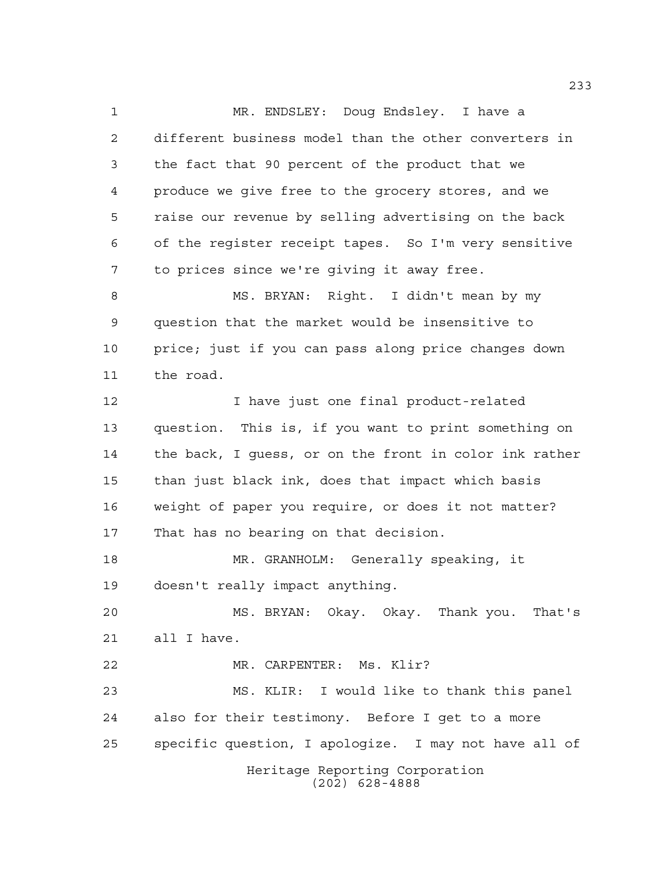Heritage Reporting Corporation (202) 628-4888 MR. ENDSLEY: Doug Endsley. I have a different business model than the other converters in the fact that 90 percent of the product that we produce we give free to the grocery stores, and we raise our revenue by selling advertising on the back of the register receipt tapes. So I'm very sensitive to prices since we're giving it away free. MS. BRYAN: Right. I didn't mean by my question that the market would be insensitive to price; just if you can pass along price changes down the road. I have just one final product-related question. This is, if you want to print something on the back, I guess, or on the front in color ink rather than just black ink, does that impact which basis weight of paper you require, or does it not matter? That has no bearing on that decision. MR. GRANHOLM: Generally speaking, it doesn't really impact anything. MS. BRYAN: Okay. Okay. Thank you. That's all I have. MR. CARPENTER: Ms. Klir? MS. KLIR: I would like to thank this panel also for their testimony. Before I get to a more specific question, I apologize. I may not have all of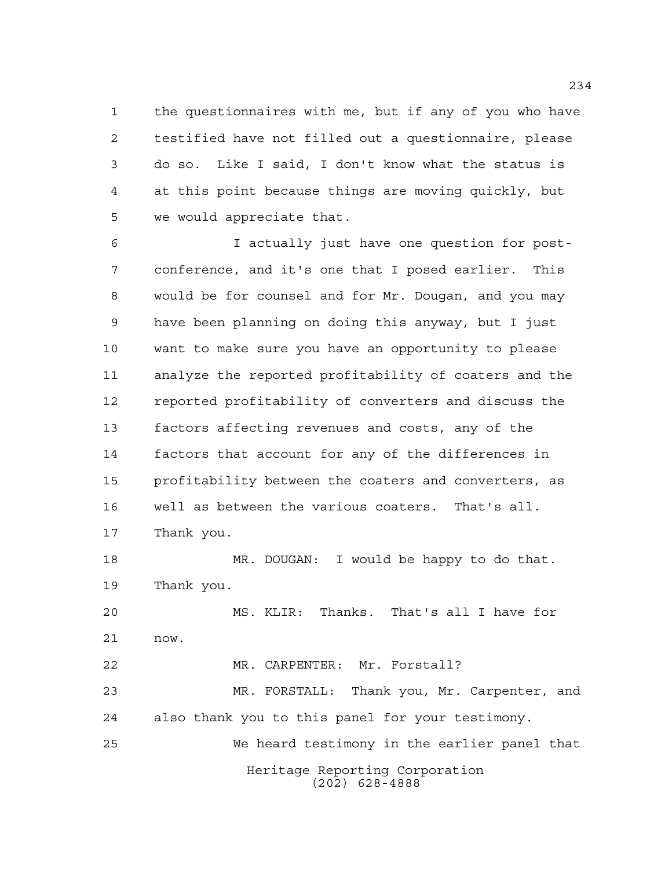the questionnaires with me, but if any of you who have testified have not filled out a questionnaire, please do so. Like I said, I don't know what the status is at this point because things are moving quickly, but we would appreciate that.

 I actually just have one question for post- conference, and it's one that I posed earlier. This would be for counsel and for Mr. Dougan, and you may have been planning on doing this anyway, but I just want to make sure you have an opportunity to please analyze the reported profitability of coaters and the reported profitability of converters and discuss the factors affecting revenues and costs, any of the factors that account for any of the differences in profitability between the coaters and converters, as well as between the various coaters. That's all. Thank you.

 MR. DOUGAN: I would be happy to do that. Thank you.

 MS. KLIR: Thanks. That's all I have for now. MR. CARPENTER: Mr. Forstall?

Heritage Reporting Corporation (202) 628-4888 MR. FORSTALL: Thank you, Mr. Carpenter, and also thank you to this panel for your testimony. We heard testimony in the earlier panel that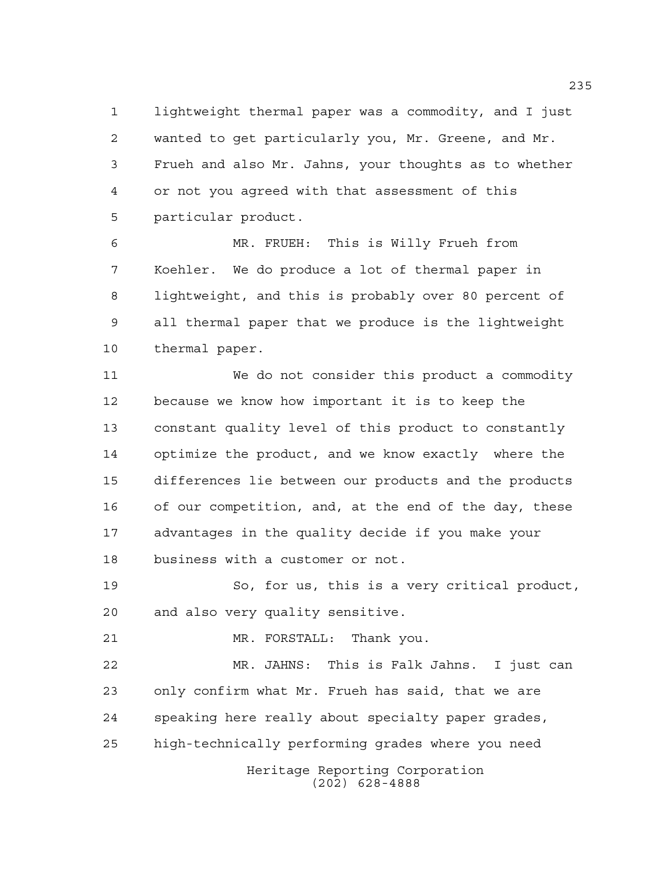lightweight thermal paper was a commodity, and I just wanted to get particularly you, Mr. Greene, and Mr. Frueh and also Mr. Jahns, your thoughts as to whether or not you agreed with that assessment of this particular product.

 MR. FRUEH: This is Willy Frueh from Koehler. We do produce a lot of thermal paper in lightweight, and this is probably over 80 percent of all thermal paper that we produce is the lightweight thermal paper.

 We do not consider this product a commodity because we know how important it is to keep the constant quality level of this product to constantly optimize the product, and we know exactly where the differences lie between our products and the products of our competition, and, at the end of the day, these advantages in the quality decide if you make your business with a customer or not.

 So, for us, this is a very critical product, and also very quality sensitive.

MR. FORSTALL: Thank you.

Heritage Reporting Corporation MR. JAHNS: This is Falk Jahns. I just can only confirm what Mr. Frueh has said, that we are speaking here really about specialty paper grades, high-technically performing grades where you need

(202) 628-4888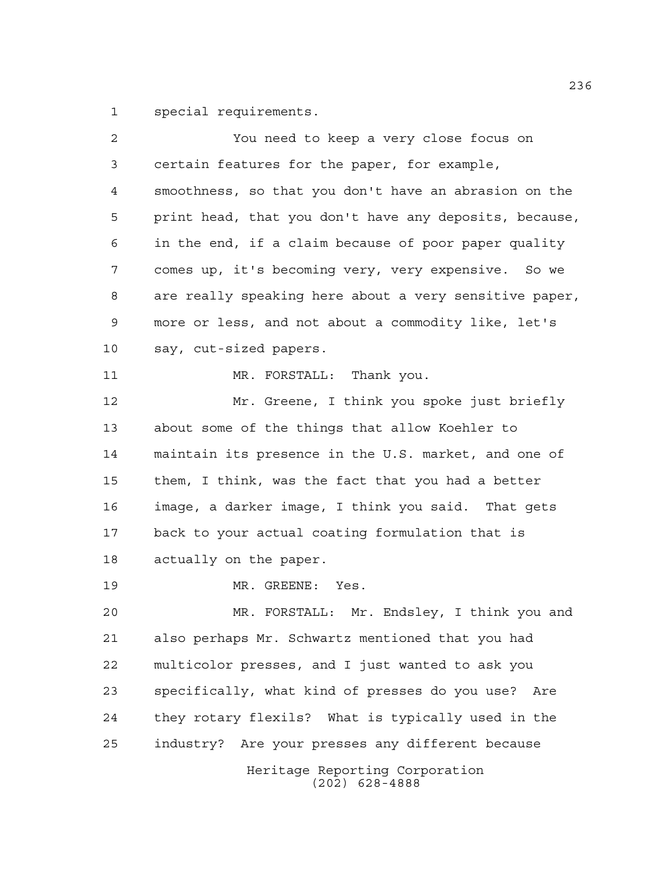special requirements.

| 2  | You need to keep a very close focus on                 |
|----|--------------------------------------------------------|
| 3  | certain features for the paper, for example,           |
| 4  | smoothness, so that you don't have an abrasion on the  |
| 5  | print head, that you don't have any deposits, because, |
| 6  | in the end, if a claim because of poor paper quality   |
| 7  | comes up, it's becoming very, very expensive. So we    |
| 8  | are really speaking here about a very sensitive paper, |
| 9  | more or less, and not about a commodity like, let's    |
| 10 | say, cut-sized papers.                                 |
| 11 | MR. FORSTALL: Thank you.                               |
| 12 | Mr. Greene, I think you spoke just briefly             |
| 13 | about some of the things that allow Koehler to         |
| 14 | maintain its presence in the U.S. market, and one of   |
| 15 | them, I think, was the fact that you had a better      |
| 16 | image, a darker image, I think you said. That gets     |
| 17 | back to your actual coating formulation that is        |
| 18 | actually on the paper.                                 |
| 19 | MR. GREENE: Yes.                                       |
| 20 | MR. FORSTALL: Mr. Endsley, I think you and             |
| 21 | also perhaps Mr. Schwartz mentioned that you had       |
| 22 | multicolor presses, and I just wanted to ask you       |
| 23 | specifically, what kind of presses do you use? Are     |
| 24 | they rotary flexils? What is typically used in the     |
| 25 | industry? Are your presses any different because       |
|    | Heritage Reporting Corporation<br>$(202)$ 628-4888     |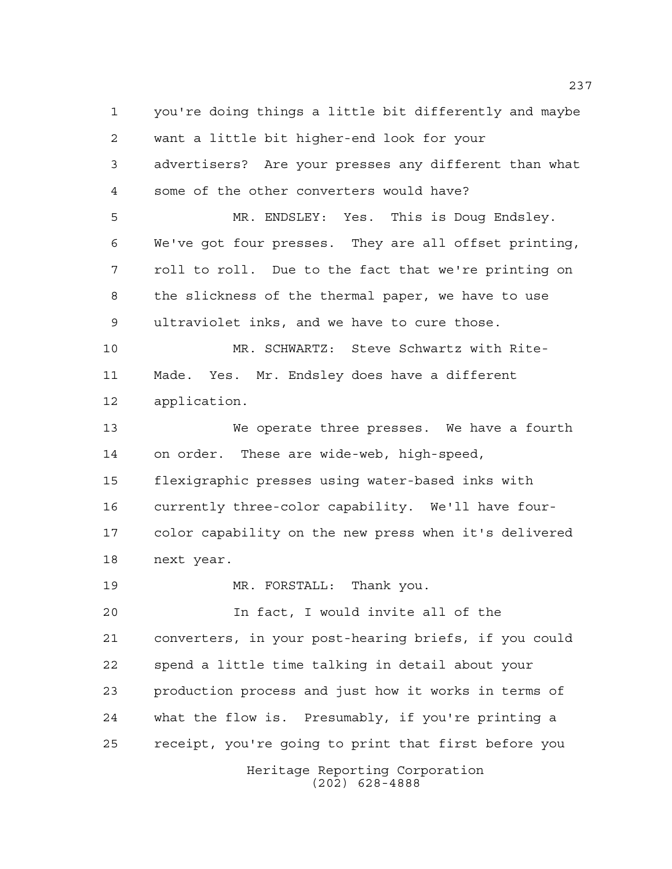Heritage Reporting Corporation (202) 628-4888 you're doing things a little bit differently and maybe want a little bit higher-end look for your advertisers? Are your presses any different than what some of the other converters would have? MR. ENDSLEY: Yes. This is Doug Endsley. We've got four presses. They are all offset printing, roll to roll. Due to the fact that we're printing on the slickness of the thermal paper, we have to use ultraviolet inks, and we have to cure those. MR. SCHWARTZ: Steve Schwartz with Rite- Made. Yes. Mr. Endsley does have a different application. We operate three presses. We have a fourth on order. These are wide-web, high-speed, flexigraphic presses using water-based inks with currently three-color capability. We'll have four- color capability on the new press when it's delivered next year. MR. FORSTALL: Thank you. In fact, I would invite all of the converters, in your post-hearing briefs, if you could spend a little time talking in detail about your production process and just how it works in terms of what the flow is. Presumably, if you're printing a receipt, you're going to print that first before you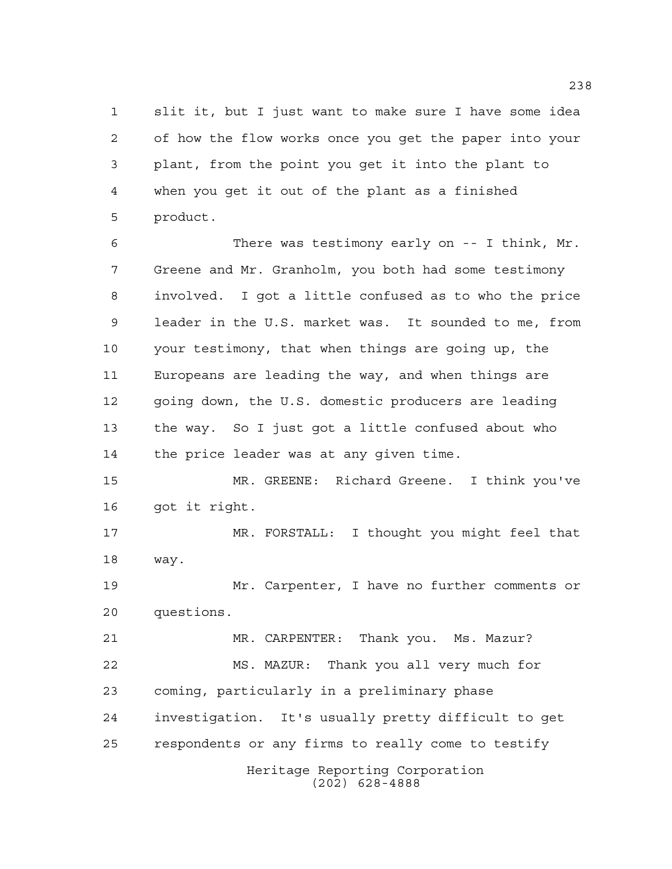slit it, but I just want to make sure I have some idea of how the flow works once you get the paper into your plant, from the point you get it into the plant to when you get it out of the plant as a finished product.

 There was testimony early on -- I think, Mr. Greene and Mr. Granholm, you both had some testimony involved. I got a little confused as to who the price leader in the U.S. market was. It sounded to me, from your testimony, that when things are going up, the Europeans are leading the way, and when things are going down, the U.S. domestic producers are leading the way. So I just got a little confused about who the price leader was at any given time.

 MR. GREENE: Richard Greene. I think you've got it right.

 MR. FORSTALL: I thought you might feel that way.

 Mr. Carpenter, I have no further comments or questions.

Heritage Reporting Corporation (202) 628-4888 MR. CARPENTER: Thank you. Ms. Mazur? MS. MAZUR: Thank you all very much for coming, particularly in a preliminary phase investigation. It's usually pretty difficult to get respondents or any firms to really come to testify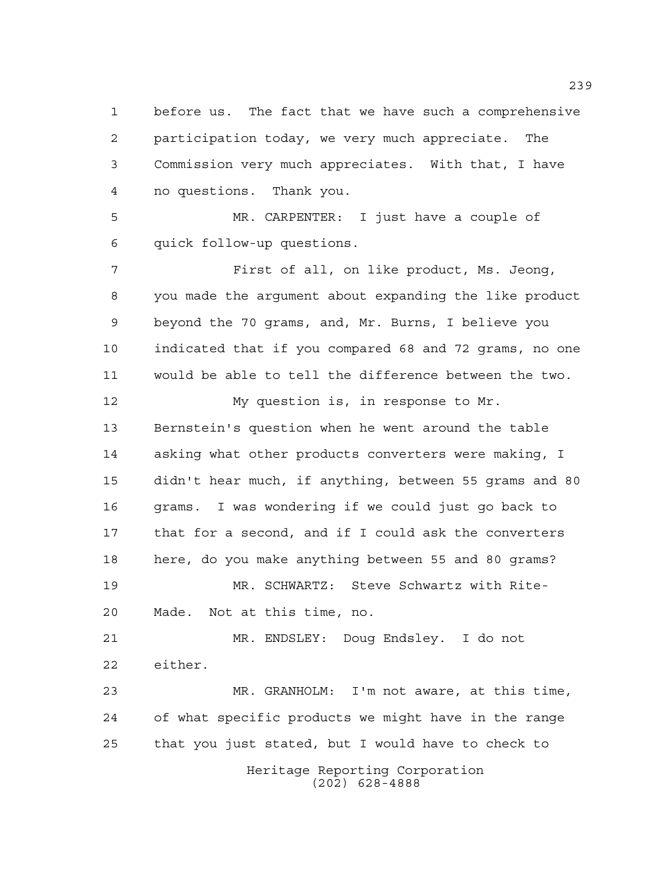before us. The fact that we have such a comprehensive participation today, we very much appreciate. The Commission very much appreciates. With that, I have no questions. Thank you.

 MR. CARPENTER: I just have a couple of quick follow-up questions.

 First of all, on like product, Ms. Jeong, you made the argument about expanding the like product beyond the 70 grams, and, Mr. Burns, I believe you indicated that if you compared 68 and 72 grams, no one would be able to tell the difference between the two.

 My question is, in response to Mr. Bernstein's question when he went around the table asking what other products converters were making, I didn't hear much, if anything, between 55 grams and 80 grams. I was wondering if we could just go back to that for a second, and if I could ask the converters here, do you make anything between 55 and 80 grams? MR. SCHWARTZ: Steve Schwartz with Rite- Made. Not at this time, no. MR. ENDSLEY: Doug Endsley. I do not

 either. MR. GRANHOLM: I'm not aware, at this time,

 of what specific products we might have in the range that you just stated, but I would have to check to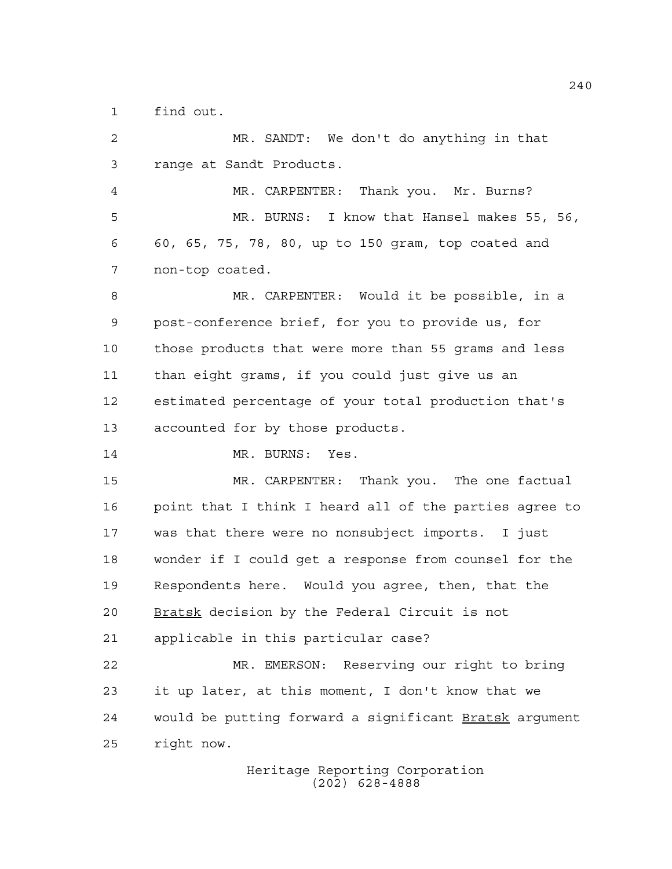find out.

 MR. SANDT: We don't do anything in that range at Sandt Products. MR. CARPENTER: Thank you. Mr. Burns? MR. BURNS: I know that Hansel makes 55, 56, 60, 65, 75, 78, 80, up to 150 gram, top coated and non-top coated. MR. CARPENTER: Would it be possible, in a post-conference brief, for you to provide us, for those products that were more than 55 grams and less than eight grams, if you could just give us an estimated percentage of your total production that's accounted for by those products. 14 MR. BURNS: Yes. MR. CARPENTER: Thank you. The one factual point that I think I heard all of the parties agree to was that there were no nonsubject imports. I just wonder if I could get a response from counsel for the Respondents here. Would you agree, then, that the 20 Bratsk decision by the Federal Circuit is not applicable in this particular case? MR. EMERSON: Reserving our right to bring it up later, at this moment, I don't know that we 24 would be putting forward a significant Bratsk argument right now.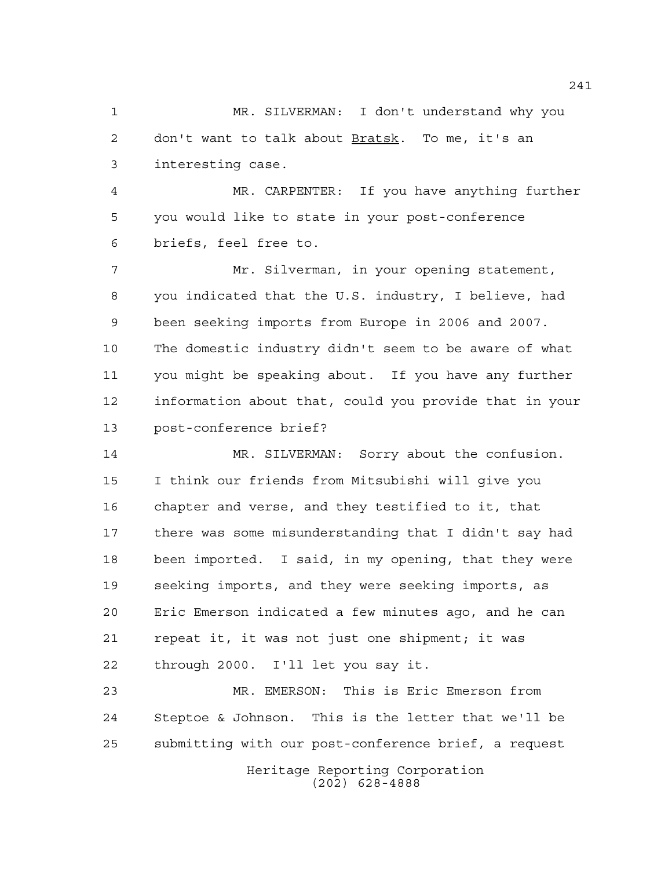MR. SILVERMAN: I don't understand why you don't want to talk about Bratsk. To me, it's an interesting case.

 MR. CARPENTER: If you have anything further you would like to state in your post-conference briefs, feel free to.

 Mr. Silverman, in your opening statement, you indicated that the U.S. industry, I believe, had been seeking imports from Europe in 2006 and 2007. The domestic industry didn't seem to be aware of what you might be speaking about. If you have any further information about that, could you provide that in your post-conference brief?

 MR. SILVERMAN: Sorry about the confusion. I think our friends from Mitsubishi will give you chapter and verse, and they testified to it, that there was some misunderstanding that I didn't say had been imported. I said, in my opening, that they were seeking imports, and they were seeking imports, as Eric Emerson indicated a few minutes ago, and he can repeat it, it was not just one shipment; it was through 2000. I'll let you say it.

Heritage Reporting Corporation MR. EMERSON: This is Eric Emerson from Steptoe & Johnson. This is the letter that we'll be submitting with our post-conference brief, a request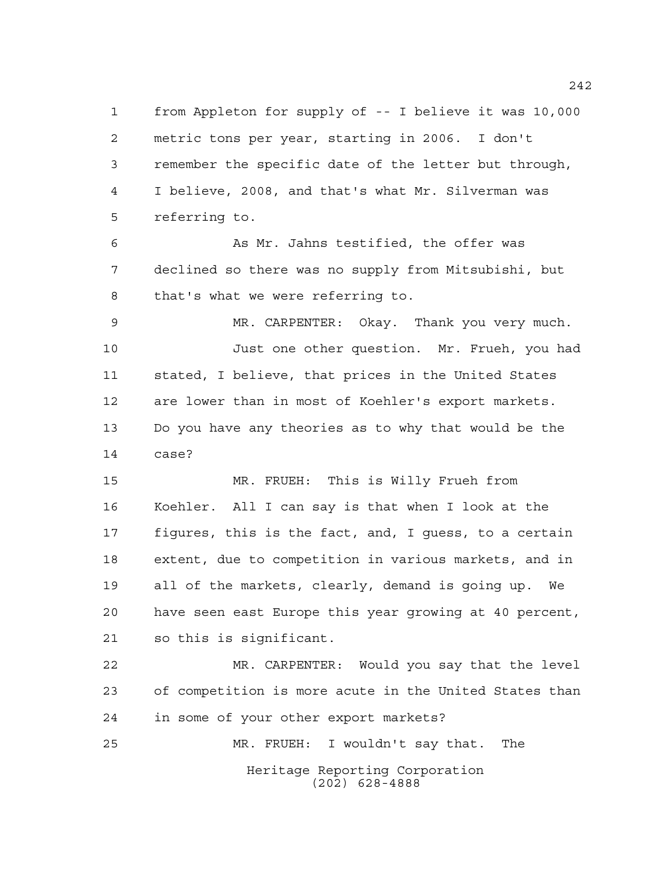from Appleton for supply of -- I believe it was 10,000 metric tons per year, starting in 2006. I don't remember the specific date of the letter but through, I believe, 2008, and that's what Mr. Silverman was referring to.

 As Mr. Jahns testified, the offer was declined so there was no supply from Mitsubishi, but that's what we were referring to.

 MR. CARPENTER: Okay. Thank you very much. Just one other question. Mr. Frueh, you had stated, I believe, that prices in the United States are lower than in most of Koehler's export markets. Do you have any theories as to why that would be the case?

 MR. FRUEH: This is Willy Frueh from Koehler. All I can say is that when I look at the figures, this is the fact, and, I guess, to a certain extent, due to competition in various markets, and in all of the markets, clearly, demand is going up. We have seen east Europe this year growing at 40 percent, so this is significant.

 MR. CARPENTER: Would you say that the level of competition is more acute in the United States than in some of your other export markets? MR. FRUEH: I wouldn't say that. The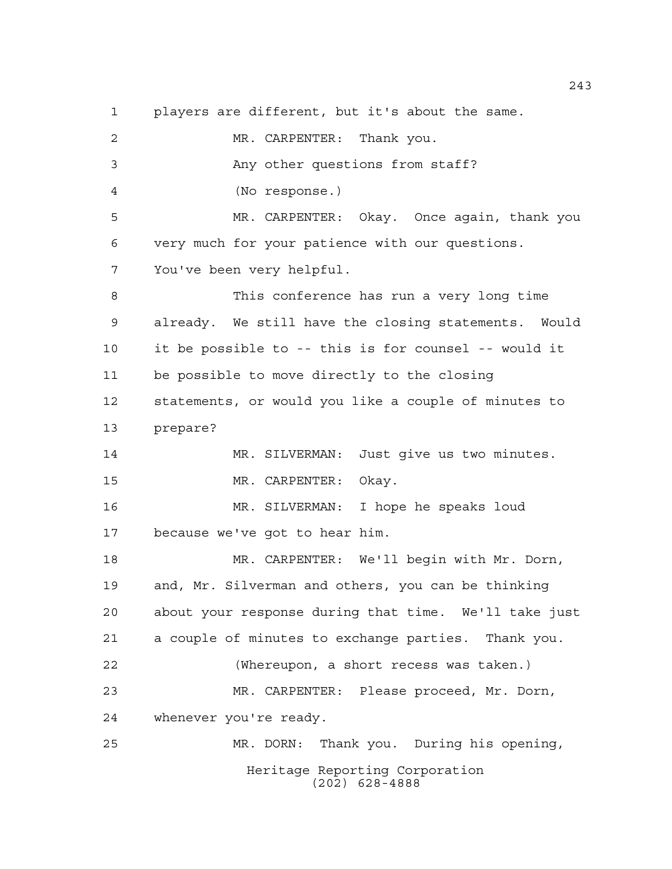players are different, but it's about the same.

Heritage Reporting Corporation (202) 628-4888 MR. CARPENTER: Thank you. Any other questions from staff? (No response.) MR. CARPENTER: Okay. Once again, thank you very much for your patience with our questions. You've been very helpful. This conference has run a very long time already. We still have the closing statements. Would it be possible to -- this is for counsel -- would it be possible to move directly to the closing statements, or would you like a couple of minutes to prepare? MR. SILVERMAN: Just give us two minutes. MR. CARPENTER: Okay. MR. SILVERMAN: I hope he speaks loud because we've got to hear him. MR. CARPENTER: We'll begin with Mr. Dorn, and, Mr. Silverman and others, you can be thinking about your response during that time. We'll take just a couple of minutes to exchange parties. Thank you. (Whereupon, a short recess was taken.) MR. CARPENTER: Please proceed, Mr. Dorn, whenever you're ready. MR. DORN: Thank you. During his opening,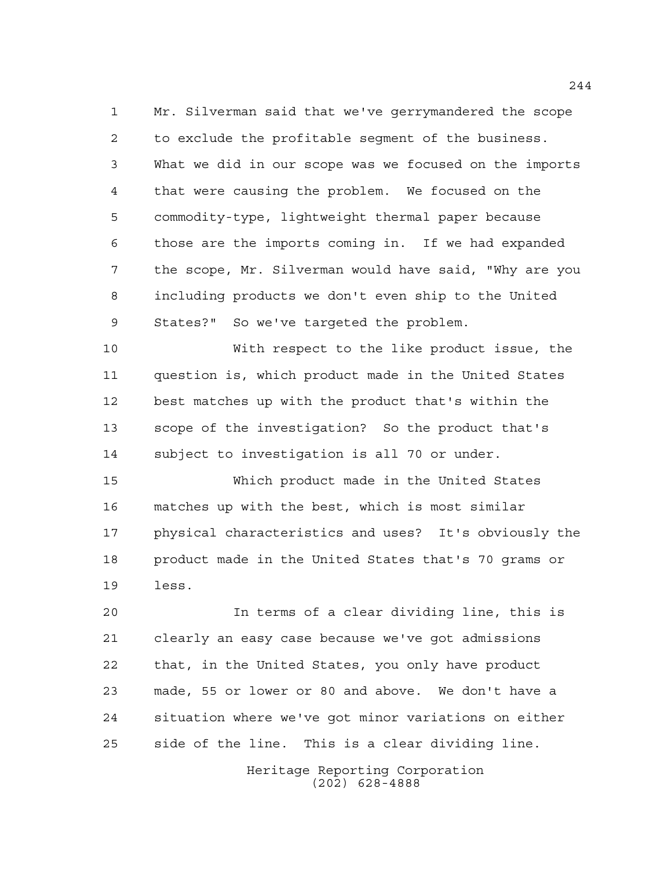Mr. Silverman said that we've gerrymandered the scope to exclude the profitable segment of the business. What we did in our scope was we focused on the imports that were causing the problem. We focused on the commodity-type, lightweight thermal paper because those are the imports coming in. If we had expanded the scope, Mr. Silverman would have said, "Why are you including products we don't even ship to the United States?" So we've targeted the problem.

 With respect to the like product issue, the question is, which product made in the United States best matches up with the product that's within the scope of the investigation? So the product that's subject to investigation is all 70 or under.

 Which product made in the United States matches up with the best, which is most similar physical characteristics and uses? It's obviously the product made in the United States that's 70 grams or less.

 In terms of a clear dividing line, this is clearly an easy case because we've got admissions that, in the United States, you only have product made, 55 or lower or 80 and above. We don't have a situation where we've got minor variations on either side of the line. This is a clear dividing line.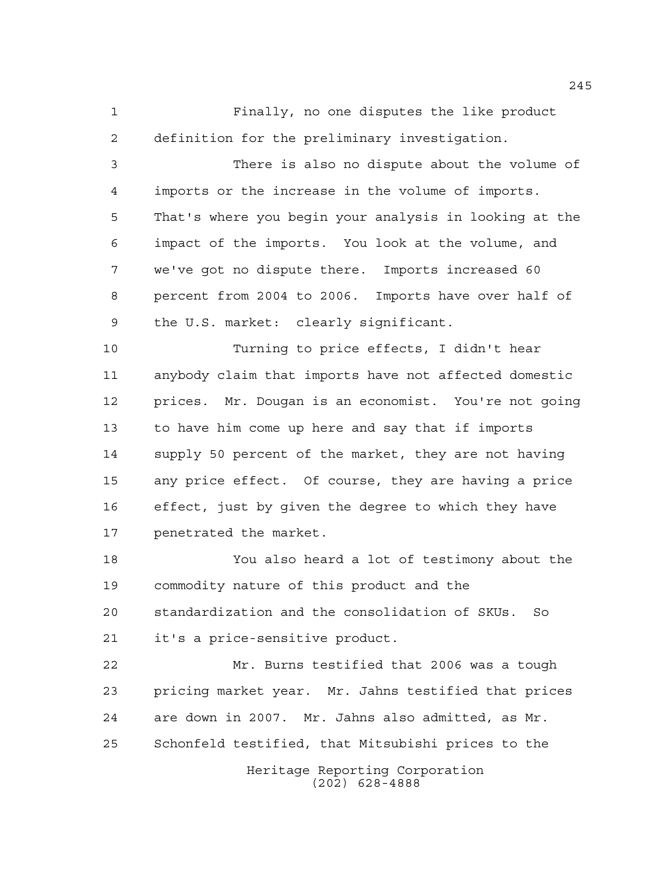Finally, no one disputes the like product definition for the preliminary investigation.

 There is also no dispute about the volume of imports or the increase in the volume of imports. That's where you begin your analysis in looking at the impact of the imports. You look at the volume, and we've got no dispute there. Imports increased 60 percent from 2004 to 2006. Imports have over half of the U.S. market: clearly significant.

 Turning to price effects, I didn't hear anybody claim that imports have not affected domestic prices. Mr. Dougan is an economist. You're not going to have him come up here and say that if imports supply 50 percent of the market, they are not having any price effect. Of course, they are having a price effect, just by given the degree to which they have penetrated the market.

 You also heard a lot of testimony about the commodity nature of this product and the standardization and the consolidation of SKUs. So it's a price-sensitive product.

 Mr. Burns testified that 2006 was a tough pricing market year. Mr. Jahns testified that prices are down in 2007. Mr. Jahns also admitted, as Mr. Schonfeld testified, that Mitsubishi prices to the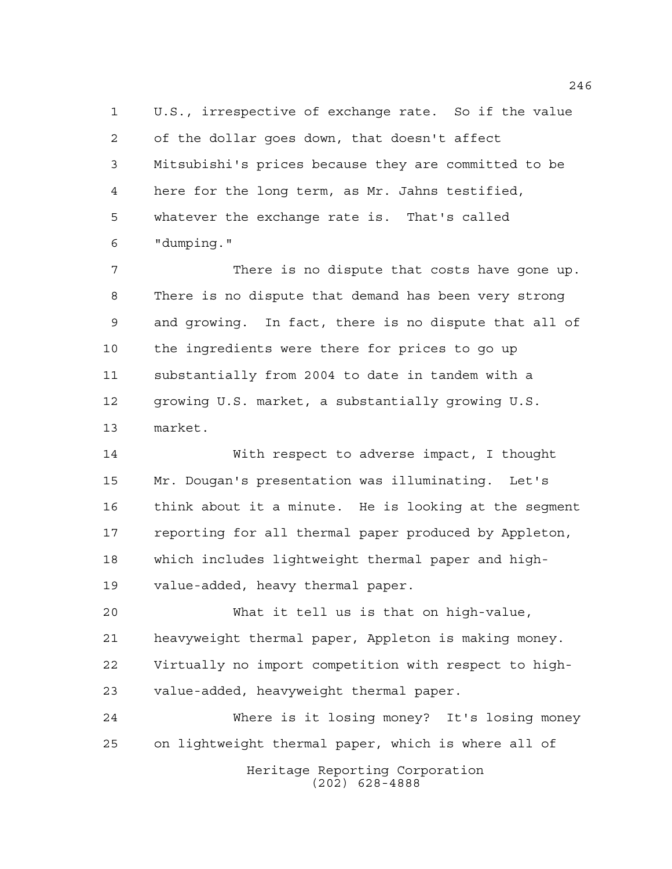U.S., irrespective of exchange rate. So if the value of the dollar goes down, that doesn't affect Mitsubishi's prices because they are committed to be here for the long term, as Mr. Jahns testified, whatever the exchange rate is. That's called "dumping."

 There is no dispute that costs have gone up. There is no dispute that demand has been very strong and growing. In fact, there is no dispute that all of the ingredients were there for prices to go up substantially from 2004 to date in tandem with a growing U.S. market, a substantially growing U.S. market.

 With respect to adverse impact, I thought Mr. Dougan's presentation was illuminating. Let's think about it a minute. He is looking at the segment reporting for all thermal paper produced by Appleton, which includes lightweight thermal paper and high-value-added, heavy thermal paper.

 What it tell us is that on high-value, heavyweight thermal paper, Appleton is making money. Virtually no import competition with respect to high-value-added, heavyweight thermal paper.

Heritage Reporting Corporation (202) 628-4888 Where is it losing money? It's losing money on lightweight thermal paper, which is where all of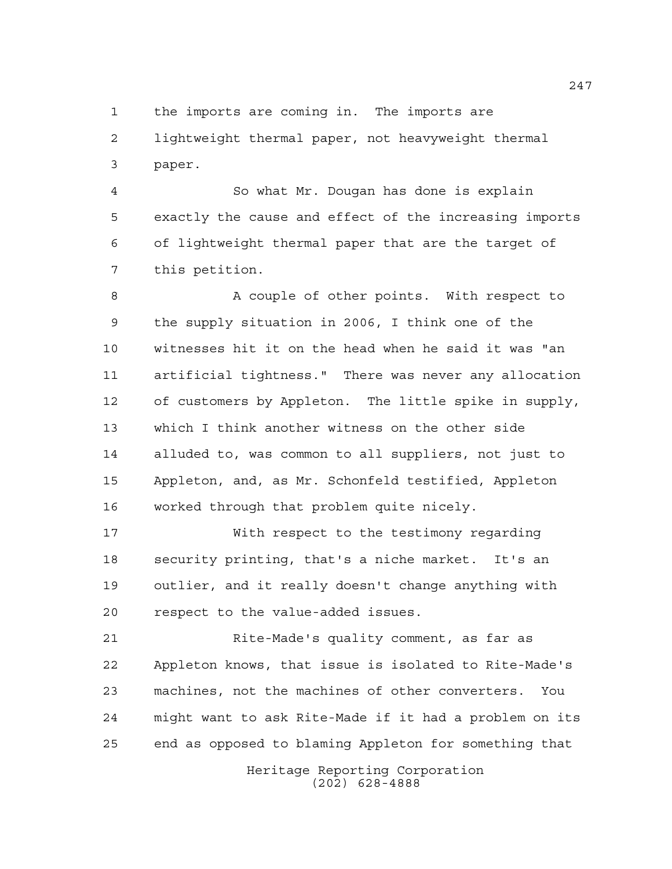the imports are coming in. The imports are lightweight thermal paper, not heavyweight thermal paper.

 So what Mr. Dougan has done is explain exactly the cause and effect of the increasing imports of lightweight thermal paper that are the target of this petition.

8 A couple of other points. With respect to the supply situation in 2006, I think one of the witnesses hit it on the head when he said it was "an artificial tightness." There was never any allocation of customers by Appleton. The little spike in supply, which I think another witness on the other side alluded to, was common to all suppliers, not just to Appleton, and, as Mr. Schonfeld testified, Appleton worked through that problem quite nicely.

 With respect to the testimony regarding security printing, that's a niche market. It's an outlier, and it really doesn't change anything with respect to the value-added issues.

 Rite-Made's quality comment, as far as Appleton knows, that issue is isolated to Rite-Made's machines, not the machines of other converters. You might want to ask Rite-Made if it had a problem on its end as opposed to blaming Appleton for something that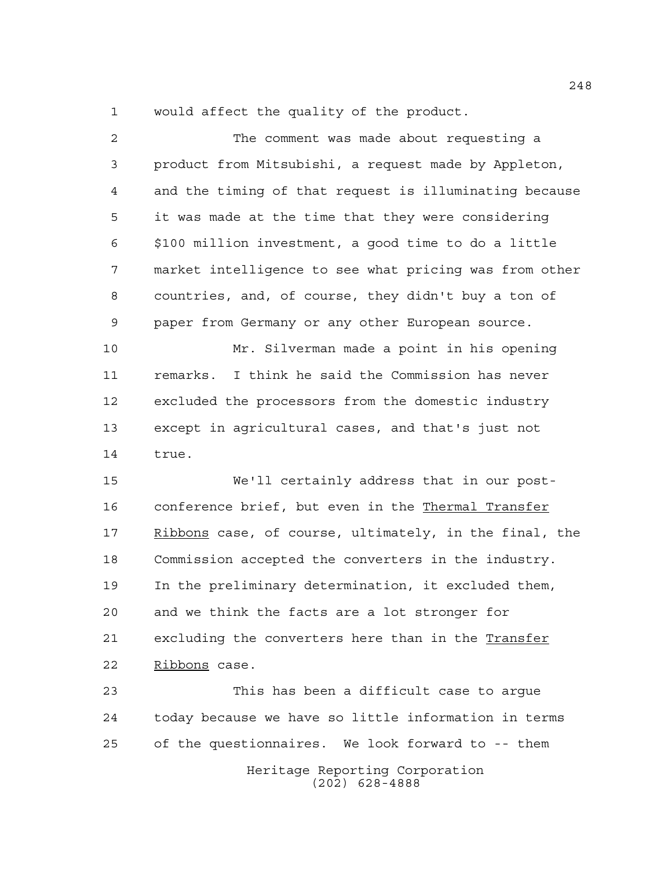would affect the quality of the product.

| $\overline{a}$ | The comment was made about requesting a                |
|----------------|--------------------------------------------------------|
| 3              | product from Mitsubishi, a request made by Appleton,   |
| 4              | and the timing of that request is illuminating because |
| 5              | it was made at the time that they were considering     |
| 6              | \$100 million investment, a good time to do a little   |
| 7              | market intelligence to see what pricing was from other |
| 8              | countries, and, of course, they didn't buy a ton of    |
| 9              | paper from Germany or any other European source.       |
| 10             | Mr. Silverman made a point in his opening              |
| 11             | remarks. I think he said the Commission has never      |
| 12             | excluded the processors from the domestic industry     |
| 13             | except in agricultural cases, and that's just not      |
| 14             | true.                                                  |
| 15             | We'll certainly address that in our post-              |
| 16             | conference brief, but even in the Thermal Transfer     |
| 17             | Ribbons case, of course, ultimately, in the final, the |
| 18             | Commission accepted the converters in the industry.    |
| 19             | In the preliminary determination, it excluded them,    |
| 20             | and we think the facts are a lot stronger for          |
| 21             | excluding the converters here than in the Transfer     |
| 22             | Ribbons case.                                          |
| 23             | This has been a difficult case to arque                |
| 24             | today because we have so little information in terms   |
| 25             | of the questionnaires. We look forward to -- them      |
|                | Heritage Reporting Corporation<br>$(202)$ 628-4888     |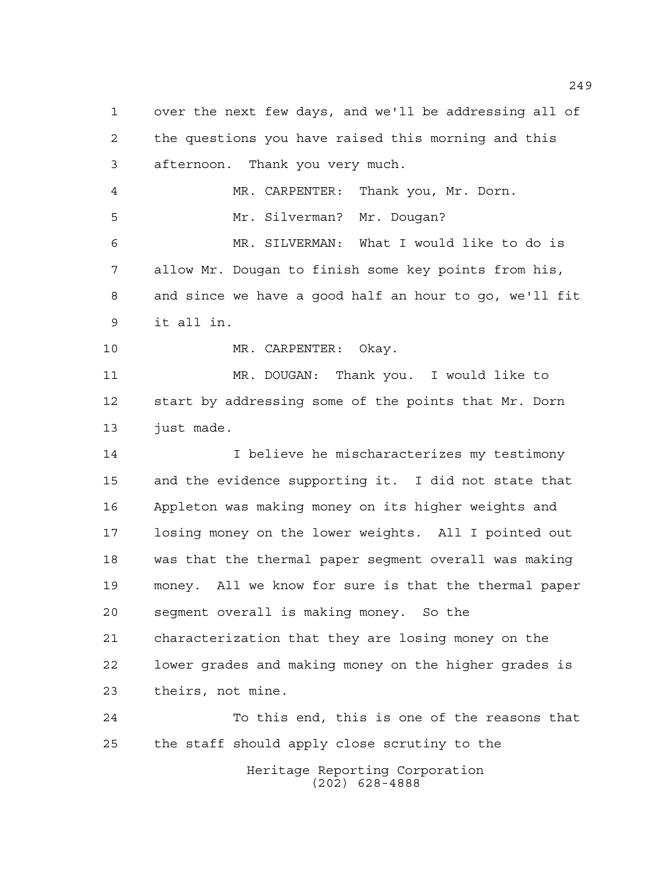Heritage Reporting Corporation over the next few days, and we'll be addressing all of the questions you have raised this morning and this afternoon. Thank you very much. MR. CARPENTER: Thank you, Mr. Dorn. Mr. Silverman? Mr. Dougan? MR. SILVERMAN: What I would like to do is allow Mr. Dougan to finish some key points from his, and since we have a good half an hour to go, we'll fit it all in. MR. CARPENTER: Okay. MR. DOUGAN: Thank you. I would like to start by addressing some of the points that Mr. Dorn just made. 14 I believe he mischaracterizes my testimony and the evidence supporting it. I did not state that Appleton was making money on its higher weights and losing money on the lower weights. All I pointed out was that the thermal paper segment overall was making money. All we know for sure is that the thermal paper segment overall is making money. So the characterization that they are losing money on the lower grades and making money on the higher grades is theirs, not mine. To this end, this is one of the reasons that the staff should apply close scrutiny to the

(202) 628-4888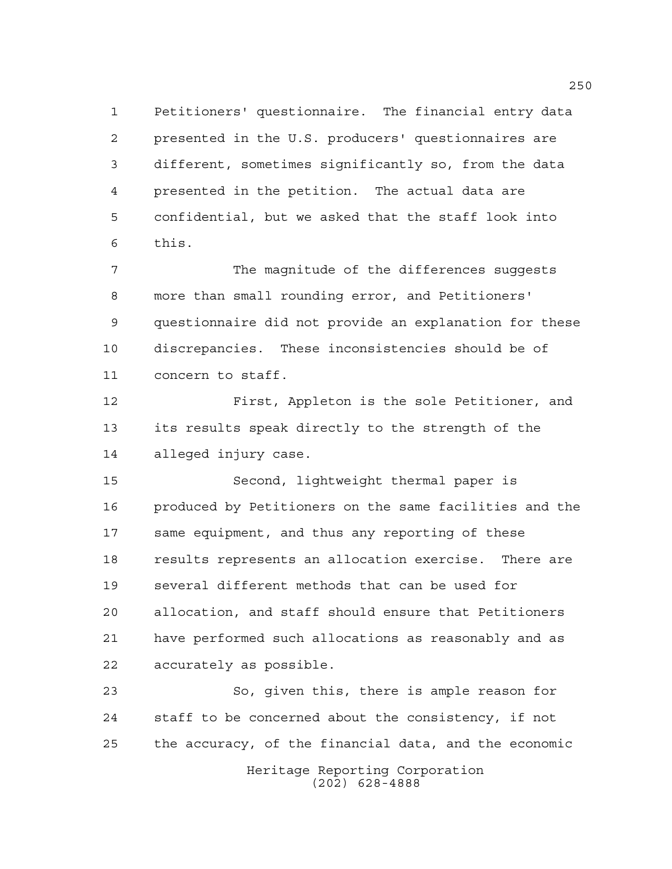Petitioners' questionnaire. The financial entry data presented in the U.S. producers' questionnaires are different, sometimes significantly so, from the data presented in the petition. The actual data are confidential, but we asked that the staff look into this.

 The magnitude of the differences suggests more than small rounding error, and Petitioners' questionnaire did not provide an explanation for these discrepancies. These inconsistencies should be of concern to staff.

 First, Appleton is the sole Petitioner, and its results speak directly to the strength of the alleged injury case.

 Second, lightweight thermal paper is produced by Petitioners on the same facilities and the same equipment, and thus any reporting of these results represents an allocation exercise. There are several different methods that can be used for allocation, and staff should ensure that Petitioners have performed such allocations as reasonably and as accurately as possible.

 So, given this, there is ample reason for staff to be concerned about the consistency, if not the accuracy, of the financial data, and the economic

Heritage Reporting Corporation (202) 628-4888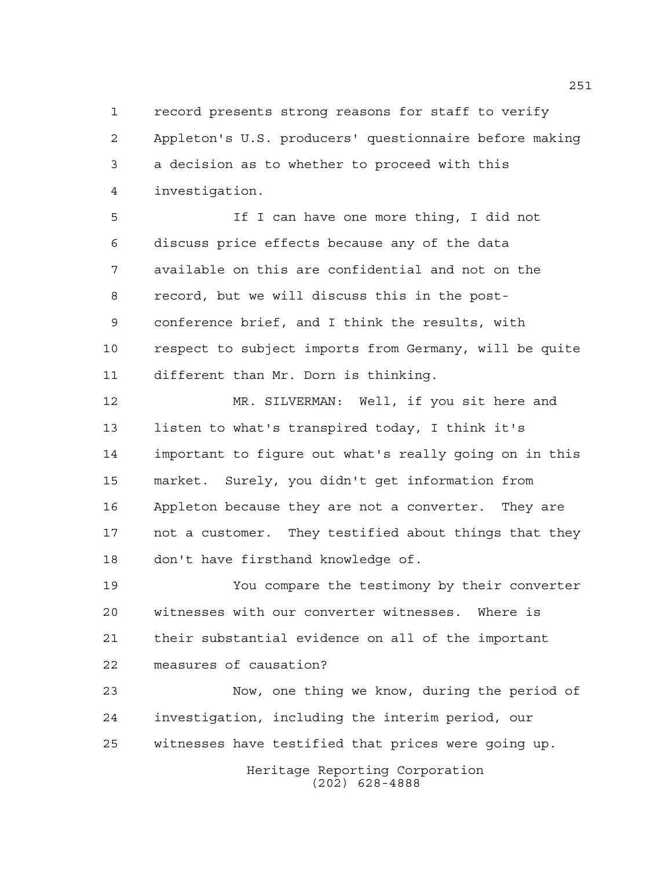record presents strong reasons for staff to verify Appleton's U.S. producers' questionnaire before making a decision as to whether to proceed with this investigation.

 If I can have one more thing, I did not discuss price effects because any of the data available on this are confidential and not on the record, but we will discuss this in the post- conference brief, and I think the results, with respect to subject imports from Germany, will be quite different than Mr. Dorn is thinking.

 MR. SILVERMAN: Well, if you sit here and listen to what's transpired today, I think it's important to figure out what's really going on in this market. Surely, you didn't get information from Appleton because they are not a converter. They are not a customer. They testified about things that they don't have firsthand knowledge of.

 You compare the testimony by their converter witnesses with our converter witnesses. Where is their substantial evidence on all of the important measures of causation?

 Now, one thing we know, during the period of investigation, including the interim period, our witnesses have testified that prices were going up.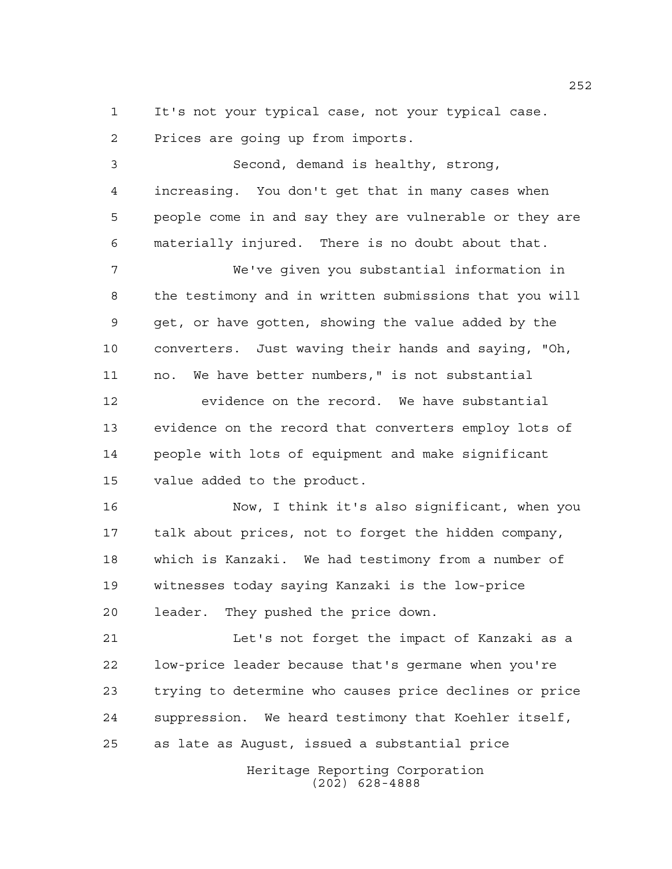It's not your typical case, not your typical case. Prices are going up from imports.

 Second, demand is healthy, strong, increasing. You don't get that in many cases when people come in and say they are vulnerable or they are materially injured. There is no doubt about that. We've given you substantial information in the testimony and in written submissions that you will get, or have gotten, showing the value added by the converters. Just waving their hands and saying, "Oh, no. We have better numbers," is not substantial 12 evidence on the record. We have substantial evidence on the record that converters employ lots of people with lots of equipment and make significant value added to the product. Now, I think it's also significant, when you talk about prices, not to forget the hidden company, which is Kanzaki. We had testimony from a number of witnesses today saying Kanzaki is the low-price

leader. They pushed the price down.

 Let's not forget the impact of Kanzaki as a low-price leader because that's germane when you're trying to determine who causes price declines or price suppression. We heard testimony that Koehler itself, as late as August, issued a substantial price

> Heritage Reporting Corporation (202) 628-4888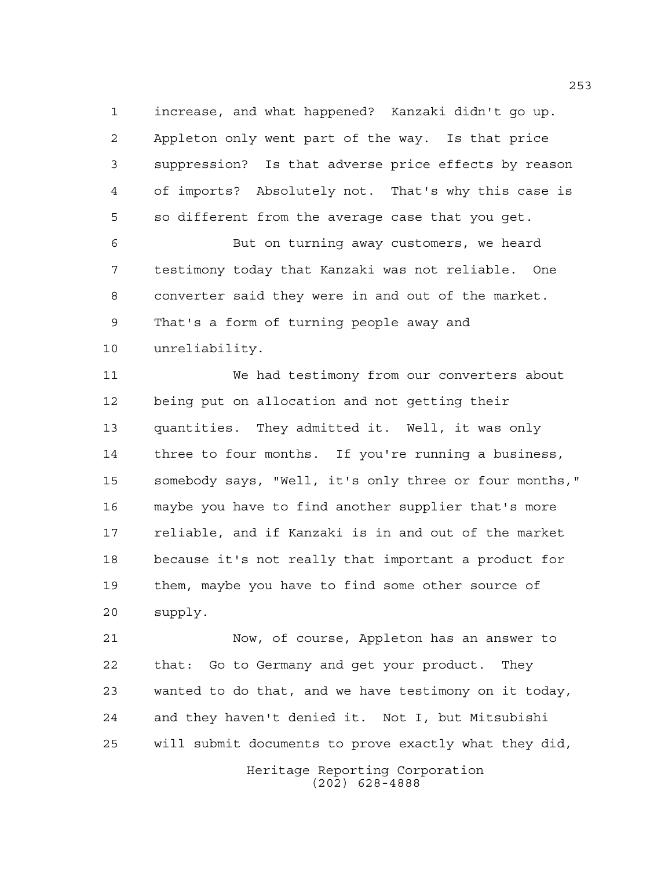increase, and what happened? Kanzaki didn't go up. Appleton only went part of the way. Is that price suppression? Is that adverse price effects by reason of imports? Absolutely not. That's why this case is so different from the average case that you get.

 But on turning away customers, we heard testimony today that Kanzaki was not reliable. One converter said they were in and out of the market. That's a form of turning people away and unreliability.

 We had testimony from our converters about being put on allocation and not getting their quantities. They admitted it. Well, it was only three to four months. If you're running a business, somebody says, "Well, it's only three or four months," maybe you have to find another supplier that's more reliable, and if Kanzaki is in and out of the market because it's not really that important a product for them, maybe you have to find some other source of supply.

 Now, of course, Appleton has an answer to that: Go to Germany and get your product. They wanted to do that, and we have testimony on it today, and they haven't denied it. Not I, but Mitsubishi will submit documents to prove exactly what they did,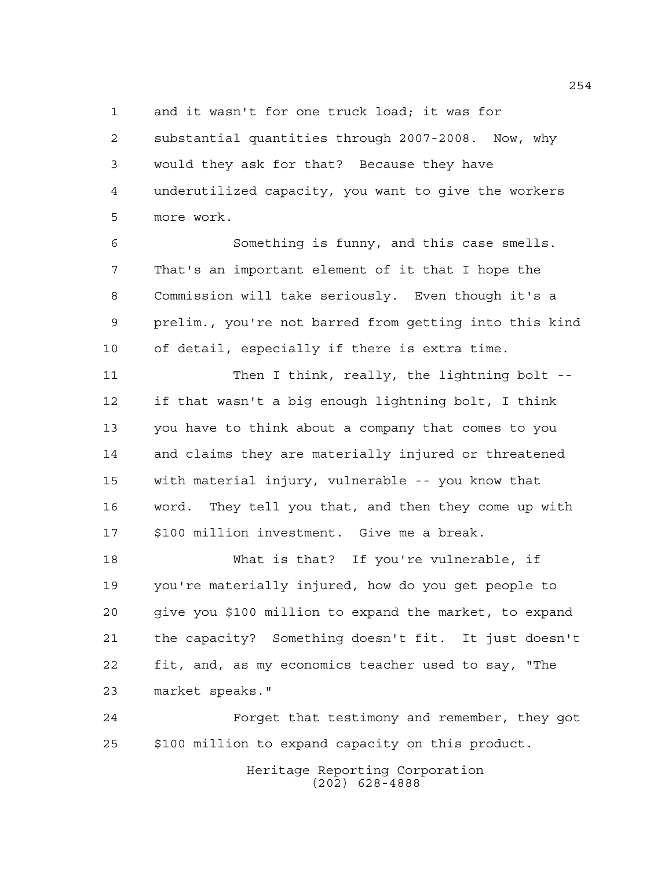and it wasn't for one truck load; it was for

 substantial quantities through 2007-2008. Now, why would they ask for that? Because they have underutilized capacity, you want to give the workers more work.

 Something is funny, and this case smells. That's an important element of it that I hope the Commission will take seriously. Even though it's a prelim., you're not barred from getting into this kind of detail, especially if there is extra time.

 Then I think, really, the lightning bolt -- if that wasn't a big enough lightning bolt, I think you have to think about a company that comes to you and claims they are materially injured or threatened with material injury, vulnerable -- you know that word. They tell you that, and then they come up with \$100 million investment. Give me a break.

 What is that? If you're vulnerable, if you're materially injured, how do you get people to give you \$100 million to expand the market, to expand the capacity? Something doesn't fit. It just doesn't fit, and, as my economics teacher used to say, "The market speaks."

 Forget that testimony and remember, they got \$100 million to expand capacity on this product.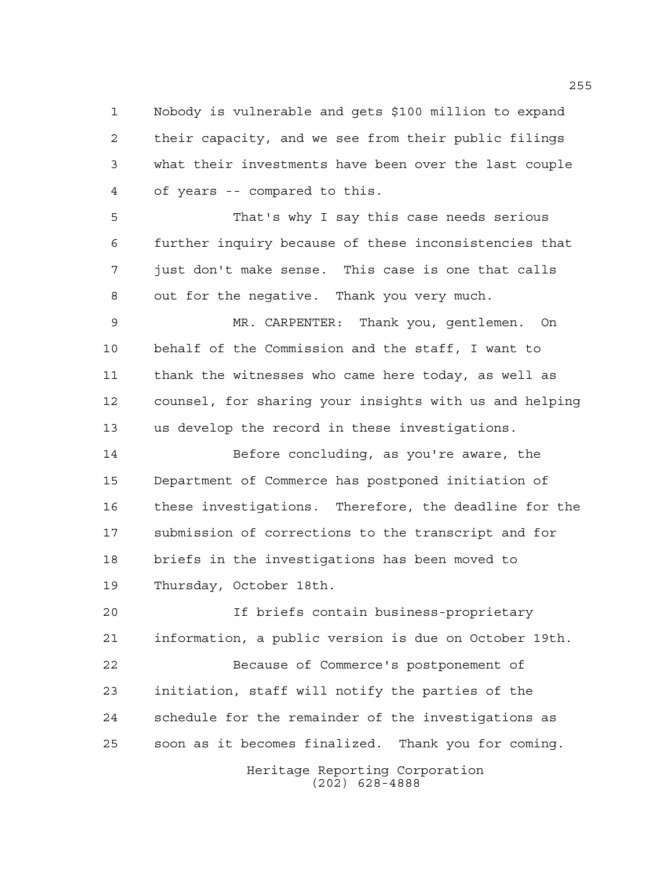Nobody is vulnerable and gets \$100 million to expand their capacity, and we see from their public filings what their investments have been over the last couple of years -- compared to this.

 That's why I say this case needs serious further inquiry because of these inconsistencies that just don't make sense. This case is one that calls out for the negative. Thank you very much.

 MR. CARPENTER: Thank you, gentlemen. On behalf of the Commission and the staff, I want to thank the witnesses who came here today, as well as counsel, for sharing your insights with us and helping us develop the record in these investigations.

 Before concluding, as you're aware, the Department of Commerce has postponed initiation of these investigations. Therefore, the deadline for the submission of corrections to the transcript and for briefs in the investigations has been moved to Thursday, October 18th.

Heritage Reporting Corporation If briefs contain business-proprietary information, a public version is due on October 19th. Because of Commerce's postponement of initiation, staff will notify the parties of the schedule for the remainder of the investigations as soon as it becomes finalized. Thank you for coming.

(202) 628-4888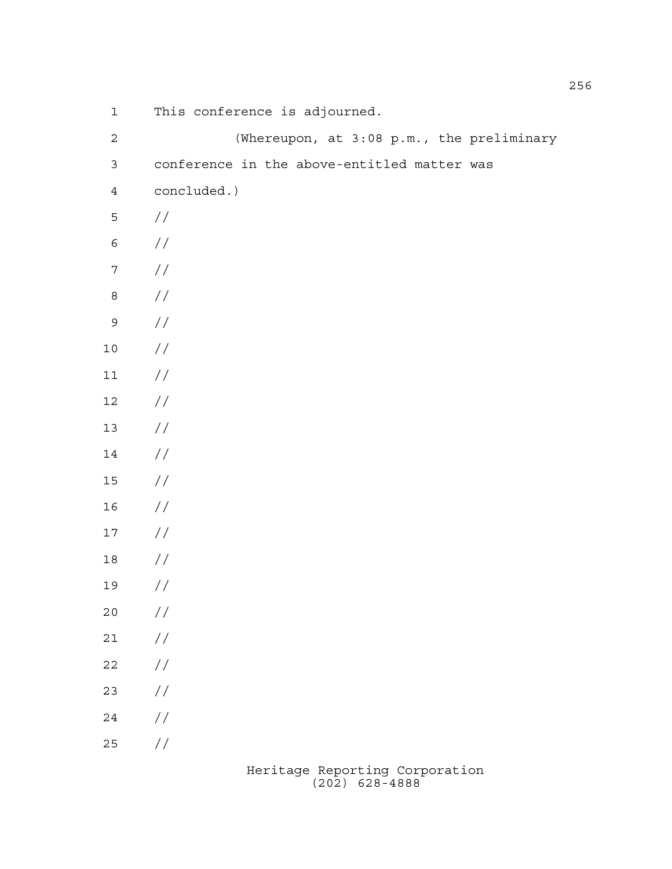This conference is adjourned.

| $\sqrt{2}$       | (Whereupon, at 3:08 p.m., the preliminary   |
|------------------|---------------------------------------------|
| $\mathfrak{Z}$   | conference in the above-entitled matter was |
| $\sqrt{4}$       | concluded.)                                 |
| 5                | $\frac{1}{2}$                               |
| $\epsilon$       | $\frac{1}{2}$                               |
| $\boldsymbol{7}$ | $\sqrt{}$                                   |
| $\,8\,$          | $\frac{1}{2}$                               |
| $\mathsf{S}$     | $\!/\!$                                     |
| $1\,0$           | $\!/\!$                                     |
| $11\,$           | $\!/\!$                                     |
| $12$             | $\!/\!$                                     |
| $13$             | $\!/\!$                                     |
| $14\,$           | $\!/\!$                                     |
| $15\,$           | $\!/\!$                                     |
| 16               | $\!/\!$                                     |
| $17\,$           | $\frac{1}{2}$                               |
| $18\,$           | $\frac{1}{2}$                               |
| 19               | $\sqrt{}$                                   |
| $20$             | $\sqrt{}$                                   |
| $2\sqrt{1}$      | $\frac{1}{2}$                               |
| $2\sqrt{2}$      | $\frac{1}{2}$                               |
| 23               | $\frac{1}{2}$                               |
| $2\sqrt{4}$      | $\!/\!$                                     |
| $25$             | $\frac{1}{2}$                               |
|                  |                                             |